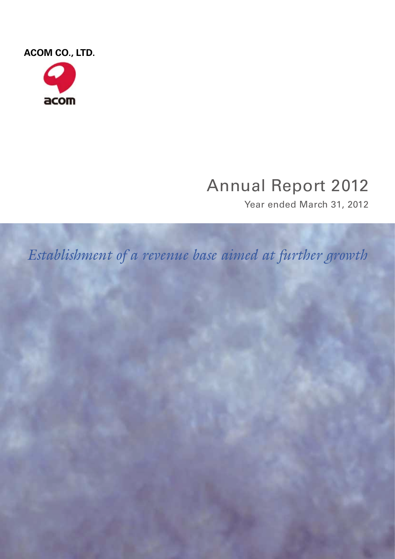



# Annual Report 2012

Year ended March 31, 2012

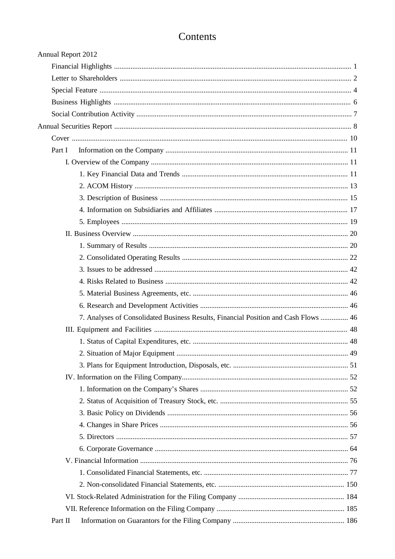# Contents

| Annual Report 2012                                                                  |  |
|-------------------------------------------------------------------------------------|--|
|                                                                                     |  |
|                                                                                     |  |
|                                                                                     |  |
|                                                                                     |  |
|                                                                                     |  |
|                                                                                     |  |
|                                                                                     |  |
| Part I                                                                              |  |
|                                                                                     |  |
|                                                                                     |  |
|                                                                                     |  |
|                                                                                     |  |
|                                                                                     |  |
|                                                                                     |  |
|                                                                                     |  |
|                                                                                     |  |
|                                                                                     |  |
|                                                                                     |  |
|                                                                                     |  |
|                                                                                     |  |
|                                                                                     |  |
| 7. Analyses of Consolidated Business Results, Financial Position and Cash Flows  46 |  |
|                                                                                     |  |
|                                                                                     |  |
|                                                                                     |  |
|                                                                                     |  |
|                                                                                     |  |
|                                                                                     |  |
|                                                                                     |  |
|                                                                                     |  |
|                                                                                     |  |
|                                                                                     |  |
|                                                                                     |  |
|                                                                                     |  |
|                                                                                     |  |
|                                                                                     |  |
|                                                                                     |  |
|                                                                                     |  |
| Part II                                                                             |  |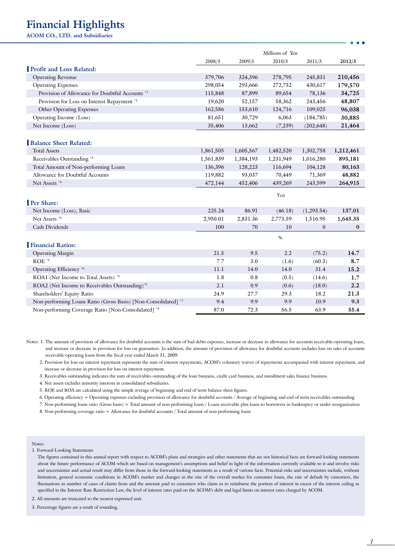# **Financial Highlights**

**ACOM CO., LTD. and Subsidiaries**

|                                                                |           |           | Millions of Yen |             |           |
|----------------------------------------------------------------|-----------|-----------|-----------------|-------------|-----------|
|                                                                | 2008/3    | 2009/3    | 2010/3          | 2011/3      | 2012/3    |
| <b>Profit and Loss Related:</b>                                |           |           |                 |             |           |
| <b>Operating Revenue</b>                                       | 379,706   | 324,396   | 278,795         | 245,831     | 210,456   |
| <b>Operating Expenses</b>                                      | 298,054   | 293,666   | 272,732         | 430,617     | 179,570   |
| Provision of Allowance for Doubtful Accounts *1                | 115,848   | 87,899    | 89,654          | 78,136      | 34,725    |
| Provision for Loss on Interest Repayment *2                    | 19,620    | 52,157    | 58,362          | 243,456     | 48,807    |
| Other Operating Expenses                                       | 162,586   | 153,610   | 124,716         | 109,025     | 96,038    |
| Operating Income (Loss)                                        | 81,651    | 30,729    | 6,063           | (184, 785)  | 30,885    |
| Net Income (Loss)                                              | 35,406    | 13,662    | (7,239)         | (202, 648)  | 21,464    |
|                                                                |           |           |                 |             |           |
| <b>Balance Sheet Related:</b>                                  |           |           |                 |             |           |
| <b>Total Assets</b>                                            | 1,861,505 | 1,605,567 | 1,482,520       | 1,302,758   | 1,212,461 |
| Receivables Outstanding *3                                     | 1,561,839 | 1,384,193 | 1,231,949       | 1,016,280   | 895,181   |
| Total Amount of Non-performing Loans                           | 136,396   | 128,223   | 116,694         | 104,128     | 80,163    |
| Allowance for Doubtful Accounts                                | 119,882   | 93,037    | 70,449          | 71,369      | 48,882    |
| Net Assets *4                                                  | 472,144   | 452,406   | 439,269         | 243,599     | 264,915   |
|                                                                |           |           | Yen             |             |           |
| Per Share:                                                     |           |           |                 |             |           |
| Net Income (Loss), Basic                                       | 225.24    | 86.91     | (46.18)         | (1, 293.54) | 137.01    |
| Net Assets *4                                                  | 2,950.01  | 2,831.36  | 2,773.59        | 1,516.95    | 1,645.35  |
| Cash Dividends                                                 | 100       | 70        | 10              | $\Omega$    | $\bf{0}$  |
|                                                                |           |           |                 |             |           |
| <b>Financial Ratios:</b>                                       |           |           | $\%$            |             |           |
| <b>Operating Margin</b>                                        | 21.5      | 9.5       | 2.2             | (75.2)      | 14.7      |
| ROE *5                                                         | 7.7       | 3.0       | (1.6)           | (60.3)      | 8.7       |
| Operating Efficiency *6                                        | 11.1      | 14.0      | 14.0            | 31.4        | 15.2      |
| ROA1 (Net Income to Total Assets) *5                           | 1.8       | 0.8       | (0.5)           | (14.6)      | 1.7       |
| ROA2 (Net Income to Receivables Outstanding)*5                 | 2.1       | 0.9       | (0.6)           | (18.0)      | 2.2       |
| Shareholders' Equity Ratio                                     | 24.9      | 27.7      | 29.3            | 18.2        | 21.3      |
| Non-performing Loans Ratio (Gross Basis) [Non-Consolidated] *7 | 9.4       | 9.9       | 9.9             | 10.9        | 9.3       |
| Non-performing Coverage Ratio [Non-Consolidated] *8            | 87.0      | 72.3      | 56.5            | 63.9        | 55.4      |

Notes: 1. The amount of provision of allowance for doubtful accounts is the sum of bad debts expenses, increase or decrease in allowance for accounts receivable-operating loans, and increase or decrease in provision for loss on guarantees. In addition, the amount of provision of allowance for doubtful accounts includes loss on sales of accounts receivable-operating loans from the fiscal year ended March 31, 2009.

2. Provision for loss on interest repayment represents the sum of interest repayments, ACOM's voluntary waiver of repayments accompanied with interest repayment, and increase or decrease in provision for loss on interest repayment.

3. Receivables outstanding indicates the sum of receivables outstanding of the loan business, credit card business, and installment sales finance business.

4. Net assets excludes minority interests in consolidated subsidiaries.

5. ROE and ROA are calculated using the simple average of beginning and end of term balance sheet figures.

6. Operating efficiency = Operating expenses excluding provision of allowance for doubtful accounts / Average of beginning and end of term receivables outstanding

7. Non-performing loans ratio (Gross basis) = Total amount of non-performing loans / Loans receivable plus loans to borrowers in bankruptcy or under reorganization

8. Non-performing coverage ratio = Allowance for doubtful accounts / Total amount of non-performing loans

#### Notes:

1. Forward-Looking Statements

The figures contained in this annual report with respect to ACOM's plans and strategies and other statements that are not historical facts are forward-looking statements about the future performance of ACOM which are based on management's assumptions and belief in light of the information currently available to it and involve risks and uncertainties and actual result may differ from those in the forward-looking statements as a result of various facts. Potential risks and uncertainties include, without limitation, general economic conditions in ACOM's market and changes in the size of the overall market for consumer loans, the rate of default by customers, the fluctuations in number of cases of claims from and the amount paid to customers who claim us to reimburse the portion of interest in excess of the interest ceiling as specified in the Interest Rate Restriction Law, the level of interest rates paid on the ACOM's debt and legal limits on interest rates charged by ACOM.

2. All amounts are truncated to the nearest expressed unit.

3. Percentage figures are a result of rounding.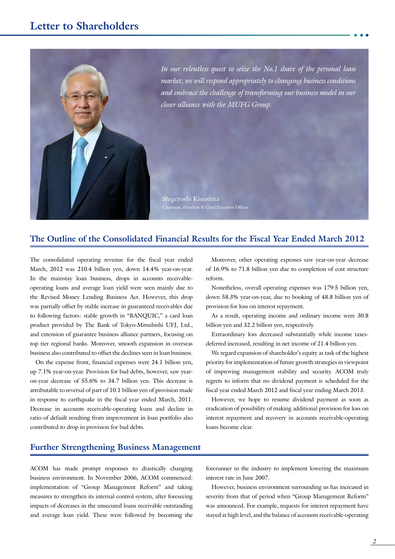

*In our relentless quest to seize the No.1 share of the personal loan market, we will respond appropriately to changing business conditions and embrace the challenge of transforming our business model in our closer alliance with the MUFG Group.*

Shigeyoshi Kinoshita

# **The Outline of the Consolidated Financial Results for the Fiscal Year Ended March 2012**

The consolidated operating revenue for the fiscal year ended March, 2012 was 210.4 billion yen, down 14.4% year-on-year. In the mainstay loan business, drops in accounts receivableoperating loans and average loan yield were seen mainly due to the Revised Money Lending Business Act. However, this drop was partially offset by stable increase in guaranteed receivables due to following factors: stable growth in "BANQUIC," a card loan product provided by The Bank of Tokyo-Mitsubishi UFJ, Ltd., and extension of guarantee business alliance partners, focusing on top tier regional banks. Moreover, smooth expansion in overseas business also contributed to offset the declines seen in loan business.

On the expense front, financial expenses were 24.1 billion yen, up 7.1% year-on-year. Provision for bad debts, however, saw yearon-year decrease of 55.6% to 34.7 billion yen. This decrease is attributable to reversal of part of 10.1 billion yen of provision made in response to earthquake in the fiscal year ended March, 2011. Decrease in accounts receivable-operating loans and decline in ratio of default resulting from improvement in loan portfolio also contributed to drop in provision for bad debts.

Moreover, other operating expenses saw year-on-year decrease of 16.9% to 71.8 billion yen due to completion of cost structure reform.

Nonetheless, overall operating expenses was 179.5 billion yen, down 58.3% year-on-year, due to booking of 48.8 billion yen of provision for loss on interest repayment.

As a result, operating income and ordinary income were 30.8 billion yen and 32.2 billion yen, respectively.

Extraordinary loss decreased substantially while income taxesdeferred increased, resulting in net income of 21.4 billion yen.

We regard expansion of shareholder's equity as task of the highest priority for implementation of future growth strategies in viewpoint of improving management stability and security. ACOM truly regrets to inform that no dividend payment is scheduled for the fiscal year ended March 2012 and fiscal year ending March 2013.

However, we hope to resume dividend payment as soon as eradication of possibility of making additional provision for loss on interest repayment and recovery in accounts receivable-operating loans become clear.

# **Further Strengthening Business Management**

ACOM has made prompt responses to drastically changing business environment. In November 2006, ACOM commenced: implementation of "Group Management Reform" and taking measures to strengthen its internal control system, after foreseeing impacts of decreases in the unsecured loans receivable outstanding and average loan yield. These were followed by becoming the

forerunner in the industry to implement lowering the maximum interest rate in June 2007.

However, business environment surrounding us has increased in severity from that of period when "Group Management Reform" was announced. For example, requests for interest repayment have stayed at high level, and the balance of accounts receivable-operating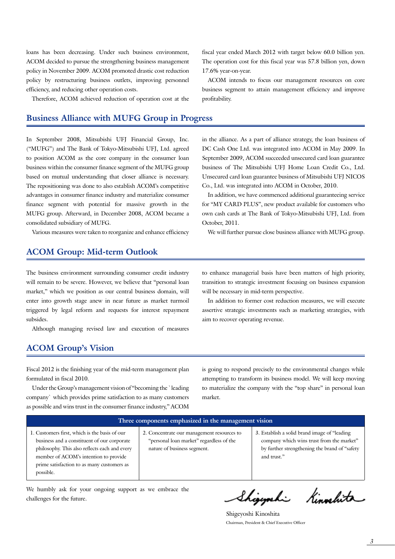loans has been decreasing. Under such business environment, ACOM decided to pursue the strengthening business management policy in November 2009. ACOM promoted drastic cost reduction policy by restructuring business outlets, improving personnel efficiency, and reducing other operation costs.

Therefore, ACOM achieved reduction of operation cost at the

# **Business Alliance with MUFG Group in Progress**

In September 2008, Mitsubishi UFJ Financial Group, Inc. ("MUFG") and The Bank of Tokyo-Mitsubishi UFJ, Ltd. agreed to position ACOM as the core company in the consumer loan business within the consumer finance segment of the MUFG group based on mutual understanding that closer alliance is necessary. The repositioning was done to also establish ACOM's competitive advantages in consumer finance industry and materialize consumer finance segment with potential for massive growth in the MUFG group. Afterward, in December 2008, ACOM became a consolidated subsidiary of MUFG.

Various measures were taken to reorganize and enhance efficiency

# **ACOM Group: Mid-term Outlook**

The business environment surrounding consumer credit industry will remain to be severe. However, we believe that "personal loan market," which we position as our central business domain, will enter into growth stage anew in near future as market turmoil triggered by legal reform and requests for interest repayment

Although managing revised law and execution of measures

fiscal year ended March 2012 with target below 60.0 billion yen. The operation cost for this fiscal year was 57.8 billion yen, down 17.6% year-on-year.

ACOM intends to focus our management resources on core business segment to attain management efficiency and improve profitability.

in the alliance. As a part of alliance strategy, the loan business of DC Cash One Ltd. was integrated into ACOM in May 2009. In September 2009, ACOM succeeded unsecured card loan guarantee business of The Mitsubishi UFJ Home Loan Credit Co., Ltd. Unsecured card loan guarantee business of Mitsubishi UFJ NICOS Co., Ltd. was integrated into ACOM in October, 2010.

In addition, we have commenced additional guaranteeing service for "MY CARD PLUS", new product available for customers who own cash cards at The Bank of Tokyo-Mitsubishi UFJ, Ltd. from October, 2011.

We will further pursue close business alliance with MUFG group.

to enhance managerial basis have been matters of high priority, transition to strategic investment focusing on business expansion will be necessary in mid-term perspective.

In addition to former cost reduction measures, we will execute assertive strategic investments such as marketing strategies, with aim to recover operating revenue.

# **ACOM Group's Vision**

subsides.

Fiscal 2012 is the finishing year of the mid-term management plan formulated in fiscal 2010.

Under the Group's management vision of "becoming the `leading company` which provides prime satisfaction to as many customers as possible and wins trust in the consumer finance industry," ACOM

is going to respond precisely to the environmental changes while attempting to transform its business model. We will keep moving to materialize the company with the "top share" in personal loan market.

> 3. Establish a solid brand image of "leading company which wins trust from the market" by further strengthening the brand of "safety

## **Three components emphasized in the management vision** 2. Concentrate our management resources to

"personal loan market" regardless of the

nature of business segment.

1. Customers first, which is the basis of our business and a constituent of our corporate philosophy. This also reflects each and every member of ACOM's intention to provide prime satisfaction to as many customers as possible.

We humbly ask for your ongoing support as we embrace the challenges for the future.

Shigyahi Kinoshita

and trust."

Shigeyoshi Kinoshita Chairman, President & Chief Executive Officer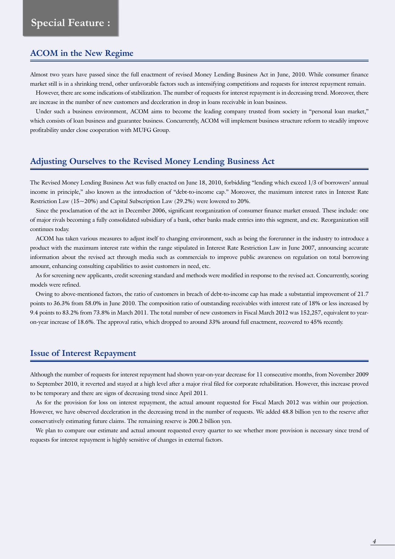# **ACOM in the New Regime**

Almost two years have passed since the full enactment of revised Money Lending Business Act in June, 2010. While consumer finance market still is in a shrinking trend, other unfavorable factors such as intensifying competitions and requests for interest repayment remain.

However, there are some indications of stabilization. The number of requests for interest repayment is in decreasing trend. Moreover, there are increase in the number of new customers and deceleration in drop in loans receivable in loan business.

Under such a business environment, ACOM aims to become the leading company trusted from society in "personal loan market," which consists of loan business and guarantee business. Concurrently, ACOM will implement business structure reform to steadily improve profitability under close cooperation with MUFG Group.

# **Adjusting Ourselves to the Revised Money Lending Business Act**

The Revised Money Lending Business Act was fully enacted on June 18, 2010, forbidding "lending which exceed 1/3 of borrowers' annual income in principle," also known as the introduction of "debt-to-income cap." Moreover, the maximum interest rates in Interest Rate Restriction Law (15~20%) and Capital Subscription Law (29.2%) were lowered to 20%.

Since the proclamation of the act in December 2006, significant reorganization of consumer finance market ensued. These include: one of major rivals becoming a fully consolidated subsidiary of a bank, other banks made entries into this segment, and etc. Reorganization still continues today.

ACOM has taken various measures to adjust itself to changing environment, such as being the forerunner in the industry to introduce a product with the maximum interest rate within the range stipulated in Interest Rate Restriction Law in June 2007, announcing accurate information about the revised act through media such as commercials to improve public awareness on regulation on total borrowing amount, enhancing consulting capabilities to assist customers in need, etc.

As for screening new applicants, credit screening standard and methods were modified in response to the revised act. Concurrently, scoring models were refined.

Owing to above-mentioned factors, the ratio of customers in breach of debt-to-income cap has made a substantial improvement of 21.7 points to 36.3% from 58.0% in June 2010. The composition ratio of outstanding receivables with interest rate of 18% or less increased by 9.4 points to 83.2% from 73.8% in March 2011. The total number of new customers in Fiscal March 2012 was 152,257, equivalent to yearon-year increase of 18.6%. The approval ratio, which dropped to around 33% around full enactment, recovered to 45% recently.

## **Issue of Interest Repayment**

Although the number of requests for interest repayment had shown year-on-year decrease for 11 consecutive months, from November 2009 to September 2010, it reverted and stayed at a high level after a major rival filed for corporate rehabilitation. However, this increase proved to be temporary and there are signs of decreasing trend since April 2011.

As for the provision for loss on interest repayment, the actual amount requested for Fiscal March 2012 was within our projection. However, we have observed deceleration in the decreasing trend in the number of requests. We added 48.8 billion yen to the reserve after conservatively estimating future claims. The remaining reserve is 200.2 billion yen.

We plan to compare our estimate and actual amount requested every quarter to see whether more provision is necessary since trend of requests for interest repayment is highly sensitive of changes in external factors.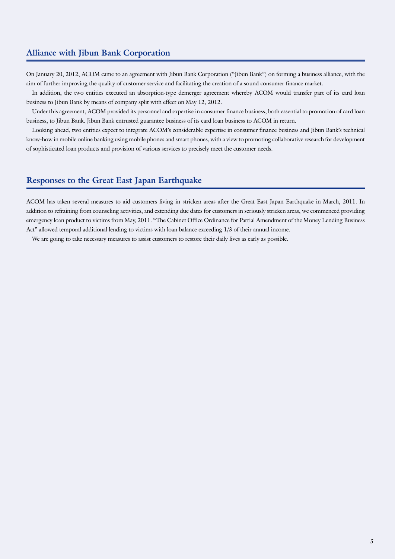# **Alliance with Jibun Bank Corporation**

On January 20, 2012, ACOM came to an agreement with Jibun Bank Corporation ("Jibun Bank") on forming a business alliance, with the aim of further improving the quality of customer service and facilitating the creation of a sound consumer finance market.

In addition, the two entities executed an absorption-type demerger agreement whereby ACOM would transfer part of its card loan business to Jibun Bank by means of company split with effect on May 12, 2012.

Under this agreement, ACOM provided its personnel and expertise in consumer finance business, both essential to promotion of card loan business, to Jibun Bank. Jibun Bank entrusted guarantee business of its card loan business to ACOM in return.

Looking ahead, two entities expect to integrate ACOM's considerable expertise in consumer finance business and Jibun Bank's technical know-how in mobile online banking using mobile phones and smart phones, with a view to promoting collaborative research for development of sophisticated loan products and provision of various services to precisely meet the customer needs.

## **Responses to the Great East Japan Earthquake**

ACOM has taken several measures to aid customers living in stricken areas after the Great East Japan Earthquake in March, 2011. In addition to refraining from counseling activities, and extending due dates for customers in seriously stricken areas, we commenced providing emergency loan product to victims from May, 2011. "The Cabinet Office Ordinance for Partial Amendment of the Money Lending Business Act" allowed temporal additional lending to victims with loan balance exceeding 1/3 of their annual income.

We are going to take necessary measures to assist customers to restore their daily lives as early as possible.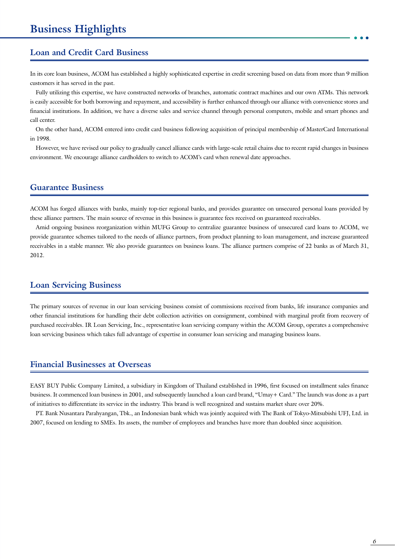# **Loan and Credit Card Business**

In its core loan business, ACOM has established a highly sophisticated expertise in credit screening based on data from more than 9 million customers it has served in the past.

Fully utilizing this expertise, we have constructed networks of branches, automatic contract machines and our own ATMs. This network is easily accessible for both borrowing and repayment, and accessibility is further enhanced through our alliance with convenience stores and financial institutions. In addition, we have a diverse sales and service channel through personal computers, mobile and smart phones and call center.

On the other hand, ACOM entered into credit card business following acquisition of principal membership of MasterCard International in 1998.

However, we have revised our policy to gradually cancel alliance cards with large-scale retail chains due to recent rapid changes in business environment. We encourage alliance cardholders to switch to ACOM's card when renewal date approaches.

# **Guarantee Business**

ACOM has forged alliances with banks, mainly top-tier regional banks, and provides guarantee on unsecured personal loans provided by these alliance partners. The main source of revenue in this business is guarantee fees received on guaranteed receivables.

Amid ongoing business reorganization within MUFG Group to centralize guarantee business of unsecured card loans to ACOM, we provide guarantee schemes tailored to the needs of alliance partners, from product planning to loan management, and increase guaranteed receivables in a stable manner. We also provide guarantees on business loans. The alliance partners comprise of 22 banks as of March 31, 2012.

# **Loan Servicing Business**

The primary sources of revenue in our loan servicing business consist of commissions received from banks, life insurance companies and other financial institutions for handling their debt collection activities on consignment, combined with marginal profit from recovery of purchased receivables. IR Loan Servicing, Inc., representative loan servicing company within the ACOM Group, operates a comprehensive loan servicing business which takes full advantage of expertise in consumer loan servicing and managing business loans.

## **Financial Businesses at Overseas**

EASY BUY Public Company Limited, a subsidiary in Kingdom of Thailand established in 1996, first focused on installment sales finance business. It commenced loan business in 2001, and subsequently launched a loan card brand, "Umay+ Card." The launch was done as a part of initiatives to differentiate its service in the industry. This brand is well recognized and sustains market share over 20%.

PT. Bank Nusantara Parahyangan, Tbk., an Indonesian bank which was jointly acquired with The Bank of Tokyo-Mitsubishi UFJ, Ltd. in 2007, focused on lending to SMEs. Its assets, the number of employees and branches have more than doubled since acquisition.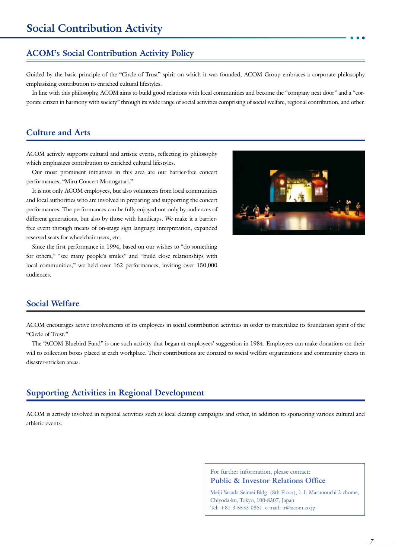# **ACOM's Social Contribution Activity Policy**

Guided by the basic principle of the "Circle of Trust" spirit on which it was founded, ACOM Group embraces a corporate philosophy emphasizing contribution to enriched cultural lifestyles.

In line with this philosophy, ACOM aims to build good relations with local communities and become the "company next door" and a "corporate citizen in harmony with society" through its wide range of social activities comprising of social welfare, regional contribution, and other.

## **Culture and Arts**

ACOM actively supports cultural and artistic events, reflecting its philosophy which emphasizes contribution to enriched cultural lifestyles.

Our most prominent initiatives in this area are our barrier-free concert performances, "Miru Concert Monogatari."

It is not only ACOM employees, but also volunteers from local communities and local authorities who are involved in preparing and supporting the concert performances. The performances can be fully enjoyed not only by audiences of different generations, but also by those with handicaps. We make it a barrierfree event through means of on-stage sign language interpretation, expanded reserved seats for wheelchair users, etc.

Since the first performance in 1994, based on our wishes to "do something for others," "see many people's smiles" and "build close relationships with local communities," we held over 162 performances, inviting over 150,000 audiences.



# **Social Welfare**

ACOM encourages active involvements of its employees in social contribution activities in order to materialize its foundation spirit of the "Circle of Trust."

The "ACOM Bluebird Fund" is one such activity that began at employees' suggestion in 1984. Employees can make donations on their will to collection boxes placed at each workplace. Their contributions are donated to social welfare organizations and community chests in disaster-stricken areas.

# **Supporting Activities in Regional Development**

ACOM is actively involved in regional activities such as local cleanup campaigns and other, in addition to sponsoring various cultural and athletic events.

> For further information, please contact: **Public & Investor Relations Office**

Meiji Yasuda Seimei Bldg. (8th Floor), 1-1, Marunouchi 2-chome, Chiyoda-ku, Tokyo, 100-8307, Japan Tel: +81-3-5533-0861 e-mail: ir@acom.co.jp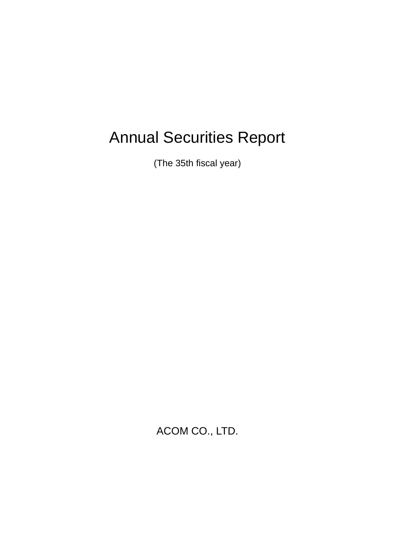# Annual Securities Report

(The 35th fiscal year)

ACOM CO., LTD.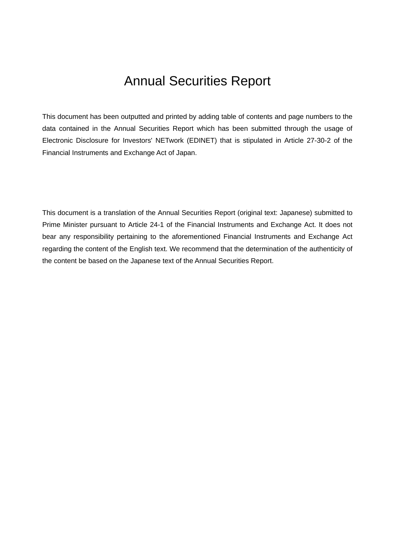# Annual Securities Report

This document has been outputted and printed by adding table of contents and page numbers to the data contained in the Annual Securities Report which has been submitted through the usage of Electronic Disclosure for Investors' NETwork (EDINET) that is stipulated in Article 27-30-2 of the Financial Instruments and Exchange Act of Japan.

This document is a translation of the Annual Securities Report (original text: Japanese) submitted to Prime Minister pursuant to Article 24-1 of the Financial Instruments and Exchange Act. It does not bear any responsibility pertaining to the aforementioned Financial Instruments and Exchange Act regarding the content of the English text. We recommend that the determination of the authenticity of the content be based on the Japanese text of the Annual Securities Report.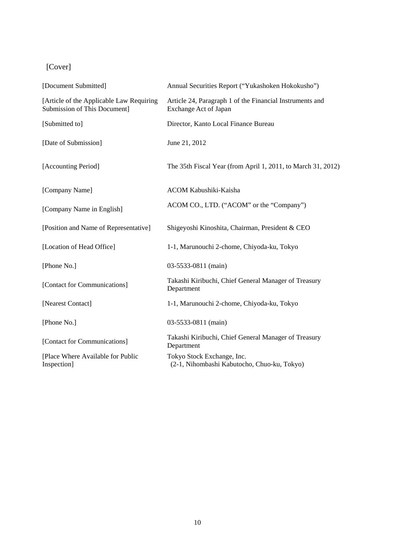[Cover]

| [Document Submitted]                                                     | Annual Securities Report ("Yukashoken Hokokusho")                                 |
|--------------------------------------------------------------------------|-----------------------------------------------------------------------------------|
| [Article of the Applicable Law Requiring<br>Submission of This Document] | Article 24, Paragraph 1 of the Financial Instruments and<br>Exchange Act of Japan |
| [Submitted to]                                                           | Director, Kanto Local Finance Bureau                                              |
| [Date of Submission]                                                     | June 21, 2012                                                                     |
| [Accounting Period]                                                      | The 35th Fiscal Year (from April 1, 2011, to March 31, 2012)                      |
| [Company Name]                                                           | ACOM Kabushiki-Kaisha                                                             |
| [Company Name in English]                                                | ACOM CO., LTD. ("ACOM" or the "Company")                                          |
| [Position and Name of Representative]                                    | Shigeyoshi Kinoshita, Chairman, President & CEO                                   |
| [Location of Head Office]                                                | 1-1, Marunouchi 2-chome, Chiyoda-ku, Tokyo                                        |
| [Phone No.]                                                              | 03-5533-0811 (main)                                                               |
| [Contact for Communications]                                             | Takashi Kiribuchi, Chief General Manager of Treasury<br>Department                |
| [Nearest Contact]                                                        | 1-1, Marunouchi 2-chome, Chiyoda-ku, Tokyo                                        |
| [Phone No.]                                                              | 03-5533-0811 (main)                                                               |
| [Contact for Communications]                                             | Takashi Kiribuchi, Chief General Manager of Treasury<br>Department                |
| [Place Where Available for Public<br>Inspection]                         | Tokyo Stock Exchange, Inc.<br>(2-1, Nihombashi Kabutocho, Chuo-ku, Tokyo)         |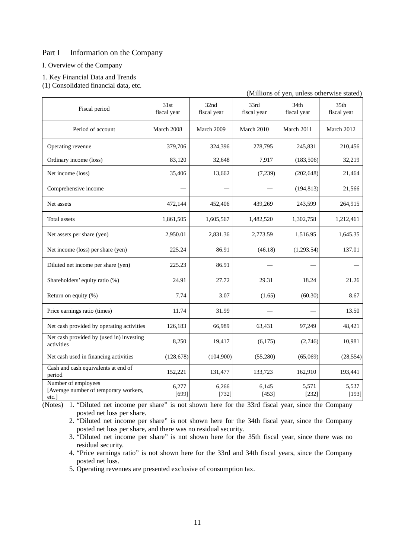## Part I Information on the Company

## I. Overview of the Company

1. Key Financial Data and Trends

(1) Consolidated financial data, etc.

|                                                                       |                     |                     |                     | (Millions of yen, unless otherwise stated) |                     |
|-----------------------------------------------------------------------|---------------------|---------------------|---------------------|--------------------------------------------|---------------------|
| Fiscal period                                                         | 31st<br>fiscal year | 32nd<br>fiscal year | 33rd<br>fiscal year | 34th<br>fiscal year                        | 35th<br>fiscal year |
| Period of account                                                     | March 2008          | March 2009          | March 2010          | March 2011                                 | March 2012          |
| Operating revenue                                                     | 379,706             | 324,396             | 278,795             | 245,831                                    | 210,456             |
| Ordinary income (loss)                                                | 83,120              | 32,648              | 7,917               | (183, 506)                                 | 32,219              |
| Net income (loss)                                                     | 35,406              | 13,662              | (7,239)             | (202, 648)                                 | 21,464              |
| Comprehensive income                                                  |                     |                     |                     | (194, 813)                                 | 21,566              |
| Net assets                                                            | 472,144             | 452,406             | 439,269             | 243,599                                    | 264,915             |
| Total assets                                                          | 1,861,505           | 1,605,567           | 1,482,520           | 1,302,758                                  | 1,212,461           |
| Net assets per share (yen)                                            | 2,950.01            | 2,831.36            | 2,773.59            | 1,516.95                                   | 1,645.35            |
| Net income (loss) per share (yen)                                     | 225.24              | 86.91               | (46.18)             | (1,293.54)                                 | 137.01              |
| Diluted net income per share (yen)                                    | 225.23              | 86.91               |                     |                                            |                     |
| Shareholders' equity ratio (%)                                        | 24.91               | 27.72               | 29.31               | 18.24                                      | 21.26               |
| Return on equity (%)                                                  | 7.74                | 3.07                | (1.65)              | (60.30)                                    | 8.67                |
| Price earnings ratio (times)                                          | 11.74               | 31.99               |                     |                                            | 13.50               |
| Net cash provided by operating activities                             | 126,183             | 66,989              | 63,431              | 97,249                                     | 48,421              |
| Net cash provided by (used in) investing<br>activities                | 8,250               | 19,417              | (6,175)             | (2,746)                                    | 10,981              |
| Net cash used in financing activities                                 | (128, 678)          | (104,900)           | (55,280)            | (65,069)                                   | (28, 554)           |
| Cash and cash equivalents at end of<br>period                         | 152,221             | 131,477             | 133,723             | 162,910                                    | 193,441             |
| Number of employees<br>[Average number of temporary workers,<br>etc.] | 6,277<br>$[699]$    | 6,266<br>$[732]$    | 6,145<br>[453]      | 5,571<br>$[232]$                           | 5,537<br>[193]      |

(Notes) 1. "Diluted net income per share" is not shown here for the 33rd fiscal year, since the Company posted net loss per share.

 2. "Diluted net income per share" is not shown here for the 34th fiscal year, since the Company posted net loss per share, and there was no residual security.

 3. "Diluted net income per share" is not shown here for the 35th fiscal year, since there was no residual security.

 4. "Price earnings ratio" is not shown here for the 33rd and 34th fiscal years, since the Company posted net loss.

5. Operating revenues are presented exclusive of consumption tax.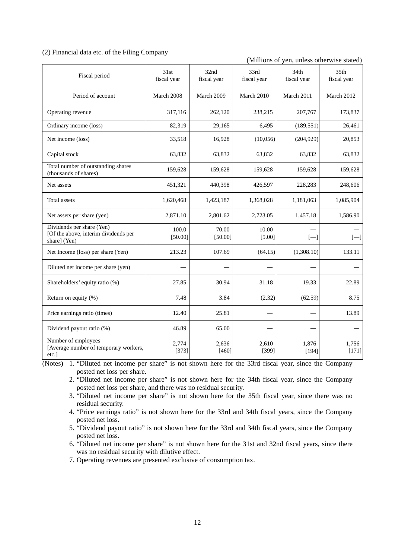| (2) Financial data etc. of the Filing Company |
|-----------------------------------------------|
|-----------------------------------------------|

|                                                                                   |                     |                     |                     | (Millions of yen, unless otherwise stated) |                     |
|-----------------------------------------------------------------------------------|---------------------|---------------------|---------------------|--------------------------------------------|---------------------|
| Fiscal period                                                                     | 31st<br>fiscal year | 32nd<br>fiscal year | 33rd<br>fiscal year | 34th<br>fiscal year                        | 35th<br>fiscal year |
| Period of account                                                                 | March 2008          | March 2009          | March 2010          | March 2011                                 | March 2012          |
| Operating revenue                                                                 | 317,116             | 262,120             | 238,215             | 207,767                                    | 173,837             |
| Ordinary income (loss)                                                            | 82,319              | 29,165              | 6,495               | (189, 551)                                 | 26,461              |
| Net income (loss)                                                                 | 33,518              | 16,928              | (10,056)            | (204, 929)                                 | 20,853              |
| Capital stock                                                                     | 63,832              | 63,832              | 63,832              | 63,832                                     | 63,832              |
| Total number of outstanding shares<br>(thousands of shares)                       | 159,628             | 159,628             | 159,628             | 159,628                                    | 159,628             |
| Net assets                                                                        | 451,321             | 440,398             | 426,597             | 228,283                                    | 248,606             |
| Total assets                                                                      | 1,620,468           | 1,423,187           | 1,368,028           | 1,181,063                                  | 1,085,904           |
| Net assets per share (yen)                                                        | 2,871.10            | 2,801.62            | 2,723.05            | 1,457.18                                   | 1,586.90            |
| Dividends per share (Yen)<br>[Of the above, interim dividends per<br>share] (Yen) | 100.0<br>[50.00]    | 70.00<br>[50.00]    | 10.00<br>[5.00]     | $[-]$                                      | $[-]$               |
| Net Income (loss) per share (Yen)                                                 | 213.23              | 107.69              | (64.15)             | (1,308.10)                                 | 133.11              |
| Diluted net income per share (yen)                                                |                     |                     |                     |                                            |                     |
| Shareholders' equity ratio (%)                                                    | 27.85               | 30.94               | 31.18               | 19.33                                      | 22.89               |
| Return on equity (%)                                                              | 7.48                | 3.84                | (2.32)              | (62.59)                                    | 8.75                |
| Price earnings ratio (times)                                                      | 12.40               | 25.81               |                     |                                            | 13.89               |
| Dividend payout ratio (%)                                                         | 46.89               | 65.00               |                     |                                            |                     |
| Number of employees<br>[Average number of temporary workers,<br>etc.              | 2,774<br>[373]      | 2,636<br>[460]      | 2,610<br>$[399]$    | 1,876<br>[194]                             | 1,756<br>$[171]$    |

(Notes) 1. "Diluted net income per share" is not shown here for the 33rd fiscal year, since the Company posted net loss per share.

- 2. "Diluted net income per share" is not shown here for the 34th fiscal year, since the Company posted net loss per share, and there was no residual security.
- 3. "Diluted net income per share" is not shown here for the 35th fiscal year, since there was no residual security.
- 4. "Price earnings ratio" is not shown here for the 33rd and 34th fiscal years, since the Company posted net loss.
- 5. "Dividend payout ratio" is not shown here for the 33rd and 34th fiscal years, since the Company posted net loss.
- 6. "Diluted net income per share" is not shown here for the 31st and 32nd fiscal years, since there was no residual security with dilutive effect.
- 7. Operating revenues are presented exclusive of consumption tax.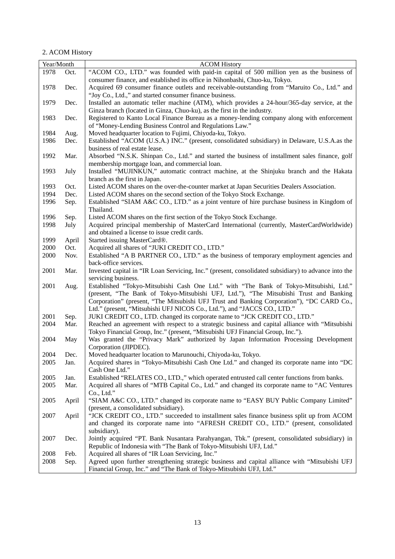# 2. ACOM History

| Year/Month   |               | <b>ACOM History</b>                                                                                                                                                                |
|--------------|---------------|------------------------------------------------------------------------------------------------------------------------------------------------------------------------------------|
| 1978         | Oct.          | "ACOM CO., LTD." was founded with paid-in capital of 500 million yen as the business of                                                                                            |
|              |               | consumer finance, and established its office in Nihonbashi, Chuo-ku, Tokyo.                                                                                                        |
| 1978         | Dec.          | Acquired 69 consumer finance outlets and receivable-outstanding from "Maruito Co., Ltd." and                                                                                       |
|              |               | "Joy Co., Ltd.," and started consumer finance business.                                                                                                                            |
| 1979         | Dec.          | Installed an automatic teller machine (ATM), which provides a 24-hour/365-day service, at the                                                                                      |
|              |               | Ginza branch (located in Ginza, Chuo-ku), as the first in the industry.                                                                                                            |
| 1983         | Dec.          | Registered to Kanto Local Finance Bureau as a money-lending company along with enforcement                                                                                         |
| 1984         |               | of "Money-Lending Business Control and Regulations Law."<br>Moved headquarter location to Fujimi, Chiyoda-ku, Tokyo.                                                               |
| 1986         | Aug.<br>Dec.  | Established "ACOM (U.S.A.) INC." (present, consolidated subsidiary) in Delaware, U.S.A.as the                                                                                      |
|              |               | business of real estate lease.                                                                                                                                                     |
| 1992         | Mar.          | Absorbed "N.S.K. Shinpan Co., Ltd." and started the business of installment sales finance, golf                                                                                    |
|              |               | membership mortgage loan, and commercial loan.                                                                                                                                     |
| 1993         | July          | Installed "MUJINKUN," automatic contract machine, at the Shinjuku branch and the Hakata                                                                                            |
|              |               | branch as the first in Japan.                                                                                                                                                      |
| 1993         | Oct.          | Listed ACOM shares on the over-the-counter market at Japan Securities Dealers Association.                                                                                         |
| 1994         | Dec.          | Listed ACOM shares on the second section of the Tokyo Stock Exchange.                                                                                                              |
| 1996         | Sep.          | Established "SIAM A&C CO., LTD." as a joint venture of hire purchase business in Kingdom of                                                                                        |
|              |               | Thailand.                                                                                                                                                                          |
| 1996         | Sep.          | Listed ACOM shares on the first section of the Tokyo Stock Exchange.                                                                                                               |
| 1998         | July          | Acquired principal membership of MasterCard International (currently, MasterCardWorldwide)                                                                                         |
|              |               | and obtained a license to issue credit cards.                                                                                                                                      |
| 1999<br>2000 | April<br>Oct. | Started issuing MasterCard®.<br>Acquired all shares of "JUKI CREDIT CO., LTD."                                                                                                     |
| 2000         | Nov.          | Established "A B PARTNER CO., LTD." as the business of temporary employment agencies and                                                                                           |
|              |               | back-office services.                                                                                                                                                              |
| 2001         | Mar.          | Invested capital in "IR Loan Servicing, Inc." (present, consolidated subsidiary) to advance into the                                                                               |
|              |               | servicing business.                                                                                                                                                                |
| 2001         | Aug.          | Established "Tokyo-Mitsubishi Cash One Ltd." with "The Bank of Tokyo-Mitsubishi, Ltd."                                                                                             |
|              |               | (present, "The Bank of Tokyo-Mitsubishi UFJ, Ltd."), "The Mitsubishi Trust and Banking                                                                                             |
|              |               | Corporation" (present, "The Mitsubishi UFJ Trust and Banking Corporation"), "DC CARD Co.,                                                                                          |
|              |               | Ltd." (present, "Mitsubishi UFJ NICOS Co., Ltd."), and "JACCS CO., LTD."                                                                                                           |
| 2001         | Sep.          | JUKI CREDIT CO., LTD. changed its corporate name to "JCK CREDIT CO., LTD."                                                                                                         |
| 2004         | Mar.          | Reached an agreement with respect to a strategic business and capital alliance with "Mitsubishi<br>Tokyo Financial Group, Inc." (present, "Mitsubishi UFJ Financial Group, Inc."). |
| 2004         | May           | Was granted the "Privacy Mark" authorized by Japan Information Processing Development                                                                                              |
|              |               | Corporation (JIPDEC).                                                                                                                                                              |
| 2004         | Dec.          | Moved headquarter location to Marunouchi, Chiyoda-ku, Tokyo.                                                                                                                       |
| 2005         | Jan.          | Acquired shares in "Tokyo-Mitsubishi Cash One Ltd." and changed its corporate name into "DC                                                                                        |
|              |               | Cash One Ltd."                                                                                                                                                                     |
| 2005         | Jan.          | Established "RELATES CO., LTD.," which operated entrusted call center functions from banks.                                                                                        |
| 2005         | Mar.          | Acquired all shares of "MTB Capital Co., Ltd." and changed its corporate name to "AC Ventures                                                                                      |
|              |               | Co., Ltd."                                                                                                                                                                         |
| 2005         | April         | "SIAM A&C CO., LTD." changed its corporate name to "EASY BUY Public Company Limited"                                                                                               |
|              |               | (present, a consolidated subsidiary).                                                                                                                                              |
| 2007         | April         | "JCK CREDIT CO., LTD." succeeded to installment sales finance business split up from ACOM                                                                                          |
|              |               | and changed its corporate name into "AFRESH CREDIT CO., LTD." (present, consolidated                                                                                               |
| 2007         |               | subsidiary).<br>Jointly acquired "PT. Bank Nusantara Parahyangan, Tbk." (present, consolidated subsidiary) in                                                                      |
|              | Dec.          | Republic of Indonesia with "The Bank of Tokyo-Mitsubishi UFJ, Ltd."                                                                                                                |
| 2008         | Feb.          | Acquired all shares of "IR Loan Servicing, Inc."                                                                                                                                   |
| 2008         | Sep.          | Agreed upon further strengthening strategic business and capital alliance with "Mitsubishi UFJ                                                                                     |
|              |               | Financial Group, Inc." and "The Bank of Tokyo-Mitsubishi UFJ, Ltd."                                                                                                                |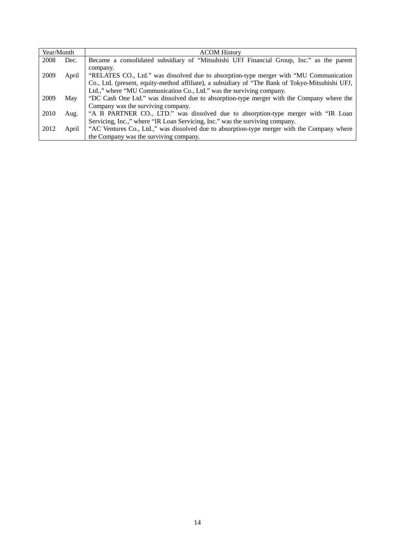| Year/Month |       | <b>ACOM History</b>                                                                              |
|------------|-------|--------------------------------------------------------------------------------------------------|
| 2008       | Dec.  | Became a consolidated subsidiary of "Mitsubishi UFJ Financial Group, Inc." as the parent         |
|            |       | company.                                                                                         |
| 2009       | April | "RELATES CO., Ltd." was dissolved due to absorption-type merger with "MU Communication"          |
|            |       | Co., Ltd. (present, equity-method affiliate), a subsidiary of "The Bank of Tokyo-Mitsubishi UFJ, |
|            |       | Ltd.," where "MU Communication Co., Ltd." was the surviving company.                             |
| 2009       | May   | "DC Cash One Ltd." was dissolved due to absorption-type merger with the Company where the        |
|            |       | Company was the surviving company.                                                               |
| 2010       | Aug.  | "A B PARTNER CO., LTD." was dissolved due to absorption-type merger with "IR Loan                |
|            |       | Servicing, Inc.," where "IR Loan Servicing, Inc." was the surviving company.                     |
| 2012       | April | "AC Ventures Co., Ltd.," was dissolved due to absorption-type merger with the Company where      |
|            |       | the Company was the surviving company.                                                           |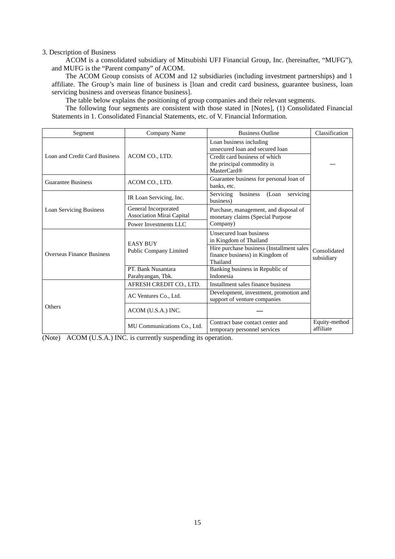#### 3. Description of Business

ACOM is a consolidated subsidiary of Mitsubishi UFJ Financial Group, Inc. (hereinafter, "MUFG"), and MUFG is the "Parent company" of ACOM.

The ACOM Group consists of ACOM and 12 subsidiaries (including investment partnerships) and 1 affiliate. The Group's main line of business is [loan and credit card business, guarantee business, loan servicing business and overseas finance business].

The table below explains the positioning of group companies and their relevant segments.

The following four segments are consistent with those stated in [Notes], (1) Consolidated Financial Statements in 1. Consolidated Financial Statements, etc. of V. Financial Information.

| Segment                                                     | Company Name                                      | <b>Business Outline</b>                                                                  | Classification             |
|-------------------------------------------------------------|---------------------------------------------------|------------------------------------------------------------------------------------------|----------------------------|
|                                                             |                                                   | Loan business including<br>unsecured loan and secured loan                               |                            |
| Loan and Credit Card Business                               | ACOM CO., LTD.                                    | Credit card business of which<br>the principal commodity is<br>MasterCard <sup>®</sup>   |                            |
| <b>Guarantee Business</b>                                   | ACOM CO., LTD.                                    | Guarantee business for personal loan of<br>banks, etc.                                   |                            |
|                                                             | IR Loan Servicing, Inc.                           | Servicing<br>business<br>servicing<br>(Loan<br>business)                                 |                            |
| <b>Loan Servicing Business</b><br>Overseas Finance Business | General Incorporated<br>Association Mirai Capital | Purchase, management, and disposal of<br>monetary claims (Special Purpose                |                            |
|                                                             | Power Investments LLC                             | Company)                                                                                 |                            |
|                                                             | <b>EASY BUY</b>                                   | Unsecured loan business<br>in Kingdom of Thailand                                        |                            |
|                                                             | Public Company Limited                            | Hire purchase business (Installment sales<br>finance business) in Kingdom of<br>Thailand | Consolidated<br>subsidiary |
|                                                             | PT. Bank Nusantara<br>Parahyangan, Tbk.           | Banking business in Republic of<br>Indonesia                                             |                            |
|                                                             | AFRESH CREDIT CO., LTD.                           | Installment sales finance business                                                       |                            |
|                                                             | AC Ventures Co., Ltd.                             | Development, investment, promotion and<br>support of venture companies                   |                            |
| <b>Others</b>                                               | ACOM (U.S.A.) INC.                                |                                                                                          |                            |
|                                                             | MU Communications Co., Ltd.                       | Contract base contact center and<br>temporary personnel services                         | Equity-method<br>affiliate |

(Note) ACOM (U.S.A.) INC. is currently suspending its operation.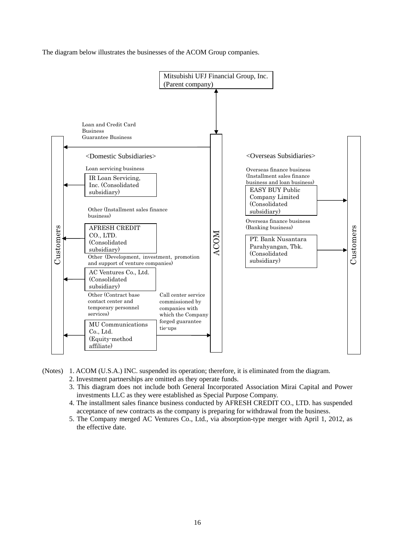The diagram below illustrates the businesses of the ACOM Group companies.



(Notes) 1. ACOM (U.S.A.) INC. suspended its operation; therefore, it is eliminated from the diagram.

- 2. Investment partnerships are omitted as they operate funds.
- 3. This diagram does not include both General Incorporated Association Mirai Capital and Power investments LLC as they were established as Special Purpose Company.
- 4. The installment sales finance business conducted by AFRESH CREDIT CO., LTD. has suspended acceptance of new contracts as the company is preparing for withdrawal from the business.
- 5. The Company merged AC Ventures Co., Ltd., via absorption-type merger with April 1, 2012, as the effective date.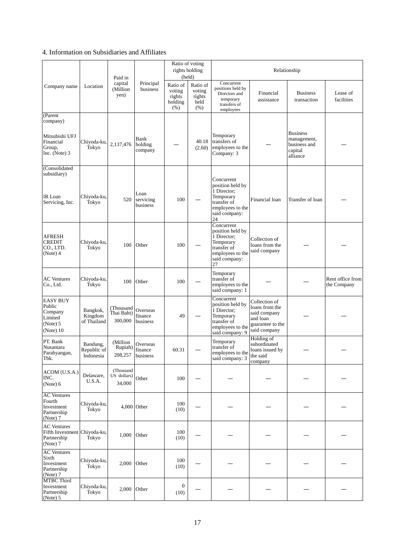# 4. Information on Subsidiaries and Affiliates

|                                                                                 |                                      | Paid in                            |                                 | Ratio of voting<br>rights holding              | (held)                                       |                                                                                                                      |                                                                                                 | Relationship                                                          |                                 |
|---------------------------------------------------------------------------------|--------------------------------------|------------------------------------|---------------------------------|------------------------------------------------|----------------------------------------------|----------------------------------------------------------------------------------------------------------------------|-------------------------------------------------------------------------------------------------|-----------------------------------------------------------------------|---------------------------------|
| Company name                                                                    | Location                             | capital<br>(Million<br>yen)        | Principal<br>business           | Ratio of<br>voting<br>rights<br>holding<br>(%) | Ratio of<br>voting<br>rights<br>held<br>(% ) | Concurrent<br>positions held by<br>Directors and<br>temporary<br>transfers of<br>employees                           | Financial<br>assistance                                                                         | <b>Business</b><br>transaction                                        | Lease of<br>facilities          |
| (Parent<br>company)<br>Mitsubishi UFJ<br>Financial<br>Group,<br>Inc. (Note) $3$ | Chiyoda-ku,<br>Tokyo                 | 2,137,476                          | Bank<br>holding<br>company      |                                                | 40.18<br>(2.60)                              | Temporary<br>transfers of<br>employees to the<br>Company: 3                                                          |                                                                                                 | <b>Business</b><br>management,<br>business and<br>capital<br>alliance |                                 |
| (Consolidated<br>subsidiary)<br>IR Loan<br>Servicing, Inc.                      | Chiyoda-ku,<br>Tokyo                 | 520                                | Loan<br>servicing<br>business   | 100                                            |                                              | Concurrent<br>position held by<br>1 Director;<br>Temporary<br>transfer of<br>employees to the<br>said company:<br>24 | Financial loan                                                                                  | Transfer of loan                                                      |                                 |
| <b>AFRESH</b><br><b>CREDIT</b><br>CO., LTD.<br>(Note) 4                         | Chiyoda-ku,<br>Tokyo                 | 100                                | Other                           | 100                                            |                                              | Concurrent<br>position held by<br>1 Director;<br>Temporary<br>transfer of<br>employees to the<br>said company:<br>27 | Collection of<br>loans from the<br>said company                                                 |                                                                       |                                 |
| <b>AC</b> Ventures<br>Co., Ltd.                                                 | Chiyoda-ku,<br>Tokyo                 | 100                                | Other                           | 100                                            |                                              | Temporary<br>transfer of<br>employees to the<br>said company: 1                                                      |                                                                                                 |                                                                       | Rent office from<br>the Company |
| <b>EASY BUY</b><br>Public<br>Company<br>Limited<br>(Note) 5<br>(Note) 10        | Bangkok,<br>Kingdom<br>of Thailand   | (Thousand<br>Thai Baht)<br>300,000 | Overseas<br>finance<br>business | 49                                             |                                              | Concurrent<br>position held by<br>1 Director;<br>Temporary<br>transfer of<br>employees to the<br>said company: 9     | Collection of<br>loans from the<br>said company<br>and loan<br>guarantee to the<br>said company |                                                                       |                                 |
| PT. Bank<br>Nusantara<br>Parahyangan,<br>Tbk.                                   | Bandung,<br>Republic of<br>Indonesia | (Million<br>Rupiah)<br>208,257     | Overseas<br>finance<br>business | 60.31                                          |                                              | Temporary<br>transfer of<br>employees to the<br>said company: 3                                                      | Holding of<br>subordinated<br>loans issued by<br>the said<br>company                            |                                                                       |                                 |
| ACOM (U.S.A.)<br>INC.<br>(Note) 6                                               | Delaware,<br>U.S.A.                  | (Thousand<br>US dollars)<br>34,000 | Other                           | 100                                            |                                              |                                                                                                                      |                                                                                                 |                                                                       |                                 |
| <b>AC</b> Ventures<br>Fourth<br>Investment<br>Partnership<br>(Note) 7           | Chiyoda-ku,<br>Tokyo                 |                                    | 4,000 Other                     | 100<br>(10)                                    |                                              |                                                                                                                      |                                                                                                 |                                                                       |                                 |
| <b>AC</b> Ventures<br>Fifth Investment Chiyoda-ku,<br>Partnership<br>(Note) 7   | Tokyo                                | 1,000                              | Other                           | 100<br>(10)                                    |                                              |                                                                                                                      |                                                                                                 |                                                                       |                                 |
| <b>AC</b> Ventures<br>Sixth<br>Investment<br>Partnership<br>(Note) 7            | Chiyoda-ku,<br>Tokyo                 | 2,000                              | Other                           | 100<br>(10)                                    |                                              |                                                                                                                      |                                                                                                 |                                                                       |                                 |
| <b>MTBC</b> Third<br>Investment<br>Partnership<br>(Note) 5                      | Chiyoda-ku,<br>Tokyo                 | 2,000                              | Other                           | $\boldsymbol{0}$<br>(10)                       |                                              |                                                                                                                      |                                                                                                 |                                                                       |                                 |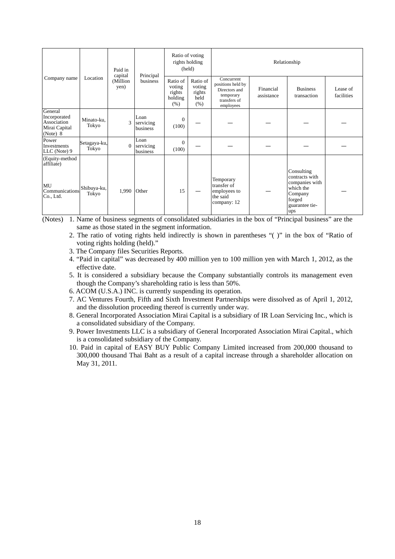|                                                                     |                       | Paid in                                              |                               |                       | Ratio of voting<br>rights holding<br>(held) |                                                                     |                                              | Relationship                                                                                              |                         |                                |                        |
|---------------------------------------------------------------------|-----------------------|------------------------------------------------------|-------------------------------|-----------------------|---------------------------------------------|---------------------------------------------------------------------|----------------------------------------------|-----------------------------------------------------------------------------------------------------------|-------------------------|--------------------------------|------------------------|
| Company name                                                        | Location              | Principal<br>capital<br>(Million<br>business<br>yen) |                               |                       |                                             | Ratio of<br>voting<br>rights<br>holding<br>(% )                     | Ratio of<br>voting<br>rights<br>held<br>(% ) | Concurrent<br>positions held by<br>Directors and<br>temporary<br>transfers of<br>employees                | Financial<br>assistance | <b>Business</b><br>transaction | Lease of<br>facilities |
| General<br>Incorporated<br>Association<br>Mirai Capital<br>(Note) 8 | Minato-ku.<br>Tokyo   | 3                                                    | Loan<br>servicing<br>business | $\mathbf{0}$<br>(100) |                                             |                                                                     |                                              |                                                                                                           |                         |                                |                        |
| Power<br>Investments<br>$LLC$ (Note) 9                              | Setagaya-ku,<br>Tokyo | $\mathbf{0}$                                         | Loan<br>servicing<br>business | $\Omega$<br>(100)     |                                             |                                                                     |                                              |                                                                                                           |                         |                                |                        |
| (Equity-method<br>affiliate)<br>MU<br>Communications<br>Co., Ltd.   | Shibuya-ku,<br>Tokyo  | 1,990                                                | Other                         | 15                    |                                             | Temporary<br>transfer of<br>employees to<br>the said<br>company: 12 |                                              | Consulting<br>contracts with<br>companies with<br>which the<br>Company<br>forged<br>guarantee tie-<br>ups |                         |                                |                        |

(Notes) 1. Name of business segments of consolidated subsidiaries in the box of "Principal business" are the same as those stated in the segment information.

- 2. The ratio of voting rights held indirectly is shown in parentheses "( )" in the box of "Ratio of voting rights holding (held)."
- 3. The Company files Securities Reports.
- 4. "Paid in capital" was decreased by 400 million yen to 100 million yen with March 1, 2012, as the effective date.
- 5. It is considered a subsidiary because the Company substantially controls its management even though the Company's shareholding ratio is less than 50%.
- 6. ACOM (U.S.A.) INC. is currently suspending its operation.
- 7. AC Ventures Fourth, Fifth and Sixth Investment Partnerships were dissolved as of April 1, 2012, and the dissolution proceeding thereof is currently under way.
- 8. General Incorporated Association Mirai Capital is a subsidiary of IR Loan Servicing Inc., which is a consolidated subsidiary of the Company.
- 9. Power Investments LLC is a subsidiary of General Incorporated Association Mirai Capital., which is a consolidated subsidiary of the Company.
- 10. Paid in capital of EASY BUY Public Company Limited increased from 200,000 thousand to 300,000 thousand Thai Baht as a result of a capital increase through a shareholder allocation on May 31, 2011.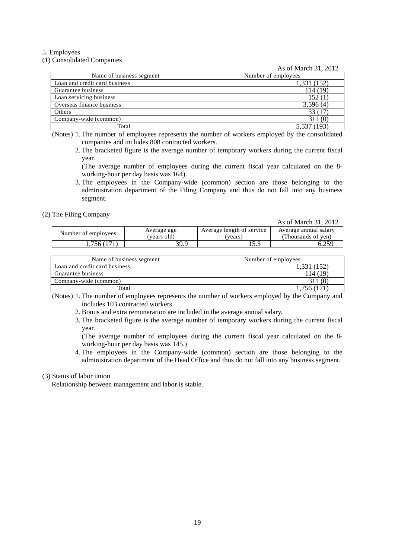#### 5. Employees

(1) Consolidated Companies

As of March 31, 2012

| Name of business segment      | Number of employees |
|-------------------------------|---------------------|
| Loan and credit card business | 1,331 (152)         |
| Guarantee business            | 114 (19             |
| Loan servicing business       | 152(1)              |
| Overseas finance business     | 3,596(4)            |
| Others                        | 33 (17              |
| Company-wide (common)         |                     |
| Total                         | 5,537 (193)         |

(Notes) 1. The number of employees represents the number of workers employed by the consolidated companies and includes 808 contracted workers.

 2. The bracketed figure is the average number of temporary workers during the current fiscal year.

 (The average number of employees during the current fiscal year calculated on the 8 working-hour per day basis was 164).

 3. The employees in the Company-wide (common) section are those belonging to the administration department of the Filing Company and thus do not fall into any business segment.

#### (2) The Filing Company

| $\ldots$            |                            |                                      | As of March 31, 2012                        |
|---------------------|----------------------------|--------------------------------------|---------------------------------------------|
| Number of employees | Average age<br>(years old) | Average length of service<br>(years) | Average annual salary<br>(Thousands of yen) |
| .756 (17)           | 30 O                       |                                      |                                             |
|                     |                            |                                      |                                             |

| Name of business segment      | Number of employees |
|-------------------------------|---------------------|
| Loan and credit card business |                     |
| Guarantee business            | 114 (19)            |
| Company-wide (common)         |                     |
| Total                         |                     |

(Notes) 1. The number of employees represents the number of workers employed by the Company and includes 103 contracted workers.

2. Bonus and extra remuneration are included in the average annual salary.

 3. The bracketed figure is the average number of temporary workers during the current fiscal year.

 (The average number of employees during the current fiscal year calculated on the 8 working-hour per day basis was 145.)

 4. The employees in the Company-wide (common) section are those belonging to the administration department of the Head Office and thus do not fall into any business segment.

## (3) Status of labor union

Relationship between management and labor is stable.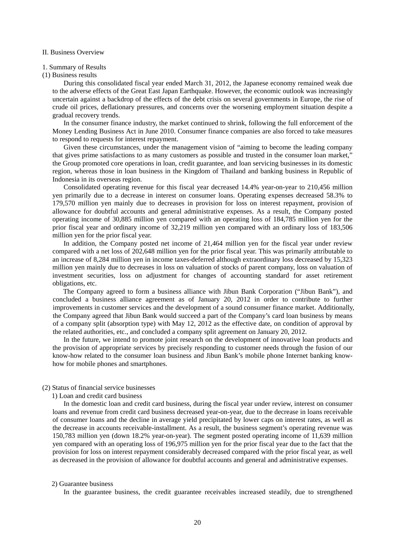#### II. Business Overview

#### 1. Summary of Results

#### (1) Business results

During this consolidated fiscal year ended March 31, 2012, the Japanese economy remained weak due to the adverse effects of the Great East Japan Earthquake. However, the economic outlook was increasingly uncertain against a backdrop of the effects of the debt crisis on several governments in Europe, the rise of crude oil prices, deflationary pressures, and concerns over the worsening employment situation despite a gradual recovery trends.

In the consumer finance industry, the market continued to shrink, following the full enforcement of the Money Lending Business Act in June 2010. Consumer finance companies are also forced to take measures to respond to requests for interest repayment.

Given these circumstances, under the management vision of "aiming to become the leading company that gives prime satisfactions to as many customers as possible and trusted in the consumer loan market," the Group promoted core operations in loan, credit guarantee, and loan servicing businesses in its domestic region, whereas those in loan business in the Kingdom of Thailand and banking business in Republic of Indonesia in its overseas region.

Consolidated operating revenue for this fiscal year decreased 14.4% year-on-year to 210,456 million yen primarily due to a decrease in interest on consumer loans. Operating expenses decreased 58.3% to 179,570 million yen mainly due to decreases in provision for loss on interest repayment, provision of allowance for doubtful accounts and general administrative expenses. As a result, the Company posted operating income of 30,885 million yen compared with an operating loss of 184,785 million yen for the prior fiscal year and ordinary income of 32,219 million yen compared with an ordinary loss of 183,506 million yen for the prior fiscal year.

In addition, the Company posted net income of 21,464 million yen for the fiscal year under review compared with a net loss of 202,648 million yen for the prior fiscal year. This was primarily attributable to an increase of 8,284 million yen in income taxes-deferred although extraordinary loss decreased by 15,323 million yen mainly due to decreases in loss on valuation of stocks of parent company, loss on valuation of investment securities, loss on adjustment for changes of accounting standard for asset retirement obligations, etc.

The Company agreed to form a business alliance with Jibun Bank Corporation ("Jibun Bank"), and concluded a business alliance agreement as of January 20, 2012 in order to contribute to further improvements in customer services and the development of a sound consumer finance market. Additionally, the Company agreed that Jibun Bank would succeed a part of the Company's card loan business by means of a company split (absorption type) with May 12, 2012 as the effective date, on condition of approval by the related authorities, etc., and concluded a company split agreement on January 20, 2012.

In the future, we intend to promote joint research on the development of innovative loan products and the provision of appropriate services by precisely responding to customer needs through the fusion of our know-how related to the consumer loan business and Jibun Bank's mobile phone Internet banking knowhow for mobile phones and smartphones.

#### (2) Status of financial service businesses

1) Loan and credit card business

In the domestic loan and credit card business, during the fiscal year under review, interest on consumer loans and revenue from credit card business decreased year-on-year, due to the decrease in loans receivable of consumer loans and the decline in average yield precipitated by lower caps on interest rates, as well as the decrease in accounts receivable-installment. As a result, the business segment's operating revenue was 150,783 million yen (down 18.2% year-on-year). The segment posted operating income of 11,639 million yen compared with an operating loss of 196,975 million yen for the prior fiscal year due to the fact that the provision for loss on interest repayment considerably decreased compared with the prior fiscal year, as well as decreased in the provision of allowance for doubtful accounts and general and administrative expenses.

#### 2) Guarantee business

In the guarantee business, the credit guarantee receivables increased steadily, due to strengthened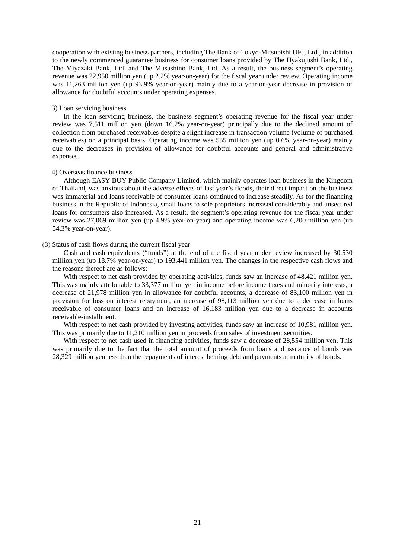cooperation with existing business partners, including The Bank of Tokyo-Mitsubishi UFJ, Ltd., in addition to the newly commenced guarantee business for consumer loans provided by The Hyakujushi Bank, Ltd., The Miyazaki Bank, Ltd. and The Musashino Bank, Ltd. As a result, the business segment's operating revenue was 22,950 million yen (up 2.2% year-on-year) for the fiscal year under review. Operating income was 11,263 million yen (up 93.9% year-on-year) mainly due to a year-on-year decrease in provision of allowance for doubtful accounts under operating expenses.

#### 3) Loan servicing business

In the loan servicing business, the business segment's operating revenue for the fiscal year under review was 7,511 million yen (down 16.2% year-on-year) principally due to the declined amount of collection from purchased receivables despite a slight increase in transaction volume (volume of purchased receivables) on a principal basis. Operating income was 555 million yen (up 0.6% year-on-year) mainly due to the decreases in provision of allowance for doubtful accounts and general and administrative expenses.

#### 4) Overseas finance business

Although EASY BUY Public Company Limited, which mainly operates loan business in the Kingdom of Thailand, was anxious about the adverse effects of last year's floods, their direct impact on the business was immaterial and loans receivable of consumer loans continued to increase steadily. As for the financing business in the Republic of Indonesia, small loans to sole proprietors increased considerably and unsecured loans for consumers also increased. As a result, the segment's operating revenue for the fiscal year under review was 27,069 million yen (up 4.9% year-on-year) and operating income was 6,200 million yen (up 54.3% year-on-year).

#### (3) Status of cash flows during the current fiscal year

Cash and cash equivalents ("funds") at the end of the fiscal year under review increased by 30,530 million yen (up 18.7% year-on-year) to 193,441 million yen. The changes in the respective cash flows and the reasons thereof are as follows:

With respect to net cash provided by operating activities, funds saw an increase of 48,421 million yen. This was mainly attributable to 33,377 million yen in income before income taxes and minority interests, a decrease of 21,978 million yen in allowance for doubtful accounts, a decrease of 83,100 million yen in provision for loss on interest repayment, an increase of 98,113 million yen due to a decrease in loans receivable of consumer loans and an increase of 16,183 million yen due to a decrease in accounts receivable-installment.

With respect to net cash provided by investing activities, funds saw an increase of 10,981 million yen. This was primarily due to 11,210 million yen in proceeds from sales of investment securities.

With respect to net cash used in financing activities, funds saw a decrease of 28,554 million yen. This was primarily due to the fact that the total amount of proceeds from loans and issuance of bonds was 28,329 million yen less than the repayments of interest bearing debt and payments at maturity of bonds.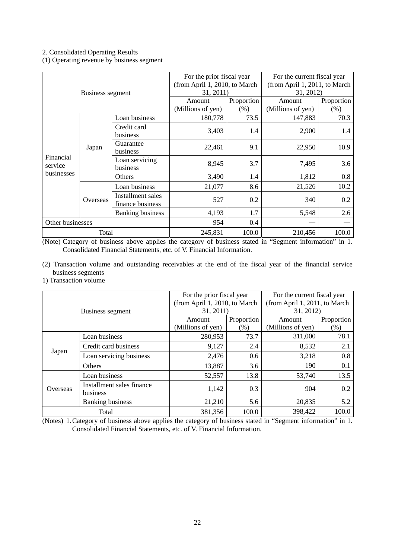## 2. Consolidated Operating Results

(1) Operating revenue by business segment

| Business segment     |          |                                       | For the prior fiscal year<br>(from April 1, 2010, to March<br>31, 2011) |         | For the current fiscal year<br>(from April 1, 2011, to March<br>31, 2012) |       |  |
|----------------------|----------|---------------------------------------|-------------------------------------------------------------------------|---------|---------------------------------------------------------------------------|-------|--|
|                      |          | Amount                                | Proportion                                                              | Amount  | Proportion                                                                |       |  |
|                      |          |                                       | (Millions of yen)                                                       | $(\% )$ | (Millions of yen)                                                         | (% )  |  |
|                      |          | Loan business                         | 180,778                                                                 | 73.5    | 147,883                                                                   | 70.3  |  |
|                      |          | Credit card<br>business               | 3,403                                                                   | 1.4     | 2,900                                                                     | 1.4   |  |
|                      | Japan    | Guarantee<br>business                 | 22,461                                                                  | 9.1     | 22,950                                                                    | 10.9  |  |
| Financial<br>service |          | Loan servicing<br>business            | 8,945                                                                   | 3.7     | 7,495                                                                     | 3.6   |  |
| businesses           |          | Others                                | 3,490                                                                   | 1.4     | 1,812                                                                     | 0.8   |  |
|                      |          | Loan business                         | 21,077                                                                  | 8.6     | 21,526                                                                    | 10.2  |  |
|                      | Overseas | Installment sales<br>finance business | 527                                                                     | 0.2     | 340                                                                       | 0.2   |  |
|                      |          | <b>Banking business</b>               | 4,193                                                                   | 1.7     | 5,548                                                                     | 2.6   |  |
| Other businesses     |          | 954                                   | 0.4                                                                     |         |                                                                           |       |  |
|                      | Total    |                                       | 245,831                                                                 | 100.0   | 210,456                                                                   | 100.0 |  |

(Note) Category of business above applies the category of business stated in "Segment information" in 1. Consolidated Financial Statements, etc. of V. Financial Information.

(2) Transaction volume and outstanding receivables at the end of the fiscal year of the financial service business segments

1) Transaction volume

| <b>Business segment</b> |                                       | For the prior fiscal year<br>(from April 1, 2010, to March<br>31, 2011) |                    | For the current fiscal year<br>(from April 1, 2011, to March<br>31, 2012) |                    |  |
|-------------------------|---------------------------------------|-------------------------------------------------------------------------|--------------------|---------------------------------------------------------------------------|--------------------|--|
|                         |                                       | Amount<br>(Millions of yen)                                             | Proportion<br>(% ) | Amount<br>(Millions of yen)                                               | Proportion<br>(% ) |  |
|                         | Loan business                         | 280,953                                                                 | 73.7               | 311,000                                                                   | 78.1               |  |
|                         | Credit card business                  | 9,127                                                                   | 2.4                | 8,532                                                                     | 2.1                |  |
| Japan                   | Loan servicing business               | 2,476                                                                   | 0.6                | 3,218                                                                     | 0.8                |  |
|                         | Others                                | 13,887                                                                  | 3.6                | 190                                                                       | 0.1                |  |
|                         | Loan business                         | 52,557                                                                  | 13.8               | 53,740                                                                    | 13.5               |  |
| Overseas                | Installment sales finance<br>business | 1,142                                                                   | 0.3                | 904                                                                       | 0.2                |  |
|                         | <b>Banking business</b>               | 21,210                                                                  | 5.6                | 20,835                                                                    | 5.2                |  |
|                         | Total                                 | 381,356                                                                 | 100.0              | 398,422                                                                   | 100.0              |  |

(Notes) 1. Category of business above applies the category of business stated in "Segment information" in 1. Consolidated Financial Statements, etc. of V. Financial Information.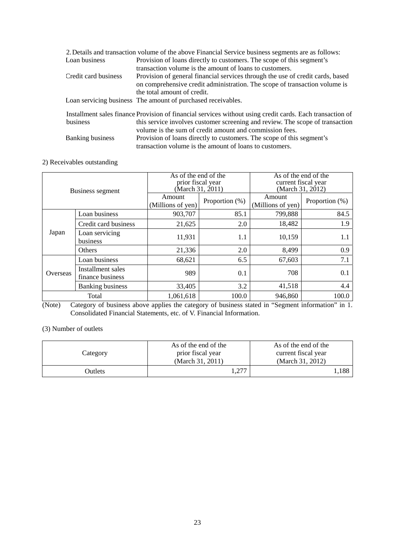|                         | 2. Details and transaction volume of the above Financial Service business segments are as follows:        |
|-------------------------|-----------------------------------------------------------------------------------------------------------|
| Loan business           | Provision of loans directly to customers. The scope of this segment's                                     |
|                         | transaction volume is the amount of loans to customers.                                                   |
| Credit card business    | Provision of general financial services through the use of credit cards, based                            |
|                         | on comprehensive credit administration. The scope of transaction volume is                                |
|                         | the total amount of credit.                                                                               |
|                         | Loan servicing business The amount of purchased receivables.                                              |
|                         | Installment sales finance Provision of financial services without using credit cards. Each transaction of |
| business                | this service involves customer screening and review. The scope of transaction                             |
|                         | volume is the sum of credit amount and commission fees.                                                   |
| <b>Banking business</b> | Provision of loans directly to customers. The scope of this segment's                                     |
|                         | transaction volume is the amount of loans to customers.                                                   |

## 2) Receivables outstanding

| Business segment              |                                                                                                                                                                                                                                                                         | As of the end of the<br>prior fiscal year<br>(March 31, 2011) |       | As of the end of the<br>current fiscal year<br>(March 31, 2012)                                                                                                                                                                                                                                                                            |                |  |
|-------------------------------|-------------------------------------------------------------------------------------------------------------------------------------------------------------------------------------------------------------------------------------------------------------------------|---------------------------------------------------------------|-------|--------------------------------------------------------------------------------------------------------------------------------------------------------------------------------------------------------------------------------------------------------------------------------------------------------------------------------------------|----------------|--|
|                               |                                                                                                                                                                                                                                                                         | Amount<br>Proportion (%)<br>(Millions of yen)                 |       | Amount<br>(Millions of yen)                                                                                                                                                                                                                                                                                                                | Proportion (%) |  |
|                               | Loan business                                                                                                                                                                                                                                                           | 903,707                                                       | 85.1  | 799,888                                                                                                                                                                                                                                                                                                                                    | 84.5           |  |
| Japan                         | Credit card business                                                                                                                                                                                                                                                    | 21,625                                                        | 2.0   | 18,482                                                                                                                                                                                                                                                                                                                                     | 1.9            |  |
|                               | Loan servicing<br>business                                                                                                                                                                                                                                              | 11,931                                                        | 1.1   | 10,159                                                                                                                                                                                                                                                                                                                                     | 1.1            |  |
|                               | Others                                                                                                                                                                                                                                                                  | 21,336                                                        | 2.0   | 8,499                                                                                                                                                                                                                                                                                                                                      | 0.9            |  |
|                               | Loan business                                                                                                                                                                                                                                                           | 68,621                                                        | 6.5   | 67,603                                                                                                                                                                                                                                                                                                                                     | 7.1            |  |
| Overseas                      | Installment sales<br>finance business                                                                                                                                                                                                                                   | 989                                                           | 0.1   | 708                                                                                                                                                                                                                                                                                                                                        | 0.1            |  |
|                               | <b>Banking business</b>                                                                                                                                                                                                                                                 | 33,405                                                        | 3.2   | 41,518                                                                                                                                                                                                                                                                                                                                     | 4.4            |  |
| $\Delta T \rightarrow \Delta$ | Total<br>$C_{1}$ $C_{1}$ $C_{2}$ $C_{3}$ $C_{4}$ $C_{5}$ $C_{6}$ $C_{7}$ $C_{8}$ $C_{9}$ $C_{1}$ $C_{1}$ $C_{1}$ $C_{1}$ $C_{2}$ $C_{3}$ $C_{4}$ $C_{5}$ $C_{6}$ $C_{7}$ $C_{8}$ $C_{9}$ $C_{1}$ $C_{1}$ $C_{1}$ $C_{2}$ $C_{3}$ $C_{4}$ $C_{5}$ $C_{6}$ $C_{7}$ $C_{8$ | 1,061,618                                                     | 100.0 | 946,860<br>$\mathcal{C}$ 1 $\mathcal{C}$ 1 $\mathcal{C}$ 1 $\mathcal{C}$ 1 $\mathcal{C}$ 1 $\mathcal{C}$ 1 $\mathcal{C}$ 1 $\mathcal{C}$ 1 $\mathcal{C}$ 1 $\mathcal{C}$ 1 $\mathcal{C}$ 1 $\mathcal{C}$ 1 $\mathcal{C}$ 1 $\mathcal{C}$ 1 $\mathcal{C}$ 1 $\mathcal{C}$ 1 $\mathcal{C}$ 1 $\mathcal{C}$ 1 $\mathcal{C}$ 1 $\mathcal{C}$ 1 | 100.0          |  |

(Note) Category of business above applies the category of business stated in "Segment information" in 1. Consolidated Financial Statements, etc. of V. Financial Information.

(3) Number of outlets

| Category       | As of the end of the<br>prior fiscal year | As of the end of the<br>current fiscal year |  |
|----------------|-------------------------------------------|---------------------------------------------|--|
|                | (March 31, 2011)                          | (March 31, 2012)                            |  |
| <b>Dutlets</b> | $\sqrt{2}$                                | .188                                        |  |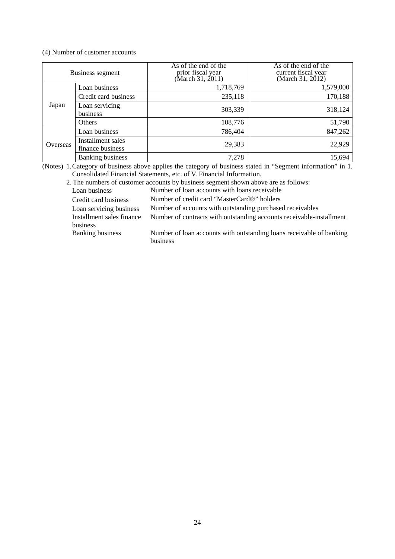### (4) Number of customer accounts

| Business segment |                                       | As of the end of the<br>prior fiscal year<br>(March 31, 2011) | As of the end of the<br>current fiscal year<br>(March 31, 2012) |  |
|------------------|---------------------------------------|---------------------------------------------------------------|-----------------------------------------------------------------|--|
|                  | Loan business                         | 1,718,769                                                     | 1,579,000                                                       |  |
| Japan            | Credit card business                  | 235,118                                                       | 170,188                                                         |  |
|                  | Loan servicing<br>business            | 303,339                                                       | 318,124                                                         |  |
|                  | Others                                | 108,776                                                       | 51,790                                                          |  |
|                  | Loan business                         | 786,404                                                       | 847,262                                                         |  |
| Overseas         | Installment sales<br>finance business | 29,383                                                        | 22,929                                                          |  |
|                  | <b>Banking business</b>               | 7,278                                                         | 15,694                                                          |  |

(Notes) 1. Category of business above applies the category of business stated in "Segment information" in 1. Consolidated Financial Statements, etc. of V. Financial Information.

|                           | 2. The numbers of customer accounts by business segment shown above are as follows: |
|---------------------------|-------------------------------------------------------------------------------------|
| Loan business             | Number of loan accounts with loans receivable                                       |
| Credit card business      | Number of credit card "MasterCard®" holders                                         |
| Loan servicing business   | Number of accounts with outstanding purchased receivables                           |
| Installment sales finance | Number of contracts with outstanding accounts receivable-installment                |
| business                  |                                                                                     |
| <b>Banking business</b>   | Number of loan accounts with outstanding loans receivable of banking                |
|                           | business                                                                            |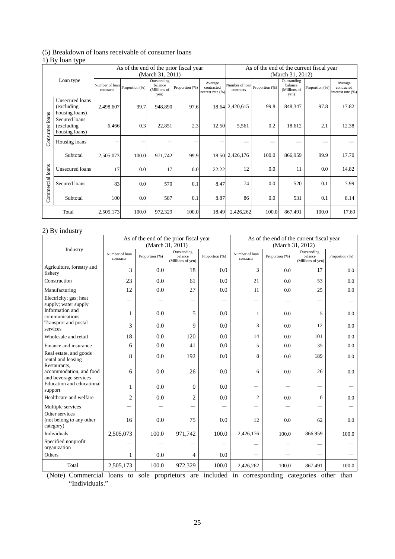## (5) Breakdown of loans receivable of consumer loans 1) By loan type

|                  |                                                  | As of the end of the prior fiscal year |                  |                                                |                | As of the end of the current fiscal year   |                             |                  |                                                |                |                                            |
|------------------|--------------------------------------------------|----------------------------------------|------------------|------------------------------------------------|----------------|--------------------------------------------|-----------------------------|------------------|------------------------------------------------|----------------|--------------------------------------------|
|                  |                                                  |                                        | (March 31, 2011) |                                                |                |                                            |                             | (March 31, 2012) |                                                |                |                                            |
| Loan type        |                                                  | Number of loan<br>contracts            | Proportion (%)   | Outstanding<br>balance<br>(Millions of<br>yen) | Proportion (%) | Average<br>contracted<br>interest rate (%) | Number of loan<br>contracts | Proportion (%)   | Outstanding<br>balance<br>(Millions of<br>yen) | Proportion (%) | Average<br>contracted<br>interest rate (%) |
|                  | Unsecured loans<br>(excluding)<br>housing loans) | 2,498,607                              | 99.7             | 948,890                                        | 97.6           |                                            | 18.64 2,420,615             | 99.8             | 848,347                                        | 97.8           | 17.82                                      |
| Consumer loans   | Secured loans<br>(excluding)<br>housing loans)   | 6,466                                  | 0.3              | 22,851                                         | 2.3            | 12.50                                      | 5,561                       | 0.2              | 18,612                                         | 2.1            | 12.38                                      |
|                  | Housing loans                                    |                                        |                  |                                                | -              |                                            |                             |                  |                                                |                |                                            |
|                  | Subtotal                                         | 2,505,073                              | 100.0            | 971,742                                        | 99.9           |                                            | 18.50 2,426,176             | 100.0            | 866,959                                        | 99.9           | 17.70                                      |
|                  | Unsecured loans                                  | 17                                     | 0.0              | 17                                             | 0.0            | 22.22                                      | 12                          | 0.0              | 11                                             | 0.0            | 14.82                                      |
| Commercial loans | Secured loans                                    | 83                                     | 0.0              | 570                                            | 0.1            | 8.47                                       | 74                          | 0.0              | 520                                            | 0.1            | 7.99                                       |
|                  | Subtotal                                         | 100                                    | 0.0              | 587                                            | 0.1            | 8.87                                       | 86                          | 0.0              | 531                                            | 0.1            | 8.14                                       |
|                  | Total                                            | 2,505,173                              | 100.0            | 972,329                                        | 100.0          | 18.49                                      | 2,426,262                   | 100.0            | 867,491                                        | 100.0          | 17.69                                      |

## 2) By industry

|                                                                  |                             |                | As of the end of the prior fiscal year      |                | As of the end of the current fiscal year |                          |                                             |                |  |
|------------------------------------------------------------------|-----------------------------|----------------|---------------------------------------------|----------------|------------------------------------------|--------------------------|---------------------------------------------|----------------|--|
|                                                                  |                             |                | (March 31, 2011)                            |                | (March 31, 2012)                         |                          |                                             |                |  |
| Industry                                                         | Number of loan<br>contracts | Proportion (%) | Outstanding<br>balance<br>(Millions of yen) | Proportion (%) | Number of loan<br>contracts              | Proportion (%)           | Outstanding<br>balance<br>(Millions of yen) | Proportion (%) |  |
| Agriculture, forestry and<br>fishery                             | 3                           | 0.0            | 18                                          | 0.0            | 3                                        | 0.0                      | 17                                          | 0.0            |  |
| Construction                                                     | 23                          | 0.0            | 61                                          | 0.0            | 21                                       | 0.0                      | 53                                          | 0.0            |  |
| Manufacturing                                                    | 12                          | 0.0            | 27                                          | 0.0            | 11                                       | 0.0                      | 25                                          | 0.0            |  |
| Electricity; gas; heat<br>supply; water supply                   |                             |                |                                             |                |                                          | $\overline{\phantom{0}}$ |                                             |                |  |
| Information and<br>communications                                | 1                           | 0.0            | 5                                           | 0.0            | 1                                        | 0.0                      | 5                                           | 0.0            |  |
| Transport and postal<br>services                                 | 3                           | 0.0            | 9                                           | 0.0            | 3                                        | 0.0                      | 12                                          | 0.0            |  |
| Wholesale and retail                                             | 18                          | 0.0            | 120                                         | 0.0            | 14                                       | 0.0                      | 101                                         | 0.0            |  |
| Finance and insurance                                            | 6                           | 0.0            | 41                                          | 0.0            | 5                                        | 0.0                      | 35                                          | 0.0            |  |
| Real estate, and goods<br>rental and leasing                     | 8                           | 0.0            | 192                                         | 0.0            | 8                                        | 0.0                      | 189                                         | 0.0            |  |
| Restaurants.<br>accommodation, and food<br>and beverage services | 6                           | 0.0            | 26                                          | 0.0            | 6                                        | 0.0                      | 26                                          | 0.0            |  |
| Education and educational<br>support                             |                             | 0.0            | $\overline{0}$                              | 0.0            |                                          |                          |                                             |                |  |
| Healthcare and welfare                                           | $\overline{c}$              | 0.0            | $\overline{2}$                              | 0.0            | $\overline{2}$                           | 0.0                      | $\Omega$                                    | 0.0            |  |
| Multiple services                                                |                             |                |                                             |                |                                          |                          |                                             |                |  |
| Other services<br>(not belong to any other<br>category)          | 16                          | 0.0            | 75                                          | 0.0            | 12                                       | 0.0                      | 62                                          | 0.0            |  |
| Individuals                                                      | 2,505,073                   | 100.0          | 971,742                                     | 100.0          | 2,426,176                                | 100.0                    | 866,959                                     | 100.0          |  |
| Specified nonprofit<br>organization                              |                             |                |                                             |                |                                          |                          |                                             |                |  |
| Others                                                           |                             | 0.0            | $\overline{4}$                              | 0.0            |                                          |                          |                                             |                |  |
| Total                                                            | 2,505,173                   | 100.0          | 972,329                                     | 100.0          | 2,426,262                                | 100.0                    | 867,491                                     | 100.0          |  |

(Note) Commercial loans to sole proprietors are included in corresponding categories other than "Individuals."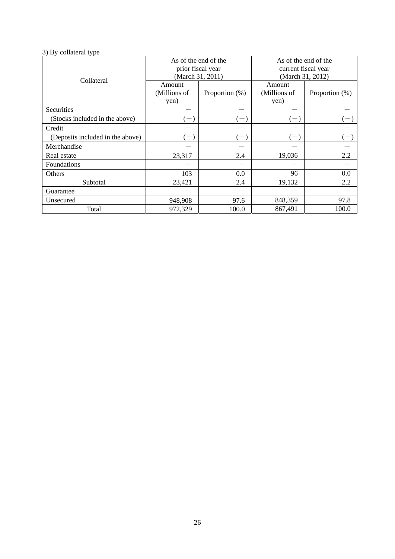## 3) By collateral type

|                                  | prior fiscal year              | As of the end of the<br>(March 31, 2011) | As of the end of the<br>current fiscal year<br>(March 31, 2012) |                          |  |
|----------------------------------|--------------------------------|------------------------------------------|-----------------------------------------------------------------|--------------------------|--|
| Collateral                       | Amount<br>(Millions of<br>yen) | Proportion (%)                           | Amount<br>(Millions of<br>yen)                                  | Proportion (%)           |  |
| Securities                       |                                |                                          |                                                                 |                          |  |
| (Stocks included in the above)   | $(-)$                          | $(-)$                                    | $(-)$                                                           | $\overline{\phantom{0}}$ |  |
| Credit                           |                                |                                          |                                                                 |                          |  |
| (Deposits included in the above) | $(-)$                          | $(-)$                                    | $(-)$                                                           | $(-)$                    |  |
| Merchandise                      |                                |                                          |                                                                 |                          |  |
| Real estate                      | 23,317                         | 2.4                                      | 19,036                                                          | 2.2                      |  |
| Foundations                      |                                |                                          |                                                                 |                          |  |
| Others                           | 103                            | 0.0                                      | 96                                                              | 0.0                      |  |
| Subtotal                         | 23,421                         | 2.4                                      | 19,132                                                          | 2.2                      |  |
| Guarantee                        |                                |                                          |                                                                 |                          |  |
| Unsecured                        | 948,908                        | 97.6                                     | 848,359                                                         | 97.8                     |  |
| Total                            | 972,329                        | 100.0                                    | 867,491                                                         | 100.0                    |  |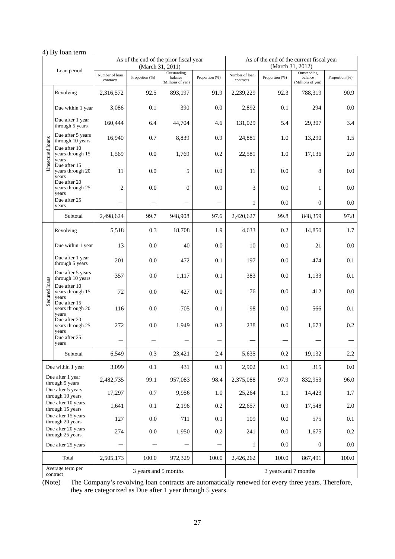## 4) By loan term

|                              |                                           |                             |                      | As of the end of the prior fiscal year<br>(March 31, 2011) |                | As of the end of the current fiscal year<br>(March 31, 2012) |                      |                                             |                |  |
|------------------------------|-------------------------------------------|-----------------------------|----------------------|------------------------------------------------------------|----------------|--------------------------------------------------------------|----------------------|---------------------------------------------|----------------|--|
|                              | Loan period                               | Number of loan<br>contracts | Proportion (%)       | Outstanding<br>balance<br>(Millions of yen)                | Proportion (%) | Number of loan<br>contracts                                  | Proportion (%)       | Outstanding<br>balance<br>(Millions of yen) | Proportion (%) |  |
|                              | Revolving                                 | 2,316,572                   | 92.5                 | 893,197                                                    | 91.9           | 2,239,229                                                    | 92.3                 | 788,319                                     | 90.9           |  |
|                              | Due within 1 year                         | 3,086                       | 0.1                  | 390                                                        | 0.0            | 2,892                                                        | 0.1                  | 294                                         | 0.0            |  |
|                              | Due after 1 year<br>through 5 years       | 160,444                     | 6.4                  | 44,704                                                     | 4.6            | 131,029                                                      | 5.4                  | 29,307                                      | 3.4            |  |
|                              | Due after 5 years<br>through 10 years     | 16,940                      | 0.7                  | 8,839                                                      | 0.9            | 24,881                                                       | 1.0                  | 13,290                                      | 1.5            |  |
| Unsecured loans              | Due after 10<br>years through 15<br>years | 1,569                       | 0.0                  | 1,769                                                      | 0.2            | 22,581                                                       | 1.0                  | 17,136                                      | 2.0            |  |
|                              | Due after 15<br>years through 20<br>years | 11                          | 0.0                  | 5                                                          | 0.0            | 11                                                           | 0.0                  | 8                                           | 0.0            |  |
|                              | Due after 20<br>years through 25<br>years | $\overline{c}$              | 0.0                  | $\mathbf{0}$                                               | 0.0            | 3                                                            | 0.0                  | 1                                           | 0.0            |  |
|                              | Due after 25<br>years                     |                             |                      |                                                            |                | $\mathbf{1}$                                                 | 0.0                  | $\boldsymbol{0}$                            | 0.0            |  |
|                              | Subtotal                                  | 2,498,624                   | 99.7                 | 948,908                                                    | 97.6           | 2,420,627                                                    | 99.8                 | 848,359                                     | 97.8           |  |
|                              | Revolving                                 | 5,518                       | 0.3                  | 18,708                                                     | 1.9            | 4,633                                                        | 0.2                  | 14,850                                      | 1.7            |  |
|                              | Due within 1 year                         | 13                          | 0.0                  | 40                                                         | 0.0            | 10                                                           | 0.0                  | 21                                          | 0.0            |  |
|                              | Due after 1 year<br>through 5 years       | 201                         | 0.0                  | 472                                                        | 0.1            | 197                                                          | 0.0                  | 474                                         | 0.1            |  |
|                              | Due after 5 years<br>through 10 years     | 357                         | 0.0                  | 1,117                                                      | 0.1            | 383                                                          | 0.0                  | 1,133                                       | 0.1            |  |
| Secured loans                | Due after 10<br>years through 15<br>years | 72                          | 0.0                  | 427                                                        | 0.0            | 76                                                           | 0.0                  | 412                                         | 0.0            |  |
|                              | Due after 15<br>years through 20<br>years | 116                         | 0.0                  | 705                                                        | 0.1            | 98                                                           | 0.0                  | 566                                         | 0.1            |  |
|                              | Due after 20<br>years through 25<br>years | 272                         | 0.0                  | 1,949                                                      | 0.2            | 238                                                          | 0.0                  | 1,673                                       | 0.2            |  |
|                              | Due after 25<br>years                     |                             |                      |                                                            |                |                                                              |                      |                                             |                |  |
|                              | Subtotal                                  | 6,549                       | 0.3                  | 23,421                                                     | 2.4            | 5,635                                                        | 0.2                  | 19,132                                      | $2.2\,$        |  |
|                              | Due within 1 year                         | 3,099                       | 0.1                  | 431                                                        | 0.1            | 2,902                                                        | 0.1                  | 315                                         | 0.0            |  |
|                              | Due after 1 year<br>through 5 years       | 2,482,735                   | 99.1                 | 957,083                                                    | 98.4           | 2,375,088                                                    | 97.9                 | 832,953                                     | 96.0           |  |
|                              | Due after 5 years<br>through 10 years     | 17,297                      | 0.7                  | 9,956                                                      | 1.0            | 25,264                                                       | 1.1                  | 14,423                                      | 1.7            |  |
|                              | Due after 10 years<br>through 15 years    | 1,641                       | 0.1                  | 2,196                                                      | 0.2            | 22,657                                                       | 0.9                  | 17,548                                      | 2.0            |  |
|                              | Due after 15 years<br>through 20 years    | 127                         | $0.0\,$              | 711                                                        | 0.1            | 109                                                          | 0.0                  | 575                                         | 0.1            |  |
|                              | Due after 20 years<br>through 25 years    | 274                         | 0.0                  | 1,950                                                      | 0.2            | 241                                                          | 0.0                  | 1,675                                       | 0.2            |  |
|                              | Due after 25 years                        |                             |                      | $\overline{\phantom{0}}$                                   |                | $\mathbf{1}$                                                 | $0.0\,$              | $\boldsymbol{0}$                            | 0.0            |  |
|                              | Total                                     | 2,505,173                   | 100.0                | 972,329                                                    | 100.0          | 2,426,262                                                    | 100.0                | 867,491                                     | 100.0          |  |
| Average term per<br>contract |                                           |                             | 3 years and 5 months |                                                            |                |                                                              | 3 years and 7 months |                                             |                |  |

(Note) The Company's revolving loan contracts are automatically renewed for every three years. Therefore, they are categorized as Due after 1 year through 5 years.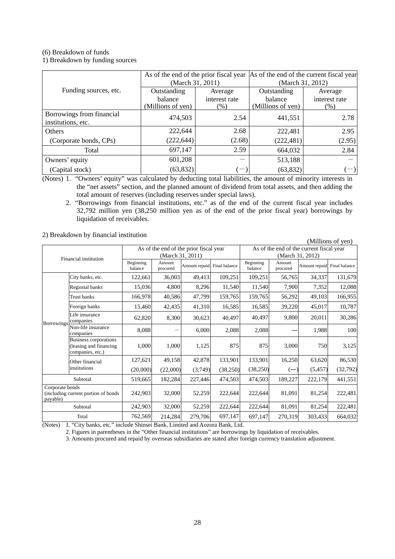## (6) Breakdown of funds

1) Breakdown by funding sources

|                                                 | (March 31, 2011)                            |                                    | As of the end of the prior fiscal year  As of the end of the current fiscal year <br>(March 31, 2012) |                                 |  |
|-------------------------------------------------|---------------------------------------------|------------------------------------|-------------------------------------------------------------------------------------------------------|---------------------------------|--|
| Funding sources, etc.                           | Outstanding<br>balance<br>(Millions of yen) | Average<br>interest rate<br>$(\%)$ | Outstanding<br>balance<br>(Millions of yen)                                                           | Average<br>interest rate<br>(%) |  |
| Borrowings from financial<br>institutions, etc. | 474,503                                     | 2.54                               | 441,551                                                                                               | 2.78                            |  |
| Others                                          | 222,644                                     | 2.68                               | 222,481                                                                                               | 2.95                            |  |
| (Corporate bonds, CPs)                          | (222, 644)                                  | (2.68)                             | (222, 481)                                                                                            | (2.95)                          |  |
| Total                                           | 697,147                                     | 2.59                               | 664,032                                                                                               | 2.84                            |  |
| Owners' equity                                  | 601,208                                     |                                    | 513,188                                                                                               |                                 |  |
| (Capital stock)                                 | (63, 832)                                   | $-1$                               | (63, 832)                                                                                             |                                 |  |

(Notes) 1. "Owners' equity" was calculated by deducting total liabilities, the amount of minority interests in the "net assets" section, and the planned amount of dividend from total assets, and then adding the total amount of reserves (including reserves under special laws).

 2. "Borrowings from financial institutions, etc." as of the end of the current fiscal year includes 32,792 million yen (38,250 million yen as of the end of the prior fiscal year) borrowings by liquidation of receivables.

(Millions of yen)

|                                                                     |                                                                      |                      |                    | As of the end of the prior fiscal year |           | As of the end of the current fiscal year |                            |               |               |
|---------------------------------------------------------------------|----------------------------------------------------------------------|----------------------|--------------------|----------------------------------------|-----------|------------------------------------------|----------------------------|---------------|---------------|
|                                                                     | Financial institution                                                |                      |                    | (March 31, 2011)                       |           | (March 31, 2012)                         |                            |               |               |
|                                                                     |                                                                      | Beginning<br>balance | Amount<br>procured | Amount repaid Final balance            |           | Beginning<br>balance                     | Amount<br>procured         | Amount repaid | Final balance |
|                                                                     | City banks, etc.                                                     | 122,661              | 36,003             | 49,413                                 | 109,251   | 109,251                                  | 56,765                     | 34,337        | 131,679       |
|                                                                     | Regional banks                                                       | 15,036               | 4,800              | 8,296                                  | 11,540    | 11,540                                   | 7,900                      | 7,352         | 12,088        |
|                                                                     | <b>Trust banks</b>                                                   | 166,978              | 40,586             | 47,799                                 | 159,765   | 159,765                                  | 56,292                     | 49,103        | 166,955       |
|                                                                     | Foreign banks                                                        | 15,460               | 42,435             | 41,310                                 | 16,585    | 16,585                                   | 39,220                     | 45,017        | 10,787        |
| <b>Borrowings</b>                                                   | Life insurance<br>companies                                          | 62,820               | 8,300              | 30,623                                 | 40,497    | 40,497                                   | 9,800                      | 20,011        | 30,286        |
|                                                                     | Non-life insurance<br>companies                                      | 8,088                |                    | 6,000                                  | 2,088     | 2,088                                    |                            | 1,988         | 100           |
|                                                                     | Business corporations<br>(leasing and financing)<br>companies, etc.) | 1,000                | 1,000              | 1,125                                  | 875       | 875                                      | 3,000                      | 750           | 3,125         |
|                                                                     | Other financial                                                      | 127,621              | 49,158             | 42,878                                 | 133,901   | 133,901                                  | 16,250                     | 63,620        | 86,530        |
|                                                                     | institutions                                                         | (20,000)             | (22,000)           | (3,749)                                | (38, 250) | (38,250)                                 | $\overline{$ $\overline{}$ | (5, 457)      | (32, 792)     |
|                                                                     | Subtotal                                                             | 519,665              | 182,284            | 227,446                                | 474,503   | 474,503                                  | 189,227                    | 222,179       | 441,551       |
| Corporate bonds<br>(including current portion of bonds)<br>payable) |                                                                      | 242,903              | 32,000             | 52,259                                 | 222,644   | 222,644                                  | 81,091                     | 81,254        | 222,481       |
|                                                                     | Subtotal                                                             | 242,903              | 32,000             | 52,259                                 | 222,644   | 222,644                                  | 81,091                     | 81,254        | 222,481       |
|                                                                     | Total                                                                | 762,569              | 214,284            | 279,706                                | 697,147   | 697,147                                  | 270,319                    | 303,433       | 664,032       |

2) Breakdown by financial institution

(Notes) 1. "City banks, etc." include Shinsei Bank, Limited and Aozora Bank, Ltd.

2. Figures in parentheses in the "Other financial institutions" are borrowings by liquidation of receivables.

3. Amounts procured and repaid by overseas subsidiaries are stated after foreign currency translation adjustment.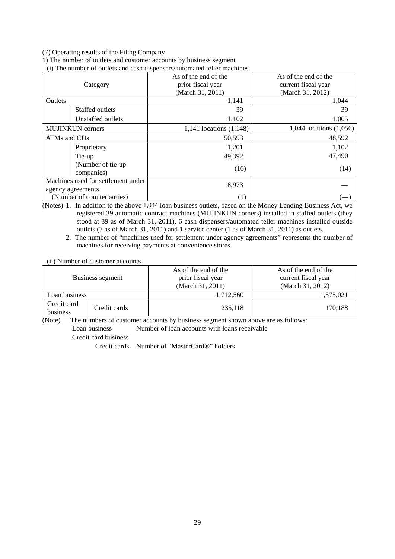## (7) Operating results of the Filing Company

1) The number of outlets and customer accounts by business segment

|              |                                    | (1) The number of butters and easil dispensers/automated tener machines |                      |  |
|--------------|------------------------------------|-------------------------------------------------------------------------|----------------------|--|
|              |                                    | As of the end of the                                                    | As of the end of the |  |
|              | Category                           | prior fiscal year                                                       | current fiscal year  |  |
|              |                                    | (March 31, 2011)                                                        | (March 31, 2012)     |  |
| Outlets      |                                    | 1,141                                                                   | 1,044                |  |
|              | Staffed outlets                    | 39                                                                      | 39                   |  |
|              | Unstaffed outlets                  | 1,102                                                                   | 1,005                |  |
|              | <b>MUJINKUN</b> corners            | 1,044 locations (1,056)<br>1,141 locations (1,148)                      |                      |  |
| ATMs and CDs |                                    | 50,593                                                                  | 48,592               |  |
|              | Proprietary                        | 1,201                                                                   | 1,102                |  |
|              | Tie-up                             | 49,392                                                                  | 47,490               |  |
|              | (Number of tie-up)                 |                                                                         | (14)                 |  |
|              | companies)                         | (16)                                                                    |                      |  |
|              | Machines used for settlement under | 8,973                                                                   |                      |  |
|              | agency agreements                  |                                                                         |                      |  |
|              | (Number of counterparties)         | $\left( 1\right)$                                                       |                      |  |

 $\tilde{f}$  (i) The number of outlets and cash dispensers/automated teller machines

(Notes) 1. In addition to the above 1,044 loan business outlets, based on the Money Lending Business Act, we registered 39 automatic contract machines (MUJINKUN corners) installed in staffed outlets (they stood at 39 as of March 31, 2011), 6 cash dispensers/automated teller machines installed outside outlets (7 as of March 31, 2011) and 1 service center (1 as of March 31, 2011) as outlets.

(ii) Number of customer accounts

|                         |                  | As of the end of the | As of the end of the |  |
|-------------------------|------------------|----------------------|----------------------|--|
|                         | Business segment | prior fiscal year    | current fiscal year  |  |
|                         |                  | (March 31, 2011)     | (March 31, 2012)     |  |
| Loan business           |                  | 1,712,560            | 1,575,021            |  |
| Credit card<br>business | Credit cards     | 235,118              | 170,188              |  |

(Note) The numbers of customer accounts by business segment shown above are as follows: Loan business Number of loan accounts with loans receivable

Credit card business

Credit cards Number of "MasterCard®" holders

 <sup>2.</sup> The number of "machines used for settlement under agency agreements" represents the number of machines for receiving payments at convenience stores.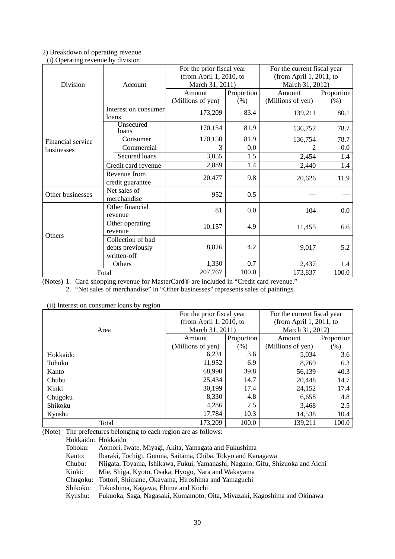#### 2) Breakdown of operating revenue (i) Operating revenue by division

| $(2)$ operating   |                      |                           |            |                             |            |  |
|-------------------|----------------------|---------------------------|------------|-----------------------------|------------|--|
|                   |                      | For the prior fiscal year |            | For the current fiscal year |            |  |
|                   |                      | (from April 1, 2010, to   |            | (from April 1, 2011, to     |            |  |
| Division          | Account              | March 31, 2011)           |            | March 31, 2012)             |            |  |
|                   |                      | Amount                    | Proportion | Amount                      | Proportion |  |
|                   |                      | (Millions of yen)         | (% )       | (Millions of yen)           | (% )       |  |
|                   | Interest on consumer | 173,209                   | 83.4       | 139,211                     |            |  |
|                   | loans                |                           |            |                             | 80.1       |  |
|                   | Unsecured<br>loans   | 170,154                   | 81.9       | 136,757                     | 78.7       |  |
| Financial service | Consumer             | 170,150                   | 81.9       | 136,754                     | 78.7       |  |
| businesses        | Commercial           | 3                         | 0.0        |                             | 0.0        |  |
|                   | Secured loans        | 3,055                     | 1.5        | 2,454                       | 1.4        |  |
|                   | Credit card revenue  | 2,889                     | 1.4        | 2,440                       | 1.4        |  |
|                   | Revenue from         | 20,477                    | 9.8        |                             |            |  |
|                   | credit guarantee     |                           |            | 20,626                      | 11.9       |  |
| Other businesses  | Net sales of         | 952                       | 0.5        |                             |            |  |
|                   | merchandise          |                           |            |                             |            |  |
|                   | Other financial      | 81                        | 0.0        | 104                         | 0.0        |  |
|                   | revenue              |                           |            |                             |            |  |
|                   | Other operating      | 10,157                    | 4.9        | 11,455                      | 6.6        |  |
| <b>Others</b>     | revenue              |                           |            |                             |            |  |
|                   | Collection of bad    |                           |            |                             |            |  |
|                   | debts previously     | 8,826                     | 4.2        | 9,017                       | 5.2        |  |
|                   | written-off          |                           |            |                             |            |  |
|                   | Others               | 1,330                     | 0.7        | 2,437                       | 1.4        |  |
| Total             |                      | 207,767                   | 100.0      | 173,837                     | 100.0      |  |

(Notes) 1. Card shopping revenue for MasterCard® are included in "Credit card revenue."

2. "Net sales of merchandise" in "Other businesses" represents sales of paintings.

(ii) Interest on consumer loans by region

|          | For the prior fiscal year |            | For the current fiscal year |                 |  |  |
|----------|---------------------------|------------|-----------------------------|-----------------|--|--|
|          | (from April 1, 2010, to   |            | (from April 1, 2011, to     |                 |  |  |
| Area     | March 31, 2011)           |            |                             | March 31, 2012) |  |  |
|          | Amount                    | Proportion | Amount                      | Proportion      |  |  |
|          | (Millions of yen)         | $(\%)$     | (Millions of yen)           | $(\%)$          |  |  |
| Hokkaido | 6,231                     | 3.6        | 5,034                       | 3.6             |  |  |
| Tohoku   | 11,952                    | 6.9        | 8,769                       | 6.3             |  |  |
| Kanto    | 68,990                    | 39.8       | 56,139                      | 40.3            |  |  |
| Chubu    | 25,434                    | 14.7       | 20,448                      | 14.7            |  |  |
| Kinki    | 30,199                    | 17.4       | 24,152                      | 17.4            |  |  |
| Chugoku  | 8,330                     | 4.8        | 6,658                       | 4.8             |  |  |
| Shikoku  | 4,286                     | 2.5        | 3,468                       | 2.5             |  |  |
| Kyushu   | 17.784                    | 10.3       | 14,538                      | 10.4            |  |  |
| Total    | 173,209                   | 100.0      | 139.211                     | 100.0           |  |  |

(Note) The prefectures belonging to each region are as follows:

Hokkaido: Hokkaido<br>Tohoku: Aomori, Iv

Tohoku: Aomori, Iwate, Miyagi, Akita, Yamagata and Fukushima

Kanto: Ibaraki, Tochigi, Gunma, Saitama, Chiba, Tokyo and Kanagawa<br>Chubu: Nijgata, Tovama, Ishikawa, Fukui, Yamanashi, Nagano, Gifu, Sh

Niigata, Toyama, Ishikawa, Fukui, Yamanashi, Nagano, Gifu, Shizuoka and Aichi

Kinki: Mie, Shiga, Kyoto, Osaka, Hyogo, Nara and Wakayama

Chugoku: Tottori, Shimane, Okayama, Hiroshima and Yamaguchi

Shikoku: Tokushima, Kagawa, Ehime and Kochi

Kyushu: Fukuoka, Saga, Nagasaki, Kumamoto, Oita, Miyazaki, Kagoshima and Okinawa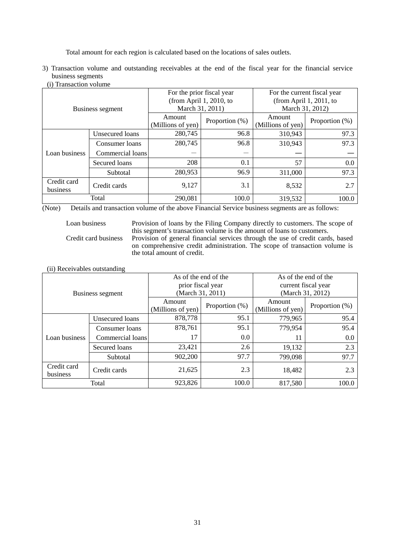Total amount for each region is calculated based on the locations of sales outlets.

- 3) Transaction volume and outstanding receivables at the end of the fiscal year for the financial service business segments
	- (i) Transaction volume

|                                         |                  |                             | For the prior fiscal year | For the current fiscal year |                |  |
|-----------------------------------------|------------------|-----------------------------|---------------------------|-----------------------------|----------------|--|
|                                         |                  |                             | (from April 1, 2010, to   | (from April 1, 2011, to     |                |  |
|                                         | Business segment | March 31, 2011)             |                           | March 31, 2012)             |                |  |
|                                         |                  | Amount<br>(Millions of yen) | Proportion $(\%)$         | Amount<br>(Millions of yen) | Proportion (%) |  |
|                                         | Unsecured loans  | 280,745                     | 96.8                      | 310,943                     | 97.3           |  |
|                                         | Consumer loans   | 280,745                     | 96.8                      | 310,943                     | 97.3           |  |
| Loan business                           | Commercial loans |                             |                           |                             |                |  |
|                                         | Secured loans    | 208                         | 0.1                       | 57                          | 0.0            |  |
|                                         | Subtotal         | 280,953                     | 96.9                      | 311,000                     | 97.3           |  |
| Credit card<br>Credit cards<br>business |                  | 9,127                       | 3.1                       | 8,532                       | 2.7            |  |
| Total                                   |                  | 290,081                     | 100.0                     | 319,532                     | 100.0          |  |

(Note) Details and transaction volume of the above Financial Service business segments are as follows:

Loan business Provision of loans by the Filing Company directly to customers. The scope of this segment's transaction volume is the amount of loans to customers. Credit card business Provision of general financial services through the use of credit cards, based on comprehensive credit administration. The scope of transaction volume is the total amount of credit.

(ii) Receivables outstanding

| Business segment                        |                  | prior fiscal year           | As of the end of the<br>(March 31, 2011) | As of the end of the<br>current fiscal year<br>(March 31, 2012) |                |  |
|-----------------------------------------|------------------|-----------------------------|------------------------------------------|-----------------------------------------------------------------|----------------|--|
|                                         |                  | Amount<br>(Millions of yen) | Proportion $(\%)$                        | Amount<br>(Millions of yen)                                     | Proportion (%) |  |
|                                         | Unsecured loans  | 878,778                     | 95.1                                     | 779,965                                                         | 95.4           |  |
|                                         | Consumer loans   | 878,761                     | 95.1                                     | 779,954                                                         | 95.4           |  |
| Loan business                           | Commercial loans | 17                          | 0.0                                      | 11                                                              | 0.0            |  |
|                                         | Secured loans    | 23,421                      | 2.6                                      | 19,132                                                          | 2.3            |  |
|                                         | Subtotal         | 902,200                     | 97.7                                     | 799,098                                                         | 97.7           |  |
| Credit card<br>Credit cards<br>business |                  | 21,625                      | 2.3                                      | 18,482                                                          | 2.3            |  |
| Total                                   |                  | 923,826                     | 100.0                                    | 817,580                                                         | 100.0          |  |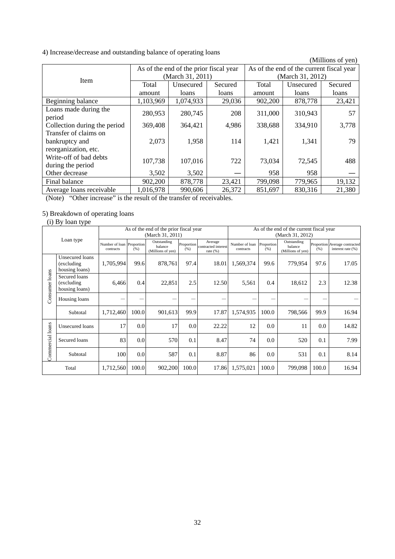4) Increase/decrease and outstanding balance of operating loans

|                              |           |                                        |         |                                          |                  | (Millions of yen) |  |  |
|------------------------------|-----------|----------------------------------------|---------|------------------------------------------|------------------|-------------------|--|--|
|                              |           | As of the end of the prior fiscal year |         | As of the end of the current fiscal year |                  |                   |  |  |
|                              |           | (March 31, 2011)                       |         |                                          | (March 31, 2012) |                   |  |  |
| Item                         | Total     | Unsecured                              | Secured | Total                                    | Unsecured        | Secured           |  |  |
|                              | amount    | loans                                  | loans   | amount                                   | loans            | loans             |  |  |
| Beginning balance            | 1,103,969 | 1,074,933                              | 29,036  | 902,200                                  | 878,778          | 23,421            |  |  |
| Loans made during the        | 280,953   | 280,745                                | 208     | 311,000                                  | 310,943          | 57                |  |  |
| period                       |           |                                        |         |                                          |                  |                   |  |  |
| Collection during the period | 369,408   | 364,421                                | 4,986   | 338,688                                  | 334,910          | 3,778             |  |  |
| Transfer of claims on        |           |                                        |         |                                          |                  |                   |  |  |
| bankruptcy and               | 2,073     | 1,958                                  | 114     | 1,421                                    | 1,341            | 79                |  |  |
| reorganization, etc.         |           |                                        |         |                                          |                  |                   |  |  |
| Write-off of bad debts       | 107,738   | 107,016                                | 722     | 73,034                                   | 72,545           | 488               |  |  |
| during the period            |           |                                        |         |                                          |                  |                   |  |  |
| Other decrease               | 3,502     | 3,502                                  |         | 958                                      | 958              |                   |  |  |
| Final balance                | 902,200   | 878,778                                | 23,421  | 799,098                                  | 779,965          | 19,132            |  |  |
| Average loans receivable     | 1,016,978 | 990,606                                | 26,372  | 851,697                                  | 830,316          | 21,380            |  |  |

(Note) "Other increase" is the result of the transfer of receivables.

#### 5) Breakdown of operating loans

(i) By loan type

|                  |                                                  |                                        |                  | As of the end of the prior fiscal year      |                    |                                               | As of the end of the current fiscal year |                    |                                             |       |                                                    |
|------------------|--------------------------------------------------|----------------------------------------|------------------|---------------------------------------------|--------------------|-----------------------------------------------|------------------------------------------|--------------------|---------------------------------------------|-------|----------------------------------------------------|
|                  |                                                  |                                        |                  | (March 31, 2011)                            |                    |                                               |                                          |                    | (March 31, 2012)                            |       |                                                    |
|                  | Loan type                                        | Number of loan Proportion<br>contracts | (% )             | Outstanding<br>balance<br>(Millions of yen) | Proportion<br>(% ) | Average<br>contracted interest<br>rate $(% )$ | Number of loan<br>contracts              | Proportion<br>(% ) | Outstanding<br>balance<br>(Millions of yen) | (96)  | Proportion Average contracted<br>interest rate (%) |
|                  | Unsecured loans<br>(excluding)<br>housing loans) | 1,705,994                              | 99.6             | 878,761                                     | 97.4               | 18.01                                         | 1,569,374                                | 99.6               | 779,954                                     | 97.6  | 17.05                                              |
| Consumer loans   | Secured loans<br>(excluding)<br>housing loans)   | 6,466                                  | 0.4              | 22,851                                      | 2.5                | 12.50                                         | 5,561                                    | 0.4                | 18,612                                      | 2.3   | 12.38                                              |
|                  | Housing loans                                    |                                        |                  |                                             |                    |                                               |                                          |                    |                                             |       |                                                    |
|                  | Subtotal                                         | 1,712,460                              | 100.0            | 901,613                                     | 99.9               | 17.87                                         | 1,574,935                                | 100.0              | 798,566                                     | 99.9  | 16.94                                              |
|                  | Unsecured loans                                  | 17                                     | 0.0 <sub>l</sub> | 17                                          | 0.0 <sub>l</sub>   | 22.22                                         | 12                                       | 0.0                | 11                                          | 0.0   | 14.82                                              |
| Commercial loans | Secured loans                                    | 83                                     | 0.0              | 570                                         | 0.1                | 8.47                                          | 74                                       | 0.0                | 520                                         | 0.1   | 7.99                                               |
|                  | Subtotal                                         | 100                                    | 0.0              | 587                                         | 0.1                | 8.87                                          | 86                                       | 0.0                | 531                                         | 0.1   | 8.14                                               |
|                  | Total                                            | 1,712,560                              | 100.0            | 902,200                                     | 100.0              | 17.86                                         | 1,575,021                                | 100.0              | 799,098                                     | 100.0 | 16.94                                              |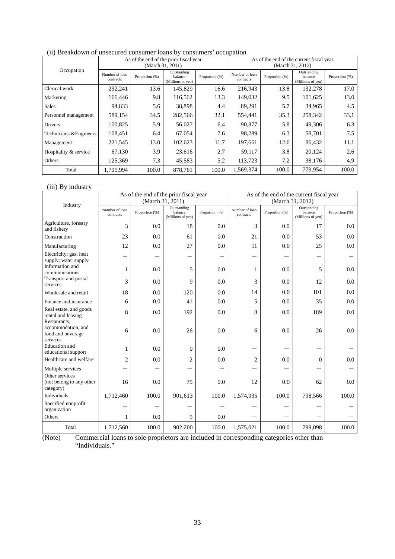| (ii) Breakdown of unsecured consumer loans by consumers' occupation |  |  |  |
|---------------------------------------------------------------------|--|--|--|
|                                                                     |  |  |  |

| $\sqrt{2}$<br>Occupation | As of the end of the prior fiscal year<br>(March 31, 2011) |                |                                             |                | As of the end of the current fiscal year<br>(March 31, 2012) |                |                                             |                |
|--------------------------|------------------------------------------------------------|----------------|---------------------------------------------|----------------|--------------------------------------------------------------|----------------|---------------------------------------------|----------------|
|                          | Number of loan<br>contracts                                | Proportion (%) | Outstanding<br>balance<br>(Millions of yen) | Proportion (%) | Number of loan<br>contracts                                  | Proportion (%) | Outstanding<br>balance<br>(Millions of yen) | Proportion (%) |
| Clerical work            | 232,241                                                    | 13.6           | 145,829                                     | 16.6           | 216,943                                                      | 13.8           | 132,278                                     | 17.0           |
| Marketing                | 166,446                                                    | 9.8            | 116,562                                     | 13.3           | 149,032                                                      | 9.5            | 101,625                                     | 13.0           |
| <b>Sales</b>             | 94,833                                                     | 5.6            | 38,898                                      | 4.4            | 89,291                                                       | 5.7            | 34,965                                      | 4.5            |
| Personnel management     | 589,154                                                    | 34.5           | 282,566                                     | 32.1           | 554,441                                                      | 35.3           | 258,342                                     | 33.1           |
| Drivers                  | 100,825                                                    | 5.9            | 56,027                                      | 6.4            | 90,877                                                       | 5.8            | 49,306                                      | 6.3            |
| Technicians & Engineers  | 108,451                                                    | 6.4            | 67,054                                      | 7.6            | 98,289                                                       | 6.3            | 58,701                                      | 7.5            |
| Management               | 221,545                                                    | 13.0           | 102,623                                     | 11.7           | 197,661                                                      | 12.6           | 86,432                                      | 11.1           |
| Hospitality & service    | 67,130                                                     | 3.9            | 23,616                                      | 2.7            | 59,117                                                       | 3.8            | 20,124                                      | 2.6            |
| Others                   | 125,369                                                    | 7.3            | 45,583                                      | 5.2            | 113,723                                                      | 7.2            | 38,176                                      | 4.9            |
| Total                    | 1,705,994                                                  | 100.0          | 878.761                                     | 100.0          | 1,569,374                                                    | 100.0          | 779,954                                     | 100.0          |

# (iii) By industry

|                                                              | As of the end of the prior fiscal year |                |                                             |                | As of the end of the current fiscal year |                          |                                             |                |
|--------------------------------------------------------------|----------------------------------------|----------------|---------------------------------------------|----------------|------------------------------------------|--------------------------|---------------------------------------------|----------------|
|                                                              | (March 31, 2011)                       |                |                                             |                | (March 31, 2012)                         |                          |                                             |                |
| Industry                                                     | Number of loan<br>contracts            | Proportion (%) | Outstanding<br>balance<br>(Millions of yen) | Proportion (%) | Number of loan<br>contracts              | Proportion (%)           | Outstanding<br>balance<br>(Millions of yen) | Proportion (%) |
| Agriculture, forestry<br>and fishery                         | 3                                      | 0.0            | 18                                          | 0.0            | 3                                        | 0.0                      | 17                                          | 0.0            |
| Construction                                                 | 23                                     | 0.0            | 61                                          | 0.0            | 21                                       | 0.0                      | 53                                          | 0.0            |
| Manufacturing                                                | 12                                     | 0.0            | 27                                          | 0.0            | 11                                       | 0.0                      | 25                                          | 0.0            |
| Electricity; gas; heat<br>supply; water supply               |                                        |                |                                             |                |                                          | $\overline{\phantom{0}}$ |                                             |                |
| Information and<br>communications                            | 1                                      | 0.0            | 5                                           | 0.0            | 1                                        | 0.0                      | 5                                           | 0.0            |
| Transport and postal<br>services                             | 3                                      | 0.0            | 9                                           | 0.0            | 3                                        | 0.0                      | 12                                          | 0.0            |
| Wholesale and retail                                         | 18                                     | 0.0            | 120                                         | 0.0            | 14                                       | 0.0                      | 101                                         | 0.0            |
| Finance and insurance                                        | 6                                      | 0.0            | 41                                          | 0.0            | 5                                        | 0.0                      | 35                                          | 0.0            |
| Real estate, and goods<br>rental and leasing<br>Restaurants, | 8                                      | 0.0            | 192                                         | 0.0            | 8                                        | 0.0                      | 189                                         | 0.0            |
| accommodation, and<br>food and beverage<br>services          | 6                                      | 0.0            | 26                                          | 0.0            | 6                                        | 0.0                      | 26                                          | 0.0            |
| <b>Education</b> and<br>educational support                  | 1                                      | 0.0            | $\theta$                                    | 0.0            |                                          | $\overline{\phantom{0}}$ |                                             |                |
| Healthcare and welfare                                       | $\overline{2}$                         | 0.0            | $\overline{2}$                              | 0.0            | $\overline{c}$                           | 0.0                      | $\mathbf{0}$                                | 0.0            |
| Multiple services                                            |                                        |                |                                             |                |                                          |                          |                                             |                |
| Other services<br>(not belong to any other<br>category)      | 16                                     | 0.0            | 75                                          | 0.0            | 12                                       | 0.0                      | 62                                          | 0.0            |
| Individuals                                                  | 1,712,460                              | 100.0          | 901,613                                     | 100.0          | 1,574,935                                | 100.0                    | 798,566                                     | 100.0          |
| Specified nonprofit<br>organization                          |                                        |                |                                             |                |                                          |                          |                                             |                |
| Others                                                       | 1                                      | 0.0            | 5                                           | 0.0            |                                          |                          |                                             |                |
| Total                                                        | 1,712,560                              | 100.0          | 902,200                                     | 100.0          | 1,575,021                                | 100.0                    | 799,098                                     | 100.0          |

(Note) Commercial loans to sole proprietors are included in corresponding categories other than "Individuals."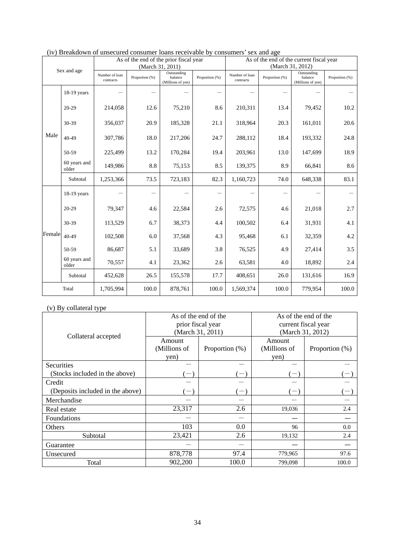| Sex and age |                       |                             |                | As of the end of the prior fiscal year<br>(March 31, 2011) |                | As of the end of the current fiscal year<br>(March 31, 2012) |                |                                             |                |
|-------------|-----------------------|-----------------------------|----------------|------------------------------------------------------------|----------------|--------------------------------------------------------------|----------------|---------------------------------------------|----------------|
|             |                       | Number of loan<br>contracts | Proportion (%) | Outstanding<br>balance<br>(Millions of yen)                | Proportion (%) | Number of loan<br>contracts                                  | Proportion (%) | Outstanding<br>balance<br>(Millions of yen) | Proportion (%) |
| Male        | 18-19 years           |                             |                |                                                            |                |                                                              |                |                                             |                |
|             | 20-29                 | 214,058                     | 12.6           | 75,210                                                     | 8.6            | 210,311                                                      | 13.4           | 79,452                                      | 10.2           |
|             | 30-39                 | 356,037                     | 20.9           | 185,328                                                    | 21.1           | 318,964                                                      | 20.3           | 161,011                                     | 20.6           |
|             | $40 - 49$             | 307,786                     | 18.0           | 217,206                                                    | 24.7           | 288,112                                                      | 18.4           | 193,332                                     | 24.8           |
|             | 50-59                 | 225,499                     | 13.2           | 170,284                                                    | 19.4           | 203,961                                                      | 13.0           | 147,699                                     | 18.9           |
|             | 60 years and<br>older | 149,986                     | 8.8            | 75,153                                                     | 8.5            | 139,375                                                      | 8.9            | 66,841                                      | 8.6            |
|             | Subtotal              | 1,253,366                   | 73.5           | 723,183                                                    | 82.3           | 1,160,723                                                    | 74.0           | 648,338                                     | 83.1           |
| Female      | 18-19 years           |                             |                |                                                            |                |                                                              |                |                                             |                |
|             | 20-29                 | 79,347                      | 4.6            | 22,584                                                     | 2.6            | 72,575                                                       | 4.6            | 21,018                                      | 2.7            |
|             | 30-39                 | 113,529                     | 6.7            | 38,373                                                     | 4.4            | 100,502                                                      | 6.4            | 31,931                                      | 4.1            |
|             | 40-49                 | 102,508                     | 6.0            | 37,568                                                     | 4.3            | 95,468                                                       | 6.1            | 32,359                                      | 4.2            |
|             | 50-59                 | 86,687                      | 5.1            | 33,689                                                     | 3.8            | 76,525                                                       | 4.9            | 27,414                                      | 3.5            |
|             | 60 years and<br>older | 70,557                      | 4.1            | 23,362                                                     | 2.6            | 63,581                                                       | 4.0            | 18,892                                      | 2.4            |
|             | Subtotal              | 452,628                     | 26.5           | 155,578                                                    | 17.7           | 408,651                                                      | 26.0           | 131,616                                     | 16.9           |
| Total       |                       | 1.705.994                   | 100.0          | 878,761                                                    | 100.0          | 1,569,374                                                    | 100.0          | 779,954                                     | 100.0          |

## (iv) Breakdown of unsecured consumer loans receivable by consumers' sex and age

## (v) By collateral type

|                                  | As of the end of the<br>(March 31, 2011) | prior fiscal year | As of the end of the<br>current fiscal year<br>(March 31, 2012) |                |  |
|----------------------------------|------------------------------------------|-------------------|-----------------------------------------------------------------|----------------|--|
| Collateral accepted              | Amount<br>(Millions of<br>yen)           | Proportion (%)    | Amount<br>(Millions of<br>yen)                                  | Proportion (%) |  |
| Securities                       |                                          |                   |                                                                 |                |  |
| (Stocks included in the above)   |                                          | $\qquad \qquad -$ | $\overline{\phantom{m}}$                                        |                |  |
| Credit                           |                                          |                   |                                                                 |                |  |
| (Deposits included in the above) |                                          |                   |                                                                 |                |  |
| Merchandise                      |                                          |                   |                                                                 |                |  |
| Real estate                      | 23,317                                   | 2.6               | 19,036                                                          | 2.4            |  |
| <b>Foundations</b>               |                                          |                   |                                                                 |                |  |
| Others                           | 103                                      | 0.0               | 96                                                              | 0.0            |  |
| Subtotal                         | 23,421                                   | 2.6               | 19,132                                                          | 2.4            |  |
| Guarantee                        |                                          |                   |                                                                 |                |  |
| Unsecured                        | 878,778                                  | 97.4              | 779,965                                                         | 97.6           |  |
| Total                            | 902,200                                  | 100.0             | 799,098                                                         | 100.0          |  |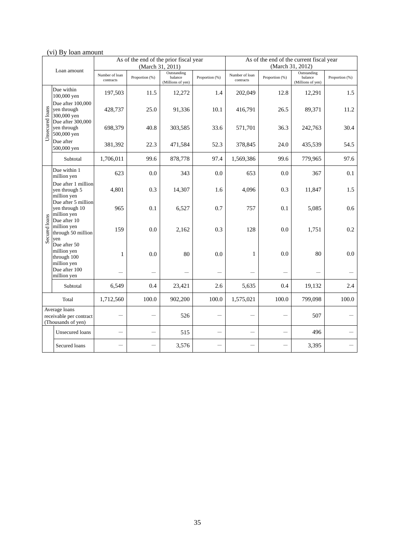# (vi) By loan amount

|                 |                                                                |                             |                          | As of the end of the prior fiscal year      |                | As of the end of the current fiscal year |                |                                             |                |
|-----------------|----------------------------------------------------------------|-----------------------------|--------------------------|---------------------------------------------|----------------|------------------------------------------|----------------|---------------------------------------------|----------------|
|                 | Loan amount                                                    |                             |                          | (March 31, 2011)                            |                |                                          |                | (March 31, 2012)                            |                |
|                 |                                                                | Number of loan<br>contracts | Proportion (%)           | Outstanding<br>balance<br>(Millions of yen) | Proportion (%) | Number of loan<br>contracts              | Proportion (%) | Outstanding<br>balance<br>(Millions of yen) | Proportion (%) |
|                 | Due within<br>100,000 yen                                      | 197,503                     | 11.5                     | 12,272                                      | 1.4            | 202,049                                  | 12.8           | 12,291                                      | 1.5            |
|                 | Due after 100,000<br>yen through<br>300,000 yen                | 428,737                     | 25.0                     | 91,336                                      | 10.1           | 416,791                                  | 26.5           | 89,371                                      | 11.2           |
| Unsecured loans | Due after 300,000<br>ven through<br>500,000 yen                | 698,379                     | 40.8                     | 303,585                                     | 33.6           | 571,701                                  | 36.3           | 242,763                                     | 30.4           |
|                 | Due after<br>500,000 yen                                       | 381,392                     | 22.3                     | 471,584                                     | 52.3           | 378,845                                  | 24.0           | 435,539                                     | 54.5           |
|                 | Subtotal                                                       | 1,706,011                   | 99.6                     | 878,778                                     | 97.4           | 1,569,386                                | 99.6           | 779,965                                     | 97.6           |
|                 | Due within 1<br>million yen                                    | 623                         | 0.0                      | 343                                         | 0.0            | 653                                      | 0.0            | 367                                         | 0.1            |
|                 | Due after 1 million<br>yen through 5<br>million yen            | 4,801                       | 0.3                      | 14,307                                      | 1.6            | 4,096                                    | 0.3            | 11,847                                      | 1.5            |
|                 | Due after 5 million<br>yen through 10<br>million yen           | 965                         | 0.1                      | 6,527                                       | 0.7            | 757                                      | 0.1            | 5,085                                       | 0.6            |
| Secured loans   | Due after 10<br>million yen<br>through 50 million<br>yen       | 159                         | 0.0                      | 2,162                                       | 0.3            | 128                                      | 0.0            | 1,751                                       | 0.2            |
|                 | Due after 50<br>million yen<br>through 100<br>million yen      | $\mathbf{1}$                | 0.0                      | 80                                          | 0.0            | 1                                        | 0.0            | 80                                          | 0.0            |
|                 | Due after 100<br>million yen                                   |                             |                          |                                             |                |                                          |                |                                             |                |
|                 | Subtotal                                                       | 6,549                       | 0.4                      | 23,421                                      | 2.6            | 5,635                                    | 0.4            | 19,132                                      | 2.4            |
|                 | Total                                                          | 1,712,560                   | 100.0                    | 902,200                                     | 100.0          | 1,575,021                                | 100.0          | 799,098                                     | 100.0          |
|                 | Average loans<br>receivable per contract<br>(Thousands of yen) |                             |                          | 526                                         |                |                                          |                | 507                                         |                |
|                 | <b>Unsecured</b> loans                                         | $\overline{\phantom{0}}$    | $\overline{\phantom{0}}$ | 515                                         | $\equiv$       |                                          |                | 496                                         |                |
|                 | Secured loans                                                  |                             |                          | 3,576                                       |                |                                          |                | 3,395                                       |                |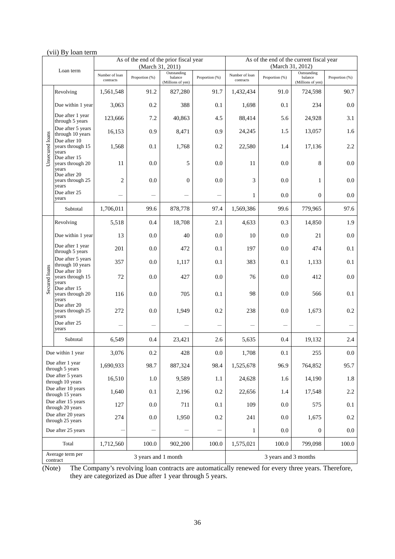# (vii) By loan term

|                 |                                           |                |                          | As of the end of the prior fiscal year<br>(March 31, 2011) |                |                |                      | As of the end of the current fiscal year<br>(March 31, 2012) |                |
|-----------------|-------------------------------------------|----------------|--------------------------|------------------------------------------------------------|----------------|----------------|----------------------|--------------------------------------------------------------|----------------|
|                 | Loan term                                 | Number of loan |                          | Outstanding                                                |                | Number of loan |                      | Outstanding                                                  |                |
|                 |                                           | contracts      | Proportion (%)           | balance<br>(Millions of yen)                               | Proportion (%) | contracts      | Proportion (%)       | balance<br>(Millions of yen)                                 | Proportion (%) |
|                 | Revolving                                 | 1,561,548      | 91.2                     | 827,280                                                    | 91.7           | 1,432,434      | 91.0                 | 724,598                                                      | 90.7           |
|                 | Due within 1 year                         | 3,063          | 0.2                      | 388                                                        | 0.1            | 1,698          | 0.1                  | 234                                                          | $0.0\,$        |
|                 | Due after 1 year<br>through 5 years       | 123,666        | 7.2                      | 40,863                                                     | 4.5            | 88,414         | 5.6                  | 24,928                                                       | 3.1            |
|                 | Due after 5 years<br>through 10 years     | 16,153         | 0.9                      | 8,471                                                      | 0.9            | 24,245         | 1.5                  | 13,057                                                       | 1.6            |
| Unsecured loans | Due after 10<br>years through 15<br>years | 1,568          | 0.1                      | 1,768                                                      | 0.2            | 22,580         | 1.4                  | 17,136                                                       | 2.2            |
|                 | Due after 15<br>years through 20<br>years | 11             | 0.0                      | 5                                                          | 0.0            | 11             | 0.0                  | 8                                                            | 0.0            |
|                 | Due after 20<br>years through 25<br>years | $\overline{c}$ | 0.0                      | $\mathbf{0}$                                               | 0.0            | 3              | 0.0                  | 1                                                            | 0.0            |
|                 | Due after 25<br>years                     |                |                          |                                                            |                | $\mathbf{1}$   | 0.0                  | $\mathbf{0}$                                                 | 0.0            |
|                 | Subtotal                                  | 1,706,011      | 99.6                     | 878,778                                                    | 97.4           | 1,569,386      | 99.6                 | 779,965                                                      | 97.6           |
|                 | Revolving                                 | 5,518          | 0.4                      | 18,708                                                     | 2.1            | 4,633          | 0.3                  | 14,850                                                       | 1.9            |
|                 | Due within 1 year                         | 13             | 0.0                      | 40                                                         | 0.0            | 10             | 0.0                  | 21                                                           | 0.0            |
|                 | Due after 1 year<br>through 5 years       | 201            | 0.0                      | 472                                                        | 0.1            | 197            | 0.0                  | 474                                                          | 0.1            |
|                 | Due after 5 years<br>through 10 years     | 357            | 0.0                      | 1,117                                                      | 0.1            | 383            | 0.1                  | 1,133                                                        | 0.1            |
| Secured loans   | Due after 10<br>years through 15<br>vears | 72             | 0.0                      | 427                                                        | 0.0            | 76             | 0.0                  | 412                                                          | 0.0            |
|                 | Due after 15<br>years through 20<br>years | 116            | 0.0                      | 705                                                        | 0.1            | 98             | 0.0                  | 566                                                          | 0.1            |
|                 | Due after 20<br>years through 25<br>years | 272            | 0.0                      | 1,949                                                      | 0.2            | 238            | 0.0                  | 1,673                                                        | 0.2            |
|                 | Due after 25<br>years                     |                |                          |                                                            |                |                |                      |                                                              |                |
|                 | Subtotal                                  | 6,549          | 0.4                      | 23,421                                                     | 2.6            | 5,635          | 0.4                  | 19,132                                                       | 2.4            |
|                 | Due within 1 year                         | 3,076          | 0.2                      | 428                                                        | $0.0\,$        | 1,708          | 0.1                  | 255                                                          | $0.0\,$        |
|                 | Due after 1 year<br>through 5 years       | 1,690,933      | 98.7                     | 887,324                                                    | 98.4           | 1,525,678      | 96.9                 | 764,852                                                      | 95.7           |
|                 | Due after 5 years<br>through 10 years     | 16,510         | 1.0                      | 9,589                                                      | 1.1            | 24,628         | 1.6                  | 14,190                                                       | 1.8            |
|                 | Due after 10 years<br>through 15 years    | 1,640          | 0.1                      | 2,196                                                      | 0.2            | 22,656         | 1.4                  | 17,548                                                       | 2.2            |
|                 | Due after 15 years<br>through 20 years    | 127            | 0.0                      | 711                                                        | 0.1            | 109            | 0.0                  | 575                                                          | 0.1            |
|                 | Due after 20 years<br>through 25 years    | 274            | 0.0                      | 1,950                                                      | 0.2            | 241            | 0.0                  | 1,675                                                        | 0.2            |
|                 | Due after 25 years                        |                | $\overline{\phantom{0}}$ |                                                            |                | $\mathbf{1}$   | 0.0                  | $\boldsymbol{0}$                                             | 0.0            |
|                 | Total                                     | 1,712,560      | 100.0                    | 902,200                                                    | 100.0          | 1,575,021      | 100.0                | 799,098                                                      | 100.0          |
|                 | Average term per<br>contract              |                | 3 years and 1 month      |                                                            |                |                | 3 years and 3 months |                                                              |                |

(Note) The Company's revolving loan contracts are automatically renewed for every three years. Therefore, they are categorized as Due after 1 year through 5 years.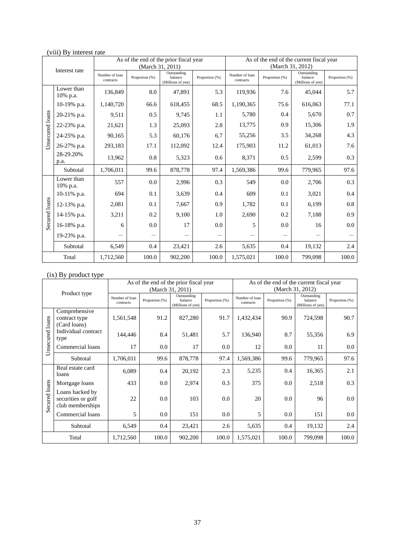# (viii) By interest rate

|                 |                        |                             |                | As of the end of the prior fiscal year<br>(March 31, 2011) |                |                             |                | As of the end of the current fiscal year<br>(March 31, 2012) |                |
|-----------------|------------------------|-----------------------------|----------------|------------------------------------------------------------|----------------|-----------------------------|----------------|--------------------------------------------------------------|----------------|
|                 | Interest rate          | Number of loan<br>contracts | Proportion (%) | Outstanding<br>balance<br>(Millions of yen)                | Proportion (%) | Number of loan<br>contracts | Proportion (%) | Outstanding<br>balance<br>(Millions of yen)                  | Proportion (%) |
|                 | Lower than<br>10% p.a. | 136,849                     | 8.0            | 47,891                                                     | 5.3            | 119,936                     | 7.6            | 45,044                                                       | 5.7            |
|                 | 10-19% p.a.            | 1,140,720                   | 66.6           | 618,455                                                    | 68.5           | 1,190,365                   | 75.6           | 616,063                                                      | 77.1           |
|                 | 20-21% p.a.            | 9,511                       | 0.5            | 9,745                                                      | 1.1            | 5,780                       | 0.4            | 5,670                                                        | 0.7            |
|                 | 22-23% p.a.            | 21,621                      | 1.3            | 25,093                                                     | 2.8            | 13,775                      | 0.9            | 15,306                                                       | 1.9            |
| Unsecured loans | 24-25% p.a.            | 90,165                      | 5.3            | 60,176                                                     | 6.7            | 55,256                      | 3.5            | 34,268                                                       | 4.3            |
|                 | 26-27% p.a.            | 293,183                     | 17.1           | 112,092                                                    | 12.4           | 175,903                     | 11.2           | 61,013                                                       | 7.6            |
|                 | 28-29.20%<br>p.a.      | 13,962                      | 0.8            | 5,323                                                      | 0.6            | 8,371                       | 0.5            | 2,599                                                        | 0.3            |
|                 | Subtotal               | 1,706,011                   | 99.6           | 878,778                                                    | 97.4           | 1,569,386                   | 99.6           | 779,965                                                      | 97.6           |
|                 | Lower than<br>10% p.a. | 557                         | 0.0            | 2,996                                                      | 0.3            | 549                         | 0.0            | 2,706                                                        | 0.3            |
|                 | 10-11% p.a.            | 694                         | 0.1            | 3,639                                                      | 0.4            | 609                         | 0.1            | 3,021                                                        | 0.4            |
|                 | 12-13% p.a.            | 2,081                       | 0.1            | 7,667                                                      | 0.9            | 1,782                       | 0.1            | 6,199                                                        | 0.8            |
| Secured loans   | 14-15% p.a.            | 3,211                       | 0.2            | 9,100                                                      | 1.0            | 2,690                       | 0.2            | 7,188                                                        | 0.9            |
|                 | 16-18% p.a.            | 6                           | 0.0            | 17                                                         | 0.0            | 5                           | 0.0            | 16                                                           | 0.0            |
|                 | 19-23% p.a.            |                             |                |                                                            |                |                             |                |                                                              |                |
|                 | Subtotal               | 6,549                       | 0.4            | 23,421                                                     | 2.6            | 5,635                       | 0.4            | 19,132                                                       | 2.4            |
|                 | Total                  | 1,712,560                   | 100.0          | 902,200                                                    | 100.0          | 1,575,021                   | 100.0          | 799,098                                                      | 100.0          |

# (ix) By product type

|                 |                                                           |                             |                | As of the end of the prior fiscal year      |                |                             |                | As of the end of the current fiscal year    |                |
|-----------------|-----------------------------------------------------------|-----------------------------|----------------|---------------------------------------------|----------------|-----------------------------|----------------|---------------------------------------------|----------------|
|                 |                                                           |                             |                | (March 31, 2011)                            |                |                             |                | (March 31, 2012)                            |                |
|                 | Product type                                              | Number of loan<br>contracts | Proportion (%) | Outstanding<br>balance<br>(Millions of yen) | Proportion (%) | Number of loan<br>contracts | Proportion (%) | Outstanding<br>balance<br>(Millions of yen) | Proportion (%) |
|                 | Comprehensive<br>contract type<br>(Card loans)            | 1,561,548                   | 91.2           | 827,280                                     | 91.7           | 1,432,434                   | 90.9           | 724,598                                     | 90.7           |
| Unsecured loans | Individual contract<br>type                               | 144,446                     | 8.4            | 51,481                                      | 5.7            | 136,940                     | 8.7            | 55,356                                      | 6.9            |
|                 | Commercial loans                                          | 17                          | 0.0            | 17                                          | 0.0            | 12                          | 0.0            | 11                                          | $0.0\,$        |
|                 | Subtotal                                                  | 1,706,011                   | 99.6           | 878,778                                     | 97.4           | 1,569,386                   | 99.6           | 779,965                                     | 97.6           |
|                 | Real estate card<br>loans                                 | 6,089                       | 0.4            | 20,192                                      | 2.3            | 5,235                       | 0.4            | 16,365                                      | 2.1            |
|                 | Mortgage loans                                            | 433                         | 0.0            | 2,974                                       | 0.3            | 375                         | 0.0            | 2,518                                       | 0.3            |
| Secured loans   | Loans backed by<br>securities or golf<br>club memberships | 22                          | 0.0            | 103                                         | 0.0            | 20                          | 0.0            | 96                                          | $0.0\,$        |
|                 | Commercial loans                                          | 5                           | $0.0\,$        | 151                                         | 0.0            | 5                           | $0.0\,$        | 151                                         | $0.0\,$        |
|                 | Subtotal                                                  | 6,549                       | 0.4            | 23,421                                      | 2.6            | 5,635                       | 0.4            | 19,132                                      | 2.4            |
| Total           |                                                           | 1,712,560                   | 100.0          | 902,200                                     | 100.0          | 1,575,021                   | 100.0          | 799,098                                     | 100.0          |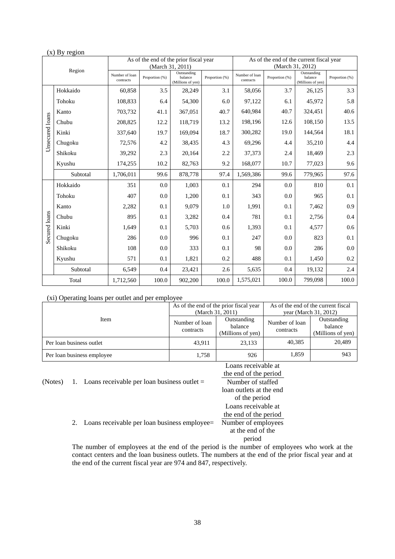# (x) By region

|                 |          |                             |                | As of the end of the prior fiscal year<br>(March 31, 2011) |                |                             |                | As of the end of the current fiscal year<br>(March 31, 2012) |                |
|-----------------|----------|-----------------------------|----------------|------------------------------------------------------------|----------------|-----------------------------|----------------|--------------------------------------------------------------|----------------|
|                 | Region   | Number of loan<br>contracts | Proportion (%) | Outstanding<br>balance<br>(Millions of yen)                | Proportion (%) | Number of loan<br>contracts | Proportion (%) | Outstanding<br>balance<br>(Millions of yen)                  | Proportion (%) |
|                 | Hokkaido | 60,858                      | 3.5            | 28,249                                                     | 3.1            | 58,056                      | 3.7            | 26,125                                                       | 3.3            |
|                 | Tohoku   | 108,833                     | 6.4            | 54,300                                                     | 6.0            | 97,122                      | 6.1            | 45,972                                                       | 5.8            |
|                 | Kanto    | 703,732                     | 41.1           | 367,051                                                    | 40.7           | 640,984                     | 40.7           | 324,451                                                      | 40.6           |
| Unsecured loans | Chubu    | 208,825                     | 12.2           | 118,719                                                    | 13.2           | 198,196                     | 12.6           | 108,150                                                      | 13.5           |
|                 | Kinki    | 337,640                     | 19.7           | 169,094                                                    | 18.7           | 300,282                     | 19.0           | 144,564                                                      | 18.1           |
|                 | Chugoku  | 72,576                      | 4.2            | 38,435                                                     | 4.3            | 69,296                      | 4.4            | 35,210                                                       | 4.4            |
|                 | Shikoku  | 39,292                      | 2.3            | 20,164                                                     | 2.2            | 37,373                      | 2.4            | 18,469                                                       | 2.3            |
|                 | Kyushu   | 174,255                     | 10.2           | 82,763                                                     | 9.2            | 168,077                     | 10.7           | 77,023                                                       | 9.6            |
|                 | Subtotal | 1,706,011                   | 99.6           | 878,778                                                    | 97.4           | 1,569,386                   | 99.6           | 779,965                                                      | 97.6           |
|                 | Hokkaido | 351                         | 0.0            | 1,003                                                      | 0.1            | 294                         | 0.0            | 810                                                          | 0.1            |
|                 | Tohoku   | 407                         | 0.0            | 1,200                                                      | 0.1            | 343                         | 0.0            | 965                                                          | 0.1            |
|                 | Kanto    | 2,282                       | 0.1            | 9,079                                                      | 1.0            | 1,991                       | 0.1            | 7,462                                                        | 0.9            |
| Secured loans   | Chubu    | 895                         | 0.1            | 3,282                                                      | 0.4            | 781                         | 0.1            | 2,756                                                        | 0.4            |
|                 | Kinki    | 1,649                       | 0.1            | 5,703                                                      | 0.6            | 1,393                       | 0.1            | 4,577                                                        | 0.6            |
|                 | Chugoku  | 286                         | 0.0            | 996                                                        | 0.1            | 247                         | 0.0            | 823                                                          | 0.1            |
|                 | Shikoku  | 108                         | 0.0            | 333                                                        | 0.1            | 98                          | 0.0            | 286                                                          | 0.0            |
|                 | Kyushu   | 571                         | 0.1            | 1,821                                                      | 0.2            | 488                         | 0.1            | 1,450                                                        | 0.2            |
|                 | Subtotal | 6,549                       | 0.4            | 23,421                                                     | 2.6            | 5,635                       | 0.4            | 19,132                                                       | 2.4            |
|                 | Total    | 1,712,560                   | 100.0          | 902,200                                                    | 100.0          | 1,575,021                   | 100.0          | 799,098                                                      | 100.0          |

(xi) Operating loans per outlet and per employee

|                            |  |                             | As of the end of the prior fiscal year      |                             | As of the end of the current fiscal         |  |
|----------------------------|--|-----------------------------|---------------------------------------------|-----------------------------|---------------------------------------------|--|
|                            |  |                             | (March 31, 2011)                            | year (March 31, 2012)       |                                             |  |
| <b>Item</b>                |  | Number of loan<br>contracts | Outstanding<br>balance<br>(Millions of yen) | Number of loan<br>contracts | Outstanding<br>balance<br>(Millions of yen) |  |
| Per loan business outlet   |  | 43.911                      | 23.133                                      | 40,385                      | 20,489                                      |  |
| Per loan business employee |  | 1,758                       | 926                                         | 1,859                       | 943                                         |  |

(Notes) 1. Loans receivable per loan business outlet  $=$ 

Loans receivable at the end of the period Number of staffed loan outlets at the end of the period Loans receivable at the end of the period Number of employees at the end of the period

2. Loans receivable per loan business employee=

The number of employees at the end of the period is the number of employees who work at the contact centers and the loan business outlets. The numbers at the end of the prior fiscal year and at the end of the current fiscal year are 974 and 847, respectively.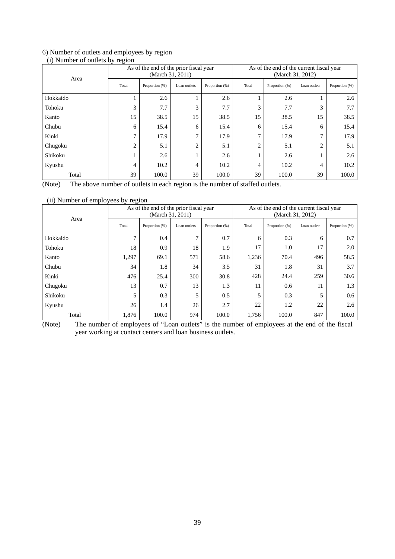# 6) Number of outlets and employees by region

| (i) Number of outlets by region |  |
|---------------------------------|--|
|                                 |  |

|          |       | As of the end of the prior fiscal year | (March 31, 2011) |                | As of the end of the current fiscal year<br>(March 31, 2012) |                |              |                |  |
|----------|-------|----------------------------------------|------------------|----------------|--------------------------------------------------------------|----------------|--------------|----------------|--|
| Area     | Total | Proportion (%)                         | Loan outlets     | Proportion (%) | Total                                                        | Proportion (%) | Loan outlets | Proportion (%) |  |
| Hokkaido |       | 2.6                                    |                  | 2.6            |                                                              | 2.6            |              | 2.6            |  |
| Tohoku   | 3     | 7.7                                    | 3                | 7.7            | 3                                                            | 7.7            | 3            | 7.7            |  |
| Kanto    | 15    | 38.5                                   | 15               | 38.5           | 15                                                           | 38.5           | 15           | 38.5           |  |
| Chubu    | 6     | 15.4                                   | 6                | 15.4           | 6                                                            | 15.4           | 6            | 15.4           |  |
| Kinki    | 7     | 17.9                                   | $\mathbf{7}$     | 17.9           |                                                              | 17.9           | $\mathbf{r}$ | 17.9           |  |
| Chugoku  | 2     | 5.1                                    | $\overline{2}$   | 5.1            | $\mathfrak{D}$                                               | 5.1            | 2            | 5.1            |  |
| Shikoku  |       | 2.6                                    |                  | 2.6            |                                                              | 2.6            |              | 2.6            |  |
| Kyushu   | 4     | 10.2                                   | 4                | 10.2           | 4                                                            | 10.2           | 4            | 10.2           |  |
| Total    | 39    | 100.0                                  | 39               | 100.0          | 39                                                           | 100.0          | 39           | 100.0          |  |

(Note) The above number of outlets in each region is the number of staffed outlets.

(ii) Number of employees by region

| $\sim$ $\sim$ |              | As of the end of the prior fiscal year | (March 31, 2011) |                | As of the end of the current fiscal year<br>(March 31, 2012) |                |              |                |
|---------------|--------------|----------------------------------------|------------------|----------------|--------------------------------------------------------------|----------------|--------------|----------------|
| Area          | Total        | Proportion (%)                         | Loan outlets     | Proportion (%) | Total                                                        | Proportion (%) | Loan outlets | Proportion (%) |
| Hokkaido      | $\mathbf{r}$ | 0.4                                    | $\mathbf{r}$     | 0.7            | 6                                                            | 0.3            | 6            | 0.7            |
| Tohoku        | 18           | 0.9                                    | 18               | 1.9            | 17                                                           | 1.0            | 17           | 2.0            |
| Kanto         | 1,297        | 69.1                                   | 571              | 58.6           | 1,236                                                        | 70.4           | 496          | 58.5           |
| Chubu         | 34           | 1.8                                    | 34               | 3.5            | 31                                                           | 1.8            | 31           | 3.7            |
| Kinki         | 476          | 25.4                                   | 300              | 30.8           | 428                                                          | 24.4           | 259          | 30.6           |
| Chugoku       | 13           | 0.7                                    | 13               | 1.3            | 11                                                           | 0.6            | 11           | 1.3            |
| Shikoku       | 5            | 0.3                                    | 5                | 0.5            | 5                                                            | 0.3            | 5            | 0.6            |
| Kyushu        | 26           | 1.4                                    | 26               | 2.7            | 22                                                           | 1.2            | 22           | 2.6            |
| Total         | 1,876        | 100.0                                  | 974              | 100.0          | 1,756                                                        | 100.0          | 847          | 100.0          |

(Note) The number of employees of "Loan outlets" is the number of employees at the end of the fiscal year working at contact centers and loan business outlets.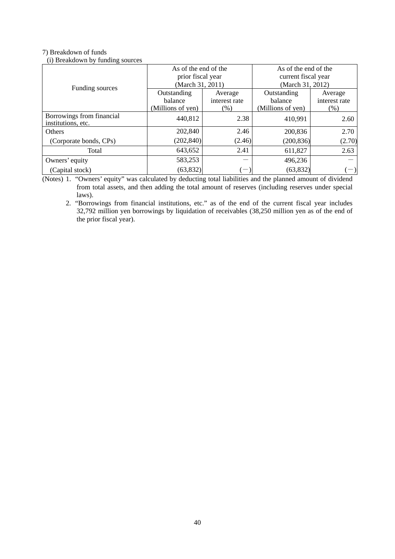# 7) Breakdown of funds

(i) Breakdown by funding sources

| $\sqrt{2}$<br>$\circ$                           | As of the end of the<br>prior fiscal year<br>(March 31, 2011) |                                  | As of the end of the<br>current fiscal year<br>(March 31, 2012) |                                  |  |  |
|-------------------------------------------------|---------------------------------------------------------------|----------------------------------|-----------------------------------------------------------------|----------------------------------|--|--|
| Funding sources                                 | Outstanding<br>balance<br>(Millions of yen)                   | Average<br>interest rate<br>(% ) | Outstanding<br>balance<br>(Millions of yen)                     | Average<br>interest rate<br>(% ) |  |  |
| Borrowings from financial<br>institutions, etc. | 440,812                                                       | 2.38                             | 410,991                                                         | 2.60                             |  |  |
| Others                                          | 202,840                                                       | 2.46                             | 200,836                                                         | 2.70                             |  |  |
| (Corporate bonds, CPs)                          | (202, 840)                                                    | (2.46)                           | (200, 836)                                                      | (2.70)                           |  |  |
| Total                                           | 643,652                                                       | 2.41                             | 611,827                                                         | 2.63                             |  |  |
| Owners' equity                                  | 583,253                                                       |                                  | 496,236                                                         |                                  |  |  |
| (Capital stock)                                 | (63, 832)                                                     | $\overline{\phantom{m}}$         | (63, 832)                                                       |                                  |  |  |

(Notes) 1. "Owners' equity" was calculated by deducting total liabilities and the planned amount of dividend from total assets, and then adding the total amount of reserves (including reserves under special laws).

 2. "Borrowings from financial institutions, etc." as of the end of the current fiscal year includes 32,792 million yen borrowings by liquidation of receivables (38,250 million yen as of the end of the prior fiscal year).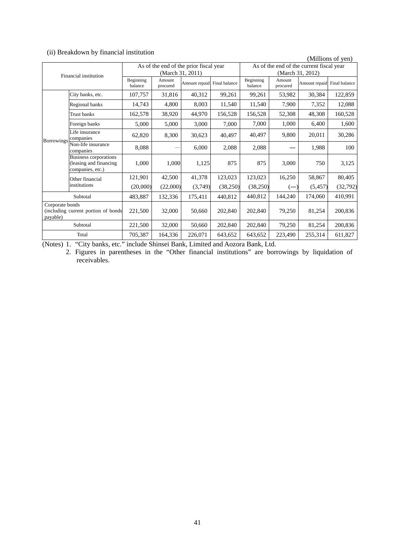# (ii) Breakdown by financial institution

|                                                                    | (II) Breakdown by Hilancial Institution                                     |                      |                    |                                                            |          |                      |                    |                                                              | (Millions of yen) |
|--------------------------------------------------------------------|-----------------------------------------------------------------------------|----------------------|--------------------|------------------------------------------------------------|----------|----------------------|--------------------|--------------------------------------------------------------|-------------------|
|                                                                    | Financial institution                                                       |                      |                    | As of the end of the prior fiscal year<br>(March 31, 2011) |          |                      |                    | As of the end of the current fiscal year<br>(March 31, 2012) |                   |
|                                                                    |                                                                             | Beginning<br>balance | Amount<br>procured | Amount repaid Final balance                                |          | Beginning<br>balance | Amount<br>procured | Amount repaid Final balance                                  |                   |
|                                                                    | City banks, etc.                                                            | 107,757              | 31,816             | 40,312                                                     | 99,261   | 99,261               | 53,982             | 30,384                                                       | 122,859           |
|                                                                    | <b>Regional banks</b>                                                       | 14,743               | 4,800              | 8,003                                                      | 11,540   | 11,540               | 7,900              | 7,352                                                        | 12,088            |
|                                                                    | Trust banks                                                                 | 162,578              | 38,920             | 44,970                                                     | 156,528  | 156,528              | 52,308             | 48,308                                                       | 160,528           |
|                                                                    | Foreign banks                                                               | 5.000                | 5,000              | 3,000                                                      | 7,000    | 7,000                | 1,000              | 6,400                                                        | 1,600             |
| <b>Borrowings</b>                                                  | Life insurance<br>companies                                                 | 62,820               | 8,300              | 30,623                                                     | 40,497   | 40,497               | 9,800              | 20,011                                                       | 30,286            |
|                                                                    | Non-life insurance<br>companies                                             | 8,088                |                    | 6,000                                                      | 2,088    | 2,088                |                    | 1,988                                                        | 100               |
|                                                                    | <b>Business corporations</b><br>(leasing and financing)<br>companies, etc.) | 1,000                | 1,000              | 1,125                                                      | 875      | 875                  | 3,000              | 750                                                          | 3,125             |
|                                                                    | Other financial                                                             | 121,901              | 42,500             | 41,378                                                     | 123,023  | 123,023              | 16,250             | 58,867                                                       | 80,405            |
|                                                                    | institutions                                                                | (20,000)             | (22,000)           | (3,749)                                                    | (38,250) | (38,250)             | $(-)$              | (5, 457)                                                     | (32,792)          |
|                                                                    | Subtotal                                                                    | 483,887              | 132,336            | 175,411                                                    | 440,812  | 440,812              | 144,240            | 174,060                                                      | 410,991           |
| Corporate bonds<br>(including current portion of bonds<br>payable) |                                                                             | 221,500              | 32,000             | 50,660                                                     | 202,840  | 202,840              | 79,250             | 81,254                                                       | 200,836           |
|                                                                    | Subtotal                                                                    |                      | 32,000             | 50,660                                                     | 202,840  | 202,840              | 79,250             | 81,254                                                       | 200,836           |
|                                                                    | Total                                                                       | 705,387              | 164,336            | 226,071                                                    | 643,652  | 643,652              | 223,490            | 255,314                                                      | 611,827           |

(Notes) 1. "City banks, etc." include Shinsei Bank, Limited and Aozora Bank, Ltd.

 2. Figures in parentheses in the "Other financial institutions" are borrowings by liquidation of receivables.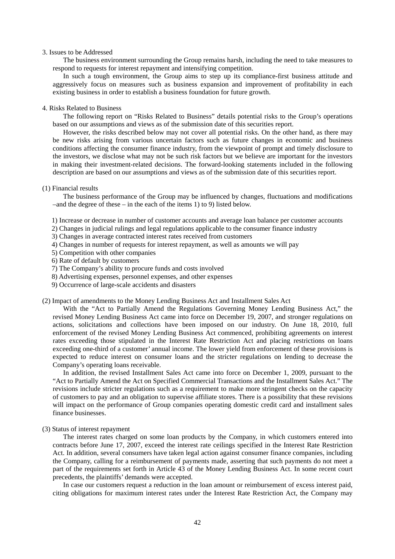## 3. Issues to be Addressed

The business environment surrounding the Group remains harsh, including the need to take measures to respond to requests for interest repayment and intensifying competition.

In such a tough environment, the Group aims to step up its compliance-first business attitude and aggressively focus on measures such as business expansion and improvement of profitability in each existing business in order to establish a business foundation for future growth.

### 4. Risks Related to Business

The following report on "Risks Related to Business" details potential risks to the Group's operations based on our assumptions and views as of the submission date of this securities report.

However, the risks described below may not cover all potential risks. On the other hand, as there may be new risks arising from various uncertain factors such as future changes in economic and business conditions affecting the consumer finance industry, from the viewpoint of prompt and timely disclosure to the investors, we disclose what may not be such risk factors but we believe are important for the investors in making their investment-related decisions. The forward-looking statements included in the following description are based on our assumptions and views as of the submission date of this securities report.

# (1) Financial results

The business performance of the Group may be influenced by changes, fluctuations and modifications –and the degree of these – in the each of the items 1) to 9) listed below.

1) Increase or decrease in number of customer accounts and average loan balance per customer accounts

- 2) Changes in judicial rulings and legal regulations applicable to the consumer finance industry
- 3) Changes in average contracted interest rates received from customers
- 4) Changes in number of requests for interest repayment, as well as amounts we will pay
- 5) Competition with other companies
- 6) Rate of default by customers
- 7) The Company's ability to procure funds and costs involved
- 8) Advertising expenses, personnel expenses, and other expenses
- 9) Occurrence of large-scale accidents and disasters

### (2) Impact of amendments to the Money Lending Business Act and Installment Sales Act

With the "Act to Partially Amend the Regulations Governing Money Lending Business Act," the revised Money Lending Business Act came into force on December 19, 2007, and stronger regulations on actions, solicitations and collections have been imposed on our industry. On June 18, 2010, full enforcement of the revised Money Lending Business Act commenced, prohibiting agreements on interest rates exceeding those stipulated in the Interest Rate Restriction Act and placing restrictions on loans exceeding one-third of a customer' annual income. The lower yield from enforcement of these provisions is expected to reduce interest on consumer loans and the stricter regulations on lending to decrease the Company's operating loans receivable.

In addition, the revised Installment Sales Act came into force on December 1, 2009, pursuant to the "Act to Partially Amend the Act on Specified Commercial Transactions and the Installment Sales Act." The revisions include stricter regulations such as a requirement to make more stringent checks on the capacity of customers to pay and an obligation to supervise affiliate stores. There is a possibility that these revisions will impact on the performance of Group companies operating domestic credit card and installment sales finance businesses.

(3) Status of interest repayment

The interest rates charged on some loan products by the Company, in which customers entered into contracts before June 17, 2007, exceed the interest rate ceilings specified in the Interest Rate Restriction Act. In addition, several consumers have taken legal action against consumer finance companies, including the Company, calling for a reimbursement of payments made, asserting that such payments do not meet a part of the requirements set forth in Article 43 of the Money Lending Business Act. In some recent court precedents, the plaintiffs' demands were accepted.

In case our customers request a reduction in the loan amount or reimbursement of excess interest paid, citing obligations for maximum interest rates under the Interest Rate Restriction Act, the Company may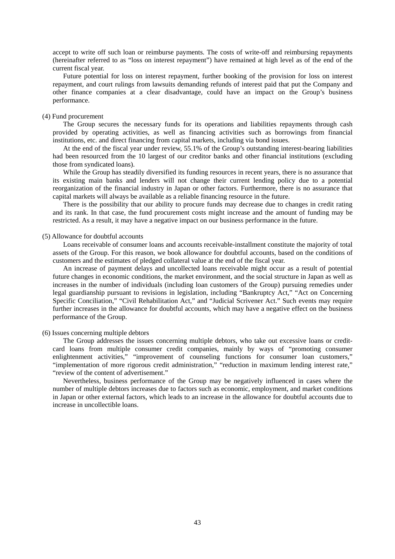accept to write off such loan or reimburse payments. The costs of write-off and reimbursing repayments (hereinafter referred to as "loss on interest repayment") have remained at high level as of the end of the current fiscal year.

Future potential for loss on interest repayment, further booking of the provision for loss on interest repayment, and court rulings from lawsuits demanding refunds of interest paid that put the Company and other finance companies at a clear disadvantage, could have an impact on the Group's business performance.

## (4) Fund procurement

The Group secures the necessary funds for its operations and liabilities repayments through cash provided by operating activities, as well as financing activities such as borrowings from financial institutions, etc. and direct financing from capital markets, including via bond issues.

At the end of the fiscal year under review, 55.1% of the Group's outstanding interest-bearing liabilities had been resourced from the 10 largest of our creditor banks and other financial institutions (excluding those from syndicated loans).

While the Group has steadily diversified its funding resources in recent years, there is no assurance that its existing main banks and lenders will not change their current lending policy due to a potential reorganization of the financial industry in Japan or other factors. Furthermore, there is no assurance that capital markets will always be available as a reliable financing resource in the future.

There is the possibility that our ability to procure funds may decrease due to changes in credit rating and its rank. In that case, the fund procurement costs might increase and the amount of funding may be restricted. As a result, it may have a negative impact on our business performance in the future.

### (5) Allowance for doubtful accounts

Loans receivable of consumer loans and accounts receivable-installment constitute the majority of total assets of the Group. For this reason, we book allowance for doubtful accounts, based on the conditions of customers and the estimates of pledged collateral value at the end of the fiscal year.

An increase of payment delays and uncollected loans receivable might occur as a result of potential future changes in economic conditions, the market environment, and the social structure in Japan as well as increases in the number of individuals (including loan customers of the Group) pursuing remedies under legal guardianship pursuant to revisions in legislation, including "Bankruptcy Act," "Act on Concerning Specific Conciliation," "Civil Rehabilitation Act," and "Judicial Scrivener Act." Such events may require further increases in the allowance for doubtful accounts, which may have a negative effect on the business performance of the Group.

(6) Issues concerning multiple debtors

The Group addresses the issues concerning multiple debtors, who take out excessive loans or creditcard loans from multiple consumer credit companies, mainly by ways of "promoting consumer enlightenment activities," "improvement of counseling functions for consumer loan customers," "implementation of more rigorous credit administration," "reduction in maximum lending interest rate," "review of the content of advertisement."

Nevertheless, business performance of the Group may be negatively influenced in cases where the number of multiple debtors increases due to factors such as economic, employment, and market conditions in Japan or other external factors, which leads to an increase in the allowance for doubtful accounts due to increase in uncollectible loans.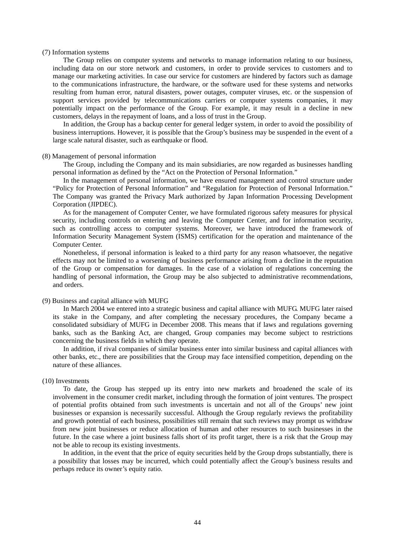#### (7) Information systems

The Group relies on computer systems and networks to manage information relating to our business, including data on our store network and customers, in order to provide services to customers and to manage our marketing activities. In case our service for customers are hindered by factors such as damage to the communications infrastructure, the hardware, or the software used for these systems and networks resulting from human error, natural disasters, power outages, computer viruses, etc. or the suspension of support services provided by telecommunications carriers or computer systems companies, it may potentially impact on the performance of the Group. For example, it may result in a decline in new customers, delays in the repayment of loans, and a loss of trust in the Group.

In addition, the Group has a backup center for general ledger system, in order to avoid the possibility of business interruptions. However, it is possible that the Group's business may be suspended in the event of a large scale natural disaster, such as earthquake or flood.

### (8) Management of personal information

The Group, including the Company and its main subsidiaries, are now regarded as businesses handling personal information as defined by the "Act on the Protection of Personal Information."

In the management of personal information, we have ensured management and control structure under "Policy for Protection of Personal Information" and "Regulation for Protection of Personal Information." The Company was granted the Privacy Mark authorized by Japan Information Processing Development Corporation (JIPDEC).

As for the management of Computer Center, we have formulated rigorous safety measures for physical security, including controls on entering and leaving the Computer Center, and for information security, such as controlling access to computer systems. Moreover, we have introduced the framework of Information Security Management System (ISMS) certification for the operation and maintenance of the Computer Center.

Nonetheless, if personal information is leaked to a third party for any reason whatsoever, the negative effects may not be limited to a worsening of business performance arising from a decline in the reputation of the Group or compensation for damages. In the case of a violation of regulations concerning the handling of personal information, the Group may be also subjected to administrative recommendations, and orders.

### (9) Business and capital alliance with MUFG

In March 2004 we entered into a strategic business and capital alliance with MUFG. MUFG later raised its stake in the Company, and after completing the necessary procedures, the Company became a consolidated subsidiary of MUFG in December 2008. This means that if laws and regulations governing banks, such as the Banking Act, are changed, Group companies may become subject to restrictions concerning the business fields in which they operate.

In addition, if rival companies of similar business enter into similar business and capital alliances with other banks, etc., there are possibilities that the Group may face intensified competition, depending on the nature of these alliances.

### (10) Investments

To date, the Group has stepped up its entry into new markets and broadened the scale of its involvement in the consumer credit market, including through the formation of joint ventures. The prospect of potential profits obtained from such investments is uncertain and not all of the Groups' new joint businesses or expansion is necessarily successful. Although the Group regularly reviews the profitability and growth potential of each business, possibilities still remain that such reviews may prompt us withdraw from new joint businesses or reduce allocation of human and other resources to such businesses in the future. In the case where a joint business falls short of its profit target, there is a risk that the Group may not be able to recoup its existing investments.

In addition, in the event that the price of equity securities held by the Group drops substantially, there is a possibility that losses may be incurred, which could potentially affect the Group's business results and perhaps reduce its owner's equity ratio.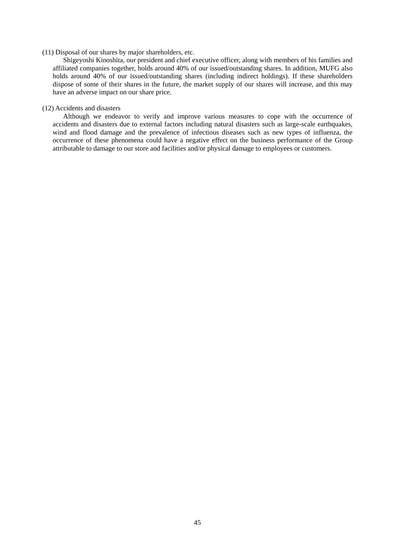### (11) Disposal of our shares by major shareholders, etc.

Shigeyoshi Kinoshita, our president and chief executive officer, along with members of his families and affiliated companies together, holds around 40% of our issued/outstanding shares. In addition, MUFG also holds around 40% of our issued/outstanding shares (including indirect holdings). If these shareholders dispose of some of their shares in the future, the market supply of our shares will increase, and this may have an adverse impact on our share price.

# (12) Accidents and disasters

Although we endeavor to verify and improve various measures to cope with the occurrence of accidents and disasters due to external factors including natural disasters such as large-scale earthquakes, wind and flood damage and the prevalence of infectious diseases such as new types of influenza, the occurrence of these phenomena could have a negative effect on the business performance of the Group attributable to damage to our store and facilities and/or physical damage to employees or customers.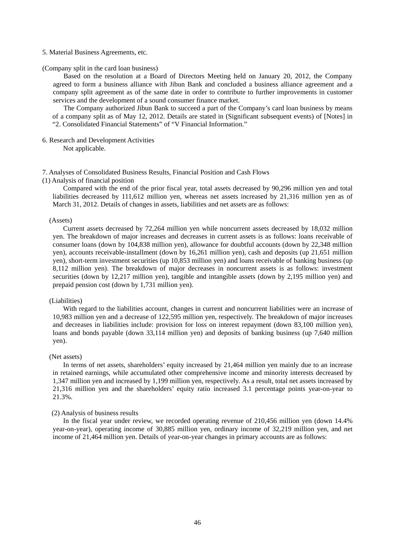#### 5. Material Business Agreements, etc.

(Company split in the card loan business)

Based on the resolution at a Board of Directors Meeting held on January 20, 2012, the Company agreed to form a business alliance with Jibun Bank and concluded a business alliance agreement and a company split agreement as of the same date in order to contribute to further improvements in customer services and the development of a sound consumer finance market.

The Company authorized Jibun Bank to succeed a part of the Company's card loan business by means of a company split as of May 12, 2012. Details are stated in (Significant subsequent events) of [Notes] in "2. Consolidated Financial Statements" of "V Financial Information."

6. Research and Development Activities

Not applicable.

7. Analyses of Consolidated Business Results, Financial Position and Cash Flows

### (1) Analysis of financial position

Compared with the end of the prior fiscal year, total assets decreased by 90,296 million yen and total liabilities decreased by 111,612 million yen, whereas net assets increased by 21,316 million yen as of March 31, 2012. Details of changes in assets, liabilities and net assets are as follows:

## (Assets)

Current assets decreased by 72,264 million yen while noncurrent assets decreased by 18,032 million yen. The breakdown of major increases and decreases in current assets is as follows: loans receivable of consumer loans (down by 104,838 million yen), allowance for doubtful accounts (down by 22,348 million yen), accounts receivable-installment (down by 16,261 million yen), cash and deposits (up 21,651 million yen), short-term investment securities (up 10,853 million yen) and loans receivable of banking business (up 8,112 million yen). The breakdown of major decreases in noncurrent assets is as follows: investment securities (down by 12,217 million yen), tangible and intangible assets (down by 2,195 million yen) and prepaid pension cost (down by 1,731 million yen).

#### (Liabilities)

With regard to the liabilities account, changes in current and noncurrent liabilities were an increase of 10,983 million yen and a decrease of 122,595 million yen, respectively. The breakdown of major increases and decreases in liabilities include: provision for loss on interest repayment (down 83,100 million yen), loans and bonds payable (down 33,114 million yen) and deposits of banking business (up 7,640 million yen).

#### (Net assets)

In terms of net assets, shareholders' equity increased by 21,464 million yen mainly due to an increase in retained earnings, while accumulated other comprehensive income and minority interests decreased by 1,347 million yen and increased by 1,199 million yen, respectively. As a result, total net assets increased by 21,316 million yen and the shareholders' equity ratio increased 3.1 percentage points year-on-year to 21.3%.

#### (2) Analysis of business results

In the fiscal year under review, we recorded operating revenue of 210,456 million yen (down 14.4% year-on-year), operating income of 30,885 million yen, ordinary income of 32,219 million yen, and net income of 21,464 million yen. Details of year-on-year changes in primary accounts are as follows: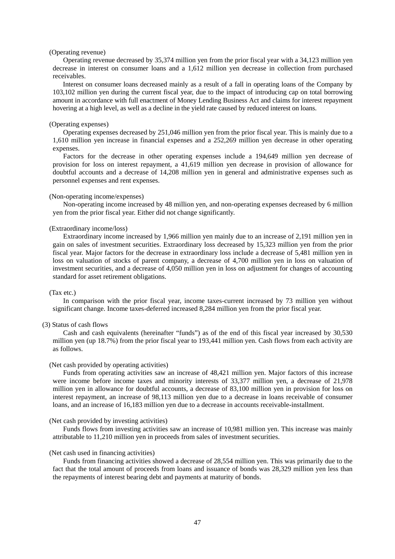### (Operating revenue)

Operating revenue decreased by 35,374 million yen from the prior fiscal year with a 34,123 million yen decrease in interest on consumer loans and a 1,612 million yen decrease in collection from purchased receivables.

Interest on consumer loans decreased mainly as a result of a fall in operating loans of the Company by 103,102 million yen during the current fiscal year, due to the impact of introducing cap on total borrowing amount in accordance with full enactment of Money Lending Business Act and claims for interest repayment hovering at a high level, as well as a decline in the yield rate caused by reduced interest on loans.

#### (Operating expenses)

Operating expenses decreased by 251,046 million yen from the prior fiscal year. This is mainly due to a 1,610 million yen increase in financial expenses and a 252,269 million yen decrease in other operating expenses.

Factors for the decrease in other operating expenses include a 194,649 million yen decrease of provision for loss on interest repayment, a 41,619 million yen decrease in provision of allowance for doubtful accounts and a decrease of 14,208 million yen in general and administrative expenses such as personnel expenses and rent expenses.

#### (Non-operating income/expenses)

Non-operating income increased by 48 million yen, and non-operating expenses decreased by 6 million yen from the prior fiscal year. Either did not change significantly.

### (Extraordinary income/loss)

Extraordinary income increased by 1,966 million yen mainly due to an increase of 2,191 million yen in gain on sales of investment securities. Extraordinary loss decreased by 15,323 million yen from the prior fiscal year. Major factors for the decrease in extraordinary loss include a decrease of 5,481 million yen in loss on valuation of stocks of parent company, a decrease of 4,700 million yen in loss on valuation of investment securities, and a decrease of 4,050 million yen in loss on adjustment for changes of accounting standard for asset retirement obligations.

#### (Tax etc.)

In comparison with the prior fiscal year, income taxes-current increased by 73 million yen without significant change. Income taxes-deferred increased 8,284 million yen from the prior fiscal year.

#### (3) Status of cash flows

Cash and cash equivalents (hereinafter "funds") as of the end of this fiscal year increased by 30,530 million yen (up 18.7%) from the prior fiscal year to 193,441 million yen. Cash flows from each activity are as follows.

#### (Net cash provided by operating activities)

Funds from operating activities saw an increase of 48,421 million yen. Major factors of this increase were income before income taxes and minority interests of 33,377 million yen, a decrease of 21,978 million yen in allowance for doubtful accounts, a decrease of 83,100 million yen in provision for loss on interest repayment, an increase of 98,113 million yen due to a decrease in loans receivable of consumer loans, and an increase of 16,183 million yen due to a decrease in accounts receivable-installment.

#### (Net cash provided by investing activities)

Funds flows from investing activities saw an increase of 10,981 million yen. This increase was mainly attributable to 11,210 million yen in proceeds from sales of investment securities.

# (Net cash used in financing activities)

Funds from financing activities showed a decrease of 28,554 million yen. This was primarily due to the fact that the total amount of proceeds from loans and issuance of bonds was 28,329 million yen less than the repayments of interest bearing debt and payments at maturity of bonds.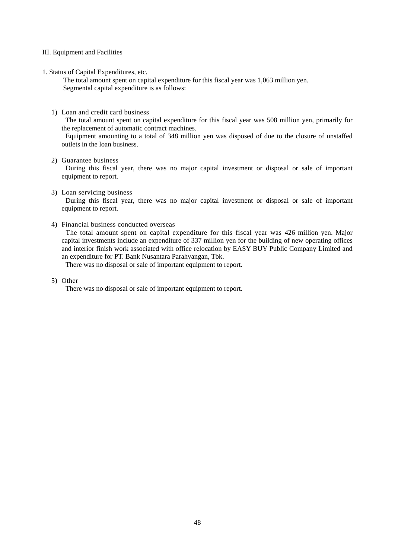# III. Equipment and Facilities

1. Status of Capital Expenditures, etc.

The total amount spent on capital expenditure for this fiscal year was 1,063 million yen. Segmental capital expenditure is as follows:

1) Loan and credit card business

The total amount spent on capital expenditure for this fiscal year was 508 million yen, primarily for the replacement of automatic contract machines.

Equipment amounting to a total of 348 million yen was disposed of due to the closure of unstaffed outlets in the loan business.

2) Guarantee business

During this fiscal year, there was no major capital investment or disposal or sale of important equipment to report.

3) Loan servicing business

During this fiscal year, there was no major capital investment or disposal or sale of important equipment to report.

4) Financial business conducted overseas

The total amount spent on capital expenditure for this fiscal year was 426 million yen. Major capital investments include an expenditure of 337 million yen for the building of new operating offices and interior finish work associated with office relocation by EASY BUY Public Company Limited and an expenditure for PT. Bank Nusantara Parahyangan, Tbk.

There was no disposal or sale of important equipment to report.

# 5) Other

There was no disposal or sale of important equipment to report.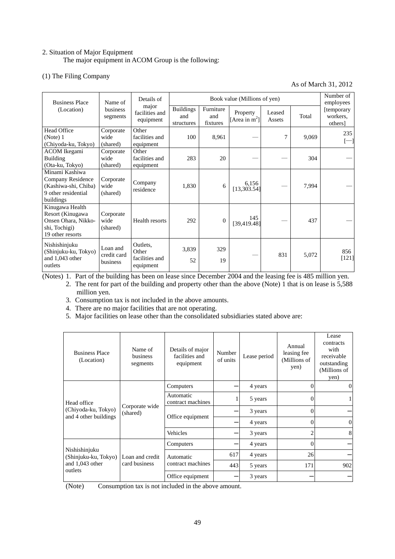# 2. Situation of Major Equipment The major equipment in ACOM Group is the following:

# (1) The Filing Company

As of March 31, 2012

| <b>Business Place</b>                                                                           | Name of                             | Details of                                       |                                       |                              | Book value (Millions of yen) |                  |       | Number of<br>employees            |
|-------------------------------------------------------------------------------------------------|-------------------------------------|--------------------------------------------------|---------------------------------------|------------------------------|------------------------------|------------------|-------|-----------------------------------|
| (Location)                                                                                      | business<br>segments                | major<br>facilities and<br>equipment             | <b>Buildings</b><br>and<br>structures | Furniture<br>and<br>fixtures | Property<br>[Area in $m^2$ ] | Leased<br>Assets | Total | [temporary<br>workers.<br>others] |
| <b>Head Office</b><br>(Note) 1<br>(Chiyoda-ku, Tokyo)                                           | Corporate<br>wide<br>(shared)       | Other<br>facilities and<br>equipment             | 100                                   | 8,961                        |                              | 7                | 9,069 | 235<br>$[\neg]$                   |
| <b>ACOM</b> Ikegami<br><b>Building</b><br>(Ota-ku, Tokyo)                                       | Corporate<br>wide<br>(shared)       | Other<br>facilities and<br>equipment             | 283                                   | 20                           |                              |                  | 304   |                                   |
| Minami Kashiwa<br>Company Residence<br>(Kashiwa-shi, Chiba)<br>9 other residential<br>buildings | Corporate<br>wide<br>(shared)       | Company<br>residence                             | 1,830                                 | 6                            | 6,156<br>[13,303.54]         |                  | 7,994 |                                   |
| Kinugawa Health<br>Resort (Kinugawa<br>Onsen Ohara, Nikko-<br>shi, Tochigi)<br>19 other resorts | Corporate<br>wide<br>(shared)       | Health resorts                                   | 292                                   | $\theta$                     | 145<br>[39, 419.48]          |                  | 437   |                                   |
| Nishishinjuku<br>(Shinjuku-ku, Tokyo)<br>and 1,043 other<br>outlets                             | Loan and<br>credit card<br>business | Outlets.<br>Other<br>facilities and<br>equipment | 3,839<br>52                           | 329<br>19                    |                              | 831              | 5,072 | 856<br>$[121]$                    |

(Notes) 1. Part of the building has been on lease since December 2004 and the leasing fee is 485 million yen.

 2. The rent for part of the building and property other than the above (Note) 1 that is on lease is 5,588 million yen.

- 3. Consumption tax is not included in the above amounts.
- 4. There are no major facilities that are not operating.
- 5. Major facilities on lease other than the consolidated subsidiaries stated above are:

| <b>Business Place</b><br>(Location)                                 | Name of<br>business<br>segments | Details of major<br>facilities and<br>equipment | Number<br>of units | Lease period | Annual<br>leasing fee<br>(Millions of<br>yen) | Lease<br>contracts<br>with<br>receivable<br>outstanding<br>(Millions of<br>yen) |
|---------------------------------------------------------------------|---------------------------------|-------------------------------------------------|--------------------|--------------|-----------------------------------------------|---------------------------------------------------------------------------------|
|                                                                     |                                 | Computers                                       |                    | 4 years      | $\theta$                                      | $\Omega$                                                                        |
| Head office                                                         | Corporate wide<br>(shared)      | Automatic<br>contract machines                  |                    | 5 years      | $\overline{0}$                                |                                                                                 |
| (Chiyoda-ku, Tokyo)                                                 |                                 | Office equipment                                |                    | 3 years      | $\overline{0}$                                |                                                                                 |
| and 4 other buildings                                               |                                 |                                                 |                    | 4 years      | $\overline{0}$                                | $\Omega$                                                                        |
|                                                                     |                                 | Vehicles                                        |                    | 3 years      | $\overline{2}$                                | 8                                                                               |
|                                                                     |                                 | Computers                                       |                    | 4 years      | $\overline{0}$                                |                                                                                 |
| Nishishinjuku<br>(Shinjuku-ku, Tokyo)<br>and 1,043 other<br>outlets | Loan and credit                 | Automatic                                       | 617                | 4 years      | 26                                            |                                                                                 |
|                                                                     | card business                   | contract machines                               | 443                | 5 years      | 171                                           | 902                                                                             |
|                                                                     |                                 | Office equipment                                |                    | 3 years      |                                               |                                                                                 |

(Note) Consumption tax is not included in the above amount.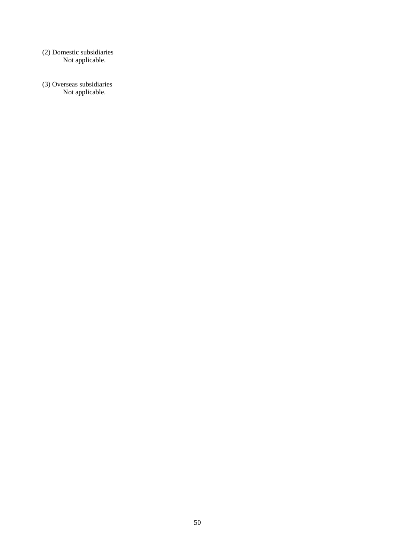(2) Domestic subsidiaries Not applicable.

(3) Overseas subsidiaries Not applicable.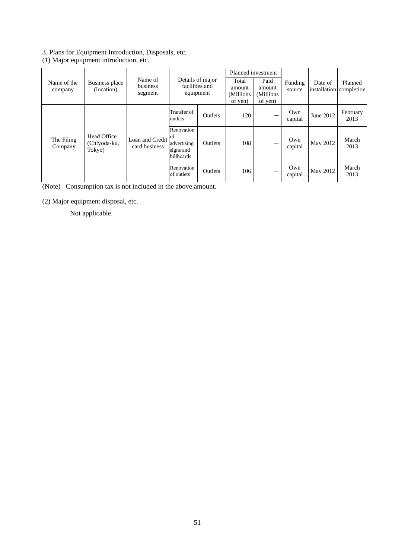# 3. Plans for Equipment Introduction, Disposals, etc.

(1) Major equipment introduction, etc.

| Name of the<br>company                                         | Business place<br>(location) | Name of<br>business<br>segment   | Details of major<br>facilities and<br>equipment            |                | Planned investment<br>Total<br>amount<br>(Millions<br>of yen) | Paid<br>amount<br>(Millions)<br>of yen) | Funding<br>source | Date of   | Planned<br>installation completion |
|----------------------------------------------------------------|------------------------------|----------------------------------|------------------------------------------------------------|----------------|---------------------------------------------------------------|-----------------------------------------|-------------------|-----------|------------------------------------|
| Head Office<br>The Filing<br>(Chiyoda-ku,<br>Company<br>Tokyo) |                              | Loan and Credit<br>card business | Transfer of<br>outlets                                     | Outlets        | 120                                                           |                                         | Own<br>capital    | June 2012 | February<br>2013                   |
|                                                                |                              |                                  | Renovation<br>of<br>advertising<br>signs and<br>billboards | <b>Outlets</b> | 108                                                           |                                         | Own<br>capital    | May 2012  | March<br>2013                      |
|                                                                |                              |                                  | Renovation<br>of outlets                                   | Outlets        | 106                                                           |                                         | Own<br>capital    | May 2012  | March<br>2013                      |

(Note) Consumption tax is not included in the above amount.

(2) Major equipment disposal, etc.

Not applicable.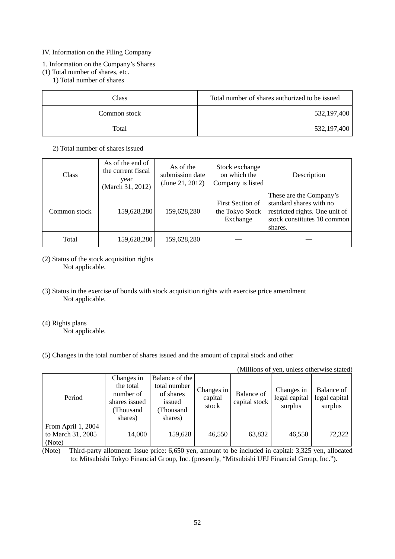# IV. Information on the Filing Company

- 1. Information on the Company's Shares
- (1) Total number of shares, etc.
	- 1) Total number of shares

| Class        | Total number of shares authorized to be issued |
|--------------|------------------------------------------------|
| Common stock | 532,197,400                                    |
| Total        | 532,197,400                                    |

2) Total number of shares issued

| <b>Class</b> | As of the end of<br>the current fiscal<br>year<br>(March 31, 2012) | As of the<br>submission date<br>(June 21, 2012) | Stock exchange<br>on which the<br>Company is listed | Description                                                                                                                    |
|--------------|--------------------------------------------------------------------|-------------------------------------------------|-----------------------------------------------------|--------------------------------------------------------------------------------------------------------------------------------|
| Common stock | 159,628,280                                                        | 159,628,280                                     | First Section of<br>the Tokyo Stock<br>Exchange     | These are the Company's<br>standard shares with no<br>restricted rights. One unit of<br>stock constitutes 10 common<br>shares. |
| Total        | 159,628,280                                                        | 159,628,280                                     |                                                     |                                                                                                                                |

- (2) Status of the stock acquisition rights Not applicable.
- (3) Status in the exercise of bonds with stock acquisition rights with exercise price amendment Not applicable.
- (4) Rights plans

Not applicable.

# (5) Changes in the total number of shares issued and the amount of capital stock and other

|  | (Millions of yen, unless otherwise stated) |
|--|--------------------------------------------|
|  |                                            |

| Period                                            | Changes in<br>the total<br>number of<br>shares issued<br>(Thousand<br>shares) | Balance of the<br>total number<br>of shares<br>issued<br>(Thousand<br>shares) | Changes in<br>capital<br>stock | <b>Balance of</b><br>capital stock | Changes in<br>legal capital<br>surplus | Balance of<br>legal capital<br>surplus |
|---------------------------------------------------|-------------------------------------------------------------------------------|-------------------------------------------------------------------------------|--------------------------------|------------------------------------|----------------------------------------|----------------------------------------|
| From April 1, 2004<br>to March 31, 2005<br>(Note) | 14,000                                                                        | 159,628                                                                       | 46,550                         | 63,832                             | 46,550                                 | 72,322                                 |

(Note) Third-party allotment: Issue price: 6,650 yen, amount to be included in capital: 3,325 yen, allocated to: Mitsubishi Tokyo Financial Group, Inc. (presently, "Mitsubishi UFJ Financial Group, Inc.").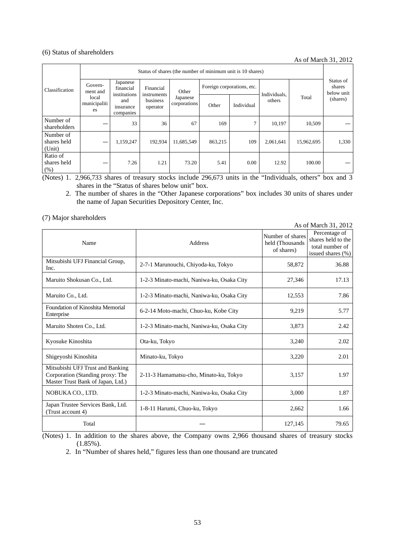# (6) Status of shareholders

As of March 31, 2012

|                                    |                                                                                                                                                                                  | Status of shares (the number of minimum unit is 10 shares) |                          |            |                            |        |              |            |                                   |  |
|------------------------------------|----------------------------------------------------------------------------------------------------------------------------------------------------------------------------------|------------------------------------------------------------|--------------------------|------------|----------------------------|--------|--------------|------------|-----------------------------------|--|
| Classification                     | Japanese<br>Govern-<br>financial<br>Financial<br>ment and<br>institutions<br>instruments<br>local<br>business<br>and<br>municipaliti<br>operator<br>insurance<br>es<br>companies |                                                            |                          | Other      | Foreign corporations, etc. |        | Individuals. | Total      | Status of<br>shares<br>below unit |  |
|                                    |                                                                                                                                                                                  |                                                            | Japanese<br>corporations | Other      | Individual                 | others | (shares)     |            |                                   |  |
| Number of<br>shareholders          |                                                                                                                                                                                  | 33                                                         | 36                       | 67         | 169                        | 7      | 10,197       | 10,509     |                                   |  |
| Number of<br>shares held<br>(Unit) |                                                                                                                                                                                  | 1,159,247                                                  | 192,934                  | 11,685,549 | 863,215                    | 109    | 2,061,641    | 15,962,695 | 1,330                             |  |
| Ratio of<br>shares held<br>(% )    |                                                                                                                                                                                  | 7.26                                                       | 1.21                     | 73.20      | 5.41                       | 0.00   | 12.92        | 100.00     |                                   |  |

(Notes) 1. 2,966,733 shares of treasury stocks include 296,673 units in the "Individuals, others" box and 3 shares in the "Status of shares below unit" box.

 2. The number of shares in the "Other Japanese corporations" box includes 30 units of shares under the name of Japan Securities Depository Center, Inc.

# (7) Major shareholders

|                                                                                                           |                                           |                                                   | As of March 31, 2012                                                        |
|-----------------------------------------------------------------------------------------------------------|-------------------------------------------|---------------------------------------------------|-----------------------------------------------------------------------------|
| Name                                                                                                      | Address                                   | Number of shares<br>held (Thousands<br>of shares) | Percentage of<br>shares held to the<br>total number of<br>issued shares (%) |
| Mitsubishi UFJ Financial Group,<br>Inc.                                                                   | 2-7-1 Marunouchi, Chiyoda-ku, Tokyo       | 58,872                                            | 36.88                                                                       |
| Maruito Shokusan Co., Ltd.                                                                                | 1-2-3 Minato-machi, Naniwa-ku, Osaka City | 27,346                                            | 17.13                                                                       |
| Maruito Co., Ltd.                                                                                         | 1-2-3 Minato-machi, Naniwa-ku, Osaka City | 12,553                                            | 7.86                                                                        |
| Foundation of Kinoshita Memorial<br>Enterprise                                                            | 6-2-14 Moto-machi, Chuo-ku, Kobe City     | 9,219                                             | 5.77                                                                        |
| Maruito Shoten Co., Ltd.                                                                                  | 1-2-3 Minato-machi, Naniwa-ku, Osaka City | 3,873                                             | 2.42                                                                        |
| Kyosuke Kinoshita                                                                                         | Ota-ku, Tokyo                             | 3,240                                             | 2.02                                                                        |
| Shigeyoshi Kinoshita                                                                                      | Minato-ku, Tokyo                          | 3,220                                             | 2.01                                                                        |
| Mitsubishi UFJ Trust and Banking<br>Corporation (Standing proxy: The<br>Master Trust Bank of Japan, Ltd.) | 2-11-3 Hamamatsu-cho, Minato-ku, Tokyo    | 3,157                                             | 1.97                                                                        |
| NOBUKA CO., LTD.                                                                                          | 1-2-3 Minato-machi, Naniwa-ku, Osaka City | 3,000                                             | 1.87                                                                        |
| Japan Trustee Services Bank, Ltd.<br>(Trust account 4)                                                    | 1-8-11 Harumi, Chuo-ku, Tokyo             | 2,662                                             | 1.66                                                                        |
| Total                                                                                                     |                                           | 127,145                                           | 79.65                                                                       |

(Notes) 1. In addition to the shares above, the Company owns 2,966 thousand shares of treasury stocks (1.85%).

2. In "Number of shares held," figures less than one thousand are truncated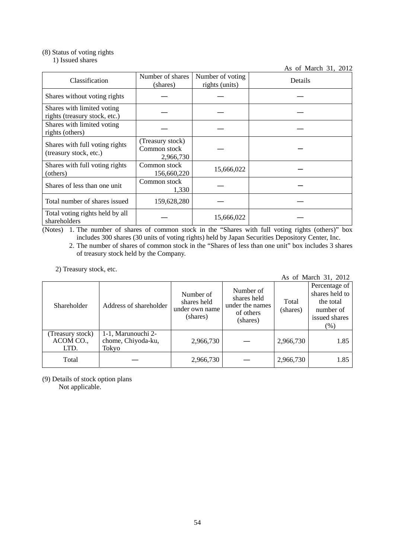# (8) Status of voting rights

1) Issued shares

As of March 31, 2012

|                                                             |                                               |                                    | $110$ of Middle $91, 2012$ |
|-------------------------------------------------------------|-----------------------------------------------|------------------------------------|----------------------------|
| Classification                                              | Number of shares<br>(shares)                  | Number of voting<br>rights (units) | Details                    |
| Shares without voting rights                                |                                               |                                    |                            |
| Shares with limited voting<br>rights (treasury stock, etc.) |                                               |                                    |                            |
| Shares with limited voting<br>rights (others)               |                                               |                                    |                            |
| Shares with full voting rights<br>(treasury stock, etc.)    | (Treasury stock)<br>Common stock<br>2,966,730 |                                    |                            |
| Shares with full voting rights<br>(others)                  | Common stock<br>156,660,220                   | 15,666,022                         |                            |
| Shares of less than one unit                                | Common stock<br>1,330                         |                                    |                            |
| Total number of shares issued                               | 159,628,280                                   |                                    |                            |
| Total voting rights held by all<br>shareholders             |                                               | 15,666,022                         |                            |

(Notes) 1. The number of shares of common stock in the "Shares with full voting rights (others)" box includes 300 shares (30 units of voting rights) held by Japan Securities Depository Center, Inc.

 2. The number of shares of common stock in the "Shares of less than one unit" box includes 3 shares of treasury stock held by the Company.

2) Treasury stock, etc.

As of March 31, 2012

| Shareholder                           | Address of shareholder                            | Number of<br>shares held<br>under own name<br>(shares) | Number of<br>shares held<br>under the names<br>of others<br>(shares) | Total<br>(shares) | Percentage of<br>shares held to<br>the total<br>number of<br>issued shares<br>$(\%)$ |
|---------------------------------------|---------------------------------------------------|--------------------------------------------------------|----------------------------------------------------------------------|-------------------|--------------------------------------------------------------------------------------|
| (Treasury stock)<br>ACOM CO.,<br>LTD. | 1-1, Marunouchi 2-<br>chome, Chiyoda-ku,<br>Tokyo | 2,966,730                                              |                                                                      | 2,966,730         | 1.85                                                                                 |
| Total                                 |                                                   | 2,966,730                                              |                                                                      | 2,966,730         | 1.85                                                                                 |

(9) Details of stock option plans Not applicable.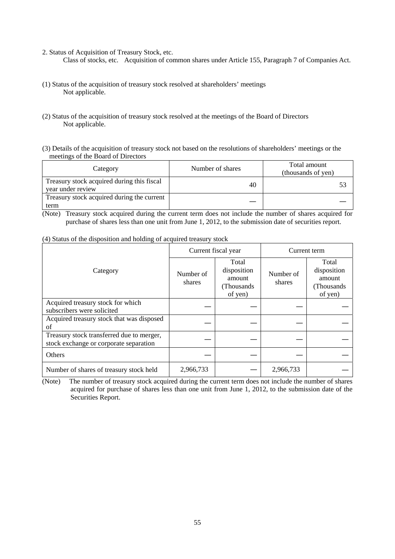2. Status of Acquisition of Treasury Stock, etc.

Class of stocks, etc. Acquisition of common shares under Article 155, Paragraph 7 of Companies Act.

- (1) Status of the acquisition of treasury stock resolved at shareholders' meetings Not applicable.
- (2) Status of the acquisition of treasury stock resolved at the meetings of the Board of Directors Not applicable.
- (3) Details of the acquisition of treasury stock not based on the resolutions of shareholders' meetings or the meetings of the Board of Directors

| Category                                                        | Number of shares | Total amount<br>(thousands of yen) |
|-----------------------------------------------------------------|------------------|------------------------------------|
| Treasury stock acquired during this fiscal<br>year under review | 40               |                                    |
| Treasury stock acquired during the current                      |                  |                                    |
| term                                                            |                  |                                    |

(Note) Treasury stock acquired during the current term does not include the number of shares acquired for purchase of shares less than one unit from June 1, 2012, to the submission date of securities report.

|                                                                                     |                     | Current fiscal year                                      | Current term        |                                                          |  |
|-------------------------------------------------------------------------------------|---------------------|----------------------------------------------------------|---------------------|----------------------------------------------------------|--|
| Category                                                                            | Number of<br>shares | Total<br>disposition<br>amount<br>(Thousands)<br>of yen) | Number of<br>shares | Total<br>disposition<br>amount<br>(Thousands)<br>of yen) |  |
| Acquired treasury stock for which<br>subscribers were solicited                     |                     |                                                          |                     |                                                          |  |
| Acquired treasury stock that was disposed<br>of                                     |                     |                                                          |                     |                                                          |  |
| Treasury stock transferred due to merger,<br>stock exchange or corporate separation |                     |                                                          |                     |                                                          |  |
| Others                                                                              |                     |                                                          |                     |                                                          |  |
| Number of shares of treasury stock held                                             | 2,966,733           |                                                          | 2,966,733           |                                                          |  |

(4) Status of the disposition and holding of acquired treasury stock

(Note) The number of treasury stock acquired during the current term does not include the number of shares acquired for purchase of shares less than one unit from June 1, 2012, to the submission date of the Securities Report.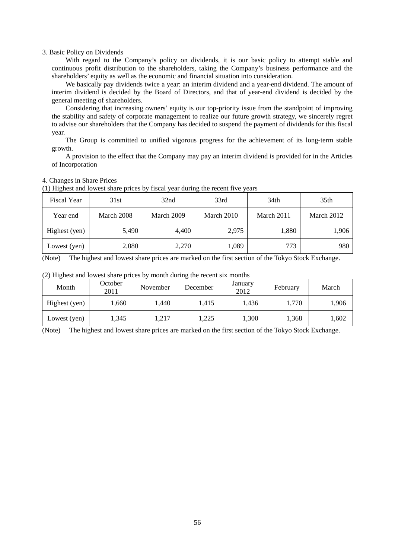#### 3. Basic Policy on Dividends

With regard to the Company's policy on dividends, it is our basic policy to attempt stable and continuous profit distribution to the shareholders, taking the Company's business performance and the shareholders' equity as well as the economic and financial situation into consideration.

We basically pay dividends twice a year: an interim dividend and a year-end dividend. The amount of interim dividend is decided by the Board of Directors, and that of year-end dividend is decided by the general meeting of shareholders.

Considering that increasing owners' equity is our top-priority issue from the standpoint of improving the stability and safety of corporate management to realize our future growth strategy, we sincerely regret to advise our shareholders that the Company has decided to suspend the payment of dividends for this fiscal year.

The Group is committed to unified vigorous progress for the achievement of its long-term stable growth.

A provision to the effect that the Company may pay an interim dividend is provided for in the Articles of Incorporation

## 4. Changes in Share Prices

| (1) Highest and lowest share prices by fiscal year during the recent five years |  |  |
|---------------------------------------------------------------------------------|--|--|
|                                                                                 |  |  |

| <b>Fiscal Year</b> | 31st       | 32 <sub>nd</sub> | 33rd       | 34th       | 35 <sub>th</sub> |  |
|--------------------|------------|------------------|------------|------------|------------------|--|
| Year end           | March 2008 | March 2009       | March 2010 | March 2011 | March 2012       |  |
| Highest (yen)      | 5,490      | 4,400            | 2,975      | 1,880      | 1,906            |  |
| Lowest (yen)       | 2,080      | 2,270            | 1,089      | 773        | 980              |  |

(Note) The highest and lowest share prices are marked on the first section of the Tokyo Stock Exchange.

| Month         | October<br>2011 | November | December | January<br>2012 | February | March |
|---------------|-----------------|----------|----------|-----------------|----------|-------|
| Highest (yen) | 1,660           | 1,440    | 1.415    | l.436           | 1,770    | 1,906 |
| Lowest (yen)  | .345            | 1,217    | 1.225    | 1,300           | 1,368    | 1,602 |

(Note) The highest and lowest share prices are marked on the first section of the Tokyo Stock Exchange.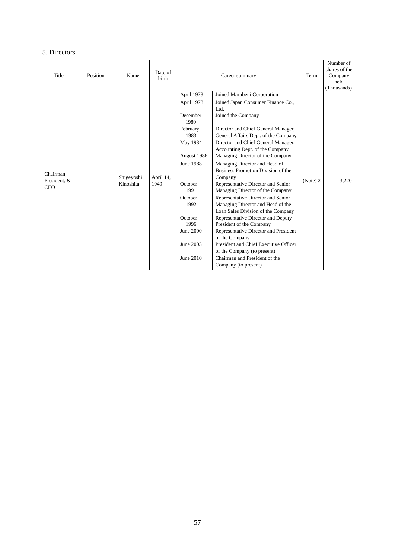# 5. Directors

| Title                                   | Position | Name                    | Date of<br><b>birth</b> |                                                                                                                                                                                                          | Career summary                                                                                                                                                                                                                                                                                                                                                                                                                                                                                                                                                                                                                                                                                                                                                                                                                          | Term     | Number of<br>shares of the<br>Company<br>held<br>(Thousands) |
|-----------------------------------------|----------|-------------------------|-------------------------|----------------------------------------------------------------------------------------------------------------------------------------------------------------------------------------------------------|-----------------------------------------------------------------------------------------------------------------------------------------------------------------------------------------------------------------------------------------------------------------------------------------------------------------------------------------------------------------------------------------------------------------------------------------------------------------------------------------------------------------------------------------------------------------------------------------------------------------------------------------------------------------------------------------------------------------------------------------------------------------------------------------------------------------------------------------|----------|--------------------------------------------------------------|
| Chairman,<br>President, &<br><b>CEO</b> |          | Shigeyoshi<br>Kinoshita | April 14,<br>1949       | April 1973<br>April 1978<br>December<br>1980<br>February<br>1983<br>May 1984<br>August 1986<br>June 1988<br>October<br>1991<br>October<br>1992<br>October<br>1996<br>June 2000<br>June 2003<br>June 2010 | Joined Marubeni Corporation<br>Joined Japan Consumer Finance Co.,<br>Ltd.<br>Joined the Company<br>Director and Chief General Manager,<br>General Affairs Dept. of the Company<br>Director and Chief General Manager,<br>Accounting Dept. of the Company<br>Managing Director of the Company<br>Managing Director and Head of<br>Business Promotion Division of the<br>Company<br>Representative Director and Senior<br>Managing Director of the Company<br>Representative Director and Senior<br>Managing Director and Head of the<br>Loan Sales Division of the Company<br>Representative Director and Deputy<br>President of the Company<br>Representative Director and President<br>of the Company<br>President and Chief Executive Officer<br>of the Company (to present)<br>Chairman and President of the<br>Company (to present) | (Note) 2 | 3,220                                                        |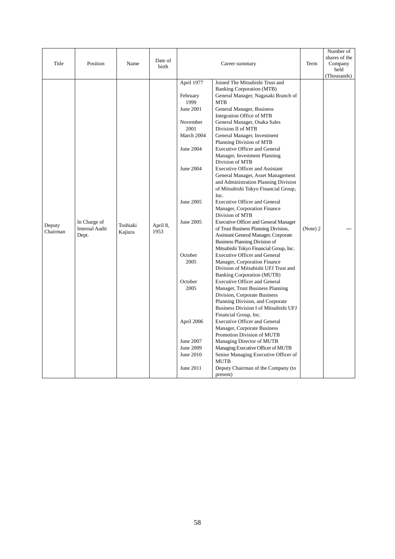| Title              | Position                                       | Name                | Date of<br>birth |                                                                                                                                                                                                                                           | Career summary                                                                                                                                                                                                                                                                                                                                                                                                                                                                                                                                                                                                                                                                                                                                                                                                                                                                                                                                                                                                                                                                                                                                                                                                                                                                                                                                                                                                                                                                                                                      | Term     | Number of<br>shares of the<br>Company<br>held<br>(Thousands) |
|--------------------|------------------------------------------------|---------------------|------------------|-------------------------------------------------------------------------------------------------------------------------------------------------------------------------------------------------------------------------------------------|-------------------------------------------------------------------------------------------------------------------------------------------------------------------------------------------------------------------------------------------------------------------------------------------------------------------------------------------------------------------------------------------------------------------------------------------------------------------------------------------------------------------------------------------------------------------------------------------------------------------------------------------------------------------------------------------------------------------------------------------------------------------------------------------------------------------------------------------------------------------------------------------------------------------------------------------------------------------------------------------------------------------------------------------------------------------------------------------------------------------------------------------------------------------------------------------------------------------------------------------------------------------------------------------------------------------------------------------------------------------------------------------------------------------------------------------------------------------------------------------------------------------------------------|----------|--------------------------------------------------------------|
| Deputy<br>Chairman | In Charge of<br><b>Internal Audit</b><br>Dept. | Toshiaki<br>Kajiura | April 8,<br>1953 | April 1977<br>February<br>1999<br>June 2001<br>November<br>2001<br>March 2004<br>June 2004<br>June 2004<br>June 2005<br>June 2005<br>October<br>2005<br>October<br>2005<br>April 2006<br>June 2007<br>June 2009<br>June 2010<br>June 2011 | Joined The Mitsubishi Trust and<br><b>Banking Corporation (MTB)</b><br>General Manager, Nagasaki Branch of<br><b>MTB</b><br>General Manager, Business<br>Integration Office of MTB<br>General Manager, Osaka Sales<br>Division II of MTB<br>General Manager, Investment<br>Planning Division of MTB<br><b>Executive Officer and General</b><br>Manager, Investment Planning<br>Division of MTB<br><b>Executive Officer and Assistant</b><br>General Manager, Asset Management<br>and Administration Planning Division<br>of Mitsubishi Tokyo Financial Group,<br>Inc.<br><b>Executive Officer and General</b><br>Manager, Corporation Finance<br>Division of MTB<br><b>Executive Officer and General Manager</b><br>of Trust Business Planning Division,<br>Assistant General Manager, Corporate<br><b>Business Planning Division of</b><br>Mitsubishi Tokyo Financial Group, Inc.<br><b>Executive Officer and General</b><br>Manager, Corporation Finance<br>Division of Mitsubishi UFJ Trust and<br><b>Banking Corporation (MUTB)</b><br><b>Executive Officer and General</b><br>Manager, Trust Business Planning<br>Division, Corporate Business<br>Planning Division, and Corporate<br>Business Division I of Mitsubishi UFJ<br>Financial Group, Inc.<br><b>Executive Officer and General</b><br>Manager, Corporate Business<br>Promotion Division of MUTB<br>Managing Director of MUTB<br>Managing Executive Officer of MUTB<br>Senior Managing Executive Officer of<br>MUTB<br>Deputy Chairman of the Company (to<br>present) | (Note) 2 |                                                              |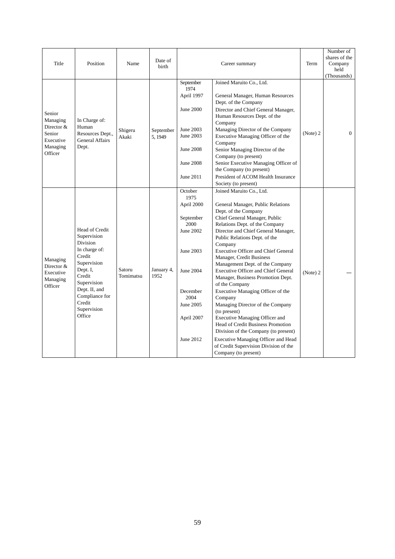| Title                                                                          | Position                                                                                                                                                                                       | Name                | Date of<br>birth     |                                                                                                                                                       | Career summary                                                                                                                                                                                                                                                                                                                                                                                                                                                                                                                                                                                                                                                                                                                                                                                         | Term     | Number of<br>shares of the<br>Company<br>held<br>(Thousands) |
|--------------------------------------------------------------------------------|------------------------------------------------------------------------------------------------------------------------------------------------------------------------------------------------|---------------------|----------------------|-------------------------------------------------------------------------------------------------------------------------------------------------------|--------------------------------------------------------------------------------------------------------------------------------------------------------------------------------------------------------------------------------------------------------------------------------------------------------------------------------------------------------------------------------------------------------------------------------------------------------------------------------------------------------------------------------------------------------------------------------------------------------------------------------------------------------------------------------------------------------------------------------------------------------------------------------------------------------|----------|--------------------------------------------------------------|
| Senior<br>Managing<br>Director &<br>Senior<br>Executive<br>Managing<br>Officer | In Charge of:<br>Human<br>Resources Dept.,<br><b>General Affairs</b><br>Dept.                                                                                                                  | Shigeru<br>Akaki    | September<br>5, 1949 | September<br>1974<br>April 1997<br>June 2000<br>June 2003<br>June 2003<br>June 2008<br>June 2008<br>June 2011                                         | Joined Maruito Co., Ltd.<br>General Manager, Human Resources<br>Dept. of the Company<br>Director and Chief General Manager,<br>Human Resources Dept. of the<br>Company<br>Managing Director of the Company<br>Executive Managing Officer of the<br>Company<br>Senior Managing Director of the<br>Company (to present)<br>Senior Executive Managing Officer of<br>the Company (to present)<br>President of ACOM Health Insurance<br>Society (to present)                                                                                                                                                                                                                                                                                                                                                | (Note) 2 | $\overline{0}$                                               |
| Managing<br>Director &<br>Executive<br>Managing<br>Officer                     | Head of Credit<br>Supervision<br>Division<br>In charge of:<br>Credit<br>Supervision<br>Dept. I,<br>Credit<br>Supervision<br>Dept. II, and<br>Compliance for<br>Credit<br>Supervision<br>Office | Satoru<br>Tomimatsu | January 4,<br>1952   | October<br>1975<br>April 2000<br>September<br>2000<br>June 2002<br>June 2003<br>June 2004<br>December<br>2004<br>June 2005<br>April 2007<br>June 2012 | Joined Maruito Co., Ltd.<br>General Manager, Public Relations<br>Dept. of the Company<br>Chief General Manager, Public<br>Relations Dept. of the Company<br>Director and Chief General Manager,<br>Public Relations Dept. of the<br>Company<br><b>Executive Officer and Chief General</b><br>Manager, Credit Business<br>Management Dept. of the Company<br><b>Executive Officer and Chief General</b><br>Manager, Business Promotion Dept.<br>of the Company<br>Executive Managing Officer of the<br>Company<br>Managing Director of the Company<br>(to present)<br><b>Executive Managing Officer and</b><br>Head of Credit Business Promotion<br>Division of the Company (to present)<br><b>Executive Managing Officer and Head</b><br>of Credit Supervision Division of the<br>Company (to present) | (Note) 2 |                                                              |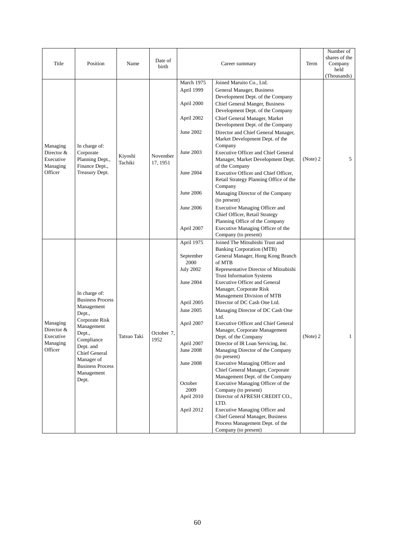| Title                                                      | Position                                                                                                                                                                                                                      | Name               | Date of<br>birth     |                                                                                                                                                                                                                | Career summary                                                                                                                                                                                                                                                                                                                                                                                                                                                                                                                                                                                                                                                                                                                                                                                                                                                                                                                                         | Term     | Number of<br>shares of the<br>Company<br>held<br>(Thousands) |
|------------------------------------------------------------|-------------------------------------------------------------------------------------------------------------------------------------------------------------------------------------------------------------------------------|--------------------|----------------------|----------------------------------------------------------------------------------------------------------------------------------------------------------------------------------------------------------------|--------------------------------------------------------------------------------------------------------------------------------------------------------------------------------------------------------------------------------------------------------------------------------------------------------------------------------------------------------------------------------------------------------------------------------------------------------------------------------------------------------------------------------------------------------------------------------------------------------------------------------------------------------------------------------------------------------------------------------------------------------------------------------------------------------------------------------------------------------------------------------------------------------------------------------------------------------|----------|--------------------------------------------------------------|
| Managing<br>Director &<br>Executive<br>Managing<br>Officer | In charge of:<br>Corporate<br>Planning Dept.,<br>Finance Dept.,<br>Treasury Dept.                                                                                                                                             | Kiyoshi<br>Tachiki | November<br>17, 1951 | March 1975<br>April 1999<br>April 2000<br>April 2002<br>June 2002<br>June 2003<br>June 2004<br>June 2006<br>June 2006<br>April 2007                                                                            | Joined Maruito Co., Ltd.<br>General Manager, Business<br>Development Dept. of the Company<br>Chief General Manger, Business<br>Development Dept. of the Company<br>Chief General Manager, Market<br>Development Dept. of the Company<br>Director and Chief General Manager,<br>Market Development Dept. of the<br>Company<br><b>Executive Officer and Chief General</b><br>Manager, Market Development Dept.<br>of the Company<br>Executive Officer and Chief Officer,<br>Retail Strategy Planning Office of the<br>Company<br>Managing Director of the Company<br>(to present)<br>Executive Managing Officer and<br>Chief Officer, Retail Strategy<br>Planning Office of the Company<br>Executive Managing Officer of the                                                                                                                                                                                                                             | (Note) 2 | 5                                                            |
| Managing<br>Director &<br>Executive<br>Managing<br>Officer | In charge of:<br><b>Business Process</b><br>Management<br>Dept.,<br>Corporate Risk<br>Management<br>Dept.,<br>Compliance<br>Dept. and<br><b>Chief General</b><br>Manager of<br><b>Business Process</b><br>Management<br>Dept. | Tatsuo Taki        | October 7,<br>1952   | April 1975<br>September<br>2000<br><b>July 2002</b><br>June 2004<br>April 2005<br>June 2005<br>April 2007<br>April 2007<br><b>June 2008</b><br><b>June 2008</b><br>October<br>2009<br>April 2010<br>April 2012 | Company (to present)<br>Joined The Mitsubishi Trust and<br><b>Banking Corporation (MTB)</b><br>General Manager, Hong Kong Branch<br>of MTB<br>Representative Director of Mitsubishi<br><b>Trust Information Systems</b><br><b>Executive Officer and General</b><br>Manager, Corporate Risk<br>Management Division of MTB<br>Director of DC Cash One Ltd.<br>Managing Director of DC Cash One<br>Ltd.<br><b>Executive Officer and Chief General</b><br>Manager, Corporate Management<br>Dept. of the Company<br>Director of IR Loan Servicing, Inc.<br>Managing Director of the Company<br>(to present)<br>Executive Managing Officer and<br>Chief General Manager, Corporate<br>Management Dept. of the Company<br>Executive Managing Officer of the<br>Company (to present)<br>Director of AFRESH CREDIT CO.,<br>LTD.<br>Executive Managing Officer and<br>Chief General Manager, Business<br>Process Management Dept. of the<br>Company (to present) | (Note) 2 | 1                                                            |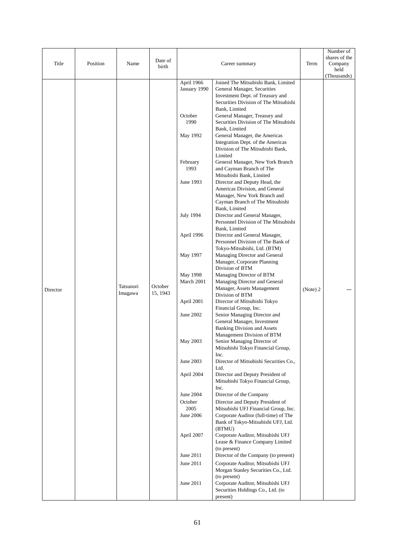| Title    | Position | Name                 | Date of             |                            | Career summary                                                                                                                   | Term     | Number of<br>shares of the<br>Company |
|----------|----------|----------------------|---------------------|----------------------------|----------------------------------------------------------------------------------------------------------------------------------|----------|---------------------------------------|
|          |          |                      | birth               |                            |                                                                                                                                  |          | held<br>(Thousands)                   |
|          |          |                      |                     | April 1966<br>January 1990 | Joined The Mitsubishi Bank, Limited<br>General Manager, Securities<br>Investment Dept. of Treasury and                           |          |                                       |
|          |          |                      |                     | October<br>1990            | Securities Division of The Mitsubishi<br>Bank, Limited<br>General Manager, Treasury and<br>Securities Division of The Mitsubishi |          |                                       |
|          |          |                      |                     | May 1992                   | Bank, Limited<br>General Manager, the Americas<br>Integration Dept. of the Americas<br>Division of The Mitsubishi Bank,          |          |                                       |
|          |          |                      |                     | February<br>1993           | Limited<br>General Manager, New York Branch<br>and Cayman Branch of The<br>Mitsubishi Bank, Limited                              |          |                                       |
|          |          |                      |                     | June 1993                  | Director and Deputy Head, the<br>Americas Division, and General<br>Manager, New York Branch and                                  |          |                                       |
|          |          |                      |                     | July 1994                  | Cayman Branch of The Mitsubishi<br>Bank, Limited<br>Director and General Manager,<br>Personnel Division of The Mitsubishi        |          |                                       |
|          |          |                      | October<br>15, 1943 | April 1996                 | Bank, Limited<br>Director and General Manager,<br>Personnel Division of The Bank of                                              |          |                                       |
|          |          | Tatsunori<br>Imagawa |                     | May 1997                   | Tokyo-Mitsubishi, Ltd. (BTM)<br>Managing Director and General<br>Manager, Corporate Planning<br>Division of BTM                  |          |                                       |
|          |          |                      |                     | May 1998                   | Managing Director of BTM                                                                                                         |          |                                       |
| Director |          |                      |                     | March 2001                 | Managing Director and General<br>Manager, Assets Management<br>Division of BTM                                                   | (Note) 2 |                                       |
|          |          |                      |                     | April 2001                 | Director of Mitsubishi Tokyo<br>Financial Group, Inc.                                                                            |          |                                       |
|          |          |                      |                     | June 2002                  | Senior Managing Director and<br>General Manager, Investment<br><b>Banking Division and Assets</b>                                |          |                                       |
|          |          |                      |                     | May 2003                   | Management Division of BTM<br>Senior Managing Director of<br>Mitsubishi Tokyo Financial Group,<br>Inc.                           |          |                                       |
|          |          |                      |                     | June 2003                  | Director of Mitsubishi Securities Co.,<br>Ltd.                                                                                   |          |                                       |
|          |          |                      |                     | April 2004                 | Director and Deputy President of<br>Mitsubishi Tokyo Financial Group,<br>Inc.                                                    |          |                                       |
|          |          |                      |                     | June 2004                  | Director of the Company                                                                                                          |          |                                       |
|          |          |                      |                     | October<br>2005            | Director and Deputy President of<br>Mitsubishi UFJ Financial Group, Inc.                                                         |          |                                       |
|          |          |                      |                     | June 2006                  | Corporate Auditor (full-time) of The<br>Bank of Tokyo-Mitsubishi UFJ, Ltd.                                                       |          |                                       |
|          |          |                      |                     | April 2007                 | (BTMU)<br>Corporate Auditor, Mitsubishi UFJ<br>Lease & Finance Company Limited                                                   |          |                                       |
|          |          |                      |                     | June 2011                  | (to present)<br>Director of the Company (to present)                                                                             |          |                                       |
|          |          |                      |                     | June 2011                  | Corporate Auditor, Mitsubishi UFJ<br>Morgan Stanley Securities Co., Ltd.                                                         |          |                                       |
|          |          |                      |                     | June 2011                  | (to present)<br>Corporate Auditor, Mitsubishi UFJ<br>Securities Holdings Co., Ltd. (to<br>present)                               |          |                                       |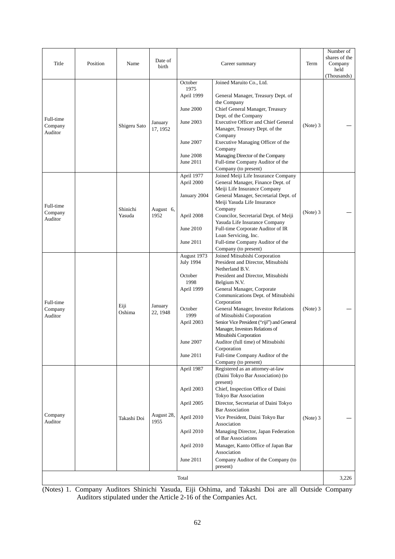| Title                           | Position | Name               | Date of<br>birth    |                                                | Career summary                                                                                | Term       | Number of<br>shares of the<br>Company<br>held |
|---------------------------------|----------|--------------------|---------------------|------------------------------------------------|-----------------------------------------------------------------------------------------------|------------|-----------------------------------------------|
|                                 |          |                    |                     | October                                        | Joined Maruito Co., Ltd.                                                                      |            | (Thousands)                                   |
|                                 |          |                    |                     | 1975<br>April 1999                             | General Manager, Treasury Dept. of                                                            |            |                                               |
|                                 |          |                    |                     | June 2000                                      | the Company<br>Chief General Manager, Treasury                                                |            |                                               |
| Full-time<br>Company<br>Auditor |          | Shigeru Sato       | January<br>17, 1952 | June 2003                                      | Dept. of the Company<br>Executive Officer and Chief General<br>Manager, Treasury Dept. of the | (Note) 3   |                                               |
|                                 |          |                    |                     | June 2007                                      | Company<br>Executive Managing Officer of the<br>Company                                       |            |                                               |
|                                 |          |                    |                     | June 2008<br>June 2011                         | Managing Director of the Company<br>Full-time Company Auditor of the                          |            |                                               |
|                                 |          |                    |                     |                                                | Company (to present)                                                                          |            |                                               |
|                                 |          |                    |                     | April 1977<br>April 2000                       | Joined Meiji Life Insurance Company<br>General Manager, Finance Dept. of                      |            |                                               |
|                                 |          |                    |                     |                                                | Meiji Life Insurance Company                                                                  |            |                                               |
| Full-time                       |          |                    |                     | January 2004                                   | General Manager, Secretarial Dept. of<br>Meiji Yasuda Life Insurance                          |            |                                               |
| Company<br>Auditor              |          | Shinichi<br>Yasuda | August 6,<br>1952   | April 2008                                     | Company<br>Councilor, Secretarial Dept. of Meiji<br>Yasuda Life Insurance Company             | $(Note)$ 3 |                                               |
|                                 |          |                    |                     | June 2010                                      | Full-time Corporate Auditor of IR                                                             |            |                                               |
|                                 |          |                    |                     |                                                | Loan Servicing, Inc.                                                                          |            |                                               |
|                                 |          |                    |                     | June 2011                                      | Full-time Company Auditor of the<br>Company (to present)                                      |            |                                               |
|                                 |          |                    |                     | August 1973                                    | Joined Mitsubishi Corporation                                                                 |            |                                               |
|                                 |          |                    |                     | <b>July 1994</b>                               | President and Director, Mitsubishi<br>Netherland B.V.                                         |            |                                               |
|                                 |          |                    |                     | October                                        | President and Director, Mitsubishi                                                            |            |                                               |
|                                 |          |                    |                     | 1998                                           | Belgium N.V.                                                                                  |            |                                               |
|                                 |          |                    |                     | April 1999                                     | General Manager, Corporate<br>Communications Dept. of Mitsubishi                              |            |                                               |
| Full-time<br>Company            |          | Eiji               | January             | October                                        | Corporation<br>General Manager, Investor Relations                                            | $(Note)$ 3 |                                               |
| Auditor                         |          | Oshima             | 22, 1948            | 1999                                           | of Mitsubishi Corporation                                                                     |            |                                               |
|                                 |          |                    |                     | April 2003                                     | Senior Vice President ("riji") and General                                                    |            |                                               |
|                                 |          |                    |                     |                                                | Manager, Investors Relations of                                                               |            |                                               |
|                                 |          |                    |                     | June 2007                                      | Mitsubishi Corporation<br>Auditor (full time) of Mitsubishi                                   |            |                                               |
|                                 |          |                    |                     |                                                | Corporation                                                                                   |            |                                               |
|                                 |          |                    |                     | June 2011                                      | Full-time Company Auditor of the                                                              |            |                                               |
|                                 |          |                    |                     | April 1987                                     | Company (to present)<br>Registered as an attorney-at-law                                      |            |                                               |
|                                 |          |                    |                     |                                                | (Daini Tokyo Bar Association) (to                                                             |            |                                               |
|                                 |          |                    |                     | April 2003                                     | present)<br>Chief, Inspection Office of Daini<br>Tokyo Bar Association                        |            |                                               |
| Company<br>Auditor              |          |                    |                     | April 2005                                     | Director, Secretariat of Daini Tokyo<br><b>Bar Association</b>                                |            |                                               |
|                                 |          | Takashi Doi        | August 28,<br>1955  | April 2010                                     | Vice President, Daini Tokyo Bar<br>Association                                                | $(Note)$ 3 |                                               |
|                                 |          |                    |                     | April 2010                                     | Managing Director, Japan Federation<br>of Bar Associations                                    |            |                                               |
|                                 |          |                    |                     | April 2010                                     | Manager, Kanto Office of Japan Bar<br>Association                                             |            |                                               |
|                                 |          |                    | June 2011           | Company Auditor of the Company (to<br>present) |                                                                                               |            |                                               |
|                                 |          |                    |                     | Total                                          |                                                                                               |            | 3,226                                         |
|                                 |          |                    |                     |                                                |                                                                                               |            |                                               |

(Notes) 1. Company Auditors Shinichi Yasuda, Eiji Oshima, and Takashi Doi are all Outside Company Auditors stipulated under the Article 2-16 of the Companies Act.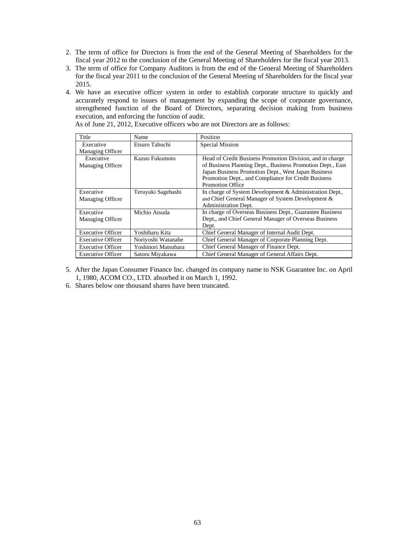- 2. The term of office for Directors is from the end of the General Meeting of Shareholders for the fiscal year 2012 to the conclusion of the General Meeting of Shareholders for the fiscal year 2013.
- 3. The term of office for Company Auditors is from the end of the General Meeting of Shareholders for the fiscal year 2011 to the conclusion of the General Meeting of Shareholders for the fiscal year 2015.
- 4. We have an executive officer system in order to establish corporate structure to quickly and accurately respond to issues of management by expanding the scope of corporate governance, strengthened function of the Board of Directors, separating decision making from business execution, and enforcing the function of audit.

| Title                                | Name                | Position                                                                                                                                                                                                                                                         |
|--------------------------------------|---------------------|------------------------------------------------------------------------------------------------------------------------------------------------------------------------------------------------------------------------------------------------------------------|
| Executive                            | Etsuro Tabuchi      | Special Mission                                                                                                                                                                                                                                                  |
| <b>Managing Officer</b>              |                     |                                                                                                                                                                                                                                                                  |
| Executive<br><b>Managing Officer</b> | Kazuo Fukumoto      | Head of Credit Business Promotion Division, and in charge<br>of Business Planning Dept., Business Promotion Dept., East<br>Japan Business Promotion Dept., West Japan Business<br>Promotion Dept., and Compliance for Credit Business<br><b>Promotion Office</b> |
| Executive<br><b>Managing Officer</b> | Teruyuki Sagehashi  | In charge of System Development & Administration Dept.,<br>and Chief General Manager of System Development &<br><b>Administration Dept.</b>                                                                                                                      |
| Executive<br>Managing Officer        | Michio Atsuda       | In charge of Overseas Business Dept., Guarantee Business<br>Dept,, and Chief General Manager of Overseas Business<br>Dept.                                                                                                                                       |
| <b>Executive Officer</b>             | Yoshiharu Kita      | Chief General Manager of Internal Audit Dept.                                                                                                                                                                                                                    |
| <b>Executive Officer</b>             | Noriyoshi Watanabe  | Chief General Manager of Corporate Planning Dept.                                                                                                                                                                                                                |
| <b>Executive Officer</b>             | Yoshinori Matsubara | Chief General Manager of Finance Dept.                                                                                                                                                                                                                           |
| <b>Executive Officer</b>             | Satoru Miyakawa     | Chief General Manager of General Affairs Dept.                                                                                                                                                                                                                   |

As of June 21, 2012, Executive officers who are not Directors are as follows:

- 5. After the Japan Consumer Finance Inc. changed its company name to NSK Guarantee Inc. on April 1, 1980, ACOM CO., LTD. absorbed it on March 1, 1992.
- 6. Shares below one thousand shares have been truncated.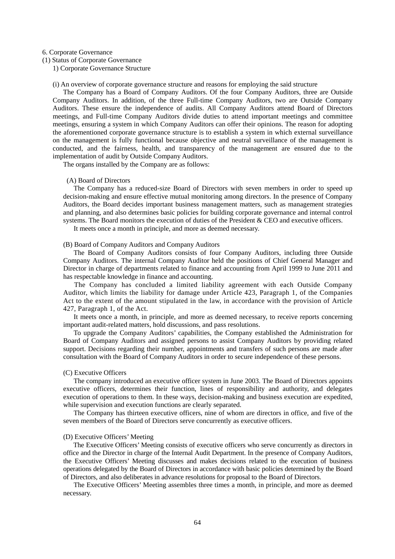#### 6. Corporate Governance

(1) Status of Corporate Governance

1) Corporate Governance Structure

(i) An overview of corporate governance structure and reasons for employing the said structure

The Company has a Board of Company Auditors. Of the four Company Auditors, three are Outside Company Auditors. In addition, of the three Full-time Company Auditors, two are Outside Company Auditors. These ensure the independence of audits. All Company Auditors attend Board of Directors meetings, and Full-time Company Auditors divide duties to attend important meetings and committee meetings, ensuring a system in which Company Auditors can offer their opinions. The reason for adopting the aforementioned corporate governance structure is to establish a system in which external surveillance on the management is fully functional because objective and neutral surveillance of the management is conducted, and the fairness, health, and transparency of the management are ensured due to the implementation of audit by Outside Company Auditors.

The organs installed by the Company are as follows:

#### (A) Board of Directors

The Company has a reduced-size Board of Directors with seven members in order to speed up decision-making and ensure effective mutual monitoring among directors. In the presence of Company Auditors, the Board decides important business management matters, such as management strategies and planning, and also determines basic policies for building corporate governance and internal control systems. The Board monitors the execution of duties of the President  $&$  CEO and executive officers.

It meets once a month in principle, and more as deemed necessary.

#### (B) Board of Company Auditors and Company Auditors

The Board of Company Auditors consists of four Company Auditors, including three Outside Company Auditors. The internal Company Auditor held the positions of Chief General Manager and Director in charge of departments related to finance and accounting from April 1999 to June 2011 and has respectable knowledge in finance and accounting.

The Company has concluded a limited liability agreement with each Outside Company Auditor, which limits the liability for damage under Article 423, Paragraph 1, of the Companies Act to the extent of the amount stipulated in the law, in accordance with the provision of Article 427, Paragraph 1, of the Act.

It meets once a month, in principle, and more as deemed necessary, to receive reports concerning important audit-related matters, hold discussions, and pass resolutions.

To upgrade the Company Auditors' capabilities, the Company established the Administration for Board of Company Auditors and assigned persons to assist Company Auditors by providing related support. Decisions regarding their number, appointments and transfers of such persons are made after consultation with the Board of Company Auditors in order to secure independence of these persons.

# (C) Executive Officers

The company introduced an executive officer system in June 2003. The Board of Directors appoints executive officers, determines their function, lines of responsibility and authority, and delegates execution of operations to them. In these ways, decision-making and business execution are expedited, while supervision and execution functions are clearly separated.

The Company has thirteen executive officers, nine of whom are directors in office, and five of the seven members of the Board of Directors serve concurrently as executive officers.

#### (D) Executive Officers' Meeting

The Executive Officers' Meeting consists of executive officers who serve concurrently as directors in office and the Director in charge of the Internal Audit Department. In the presence of Company Auditors, the Executive Officers' Meeting discusses and makes decisions related to the execution of business operations delegated by the Board of Directors in accordance with basic policies determined by the Board of Directors, and also deliberates in advance resolutions for proposal to the Board of Directors.

The Executive Officers' Meeting assembles three times a month, in principle, and more as deemed necessary.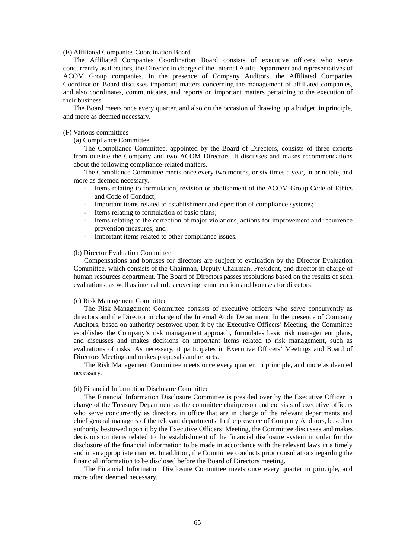#### (E) Affiliated Companies Coordination Board

The Affiliated Companies Coordination Board consists of executive officers who serve concurrently as directors, the Director in charge of the Internal Audit Department and representatives of ACOM Group companies. In the presence of Company Auditors, the Affiliated Companies Coordination Board discusses important matters concerning the management of affiliated companies, and also coordinates, communicates, and reports on important matters pertaining to the execution of their business.

The Board meets once every quarter, and also on the occasion of drawing up a budget, in principle, and more as deemed necessary.

#### (F) Various committees

## (a) Compliance Committee

The Compliance Committee, appointed by the Board of Directors, consists of three experts from outside the Company and two ACOM Directors. It discusses and makes recommendations about the following compliance-related matters.

The Compliance Committee meets once every two months, or six times a year, in principle, and more as deemed necessary.

- Items relating to formulation, revision or abolishment of the ACOM Group Code of Ethics and Code of Conduct;
- Important items related to establishment and operation of compliance systems;
- Items relating to formulation of basic plans;
- Items relating to the correction of major violations, actions for improvement and recurrence prevention measures; and
- Important items related to other compliance issues.

#### (b) Director Evaluation Committee

Compensations and bonuses for directors are subject to evaluation by the Director Evaluation Committee, which consists of the Chairman, Deputy Chairman, President, and director in charge of human resources department. The Board of Directors passes resolutions based on the results of such evaluations, as well as internal rules covering remuneration and bonuses for directors.

### (c) Risk Management Committee

The Risk Management Committee consists of executive officers who serve concurrently as directors and the Director in charge of the Internal Audit Department. In the presence of Company Auditors, based on authority bestowed upon it by the Executive Officers' Meeting, the Committee establishes the Company's risk management approach, formulates basic risk management plans, and discusses and makes decisions on important items related to risk management, such as evaluations of risks. As necessary, it participates in Executive Officers' Meetings and Board of Directors Meeting and makes proposals and reports.

The Risk Management Committee meets once every quarter, in principle, and more as deemed necessary.

#### (d) Financial Information Disclosure Committee

The Financial Information Disclosure Committee is presided over by the Executive Officer in charge of the Treasury Department as the committee chairperson and consists of executive officers who serve concurrently as directors in office that are in charge of the relevant departments and chief general managers of the relevant departments. In the presence of Company Auditors, based on authority bestowed upon it by the Executive Officers' Meeting, the Committee discusses and makes decisions on items related to the establishment of the financial disclosure system in order for the disclosure of the financial information to be made in accordance with the relevant laws in a timely and in an appropriate manner. In addition, the Committee conducts prior consultations regarding the financial information to be disclosed before the Board of Directors meeting.

The Financial Information Disclosure Committee meets once every quarter in principle, and more often deemed necessary.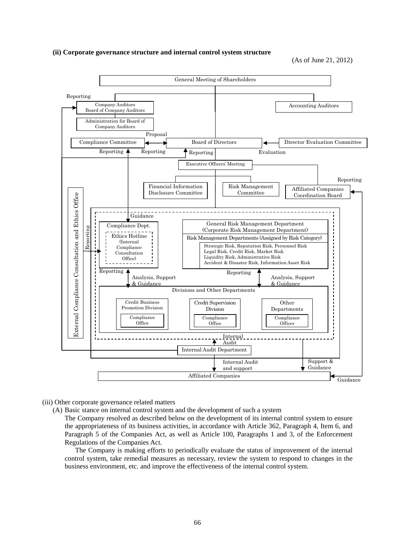#### **(ii) Corporate governance structure and internal control system structure**

(As of June 21, 2012)



- (iii) Other corporate governance related matters
	- (A) Basic stance on internal control system and the development of such a system

The Company resolved as described below on the development of its internal control system to ensure the appropriateness of its business activities, in accordance with Article 362, Paragraph 4, Item 6, and Paragraph 5 of the Companies Act, as well as Article 100, Paragraphs 1 and 3, of the Enforcement Regulations of the Companies Act.

The Company is making efforts to periodically evaluate the status of improvement of the internal control system, take remedial measures as necessary, review the system to respond to changes in the business environment, etc. and improve the effectiveness of the internal control system.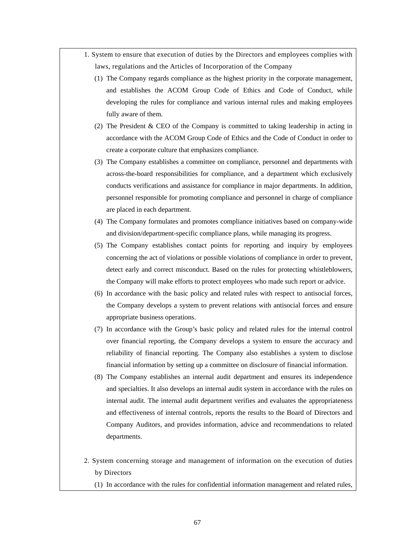- 1. System to ensure that execution of duties by the Directors and employees complies with laws, regulations and the Articles of Incorporation of the Company
	- (1) The Company regards compliance as the highest priority in the corporate management, and establishes the ACOM Group Code of Ethics and Code of Conduct, while developing the rules for compliance and various internal rules and making employees fully aware of them.
	- (2) The President & CEO of the Company is committed to taking leadership in acting in accordance with the ACOM Group Code of Ethics and the Code of Conduct in order to create a corporate culture that emphasizes compliance.
	- (3) The Company establishes a committee on compliance, personnel and departments with across-the-board responsibilities for compliance, and a department which exclusively conducts verifications and assistance for compliance in major departments. In addition, personnel responsible for promoting compliance and personnel in charge of compliance are placed in each department.
	- (4) The Company formulates and promotes compliance initiatives based on company-wide and division/department-specific compliance plans, while managing its progress.
	- (5) The Company establishes contact points for reporting and inquiry by employees concerning the act of violations or possible violations of compliance in order to prevent, detect early and correct misconduct. Based on the rules for protecting whistleblowers, the Company will make efforts to protect employees who made such report or advice.
	- (6) In accordance with the basic policy and related rules with respect to antisocial forces, the Company develops a system to prevent relations with antisocial forces and ensure appropriate business operations.
	- (7) In accordance with the Group's basic policy and related rules for the internal control over financial reporting, the Company develops a system to ensure the accuracy and reliability of financial reporting. The Company also establishes a system to disclose financial information by setting up a committee on disclosure of financial information.
	- (8) The Company establishes an internal audit department and ensures its independence and specialties. It also develops an internal audit system in accordance with the rules on internal audit. The internal audit department verifies and evaluates the appropriateness and effectiveness of internal controls, reports the results to the Board of Directors and Company Auditors, and provides information, advice and recommendations to related departments.
- 2. System concerning storage and management of information on the execution of duties by Directors
	- (1) In accordance with the rules for confidential information management and related rules,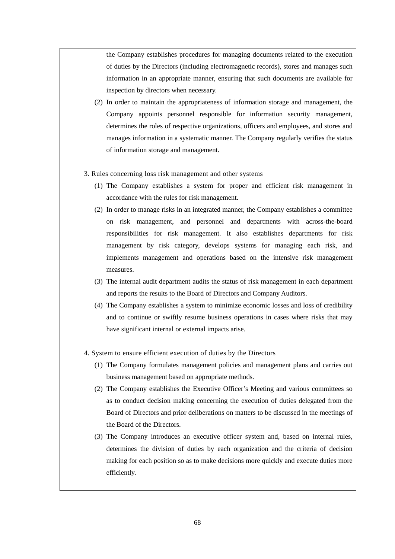the Company establishes procedures for managing documents related to the execution of duties by the Directors (including electromagnetic records), stores and manages such information in an appropriate manner, ensuring that such documents are available for inspection by directors when necessary.

- (2) In order to maintain the appropriateness of information storage and management, the Company appoints personnel responsible for information security management, determines the roles of respective organizations, officers and employees, and stores and manages information in a systematic manner. The Company regularly verifies the status of information storage and management.
- 3. Rules concerning loss risk management and other systems
	- (1) The Company establishes a system for proper and efficient risk management in accordance with the rules for risk management.
	- (2) In order to manage risks in an integrated manner, the Company establishes a committee on risk management, and personnel and departments with across-the-board responsibilities for risk management. It also establishes departments for risk management by risk category, develops systems for managing each risk, and implements management and operations based on the intensive risk management measures.
	- (3) The internal audit department audits the status of risk management in each department and reports the results to the Board of Directors and Company Auditors.
	- (4) The Company establishes a system to minimize economic losses and loss of credibility and to continue or swiftly resume business operations in cases where risks that may have significant internal or external impacts arise.
- 4. System to ensure efficient execution of duties by the Directors
	- (1) The Company formulates management policies and management plans and carries out business management based on appropriate methods.
	- (2) The Company establishes the Executive Officer's Meeting and various committees so as to conduct decision making concerning the execution of duties delegated from the Board of Directors and prior deliberations on matters to be discussed in the meetings of the Board of the Directors.
	- (3) The Company introduces an executive officer system and, based on internal rules, determines the division of duties by each organization and the criteria of decision making for each position so as to make decisions more quickly and execute duties more efficiently.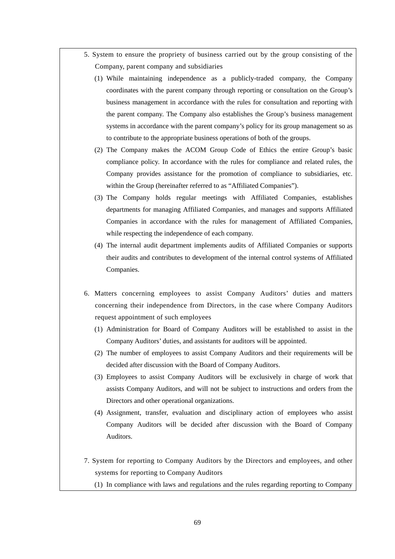- 5. System to ensure the propriety of business carried out by the group consisting of the Company, parent company and subsidiaries
	- (1) While maintaining independence as a publicly-traded company, the Company coordinates with the parent company through reporting or consultation on the Group's business management in accordance with the rules for consultation and reporting with the parent company. The Company also establishes the Group's business management systems in accordance with the parent company's policy for its group management so as to contribute to the appropriate business operations of both of the groups.
	- (2) The Company makes the ACOM Group Code of Ethics the entire Group's basic compliance policy. In accordance with the rules for compliance and related rules, the Company provides assistance for the promotion of compliance to subsidiaries, etc. within the Group (hereinafter referred to as "Affiliated Companies").
	- (3) The Company holds regular meetings with Affiliated Companies, establishes departments for managing Affiliated Companies, and manages and supports Affiliated Companies in accordance with the rules for management of Affiliated Companies, while respecting the independence of each company.
	- (4) The internal audit department implements audits of Affiliated Companies or supports their audits and contributes to development of the internal control systems of Affiliated Companies.
- 6. Matters concerning employees to assist Company Auditors' duties and matters concerning their independence from Directors, in the case where Company Auditors request appointment of such employees
	- (1) Administration for Board of Company Auditors will be established to assist in the Company Auditors' duties, and assistants for auditors will be appointed.
	- (2) The number of employees to assist Company Auditors and their requirements will be decided after discussion with the Board of Company Auditors.
	- (3) Employees to assist Company Auditors will be exclusively in charge of work that assists Company Auditors, and will not be subject to instructions and orders from the Directors and other operational organizations.
	- (4) Assignment, transfer, evaluation and disciplinary action of employees who assist Company Auditors will be decided after discussion with the Board of Company Auditors.
- 7. System for reporting to Company Auditors by the Directors and employees, and other systems for reporting to Company Auditors
	- (1) In compliance with laws and regulations and the rules regarding reporting to Company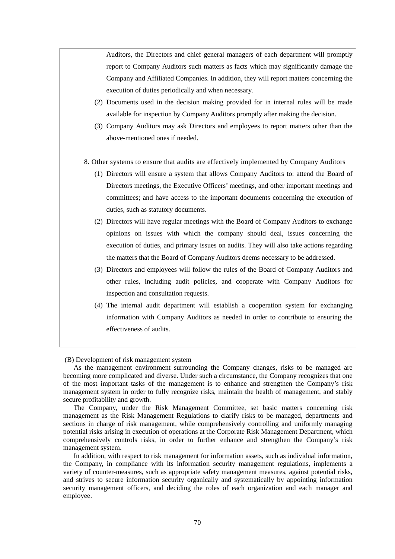Auditors, the Directors and chief general managers of each department will promptly report to Company Auditors such matters as facts which may significantly damage the Company and Affiliated Companies. In addition, they will report matters concerning the execution of duties periodically and when necessary.

- (2) Documents used in the decision making provided for in internal rules will be made available for inspection by Company Auditors promptly after making the decision.
- (3) Company Auditors may ask Directors and employees to report matters other than the above-mentioned ones if needed.
- 8. Other systems to ensure that audits are effectively implemented by Company Auditors
	- (1) Directors will ensure a system that allows Company Auditors to: attend the Board of Directors meetings, the Executive Officers' meetings, and other important meetings and committees; and have access to the important documents concerning the execution of duties, such as statutory documents.
	- (2) Directors will have regular meetings with the Board of Company Auditors to exchange opinions on issues with which the company should deal, issues concerning the execution of duties, and primary issues on audits. They will also take actions regarding the matters that the Board of Company Auditors deems necessary to be addressed.
	- (3) Directors and employees will follow the rules of the Board of Company Auditors and other rules, including audit policies, and cooperate with Company Auditors for inspection and consultation requests.
	- (4) The internal audit department will establish a cooperation system for exchanging information with Company Auditors as needed in order to contribute to ensuring the effectiveness of audits.

(B) Development of risk management system

As the management environment surrounding the Company changes, risks to be managed are becoming more complicated and diverse. Under such a circumstance, the Company recognizes that one of the most important tasks of the management is to enhance and strengthen the Company's risk management system in order to fully recognize risks, maintain the health of management, and stably secure profitability and growth.

The Company, under the Risk Management Committee, set basic matters concerning risk management as the Risk Management Regulations to clarify risks to be managed, departments and sections in charge of risk management, while comprehensively controlling and uniformly managing potential risks arising in execution of operations at the Corporate Risk Management Department, which comprehensively controls risks, in order to further enhance and strengthen the Company's risk management system.

In addition, with respect to risk management for information assets, such as individual information, the Company, in compliance with its information security management regulations, implements a variety of counter-measures, such as appropriate safety management measures, against potential risks, and strives to secure information security organically and systematically by appointing information security management officers, and deciding the roles of each organization and each manager and employee.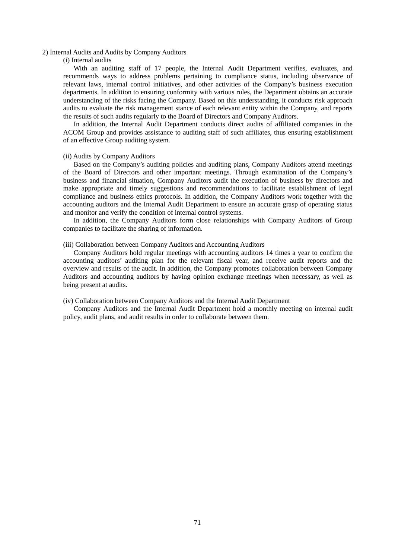#### 2) Internal Audits and Audits by Company Auditors

#### (i) Internal audits

With an auditing staff of 17 people, the Internal Audit Department verifies, evaluates, and recommends ways to address problems pertaining to compliance status, including observance of relevant laws, internal control initiatives, and other activities of the Company's business execution departments. In addition to ensuring conformity with various rules, the Department obtains an accurate understanding of the risks facing the Company. Based on this understanding, it conducts risk approach audits to evaluate the risk management stance of each relevant entity within the Company, and reports the results of such audits regularly to the Board of Directors and Company Auditors.

In addition, the Internal Audit Department conducts direct audits of affiliated companies in the ACOM Group and provides assistance to auditing staff of such affiliates, thus ensuring establishment of an effective Group auditing system.

#### (ii) Audits by Company Auditors

Based on the Company's auditing policies and auditing plans, Company Auditors attend meetings of the Board of Directors and other important meetings. Through examination of the Company's business and financial situation, Company Auditors audit the execution of business by directors and make appropriate and timely suggestions and recommendations to facilitate establishment of legal compliance and business ethics protocols. In addition, the Company Auditors work together with the accounting auditors and the Internal Audit Department to ensure an accurate grasp of operating status and monitor and verify the condition of internal control systems.

In addition, the Company Auditors form close relationships with Company Auditors of Group companies to facilitate the sharing of information.

#### (iii) Collaboration between Company Auditors and Accounting Auditors

Company Auditors hold regular meetings with accounting auditors 14 times a year to confirm the accounting auditors' auditing plan for the relevant fiscal year, and receive audit reports and the overview and results of the audit. In addition, the Company promotes collaboration between Company Auditors and accounting auditors by having opinion exchange meetings when necessary, as well as being present at audits.

#### (iv) Collaboration between Company Auditors and the Internal Audit Department

Company Auditors and the Internal Audit Department hold a monthly meeting on internal audit policy, audit plans, and audit results in order to collaborate between them.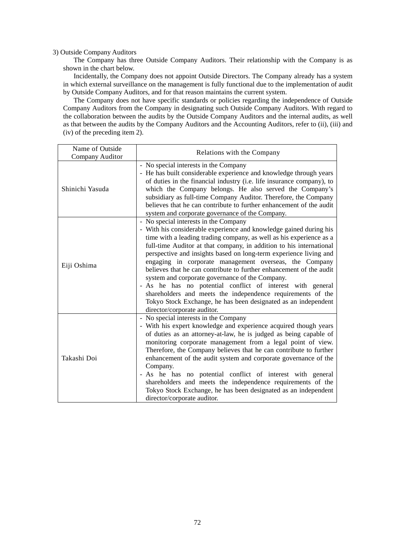3) Outside Company Auditors

The Company has three Outside Company Auditors. Their relationship with the Company is as shown in the chart below.

Incidentally, the Company does not appoint Outside Directors. The Company already has a system in which external surveillance on the management is fully functional due to the implementation of audit by Outside Company Auditors, and for that reason maintains the current system.

The Company does not have specific standards or policies regarding the independence of Outside Company Auditors from the Company in designating such Outside Company Auditors. With regard to the collaboration between the audits by the Outside Company Auditors and the internal audits, as well as that between the audits by the Company Auditors and the Accounting Auditors, refer to (ii), (iii) and (iv) of the preceding item 2).

| Name of Outside<br>Company Auditor | Relations with the Company                                                                                                                                                                                                                                                                                                                                                                                                                                                                                                                                                                                                                                                                                                                       |
|------------------------------------|--------------------------------------------------------------------------------------------------------------------------------------------------------------------------------------------------------------------------------------------------------------------------------------------------------------------------------------------------------------------------------------------------------------------------------------------------------------------------------------------------------------------------------------------------------------------------------------------------------------------------------------------------------------------------------------------------------------------------------------------------|
| Shinichi Yasuda                    | - No special interests in the Company<br>- He has built considerable experience and knowledge through years<br>of duties in the financial industry (i.e. life insurance company), to<br>which the Company belongs. He also served the Company's<br>subsidiary as full-time Company Auditor. Therefore, the Company<br>believes that he can contribute to further enhancement of the audit<br>system and corporate governance of the Company.                                                                                                                                                                                                                                                                                                     |
| Eiji Oshima                        | - No special interests in the Company<br>- With his considerable experience and knowledge gained during his<br>time with a leading trading company, as well as his experience as a<br>full-time Auditor at that company, in addition to his international<br>perspective and insights based on long-term experience living and<br>engaging in corporate management overseas, the Company<br>believes that he can contribute to further enhancement of the audit<br>system and corporate governance of the Company.<br>- As he has no potential conflict of interest with general<br>shareholders and meets the independence requirements of the<br>Tokyo Stock Exchange, he has been designated as an independent<br>director/corporate auditor. |
| Takashi Doi                        | - No special interests in the Company<br>- With his expert knowledge and experience acquired though years<br>of duties as an attorney-at-law, he is judged as being capable of<br>monitoring corporate management from a legal point of view.<br>Therefore, the Company believes that he can contribute to further<br>enhancement of the audit system and corporate governance of the<br>Company.<br>- As he has no potential conflict of interest with general<br>shareholders and meets the independence requirements of the<br>Tokyo Stock Exchange, he has been designated as an independent<br>director/corporate auditor.                                                                                                                  |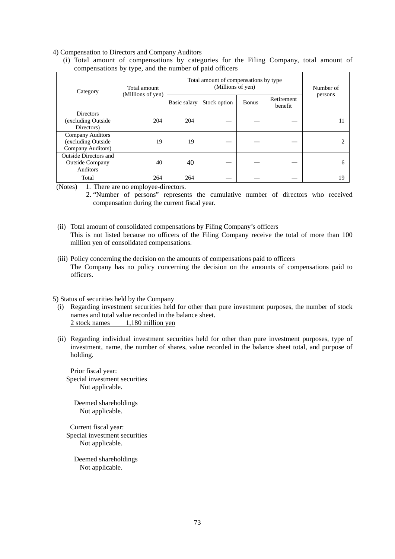#### 4) Compensation to Directors and Company Auditors

(i) Total amount of compensations by categories for the Filing Company, total amount of compensations by type, and the number of paid officers

| Category                     | Total amount      |              | Total amount of compensations by type<br>(Millions of yen) |              |                       |         |
|------------------------------|-------------------|--------------|------------------------------------------------------------|--------------|-----------------------|---------|
|                              | (Millions of yen) | Basic salary | Stock option                                               | <b>Bonus</b> | Retirement<br>benefit | persons |
| <b>Directors</b>             |                   |              |                                                            |              |                       |         |
| (excluding Outside           | 204               | 204          |                                                            |              |                       | 11      |
| Directors)                   |                   |              |                                                            |              |                       |         |
| <b>Company Auditors</b>      |                   |              |                                                            |              |                       |         |
| (excluding Outside)          | 19                | 19           |                                                            |              |                       |         |
| Company Auditors)            |                   |              |                                                            |              |                       |         |
| <b>Outside Directors and</b> |                   |              |                                                            |              |                       |         |
| <b>Outside Company</b>       | 40                | 40           |                                                            |              |                       | 6       |
| Auditors                     |                   |              |                                                            |              |                       |         |
| Total                        | 264               | 264          |                                                            |              |                       | 19      |

(Notes) 1. There are no employee-directors.

2. "Number of persons" represents the cumulative number of directors who received compensation during the current fiscal year.

- (ii) Total amount of consolidated compensations by Filing Company's officers This is not listed because no officers of the Filing Company receive the total of more than 100 million yen of consolidated compensations.
- (iii) Policy concerning the decision on the amounts of compensations paid to officers The Company has no policy concerning the decision on the amounts of compensations paid to officers.

5) Status of securities held by the Company

- (i) Regarding investment securities held for other than pure investment purposes, the number of stock names and total value recorded in the balance sheet. 2 stock names 1,180 million yen
- (ii) Regarding individual investment securities held for other than pure investment purposes, type of investment, name, the number of shares, value recorded in the balance sheet total, and purpose of holding.

Prior fiscal year: Special investment securities Not applicable.

Deemed shareholdings Not applicable.

 Current fiscal year: Special investment securities Not applicable.

Deemed shareholdings Not applicable.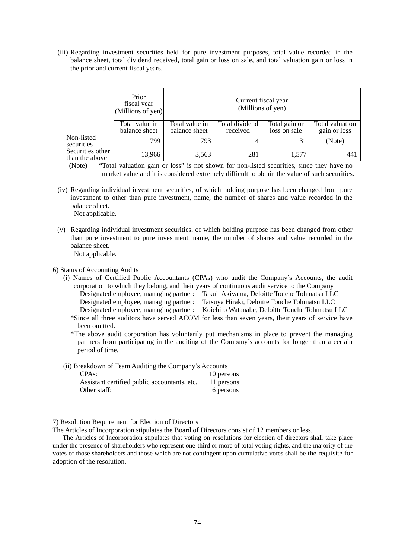(iii) Regarding investment securities held for pure investment purposes, total value recorded in the balance sheet, total dividend received, total gain or loss on sale, and total valuation gain or loss in the prior and current fiscal years.

|                                    | Prior<br>fiscal year<br>(Millions of yen) | Current fiscal year<br>(Millions of yen) |                            |                               |                                 |
|------------------------------------|-------------------------------------------|------------------------------------------|----------------------------|-------------------------------|---------------------------------|
|                                    | Total value in<br>balance sheet           | Total value in<br>balance sheet          | Total dividend<br>received | Total gain or<br>loss on sale | Total valuation<br>gain or loss |
| Non-listed<br>securities           | 799                                       | 793                                      |                            | 31                            | (Note)                          |
| Securities other<br>than the above | 13,966                                    | 3,563                                    | 281                        | 1,577                         | 441                             |

(Note) "Total valuation gain or loss" is not shown for non-listed securities, since they have no market value and it is considered extremely difficult to obtain the value of such securities.

(iv) Regarding individual investment securities, of which holding purpose has been changed from pure investment to other than pure investment, name, the number of shares and value recorded in the balance sheet.

Not applicable.

(v) Regarding individual investment securities, of which holding purpose has been changed from other than pure investment to pure investment, name, the number of shares and value recorded in the balance sheet. Not applicable.

## 6) Status of Accounting Audits

- (i) Names of Certified Public Accountants (CPAs) who audit the Company's Accounts, the audit corporation to which they belong, and their years of continuous audit service to the Company Designated employee, managing partner: Takuji Akiyama, Deloitte Touche Tohmatsu LLC Tatsuya Hiraki, Deloitte Touche Tohmatsu LLC Designated employee, managing partner: Koichiro Watanabe, Deloitte Touche Tohmatsu LLC
	- \*Since all three auditors have served ACOM for less than seven years, their years of service have been omitted.
	- \*The above audit corporation has voluntarily put mechanisms in place to prevent the managing partners from participating in the auditing of the Company's accounts for longer than a certain period of time.
- (ii) Breakdown of Team Auditing the Company's Accounts

| CPA <sub>s</sub> :                           | 10 persons |
|----------------------------------------------|------------|
| Assistant certified public accountants, etc. | 11 persons |
| Other staff:                                 | 6 persons  |

7) Resolution Requirement for Election of Directors

The Articles of Incorporation stipulates the Board of Directors consist of 12 members or less.

The Articles of Incorporation stipulates that voting on resolutions for election of directors shall take place under the presence of shareholders who represent one-third or more of total voting rights, and the majority of the votes of those shareholders and those which are not contingent upon cumulative votes shall be the requisite for adoption of the resolution.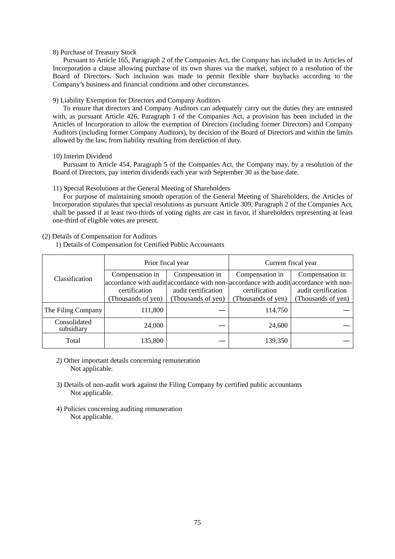#### 8) Purchase of Treasury Stock

Pursuant to Article 165, Paragraph 2 of the Companies Act, the Company has included in its Articles of Incorporation a clause allowing purchase of its own shares via the market, subject to a resolution of the Board of Directors. Such inclusion was made to permit flexible share buybacks according to the Company's business and financial conditions and other circumstances.

### 9) Liability Exemption for Directors and Company Auditors

To ensure that directors and Company Auditors can adequately carry out the duties they are entrusted with, as pursuant Article 426, Paragraph 1 of the Companies Act, a provision has been included in the Articles of Incorporation to allow the exemption of Directors (including former Directors) and Company Auditors (including former Company Auditors), by decision of the Board of Directors and within the limits allowed by the law, from liability resulting from dereliction of duty.

#### 10) Interim Dividend

Pursuant to Article 454, Paragraph 5 of the Companies Act, the Company may, by a resolution of the Board of Directors, pay interim dividends each year with September 30 as the base date.

#### 11) Special Resolutions at the General Meeting of Shareholders

For purpose of maintaining smooth operation of the General Meeting of Shareholders, the Articles of Incorporation stipulates that special resolutions as pursuant Article 309, Paragraph 2 of the Companies Act, shall be passed if at least two-thirds of voting rights are cast in favor, if shareholders representing at least one-third of eligible votes are present.

#### (2) Details of Compensation for Auditors

1) Details of Compensation for Certified Public Accountants

|                            |                                                       | Prior fiscal year                                            | Current fiscal year                                    |                                                                                                                                                      |  |
|----------------------------|-------------------------------------------------------|--------------------------------------------------------------|--------------------------------------------------------|------------------------------------------------------------------------------------------------------------------------------------------------------|--|
| Classification             | Compensation in<br>certification<br>Thousands of yen) | Compensation in<br>audit certification<br>(Thousands of yen) | Compensation in<br>certification<br>(Thousands of yen) | Compensation in<br>accordance with audit accordance with non-accordance with audit accordance with non-<br>audit certification<br>(Thousands of yen) |  |
| The Filing Company         | 111,800                                               |                                                              | 114,750                                                |                                                                                                                                                      |  |
| Consolidated<br>subsidiary | 24,000                                                |                                                              | 24,600                                                 |                                                                                                                                                      |  |
| Total                      | 135,800                                               |                                                              | 139,350                                                |                                                                                                                                                      |  |

### 2) Other important details concerning remuneration Not applicable.

- 3) Details of non-audit work against the Filing Company by certified public accountants Not applicable.
- 4) Policies concerning auditing remuneration Not applicable.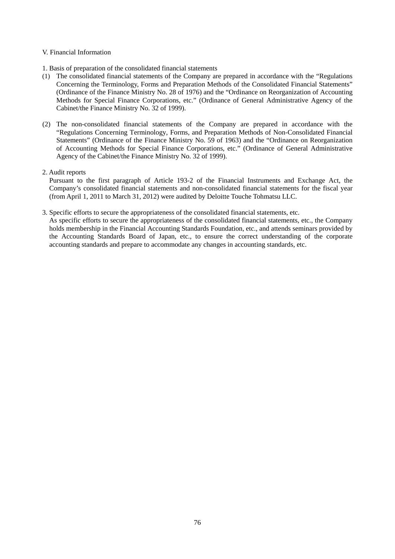## V. Financial Information

- 1. Basis of preparation of the consolidated financial statements
- (1) The consolidated financial statements of the Company are prepared in accordance with the "Regulations Concerning the Terminology, Forms and Preparation Methods of the Consolidated Financial Statements" (Ordinance of the Finance Ministry No. 28 of 1976) and the "Ordinance on Reorganization of Accounting Methods for Special Finance Corporations, etc." (Ordinance of General Administrative Agency of the Cabinet/the Finance Ministry No. 32 of 1999).
- (2) The non-consolidated financial statements of the Company are prepared in accordance with the "Regulations Concerning Terminology, Forms, and Preparation Methods of Non-Consolidated Financial Statements" (Ordinance of the Finance Ministry No. 59 of 1963) and the "Ordinance on Reorganization of Accounting Methods for Special Finance Corporations, etc." (Ordinance of General Administrative Agency of the Cabinet/the Finance Ministry No. 32 of 1999).
- 2. Audit reports

Pursuant to the first paragraph of Article 193-2 of the Financial Instruments and Exchange Act, the Company's consolidated financial statements and non-consolidated financial statements for the fiscal year (from April 1, 2011 to March 31, 2012) were audited by Deloitte Touche Tohmatsu LLC.

#### 3. Specific efforts to secure the appropriateness of the consolidated financial statements, etc.

As specific efforts to secure the appropriateness of the consolidated financial statements, etc., the Company holds membership in the Financial Accounting Standards Foundation, etc., and attends seminars provided by the Accounting Standards Board of Japan, etc., to ensure the correct understanding of the corporate accounting standards and prepare to accommodate any changes in accounting standards, etc.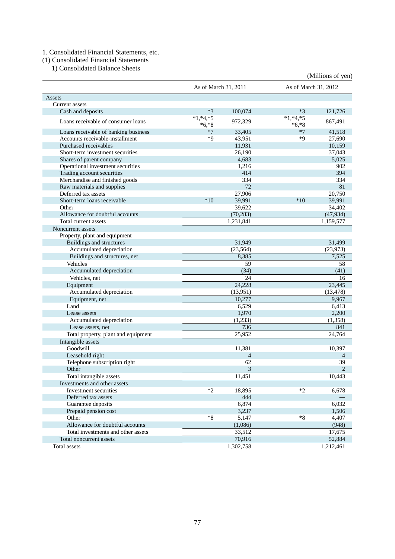# 1. Consolidated Financial Statements, etc.

(1) Consolidated Financial Statements

1) Consolidated Balance Sheets

|                                      |                       |                          |                       | (Millions of yen) |
|--------------------------------------|-----------------------|--------------------------|-----------------------|-------------------|
|                                      | As of March 31, 2011  |                          | As of March 31, 2012  |                   |
| Assets                               |                       |                          |                       |                   |
| Current assets                       |                       |                          |                       |                   |
| Cash and deposits                    | $*3$                  | 100.074                  | $*3$                  | 121,726           |
| Loans receivable of consumer loans   | $*1,*4,*5$<br>$*6,*8$ | 972,329                  | $*1,*4,*5$<br>$*6,*8$ | 867,491           |
| Loans receivable of banking business | $*7$                  | 33,405                   | $*7$                  | 41,518            |
| Accounts receivable-installment      | *9                    | 43,951                   | *9                    | 27,690            |
| Purchased receivables                |                       | 11,931                   |                       | 10,159            |
| Short-term investment securities     |                       | 26,190                   |                       | 37,043            |
| Shares of parent company             |                       | 4,683                    |                       | 5,025             |
| Operational investment securities    |                       | 1,216                    |                       | 902               |
| Trading account securities           |                       | 414                      |                       | 394               |
| Merchandise and finished goods       |                       | 334                      |                       | 334               |
| Raw materials and supplies           |                       | 72                       |                       | 81                |
| Deferred tax assets                  |                       | 27,906                   |                       | 20,750            |
| Short-term loans receivable          | $*10$                 | 39,991                   | $*10$                 | 39,991            |
| Other                                |                       | 39,622                   |                       | 34,402            |
| Allowance for doubtful accounts      |                       | (70, 283)                |                       | (47, 934)         |
| Total current assets                 |                       | 1,231,841                |                       | 1,159,577         |
| Noncurrent assets                    |                       |                          |                       |                   |
| Property, plant and equipment        |                       |                          |                       |                   |
| <b>Buildings and structures</b>      |                       | 31,949                   |                       | 31.499            |
| Accumulated depreciation             |                       | (23, 564)                |                       | (23, 973)         |
| Buildings and structures, net        |                       | 8,385                    |                       | 7,525             |
| Vehicles                             |                       | 59                       |                       | 58                |
| Accumulated depreciation             |                       | (34)                     |                       | (41)              |
| Vehicles, net                        |                       | 24                       |                       | 16                |
| Equipment                            |                       | 24,228                   |                       | 23,445            |
| Accumulated depreciation             |                       | (13,951)                 |                       | (13, 478)         |
| Equipment, net                       |                       | 10,277                   |                       | 9,967             |
| Land                                 |                       | 6,529                    |                       | 6,413             |
| Lease assets                         |                       | 1,970                    |                       | 2,200             |
| Accumulated depreciation             |                       | (1,233)                  |                       | (1,358)           |
| Lease assets, net                    |                       | 736                      |                       | 841               |
| Total property, plant and equipment  |                       | 25,952                   |                       | 24,764            |
| Intangible assets                    |                       |                          |                       |                   |
| Goodwill                             |                       | 11,381                   |                       | 10,397            |
| Leasehold right                      |                       | $\overline{\mathcal{A}}$ |                       | $\overline{4}$    |
| Telephone subscription right         |                       | 62                       |                       | 39                |
| Other                                |                       | 3                        |                       | $\overline{2}$    |
| Total intangible assets              |                       | 11,451                   |                       | 10,443            |
| Investments and other assets         |                       |                          |                       |                   |
| Investment securities                | $*2$                  | 18,895                   | $*2$                  | 6,678             |
| Deferred tax assets                  |                       | 444                      |                       |                   |
| Guarantee deposits                   |                       | 6,874                    |                       | 6,032             |
| Prepaid pension cost                 |                       | 3,237                    |                       | 1,506             |
| Other                                | $*8$                  | 5,147                    | $*8$                  | 4,407             |
| Allowance for doubtful accounts      |                       | (1,086)                  |                       | (948)             |
| Total investments and other assets   |                       | 33,512                   |                       | 17,675            |
| Total noncurrent assets              |                       | 70,916                   |                       | 52,884            |
| Total assets                         |                       | 1,302,758                |                       | 1,212,461         |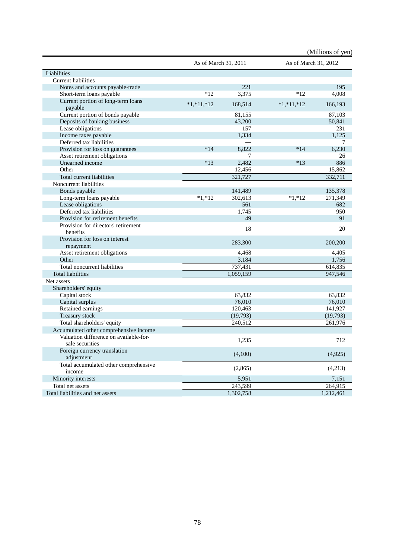|                                                           |              |                      |              | (Millions of yen)    |
|-----------------------------------------------------------|--------------|----------------------|--------------|----------------------|
|                                                           |              | As of March 31, 2011 |              | As of March 31, 2012 |
| Liabilities                                               |              |                      |              |                      |
| <b>Current liabilities</b>                                |              |                      |              |                      |
| Notes and accounts payable-trade                          |              | 221                  |              | 195                  |
| Short-term loans payable                                  | $*12$        | 3,375                | $*12$        | 4,008                |
| Current portion of long-term loans                        | $*1,*11,*12$ | 168,514              | $*1,*11,*12$ | 166,193              |
| payable                                                   |              |                      |              |                      |
| Current portion of bonds payable                          |              | 81,155               |              | 87,103               |
| Deposits of banking business                              |              | 43,200               |              | 50.841               |
| Lease obligations                                         |              | 157                  |              | 231                  |
| Income taxes payable                                      |              | 1,334                |              | 1,125                |
| Deferred tax liabilities                                  |              |                      |              | 7                    |
| Provision for loss on guarantees                          | $*14$        | 8,822                | $*14$        | 6,230                |
| Asset retirement obligations                              |              | 7                    |              | 26                   |
| Unearned income                                           | $*13$        | 2,482                | $*13$        | 886                  |
| Other                                                     |              | 12,456               |              | 15,862               |
| Total current liabilities                                 |              | 321,727              |              | 332,711              |
| Noncurrent liabilities                                    |              |                      |              |                      |
| Bonds payable                                             |              | 141,489              |              | 135,378              |
| Long-term loans payable                                   | $*1,*12$     | 302,613              | $*1,*12$     | 271,349              |
| Lease obligations                                         |              | 561                  |              | 682                  |
| Deferred tax liabilities                                  |              | 1,745                |              | 950                  |
| Provision for retirement benefits                         |              | 49                   |              | 91                   |
| Provision for directors' retirement                       |              | 18                   |              | 20                   |
| benefits                                                  |              |                      |              |                      |
| Provision for loss on interest                            |              | 283,300              |              | 200,200              |
| repayment                                                 |              |                      |              |                      |
| Asset retirement obligations                              |              | 4,468                |              | 4,405                |
| Other                                                     |              | 3,184                |              | 1,756                |
| Total noncurrent liabilities                              |              | 737,431              |              | 614,835              |
| <b>Total liabilities</b>                                  |              | 1,059,159            |              | 947,546              |
| Net assets                                                |              |                      |              |                      |
| Shareholders' equity                                      |              |                      |              |                      |
| Capital stock                                             |              | 63,832               |              | 63,832               |
| Capital surplus                                           |              | 76,010               |              | 76,010               |
| Retained earnings                                         |              | 120,463              |              | 141,927              |
| Treasury stock                                            |              | (19,793)<br>240.512  |              | (19,793)             |
| Total shareholders' equity                                |              |                      |              | 261,976              |
| Accumulated other comprehensive income                    |              |                      |              |                      |
| Valuation difference on available-for-<br>sale securities |              | 1,235                |              | 712                  |
|                                                           |              |                      |              |                      |
| Foreign currency translation<br>adjustment                |              | (4,100)              |              | (4,925)              |
|                                                           |              |                      |              |                      |
| Total accumulated other comprehensive<br>income           |              | (2,865)              |              | (4,213)              |
|                                                           |              | 5,951                |              |                      |
| Minority interests<br>Total net assets                    |              | 243,599              |              | 7,151<br>264,915     |
|                                                           |              |                      |              |                      |
| Total liabilities and net assets                          |              | 1,302,758            |              | 1,212,461            |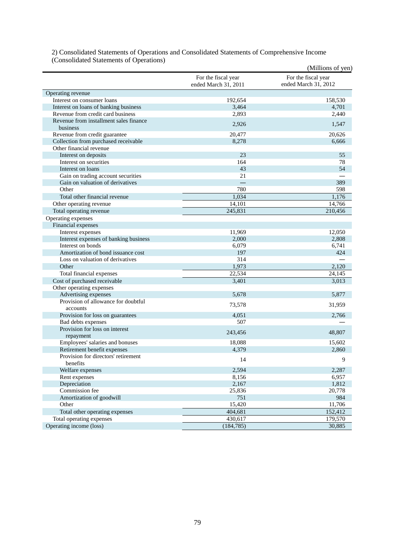|                                                 |                                             | (Millions of yen)                           |
|-------------------------------------------------|---------------------------------------------|---------------------------------------------|
|                                                 | For the fiscal year<br>ended March 31, 2011 | For the fiscal year<br>ended March 31, 2012 |
| Operating revenue                               |                                             |                                             |
| Interest on consumer loans                      | 192,654                                     | 158,530                                     |
| Interest on loans of banking business           | 3,464                                       | 4,701                                       |
| Revenue from credit card business               | 2,893                                       | 2,440                                       |
| Revenue from installment sales finance          |                                             |                                             |
| business                                        | 2,926                                       | 1,547                                       |
| Revenue from credit guarantee                   | 20,477                                      | 20,626                                      |
| Collection from purchased receivable            | 8,278                                       | 6,666                                       |
| Other financial revenue                         |                                             |                                             |
| Interest on deposits                            | 23                                          | 55                                          |
| Interest on securities                          | 164                                         | 78                                          |
| Interest on loans                               | 43                                          | 54                                          |
| Gain on trading account securities              | 21                                          |                                             |
| Gain on valuation of derivatives                |                                             | 389                                         |
| Other                                           | 780                                         | 598                                         |
| Total other financial revenue                   | 1,034                                       | 1,176                                       |
| Other operating revenue                         | 14,101                                      | 14,766                                      |
| Total operating revenue                         | 245,831                                     | 210,456                                     |
| Operating expenses                              |                                             |                                             |
| Financial expenses                              |                                             |                                             |
| Interest expenses                               | 11,969                                      | 12,050                                      |
| Interest expenses of banking business           | 2,000                                       | 2,808                                       |
| Interest on bonds                               | 6,079                                       | 6,741                                       |
| Amortization of bond issuance cost              | 197                                         | 424                                         |
| Loss on valuation of derivatives                | 314                                         |                                             |
| Other                                           | 1,973                                       | 2,120                                       |
| Total financial expenses                        | 22,534                                      | 24,145                                      |
| Cost of purchased receivable                    | 3,401                                       | 3,013                                       |
| Other operating expenses                        |                                             |                                             |
| Advertising expenses                            | 5,678                                       | 5,877                                       |
| Provision of allowance for doubtful             |                                             |                                             |
| accounts                                        | 73,578                                      | 31,959                                      |
| Provision for loss on guarantees                | 4,051                                       | 2,766                                       |
| Bad debts expenses                              | 507                                         |                                             |
| Provision for loss on interest<br>repayment     | 243,456                                     | 48,807                                      |
| Employees' salaries and bonuses                 | 18,088                                      | 15,602                                      |
| Retirement benefit expenses                     | 4,379                                       | 2,860                                       |
| Provision for directors' retirement<br>benefits | 14                                          | 9                                           |
| Welfare expenses                                | 2,594                                       | 2,287                                       |
| Rent expenses                                   | 8,156                                       | 6,957                                       |
| Depreciation                                    | 2,167                                       | 1,812                                       |
| Commission fee                                  | 25,836                                      | 20,778                                      |
| Amortization of goodwill                        | 751                                         | 984                                         |
| Other                                           | 15,420                                      | 11,706                                      |
|                                                 | 404,681                                     | 152,412                                     |
| Total other operating expenses                  |                                             |                                             |
| Total operating expenses                        | 430,617                                     | 179,570                                     |
| Operating income (loss)                         | (184, 785)                                  | 30,885                                      |

2) Consolidated Statements of Operations and Consolidated Statements of Comprehensive Income (Consolidated Statements of Operations)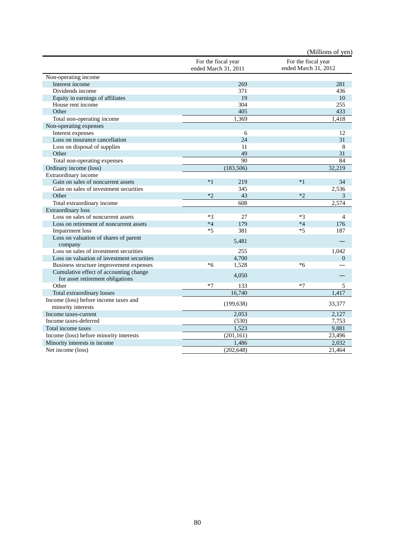|                                            |                                             |            |                                             | (Millions of yen) |
|--------------------------------------------|---------------------------------------------|------------|---------------------------------------------|-------------------|
|                                            | For the fiscal year<br>ended March 31, 2011 |            | For the fiscal year<br>ended March 31, 2012 |                   |
| Non-operating income                       |                                             |            |                                             |                   |
| Interest income                            |                                             | 269        |                                             | 281               |
| Dividends income                           |                                             | 371        |                                             | 436               |
| Equity in earnings of affiliates           |                                             | 19         |                                             | 10                |
| House rent income                          |                                             | 304        |                                             | 255               |
| Other                                      |                                             | 405        |                                             | 433               |
| Total non-operating income                 |                                             | 1,369      |                                             | 1,418             |
| Non-operating expenses                     |                                             |            |                                             |                   |
| Interest expenses                          |                                             | 6          |                                             | 12                |
| Loss on insurance cancellation             |                                             | 24         |                                             | 31                |
| Loss on disposal of supplies               |                                             | 11         |                                             | 8                 |
| Other                                      |                                             | 49         |                                             | 31                |
| Total non-operating expenses               |                                             | 90         |                                             | 84                |
| Ordinary income (loss)                     |                                             | (183, 506) |                                             | 32,219            |
| Extraordinary income                       |                                             |            |                                             |                   |
| Gain on sales of noncurrent assets         | $*1$                                        | 219        | $*1$                                        | 34                |
| Gain on sales of investment securities     |                                             | 345        |                                             | 2,536             |
| Other                                      | $*2$                                        | 43         | $*2$                                        | 3                 |
| Total extraordinary income                 |                                             | 608        |                                             | 2,574             |
| Extraordinary loss                         |                                             |            |                                             |                   |
| Loss on sales of noncurrent assets         | $*3$                                        | 27         | $*3$                                        | 4                 |
| Loss on retirement of noncurrent assets    | $*4$                                        | 179        | $*4$                                        | 176               |
| Impairment loss                            | $*5$                                        | 381        | $*5$                                        | 187               |
| Loss on valuation of shares of parent      |                                             |            |                                             |                   |
| company                                    |                                             | 5,481      |                                             |                   |
| Loss on sales of investment securities     |                                             | 255        |                                             | 1,042             |
| Loss on valuation of investment securities |                                             | 4,700      |                                             | $\Omega$          |
| Business structure improvement expenses    | $*6$                                        | 1,528      | $*6$                                        |                   |
| Cumulative effect of accounting change     |                                             |            |                                             |                   |
| for asset retirement obligations           |                                             | 4,050      |                                             |                   |
| Other                                      | $*7$                                        | 133        | $*7$                                        | 5                 |
| Total extraordinary losses                 |                                             | 16,740     |                                             | 1.417             |
| Income (loss) before income taxes and      |                                             |            |                                             |                   |
| minority interests                         |                                             | (199, 638) |                                             | 33,377            |
| Income taxes-current                       |                                             | 2,053      |                                             | 2,127             |
| Income taxes-deferred                      |                                             | (530)      |                                             | 7,753             |
| Total income taxes                         |                                             | 1,523      |                                             | 9,881             |
| Income (loss) before minority interests    |                                             | (201, 161) |                                             | 23,496            |
| Minority interests in income               |                                             | 1,486      |                                             | 2,032             |
| Net income (loss)                          |                                             | (202, 648) |                                             | 21,464            |
|                                            |                                             |            |                                             |                   |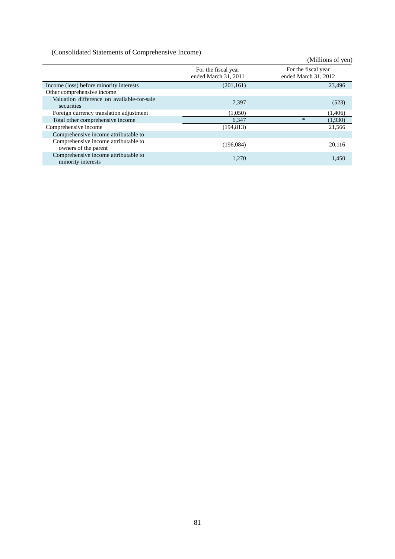(Consolidated Statements of Comprehensive Income)

| consonance biatements of comprenensive medine                |                                             | (Millions of yen)                           |
|--------------------------------------------------------------|---------------------------------------------|---------------------------------------------|
|                                                              | For the fiscal year<br>ended March 31, 2011 | For the fiscal year<br>ended March 31, 2012 |
| Income (loss) before minority interests                      | (201, 161)                                  | 23,496                                      |
| Other comprehensive income                                   |                                             |                                             |
| Valuation difference on available-for-sale<br>securities     | 7.397                                       | (523)                                       |
| Foreign currency translation adjustment                      | (1,050)                                     | (1,406)                                     |
| Total other comprehensive income                             | 6,347                                       | $*$<br>(1,930)                              |
| Comprehensive income                                         | (194, 813)                                  | 21,566                                      |
| Comprehensive income attributable to                         |                                             |                                             |
| Comprehensive income attributable to<br>owners of the parent | (196,084)                                   | 20,116                                      |
| Comprehensive income attributable to<br>minority interests   | 1,270                                       | 1,450                                       |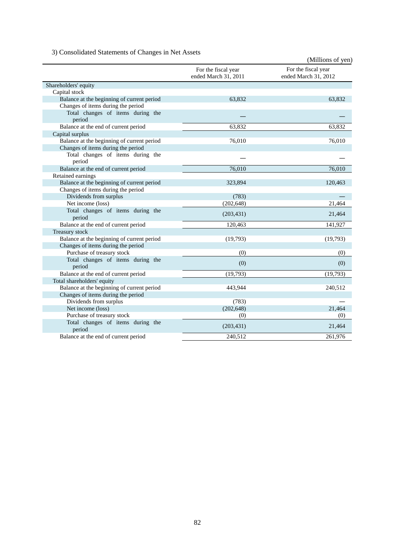# 3) Consolidated Statements of Changes in Net Assets

|                                             |                                             | (Millions of yen)                           |
|---------------------------------------------|---------------------------------------------|---------------------------------------------|
|                                             | For the fiscal year<br>ended March 31, 2011 | For the fiscal year<br>ended March 31, 2012 |
| Shareholders' equity                        |                                             |                                             |
| Capital stock                               |                                             |                                             |
| Balance at the beginning of current period  | 63,832                                      | 63,832                                      |
| Changes of items during the period          |                                             |                                             |
| Total changes of items during the<br>period |                                             |                                             |
| Balance at the end of current period        | 63,832                                      | 63,832                                      |
| Capital surplus                             |                                             |                                             |
| Balance at the beginning of current period  | 76,010                                      | 76,010                                      |
| Changes of items during the period          |                                             |                                             |
| Total changes of items during the           |                                             |                                             |
| period                                      |                                             |                                             |
| Balance at the end of current period        | 76,010                                      | 76,010                                      |
| Retained earnings                           |                                             |                                             |
| Balance at the beginning of current period  | 323,894                                     | 120,463                                     |
| Changes of items during the period          |                                             |                                             |
| Dividends from surplus                      | (783)                                       |                                             |
| Net income (loss)                           | (202, 648)                                  | 21,464                                      |
| Total changes of items during the<br>period | (203, 431)                                  | 21,464                                      |
| Balance at the end of current period        | 120,463                                     | 141,927                                     |
| Treasury stock                              |                                             |                                             |
| Balance at the beginning of current period  | (19,793)                                    | (19,793)                                    |
| Changes of items during the period          |                                             |                                             |
| Purchase of treasury stock                  | (0)                                         | (0)                                         |
| Total changes of items during the<br>period | (0)                                         | (0)                                         |
| Balance at the end of current period        | (19,793)                                    | (19,793)                                    |
| Total shareholders' equity                  |                                             |                                             |
| Balance at the beginning of current period  | 443,944                                     | 240,512                                     |
| Changes of items during the period          |                                             |                                             |
| Dividends from surplus                      | (783)                                       |                                             |
| Net income (loss)                           | (202, 648)                                  | 21,464                                      |
| Purchase of treasury stock                  | (0)                                         | (0)                                         |
| Total changes of items during the<br>period | (203, 431)                                  | 21,464                                      |
| Balance at the end of current period        | 240,512                                     | 261,976                                     |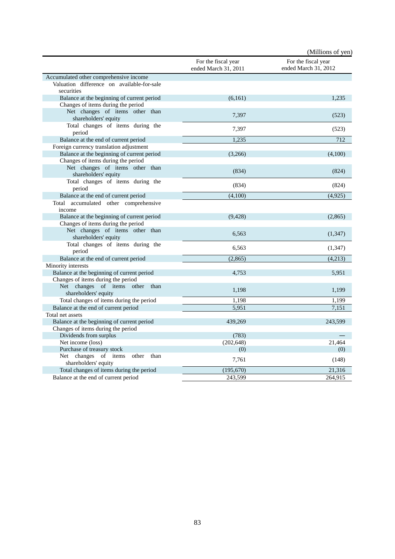|                                                                                                                             |                                             | (Millions of yen)                           |
|-----------------------------------------------------------------------------------------------------------------------------|---------------------------------------------|---------------------------------------------|
|                                                                                                                             | For the fiscal year<br>ended March 31, 2011 | For the fiscal year<br>ended March 31, 2012 |
| Accumulated other comprehensive income<br>Valuation difference on available-for-sale<br>securities                          |                                             |                                             |
| Balance at the beginning of current period                                                                                  | (6,161)                                     | 1,235                                       |
| Changes of items during the period                                                                                          |                                             |                                             |
| Net changes of items other than<br>shareholders' equity                                                                     | 7,397                                       | (523)                                       |
| Total changes of items during the<br>period                                                                                 | 7,397                                       | (523)                                       |
| Balance at the end of current period                                                                                        | 1.235                                       | 712                                         |
| Foreign currency translation adjustment<br>Balance at the beginning of current period<br>Changes of items during the period | (3,266)                                     | (4,100)                                     |
| Net changes of items other than<br>shareholders' equity                                                                     | (834)                                       | (824)                                       |
| Total changes of items during the<br>period                                                                                 | (834)                                       | (824)                                       |
| Balance at the end of current period                                                                                        | (4,100)                                     | (4,925)                                     |
| Total accumulated other comprehensive<br>income                                                                             |                                             |                                             |
| Balance at the beginning of current period                                                                                  | (9, 428)                                    | (2,865)                                     |
| Changes of items during the period                                                                                          |                                             |                                             |
| Net changes of items other than<br>shareholders' equity                                                                     | 6,563                                       | (1, 347)                                    |
| Total changes of items during the<br>period                                                                                 | 6,563                                       | (1,347)                                     |
| Balance at the end of current period                                                                                        | (2, 865)                                    | (4,213)                                     |
| Minority interests                                                                                                          |                                             |                                             |
| Balance at the beginning of current period<br>Changes of items during the period                                            | 4,753                                       | 5,951                                       |
| Net changes of items other<br>than<br>shareholders' equity                                                                  | 1,198                                       | 1,199                                       |
| Total changes of items during the period                                                                                    | 1,198                                       | 1,199                                       |
| Balance at the end of current period                                                                                        | 5,951                                       | 7,151                                       |
| Total net assets                                                                                                            |                                             |                                             |
| Balance at the beginning of current period                                                                                  | 439,269                                     | 243,599                                     |
| Changes of items during the period                                                                                          |                                             |                                             |
| Dividends from surplus                                                                                                      | (783)                                       |                                             |
| Net income (loss)                                                                                                           | (202, 648)                                  | 21,464                                      |
| Purchase of treasury stock                                                                                                  | (0)                                         | (0)                                         |
| Net changes of items<br>other than<br>shareholders' equity                                                                  | 7,761                                       | (148)                                       |
| Total changes of items during the period                                                                                    | (195, 670)                                  | 21,316                                      |
| Balance at the end of current period                                                                                        | 243,599                                     | 264,915                                     |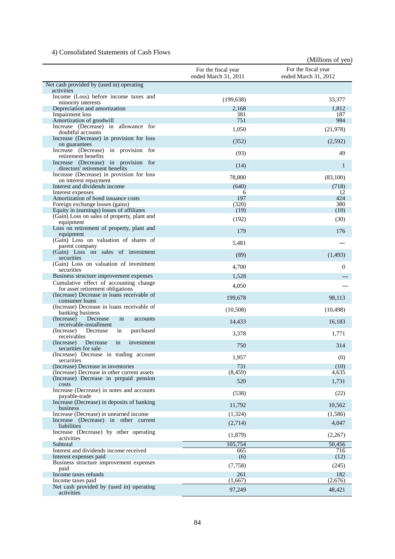# 4) Consolidated Statements of Cash Flows

| For the fiscal year<br>For the fiscal year<br>ended March 31, 2012<br>ended March 31, 2011<br>Net cash provided by (used in) operating<br>activities<br>Income (Loss) before income taxes and<br>(199, 638)<br>33,377<br>minority interests<br>2,168<br>Depreciation and amortization<br>1,812<br><b>Impairment</b> loss<br>381<br>187<br>Amortization of goodwill<br>751<br>984<br>Increase (Decrease) in allowance for<br>1,050<br>(21,978)<br>doubtful accounts<br>Increase (Decrease) in provision for loss<br>(352)<br>(2,592)<br>on guarantees<br>Increase (Decrease) in provision for<br>(93)<br>49<br>retirement benefits<br>Increase (Decrease) in provision for<br>(14)<br>1<br>directors' retirement benefits<br>Increase (Decrease) in provision for loss<br>78,800<br>(83,100)<br>on interest repayment<br>Interest and dividends income<br>(640)<br>(718)<br>Interest expenses<br>12<br>6<br>Amortization of bond issuance costs<br>197<br>424<br>(320)<br>380<br>Foreign exchange losses (gains)<br>(10)<br>Equity in (earnings) losses of affiliates<br>(19)<br>(Gain) Loss on sales of property, plant and<br>(192)<br>(30)<br>equipment<br>Loss on retirement of property, plant and<br>179<br>176<br>equipment<br>(Gain) Loss on valuation of shares of<br>5,481<br>parent company<br>(Gain) Loss on sales of investment<br>(89)<br>(1, 493)<br>securities<br>(Gain) Loss on valuation of investment<br>4,700<br>$\mathbf{0}$<br>securities<br>Business structure improvement expenses<br>1,528<br>Cumulative effect of accounting change<br>4,050<br>for asset retirement obligations<br>(Increase) Decrease in loans receivable of<br>199,678<br>98,113<br>consumer loans<br>(Increase) Decrease in loans receivable of<br>(10,508)<br>(10, 498)<br>banking business<br>(Increase)<br>Decrease<br>in<br>accounts<br>14,433<br>16,183<br>receivable-installment<br>(Increase) Decrease<br>purchased<br>in<br>3,378<br>1,771<br>receivables<br>Decrease<br>(Increase)<br>in<br>investment<br>750<br>314<br>securities for sale<br>(Increase) Decrease in trading account<br>1,957<br>(0)<br>securities<br>731<br>(10)<br>(Increase) Decrease in inventories<br>(Increase) Decrease in other current assets<br>(8, 459)<br>4,635<br>(Increase) Decrease in prepaid pension<br>520<br>1,731<br>costs<br>Increase (Decrease) in notes and accounts<br>(538)<br>(22)<br>payable-trade<br>Increase (Decrease) in deposits of banking<br>11,792<br>10,562<br><b>business</b><br>Increase (Decrease) in unearned income<br>(1, 324)<br>(1, 586)<br>Increase (Decrease) in other current<br>(2,714)<br>4,047 |             | (Millions of yen) |
|-------------------------------------------------------------------------------------------------------------------------------------------------------------------------------------------------------------------------------------------------------------------------------------------------------------------------------------------------------------------------------------------------------------------------------------------------------------------------------------------------------------------------------------------------------------------------------------------------------------------------------------------------------------------------------------------------------------------------------------------------------------------------------------------------------------------------------------------------------------------------------------------------------------------------------------------------------------------------------------------------------------------------------------------------------------------------------------------------------------------------------------------------------------------------------------------------------------------------------------------------------------------------------------------------------------------------------------------------------------------------------------------------------------------------------------------------------------------------------------------------------------------------------------------------------------------------------------------------------------------------------------------------------------------------------------------------------------------------------------------------------------------------------------------------------------------------------------------------------------------------------------------------------------------------------------------------------------------------------------------------------------------------------------------------------------------------------------------------------------------------------------------------------------------------------------------------------------------------------------------------------------------------------------------------------------------------------------------------------------------------------------------------------------------------------------------------------------------------------------------------------------------------------------------------------------------------------------------------------------------------|-------------|-------------------|
|                                                                                                                                                                                                                                                                                                                                                                                                                                                                                                                                                                                                                                                                                                                                                                                                                                                                                                                                                                                                                                                                                                                                                                                                                                                                                                                                                                                                                                                                                                                                                                                                                                                                                                                                                                                                                                                                                                                                                                                                                                                                                                                                                                                                                                                                                                                                                                                                                                                                                                                                                                                                                         |             |                   |
|                                                                                                                                                                                                                                                                                                                                                                                                                                                                                                                                                                                                                                                                                                                                                                                                                                                                                                                                                                                                                                                                                                                                                                                                                                                                                                                                                                                                                                                                                                                                                                                                                                                                                                                                                                                                                                                                                                                                                                                                                                                                                                                                                                                                                                                                                                                                                                                                                                                                                                                                                                                                                         |             |                   |
|                                                                                                                                                                                                                                                                                                                                                                                                                                                                                                                                                                                                                                                                                                                                                                                                                                                                                                                                                                                                                                                                                                                                                                                                                                                                                                                                                                                                                                                                                                                                                                                                                                                                                                                                                                                                                                                                                                                                                                                                                                                                                                                                                                                                                                                                                                                                                                                                                                                                                                                                                                                                                         |             |                   |
|                                                                                                                                                                                                                                                                                                                                                                                                                                                                                                                                                                                                                                                                                                                                                                                                                                                                                                                                                                                                                                                                                                                                                                                                                                                                                                                                                                                                                                                                                                                                                                                                                                                                                                                                                                                                                                                                                                                                                                                                                                                                                                                                                                                                                                                                                                                                                                                                                                                                                                                                                                                                                         |             |                   |
|                                                                                                                                                                                                                                                                                                                                                                                                                                                                                                                                                                                                                                                                                                                                                                                                                                                                                                                                                                                                                                                                                                                                                                                                                                                                                                                                                                                                                                                                                                                                                                                                                                                                                                                                                                                                                                                                                                                                                                                                                                                                                                                                                                                                                                                                                                                                                                                                                                                                                                                                                                                                                         |             |                   |
|                                                                                                                                                                                                                                                                                                                                                                                                                                                                                                                                                                                                                                                                                                                                                                                                                                                                                                                                                                                                                                                                                                                                                                                                                                                                                                                                                                                                                                                                                                                                                                                                                                                                                                                                                                                                                                                                                                                                                                                                                                                                                                                                                                                                                                                                                                                                                                                                                                                                                                                                                                                                                         |             |                   |
|                                                                                                                                                                                                                                                                                                                                                                                                                                                                                                                                                                                                                                                                                                                                                                                                                                                                                                                                                                                                                                                                                                                                                                                                                                                                                                                                                                                                                                                                                                                                                                                                                                                                                                                                                                                                                                                                                                                                                                                                                                                                                                                                                                                                                                                                                                                                                                                                                                                                                                                                                                                                                         |             |                   |
|                                                                                                                                                                                                                                                                                                                                                                                                                                                                                                                                                                                                                                                                                                                                                                                                                                                                                                                                                                                                                                                                                                                                                                                                                                                                                                                                                                                                                                                                                                                                                                                                                                                                                                                                                                                                                                                                                                                                                                                                                                                                                                                                                                                                                                                                                                                                                                                                                                                                                                                                                                                                                         |             |                   |
|                                                                                                                                                                                                                                                                                                                                                                                                                                                                                                                                                                                                                                                                                                                                                                                                                                                                                                                                                                                                                                                                                                                                                                                                                                                                                                                                                                                                                                                                                                                                                                                                                                                                                                                                                                                                                                                                                                                                                                                                                                                                                                                                                                                                                                                                                                                                                                                                                                                                                                                                                                                                                         |             |                   |
|                                                                                                                                                                                                                                                                                                                                                                                                                                                                                                                                                                                                                                                                                                                                                                                                                                                                                                                                                                                                                                                                                                                                                                                                                                                                                                                                                                                                                                                                                                                                                                                                                                                                                                                                                                                                                                                                                                                                                                                                                                                                                                                                                                                                                                                                                                                                                                                                                                                                                                                                                                                                                         |             |                   |
|                                                                                                                                                                                                                                                                                                                                                                                                                                                                                                                                                                                                                                                                                                                                                                                                                                                                                                                                                                                                                                                                                                                                                                                                                                                                                                                                                                                                                                                                                                                                                                                                                                                                                                                                                                                                                                                                                                                                                                                                                                                                                                                                                                                                                                                                                                                                                                                                                                                                                                                                                                                                                         |             |                   |
|                                                                                                                                                                                                                                                                                                                                                                                                                                                                                                                                                                                                                                                                                                                                                                                                                                                                                                                                                                                                                                                                                                                                                                                                                                                                                                                                                                                                                                                                                                                                                                                                                                                                                                                                                                                                                                                                                                                                                                                                                                                                                                                                                                                                                                                                                                                                                                                                                                                                                                                                                                                                                         |             |                   |
|                                                                                                                                                                                                                                                                                                                                                                                                                                                                                                                                                                                                                                                                                                                                                                                                                                                                                                                                                                                                                                                                                                                                                                                                                                                                                                                                                                                                                                                                                                                                                                                                                                                                                                                                                                                                                                                                                                                                                                                                                                                                                                                                                                                                                                                                                                                                                                                                                                                                                                                                                                                                                         |             |                   |
|                                                                                                                                                                                                                                                                                                                                                                                                                                                                                                                                                                                                                                                                                                                                                                                                                                                                                                                                                                                                                                                                                                                                                                                                                                                                                                                                                                                                                                                                                                                                                                                                                                                                                                                                                                                                                                                                                                                                                                                                                                                                                                                                                                                                                                                                                                                                                                                                                                                                                                                                                                                                                         |             |                   |
|                                                                                                                                                                                                                                                                                                                                                                                                                                                                                                                                                                                                                                                                                                                                                                                                                                                                                                                                                                                                                                                                                                                                                                                                                                                                                                                                                                                                                                                                                                                                                                                                                                                                                                                                                                                                                                                                                                                                                                                                                                                                                                                                                                                                                                                                                                                                                                                                                                                                                                                                                                                                                         |             |                   |
|                                                                                                                                                                                                                                                                                                                                                                                                                                                                                                                                                                                                                                                                                                                                                                                                                                                                                                                                                                                                                                                                                                                                                                                                                                                                                                                                                                                                                                                                                                                                                                                                                                                                                                                                                                                                                                                                                                                                                                                                                                                                                                                                                                                                                                                                                                                                                                                                                                                                                                                                                                                                                         |             |                   |
|                                                                                                                                                                                                                                                                                                                                                                                                                                                                                                                                                                                                                                                                                                                                                                                                                                                                                                                                                                                                                                                                                                                                                                                                                                                                                                                                                                                                                                                                                                                                                                                                                                                                                                                                                                                                                                                                                                                                                                                                                                                                                                                                                                                                                                                                                                                                                                                                                                                                                                                                                                                                                         |             |                   |
|                                                                                                                                                                                                                                                                                                                                                                                                                                                                                                                                                                                                                                                                                                                                                                                                                                                                                                                                                                                                                                                                                                                                                                                                                                                                                                                                                                                                                                                                                                                                                                                                                                                                                                                                                                                                                                                                                                                                                                                                                                                                                                                                                                                                                                                                                                                                                                                                                                                                                                                                                                                                                         |             |                   |
|                                                                                                                                                                                                                                                                                                                                                                                                                                                                                                                                                                                                                                                                                                                                                                                                                                                                                                                                                                                                                                                                                                                                                                                                                                                                                                                                                                                                                                                                                                                                                                                                                                                                                                                                                                                                                                                                                                                                                                                                                                                                                                                                                                                                                                                                                                                                                                                                                                                                                                                                                                                                                         |             |                   |
|                                                                                                                                                                                                                                                                                                                                                                                                                                                                                                                                                                                                                                                                                                                                                                                                                                                                                                                                                                                                                                                                                                                                                                                                                                                                                                                                                                                                                                                                                                                                                                                                                                                                                                                                                                                                                                                                                                                                                                                                                                                                                                                                                                                                                                                                                                                                                                                                                                                                                                                                                                                                                         |             |                   |
|                                                                                                                                                                                                                                                                                                                                                                                                                                                                                                                                                                                                                                                                                                                                                                                                                                                                                                                                                                                                                                                                                                                                                                                                                                                                                                                                                                                                                                                                                                                                                                                                                                                                                                                                                                                                                                                                                                                                                                                                                                                                                                                                                                                                                                                                                                                                                                                                                                                                                                                                                                                                                         |             |                   |
|                                                                                                                                                                                                                                                                                                                                                                                                                                                                                                                                                                                                                                                                                                                                                                                                                                                                                                                                                                                                                                                                                                                                                                                                                                                                                                                                                                                                                                                                                                                                                                                                                                                                                                                                                                                                                                                                                                                                                                                                                                                                                                                                                                                                                                                                                                                                                                                                                                                                                                                                                                                                                         |             |                   |
|                                                                                                                                                                                                                                                                                                                                                                                                                                                                                                                                                                                                                                                                                                                                                                                                                                                                                                                                                                                                                                                                                                                                                                                                                                                                                                                                                                                                                                                                                                                                                                                                                                                                                                                                                                                                                                                                                                                                                                                                                                                                                                                                                                                                                                                                                                                                                                                                                                                                                                                                                                                                                         |             |                   |
|                                                                                                                                                                                                                                                                                                                                                                                                                                                                                                                                                                                                                                                                                                                                                                                                                                                                                                                                                                                                                                                                                                                                                                                                                                                                                                                                                                                                                                                                                                                                                                                                                                                                                                                                                                                                                                                                                                                                                                                                                                                                                                                                                                                                                                                                                                                                                                                                                                                                                                                                                                                                                         |             |                   |
|                                                                                                                                                                                                                                                                                                                                                                                                                                                                                                                                                                                                                                                                                                                                                                                                                                                                                                                                                                                                                                                                                                                                                                                                                                                                                                                                                                                                                                                                                                                                                                                                                                                                                                                                                                                                                                                                                                                                                                                                                                                                                                                                                                                                                                                                                                                                                                                                                                                                                                                                                                                                                         |             |                   |
|                                                                                                                                                                                                                                                                                                                                                                                                                                                                                                                                                                                                                                                                                                                                                                                                                                                                                                                                                                                                                                                                                                                                                                                                                                                                                                                                                                                                                                                                                                                                                                                                                                                                                                                                                                                                                                                                                                                                                                                                                                                                                                                                                                                                                                                                                                                                                                                                                                                                                                                                                                                                                         |             |                   |
|                                                                                                                                                                                                                                                                                                                                                                                                                                                                                                                                                                                                                                                                                                                                                                                                                                                                                                                                                                                                                                                                                                                                                                                                                                                                                                                                                                                                                                                                                                                                                                                                                                                                                                                                                                                                                                                                                                                                                                                                                                                                                                                                                                                                                                                                                                                                                                                                                                                                                                                                                                                                                         |             |                   |
|                                                                                                                                                                                                                                                                                                                                                                                                                                                                                                                                                                                                                                                                                                                                                                                                                                                                                                                                                                                                                                                                                                                                                                                                                                                                                                                                                                                                                                                                                                                                                                                                                                                                                                                                                                                                                                                                                                                                                                                                                                                                                                                                                                                                                                                                                                                                                                                                                                                                                                                                                                                                                         |             |                   |
|                                                                                                                                                                                                                                                                                                                                                                                                                                                                                                                                                                                                                                                                                                                                                                                                                                                                                                                                                                                                                                                                                                                                                                                                                                                                                                                                                                                                                                                                                                                                                                                                                                                                                                                                                                                                                                                                                                                                                                                                                                                                                                                                                                                                                                                                                                                                                                                                                                                                                                                                                                                                                         |             |                   |
|                                                                                                                                                                                                                                                                                                                                                                                                                                                                                                                                                                                                                                                                                                                                                                                                                                                                                                                                                                                                                                                                                                                                                                                                                                                                                                                                                                                                                                                                                                                                                                                                                                                                                                                                                                                                                                                                                                                                                                                                                                                                                                                                                                                                                                                                                                                                                                                                                                                                                                                                                                                                                         |             |                   |
|                                                                                                                                                                                                                                                                                                                                                                                                                                                                                                                                                                                                                                                                                                                                                                                                                                                                                                                                                                                                                                                                                                                                                                                                                                                                                                                                                                                                                                                                                                                                                                                                                                                                                                                                                                                                                                                                                                                                                                                                                                                                                                                                                                                                                                                                                                                                                                                                                                                                                                                                                                                                                         |             |                   |
|                                                                                                                                                                                                                                                                                                                                                                                                                                                                                                                                                                                                                                                                                                                                                                                                                                                                                                                                                                                                                                                                                                                                                                                                                                                                                                                                                                                                                                                                                                                                                                                                                                                                                                                                                                                                                                                                                                                                                                                                                                                                                                                                                                                                                                                                                                                                                                                                                                                                                                                                                                                                                         |             |                   |
|                                                                                                                                                                                                                                                                                                                                                                                                                                                                                                                                                                                                                                                                                                                                                                                                                                                                                                                                                                                                                                                                                                                                                                                                                                                                                                                                                                                                                                                                                                                                                                                                                                                                                                                                                                                                                                                                                                                                                                                                                                                                                                                                                                                                                                                                                                                                                                                                                                                                                                                                                                                                                         |             |                   |
|                                                                                                                                                                                                                                                                                                                                                                                                                                                                                                                                                                                                                                                                                                                                                                                                                                                                                                                                                                                                                                                                                                                                                                                                                                                                                                                                                                                                                                                                                                                                                                                                                                                                                                                                                                                                                                                                                                                                                                                                                                                                                                                                                                                                                                                                                                                                                                                                                                                                                                                                                                                                                         | liabilities |                   |
| Increase (Decrease) by other operating<br>(1,879)<br>(2, 267)<br>activities                                                                                                                                                                                                                                                                                                                                                                                                                                                                                                                                                                                                                                                                                                                                                                                                                                                                                                                                                                                                                                                                                                                                                                                                                                                                                                                                                                                                                                                                                                                                                                                                                                                                                                                                                                                                                                                                                                                                                                                                                                                                                                                                                                                                                                                                                                                                                                                                                                                                                                                                             |             |                   |
| 105,754<br>50,456<br>Subtotal                                                                                                                                                                                                                                                                                                                                                                                                                                                                                                                                                                                                                                                                                                                                                                                                                                                                                                                                                                                                                                                                                                                                                                                                                                                                                                                                                                                                                                                                                                                                                                                                                                                                                                                                                                                                                                                                                                                                                                                                                                                                                                                                                                                                                                                                                                                                                                                                                                                                                                                                                                                           |             |                   |
| Interest and dividends income received<br>665<br>716<br>Interest expenses paid<br>(6)<br>(12)                                                                                                                                                                                                                                                                                                                                                                                                                                                                                                                                                                                                                                                                                                                                                                                                                                                                                                                                                                                                                                                                                                                                                                                                                                                                                                                                                                                                                                                                                                                                                                                                                                                                                                                                                                                                                                                                                                                                                                                                                                                                                                                                                                                                                                                                                                                                                                                                                                                                                                                           |             |                   |
| Business structure improvement expenses<br>(7, 758)<br>(245)<br>paid                                                                                                                                                                                                                                                                                                                                                                                                                                                                                                                                                                                                                                                                                                                                                                                                                                                                                                                                                                                                                                                                                                                                                                                                                                                                                                                                                                                                                                                                                                                                                                                                                                                                                                                                                                                                                                                                                                                                                                                                                                                                                                                                                                                                                                                                                                                                                                                                                                                                                                                                                    |             |                   |
| 261<br>182<br>Income taxes refunds<br>Income taxes paid<br>(1,667)<br>(2,676)                                                                                                                                                                                                                                                                                                                                                                                                                                                                                                                                                                                                                                                                                                                                                                                                                                                                                                                                                                                                                                                                                                                                                                                                                                                                                                                                                                                                                                                                                                                                                                                                                                                                                                                                                                                                                                                                                                                                                                                                                                                                                                                                                                                                                                                                                                                                                                                                                                                                                                                                           |             |                   |
| Net cash provided by (used in) operating<br>97,249<br>48,421<br>activities                                                                                                                                                                                                                                                                                                                                                                                                                                                                                                                                                                                                                                                                                                                                                                                                                                                                                                                                                                                                                                                                                                                                                                                                                                                                                                                                                                                                                                                                                                                                                                                                                                                                                                                                                                                                                                                                                                                                                                                                                                                                                                                                                                                                                                                                                                                                                                                                                                                                                                                                              |             |                   |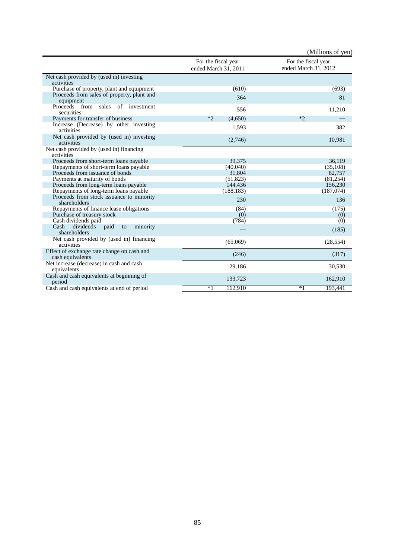|                                                                |                                             | (Millions of yen)                           |
|----------------------------------------------------------------|---------------------------------------------|---------------------------------------------|
|                                                                | For the fiscal year<br>ended March 31, 2011 | For the fiscal year<br>ended March 31, 2012 |
| Net cash provided by (used in) investing                       |                                             |                                             |
| activities                                                     |                                             |                                             |
| Purchase of property, plant and equipment                      | (610)                                       | (693)                                       |
| Proceeds from sales of property, plant and<br>equipment        | 364                                         | 81                                          |
| Proceeds from<br>sales of investment<br>securities             | 556                                         | 11,210                                      |
| Payments for transfer of business                              | $*2$<br>(4,650)                             | $*2$                                        |
| Increase (Decrease) by other investing<br>activities           | 1,593                                       | 382                                         |
| Net cash provided by (used in) investing<br>activities         | (2,746)                                     | 10,981                                      |
| Net cash provided by (used in) financing<br>activities         |                                             |                                             |
| Proceeds from short-term loans payable                         | 39.375                                      | 36.119                                      |
| Repayments of short-term loans payable                         | (40,040)                                    | (35, 108)                                   |
| Proceeds from issuance of bonds                                | 31,804                                      | 82,757                                      |
| Payments at maturity of bonds                                  | (51, 823)                                   | (81,254)                                    |
| Proceeds from long-term loans payable                          | 144,436                                     | 156,230                                     |
| Repayments of long-term loans payable                          | (188, 183)                                  | (187,074)                                   |
| Proceeds from stock issuance to minority<br>shareholders       | 230                                         | 136                                         |
| Repayments of finance lease obligations                        | (84)                                        | (175)                                       |
| Purchase of treasury stock                                     | (0)                                         | (0)                                         |
| Cash dividends paid                                            | (784)                                       | (0)                                         |
| dividends<br>paid<br>minority<br>Cash<br>to<br>shareholders    |                                             | (185)                                       |
| Net cash provided by (used in) financing<br>activities         | (65,069)                                    | (28, 554)                                   |
| Effect of exchange rate change on cash and<br>cash equivalents | (246)                                       | (317)                                       |
| Net increase (decrease) in cash and cash<br>equivalents        | 29,186                                      | 30,530                                      |
| Cash and cash equivalents at beginning of<br>period            | 133,723                                     | 162,910                                     |
| Cash and cash equivalents at end of period                     | $*1$<br>162,910                             | $*1$<br>193,441                             |
|                                                                |                                             |                                             |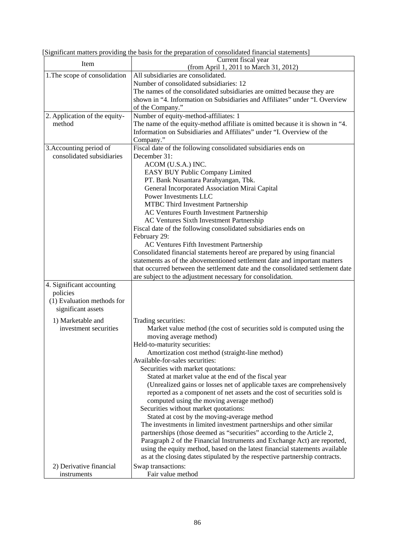[Significant matters providing the basis for the preparation of consolidated financial statements]

| Item<br>(from April 1, 2011 to March 31, 2012)<br>1. The scope of consolidation<br>All subsidiaries are consolidated.<br>Number of consolidated subsidiaries: 12<br>The names of the consolidated subsidiaries are omitted because they are<br>shown in "4. Information on Subsidiaries and Affiliates" under "I. Overview<br>of the Company."<br>2. Application of the equity-<br>Number of equity-method-affiliates: 1<br>The name of the equity-method affiliate is omitted because it is shown in "4.<br>method<br>Information on Subsidiaries and Affiliates" under "I. Overview of the<br>Company."<br>Fiscal date of the following consolidated subsidiaries ends on<br>3. Accounting period of<br>consolidated subsidiaries<br>December 31:<br>ACOM (U.S.A.) INC.<br><b>EASY BUY Public Company Limited</b><br>PT. Bank Nusantara Parahyangan, Tbk.<br>General Incorporated Association Mirai Capital<br>Power Investments LLC<br>MTBC Third Investment Partnership<br>AC Ventures Fourth Investment Partnership<br><b>AC Ventures Sixth Investment Partnership</b><br>Fiscal date of the following consolidated subsidiaries ends on<br>February 29:<br>AC Ventures Fifth Investment Partnership<br>Consolidated financial statements hereof are prepared by using financial<br>statements as of the abovementioned settlement date and important matters<br>that occurred between the settlement date and the consolidated settlement date<br>are subject to the adjustment necessary for consolidation.<br>4. Significant accounting<br>policies<br>(1) Evaluation methods for<br>significant assets<br>1) Marketable and<br>Trading securities:<br>investment securities<br>Market value method (the cost of securities sold is computed using the<br>moving average method)<br>Held-to-maturity securities:<br>Amortization cost method (straight-line method)<br>Available-for-sales securities:<br>Securities with market quotations:<br>Stated at market value at the end of the fiscal year<br>(Unrealized gains or losses net of applicable taxes are comprehensively<br>reported as a component of net assets and the cost of securities sold is<br>computed using the moving average method)<br>Securities without market quotations:<br>Stated at cost by the moving-average method<br>The investments in limited investment partnerships and other similar<br>partnerships (those deemed as "securities" according to the Article 2,<br>Paragraph 2 of the Financial Instruments and Exchange Act) are reported,<br>using the equity method, based on the latest financial statements available<br>as at the closing dates stipulated by the respective partnership contracts.<br>2) Derivative financial<br>Swap transactions:<br>Fair value method<br>instruments |                     |
|-------------------------------------------------------------------------------------------------------------------------------------------------------------------------------------------------------------------------------------------------------------------------------------------------------------------------------------------------------------------------------------------------------------------------------------------------------------------------------------------------------------------------------------------------------------------------------------------------------------------------------------------------------------------------------------------------------------------------------------------------------------------------------------------------------------------------------------------------------------------------------------------------------------------------------------------------------------------------------------------------------------------------------------------------------------------------------------------------------------------------------------------------------------------------------------------------------------------------------------------------------------------------------------------------------------------------------------------------------------------------------------------------------------------------------------------------------------------------------------------------------------------------------------------------------------------------------------------------------------------------------------------------------------------------------------------------------------------------------------------------------------------------------------------------------------------------------------------------------------------------------------------------------------------------------------------------------------------------------------------------------------------------------------------------------------------------------------------------------------------------------------------------------------------------------------------------------------------------------------------------------------------------------------------------------------------------------------------------------------------------------------------------------------------------------------------------------------------------------------------------------------------------------------------------------------------------------------------------------------------------------------------------------------------------------------------------------------------------------------------------------------------------------------------|---------------------|
|                                                                                                                                                                                                                                                                                                                                                                                                                                                                                                                                                                                                                                                                                                                                                                                                                                                                                                                                                                                                                                                                                                                                                                                                                                                                                                                                                                                                                                                                                                                                                                                                                                                                                                                                                                                                                                                                                                                                                                                                                                                                                                                                                                                                                                                                                                                                                                                                                                                                                                                                                                                                                                                                                                                                                                                           | Current fiscal year |
|                                                                                                                                                                                                                                                                                                                                                                                                                                                                                                                                                                                                                                                                                                                                                                                                                                                                                                                                                                                                                                                                                                                                                                                                                                                                                                                                                                                                                                                                                                                                                                                                                                                                                                                                                                                                                                                                                                                                                                                                                                                                                                                                                                                                                                                                                                                                                                                                                                                                                                                                                                                                                                                                                                                                                                                           |                     |
|                                                                                                                                                                                                                                                                                                                                                                                                                                                                                                                                                                                                                                                                                                                                                                                                                                                                                                                                                                                                                                                                                                                                                                                                                                                                                                                                                                                                                                                                                                                                                                                                                                                                                                                                                                                                                                                                                                                                                                                                                                                                                                                                                                                                                                                                                                                                                                                                                                                                                                                                                                                                                                                                                                                                                                                           |                     |
|                                                                                                                                                                                                                                                                                                                                                                                                                                                                                                                                                                                                                                                                                                                                                                                                                                                                                                                                                                                                                                                                                                                                                                                                                                                                                                                                                                                                                                                                                                                                                                                                                                                                                                                                                                                                                                                                                                                                                                                                                                                                                                                                                                                                                                                                                                                                                                                                                                                                                                                                                                                                                                                                                                                                                                                           |                     |
|                                                                                                                                                                                                                                                                                                                                                                                                                                                                                                                                                                                                                                                                                                                                                                                                                                                                                                                                                                                                                                                                                                                                                                                                                                                                                                                                                                                                                                                                                                                                                                                                                                                                                                                                                                                                                                                                                                                                                                                                                                                                                                                                                                                                                                                                                                                                                                                                                                                                                                                                                                                                                                                                                                                                                                                           |                     |
|                                                                                                                                                                                                                                                                                                                                                                                                                                                                                                                                                                                                                                                                                                                                                                                                                                                                                                                                                                                                                                                                                                                                                                                                                                                                                                                                                                                                                                                                                                                                                                                                                                                                                                                                                                                                                                                                                                                                                                                                                                                                                                                                                                                                                                                                                                                                                                                                                                                                                                                                                                                                                                                                                                                                                                                           |                     |
|                                                                                                                                                                                                                                                                                                                                                                                                                                                                                                                                                                                                                                                                                                                                                                                                                                                                                                                                                                                                                                                                                                                                                                                                                                                                                                                                                                                                                                                                                                                                                                                                                                                                                                                                                                                                                                                                                                                                                                                                                                                                                                                                                                                                                                                                                                                                                                                                                                                                                                                                                                                                                                                                                                                                                                                           |                     |
|                                                                                                                                                                                                                                                                                                                                                                                                                                                                                                                                                                                                                                                                                                                                                                                                                                                                                                                                                                                                                                                                                                                                                                                                                                                                                                                                                                                                                                                                                                                                                                                                                                                                                                                                                                                                                                                                                                                                                                                                                                                                                                                                                                                                                                                                                                                                                                                                                                                                                                                                                                                                                                                                                                                                                                                           |                     |
|                                                                                                                                                                                                                                                                                                                                                                                                                                                                                                                                                                                                                                                                                                                                                                                                                                                                                                                                                                                                                                                                                                                                                                                                                                                                                                                                                                                                                                                                                                                                                                                                                                                                                                                                                                                                                                                                                                                                                                                                                                                                                                                                                                                                                                                                                                                                                                                                                                                                                                                                                                                                                                                                                                                                                                                           |                     |
|                                                                                                                                                                                                                                                                                                                                                                                                                                                                                                                                                                                                                                                                                                                                                                                                                                                                                                                                                                                                                                                                                                                                                                                                                                                                                                                                                                                                                                                                                                                                                                                                                                                                                                                                                                                                                                                                                                                                                                                                                                                                                                                                                                                                                                                                                                                                                                                                                                                                                                                                                                                                                                                                                                                                                                                           |                     |
|                                                                                                                                                                                                                                                                                                                                                                                                                                                                                                                                                                                                                                                                                                                                                                                                                                                                                                                                                                                                                                                                                                                                                                                                                                                                                                                                                                                                                                                                                                                                                                                                                                                                                                                                                                                                                                                                                                                                                                                                                                                                                                                                                                                                                                                                                                                                                                                                                                                                                                                                                                                                                                                                                                                                                                                           |                     |
|                                                                                                                                                                                                                                                                                                                                                                                                                                                                                                                                                                                                                                                                                                                                                                                                                                                                                                                                                                                                                                                                                                                                                                                                                                                                                                                                                                                                                                                                                                                                                                                                                                                                                                                                                                                                                                                                                                                                                                                                                                                                                                                                                                                                                                                                                                                                                                                                                                                                                                                                                                                                                                                                                                                                                                                           |                     |
|                                                                                                                                                                                                                                                                                                                                                                                                                                                                                                                                                                                                                                                                                                                                                                                                                                                                                                                                                                                                                                                                                                                                                                                                                                                                                                                                                                                                                                                                                                                                                                                                                                                                                                                                                                                                                                                                                                                                                                                                                                                                                                                                                                                                                                                                                                                                                                                                                                                                                                                                                                                                                                                                                                                                                                                           |                     |
|                                                                                                                                                                                                                                                                                                                                                                                                                                                                                                                                                                                                                                                                                                                                                                                                                                                                                                                                                                                                                                                                                                                                                                                                                                                                                                                                                                                                                                                                                                                                                                                                                                                                                                                                                                                                                                                                                                                                                                                                                                                                                                                                                                                                                                                                                                                                                                                                                                                                                                                                                                                                                                                                                                                                                                                           |                     |
|                                                                                                                                                                                                                                                                                                                                                                                                                                                                                                                                                                                                                                                                                                                                                                                                                                                                                                                                                                                                                                                                                                                                                                                                                                                                                                                                                                                                                                                                                                                                                                                                                                                                                                                                                                                                                                                                                                                                                                                                                                                                                                                                                                                                                                                                                                                                                                                                                                                                                                                                                                                                                                                                                                                                                                                           |                     |
|                                                                                                                                                                                                                                                                                                                                                                                                                                                                                                                                                                                                                                                                                                                                                                                                                                                                                                                                                                                                                                                                                                                                                                                                                                                                                                                                                                                                                                                                                                                                                                                                                                                                                                                                                                                                                                                                                                                                                                                                                                                                                                                                                                                                                                                                                                                                                                                                                                                                                                                                                                                                                                                                                                                                                                                           |                     |
|                                                                                                                                                                                                                                                                                                                                                                                                                                                                                                                                                                                                                                                                                                                                                                                                                                                                                                                                                                                                                                                                                                                                                                                                                                                                                                                                                                                                                                                                                                                                                                                                                                                                                                                                                                                                                                                                                                                                                                                                                                                                                                                                                                                                                                                                                                                                                                                                                                                                                                                                                                                                                                                                                                                                                                                           |                     |
|                                                                                                                                                                                                                                                                                                                                                                                                                                                                                                                                                                                                                                                                                                                                                                                                                                                                                                                                                                                                                                                                                                                                                                                                                                                                                                                                                                                                                                                                                                                                                                                                                                                                                                                                                                                                                                                                                                                                                                                                                                                                                                                                                                                                                                                                                                                                                                                                                                                                                                                                                                                                                                                                                                                                                                                           |                     |
|                                                                                                                                                                                                                                                                                                                                                                                                                                                                                                                                                                                                                                                                                                                                                                                                                                                                                                                                                                                                                                                                                                                                                                                                                                                                                                                                                                                                                                                                                                                                                                                                                                                                                                                                                                                                                                                                                                                                                                                                                                                                                                                                                                                                                                                                                                                                                                                                                                                                                                                                                                                                                                                                                                                                                                                           |                     |
|                                                                                                                                                                                                                                                                                                                                                                                                                                                                                                                                                                                                                                                                                                                                                                                                                                                                                                                                                                                                                                                                                                                                                                                                                                                                                                                                                                                                                                                                                                                                                                                                                                                                                                                                                                                                                                                                                                                                                                                                                                                                                                                                                                                                                                                                                                                                                                                                                                                                                                                                                                                                                                                                                                                                                                                           |                     |
|                                                                                                                                                                                                                                                                                                                                                                                                                                                                                                                                                                                                                                                                                                                                                                                                                                                                                                                                                                                                                                                                                                                                                                                                                                                                                                                                                                                                                                                                                                                                                                                                                                                                                                                                                                                                                                                                                                                                                                                                                                                                                                                                                                                                                                                                                                                                                                                                                                                                                                                                                                                                                                                                                                                                                                                           |                     |
|                                                                                                                                                                                                                                                                                                                                                                                                                                                                                                                                                                                                                                                                                                                                                                                                                                                                                                                                                                                                                                                                                                                                                                                                                                                                                                                                                                                                                                                                                                                                                                                                                                                                                                                                                                                                                                                                                                                                                                                                                                                                                                                                                                                                                                                                                                                                                                                                                                                                                                                                                                                                                                                                                                                                                                                           |                     |
|                                                                                                                                                                                                                                                                                                                                                                                                                                                                                                                                                                                                                                                                                                                                                                                                                                                                                                                                                                                                                                                                                                                                                                                                                                                                                                                                                                                                                                                                                                                                                                                                                                                                                                                                                                                                                                                                                                                                                                                                                                                                                                                                                                                                                                                                                                                                                                                                                                                                                                                                                                                                                                                                                                                                                                                           |                     |
|                                                                                                                                                                                                                                                                                                                                                                                                                                                                                                                                                                                                                                                                                                                                                                                                                                                                                                                                                                                                                                                                                                                                                                                                                                                                                                                                                                                                                                                                                                                                                                                                                                                                                                                                                                                                                                                                                                                                                                                                                                                                                                                                                                                                                                                                                                                                                                                                                                                                                                                                                                                                                                                                                                                                                                                           |                     |
|                                                                                                                                                                                                                                                                                                                                                                                                                                                                                                                                                                                                                                                                                                                                                                                                                                                                                                                                                                                                                                                                                                                                                                                                                                                                                                                                                                                                                                                                                                                                                                                                                                                                                                                                                                                                                                                                                                                                                                                                                                                                                                                                                                                                                                                                                                                                                                                                                                                                                                                                                                                                                                                                                                                                                                                           |                     |
|                                                                                                                                                                                                                                                                                                                                                                                                                                                                                                                                                                                                                                                                                                                                                                                                                                                                                                                                                                                                                                                                                                                                                                                                                                                                                                                                                                                                                                                                                                                                                                                                                                                                                                                                                                                                                                                                                                                                                                                                                                                                                                                                                                                                                                                                                                                                                                                                                                                                                                                                                                                                                                                                                                                                                                                           |                     |
|                                                                                                                                                                                                                                                                                                                                                                                                                                                                                                                                                                                                                                                                                                                                                                                                                                                                                                                                                                                                                                                                                                                                                                                                                                                                                                                                                                                                                                                                                                                                                                                                                                                                                                                                                                                                                                                                                                                                                                                                                                                                                                                                                                                                                                                                                                                                                                                                                                                                                                                                                                                                                                                                                                                                                                                           |                     |
|                                                                                                                                                                                                                                                                                                                                                                                                                                                                                                                                                                                                                                                                                                                                                                                                                                                                                                                                                                                                                                                                                                                                                                                                                                                                                                                                                                                                                                                                                                                                                                                                                                                                                                                                                                                                                                                                                                                                                                                                                                                                                                                                                                                                                                                                                                                                                                                                                                                                                                                                                                                                                                                                                                                                                                                           |                     |
|                                                                                                                                                                                                                                                                                                                                                                                                                                                                                                                                                                                                                                                                                                                                                                                                                                                                                                                                                                                                                                                                                                                                                                                                                                                                                                                                                                                                                                                                                                                                                                                                                                                                                                                                                                                                                                                                                                                                                                                                                                                                                                                                                                                                                                                                                                                                                                                                                                                                                                                                                                                                                                                                                                                                                                                           |                     |
|                                                                                                                                                                                                                                                                                                                                                                                                                                                                                                                                                                                                                                                                                                                                                                                                                                                                                                                                                                                                                                                                                                                                                                                                                                                                                                                                                                                                                                                                                                                                                                                                                                                                                                                                                                                                                                                                                                                                                                                                                                                                                                                                                                                                                                                                                                                                                                                                                                                                                                                                                                                                                                                                                                                                                                                           |                     |
|                                                                                                                                                                                                                                                                                                                                                                                                                                                                                                                                                                                                                                                                                                                                                                                                                                                                                                                                                                                                                                                                                                                                                                                                                                                                                                                                                                                                                                                                                                                                                                                                                                                                                                                                                                                                                                                                                                                                                                                                                                                                                                                                                                                                                                                                                                                                                                                                                                                                                                                                                                                                                                                                                                                                                                                           |                     |
|                                                                                                                                                                                                                                                                                                                                                                                                                                                                                                                                                                                                                                                                                                                                                                                                                                                                                                                                                                                                                                                                                                                                                                                                                                                                                                                                                                                                                                                                                                                                                                                                                                                                                                                                                                                                                                                                                                                                                                                                                                                                                                                                                                                                                                                                                                                                                                                                                                                                                                                                                                                                                                                                                                                                                                                           |                     |
|                                                                                                                                                                                                                                                                                                                                                                                                                                                                                                                                                                                                                                                                                                                                                                                                                                                                                                                                                                                                                                                                                                                                                                                                                                                                                                                                                                                                                                                                                                                                                                                                                                                                                                                                                                                                                                                                                                                                                                                                                                                                                                                                                                                                                                                                                                                                                                                                                                                                                                                                                                                                                                                                                                                                                                                           |                     |
|                                                                                                                                                                                                                                                                                                                                                                                                                                                                                                                                                                                                                                                                                                                                                                                                                                                                                                                                                                                                                                                                                                                                                                                                                                                                                                                                                                                                                                                                                                                                                                                                                                                                                                                                                                                                                                                                                                                                                                                                                                                                                                                                                                                                                                                                                                                                                                                                                                                                                                                                                                                                                                                                                                                                                                                           |                     |
|                                                                                                                                                                                                                                                                                                                                                                                                                                                                                                                                                                                                                                                                                                                                                                                                                                                                                                                                                                                                                                                                                                                                                                                                                                                                                                                                                                                                                                                                                                                                                                                                                                                                                                                                                                                                                                                                                                                                                                                                                                                                                                                                                                                                                                                                                                                                                                                                                                                                                                                                                                                                                                                                                                                                                                                           |                     |
|                                                                                                                                                                                                                                                                                                                                                                                                                                                                                                                                                                                                                                                                                                                                                                                                                                                                                                                                                                                                                                                                                                                                                                                                                                                                                                                                                                                                                                                                                                                                                                                                                                                                                                                                                                                                                                                                                                                                                                                                                                                                                                                                                                                                                                                                                                                                                                                                                                                                                                                                                                                                                                                                                                                                                                                           |                     |
|                                                                                                                                                                                                                                                                                                                                                                                                                                                                                                                                                                                                                                                                                                                                                                                                                                                                                                                                                                                                                                                                                                                                                                                                                                                                                                                                                                                                                                                                                                                                                                                                                                                                                                                                                                                                                                                                                                                                                                                                                                                                                                                                                                                                                                                                                                                                                                                                                                                                                                                                                                                                                                                                                                                                                                                           |                     |
|                                                                                                                                                                                                                                                                                                                                                                                                                                                                                                                                                                                                                                                                                                                                                                                                                                                                                                                                                                                                                                                                                                                                                                                                                                                                                                                                                                                                                                                                                                                                                                                                                                                                                                                                                                                                                                                                                                                                                                                                                                                                                                                                                                                                                                                                                                                                                                                                                                                                                                                                                                                                                                                                                                                                                                                           |                     |
|                                                                                                                                                                                                                                                                                                                                                                                                                                                                                                                                                                                                                                                                                                                                                                                                                                                                                                                                                                                                                                                                                                                                                                                                                                                                                                                                                                                                                                                                                                                                                                                                                                                                                                                                                                                                                                                                                                                                                                                                                                                                                                                                                                                                                                                                                                                                                                                                                                                                                                                                                                                                                                                                                                                                                                                           |                     |
|                                                                                                                                                                                                                                                                                                                                                                                                                                                                                                                                                                                                                                                                                                                                                                                                                                                                                                                                                                                                                                                                                                                                                                                                                                                                                                                                                                                                                                                                                                                                                                                                                                                                                                                                                                                                                                                                                                                                                                                                                                                                                                                                                                                                                                                                                                                                                                                                                                                                                                                                                                                                                                                                                                                                                                                           |                     |
|                                                                                                                                                                                                                                                                                                                                                                                                                                                                                                                                                                                                                                                                                                                                                                                                                                                                                                                                                                                                                                                                                                                                                                                                                                                                                                                                                                                                                                                                                                                                                                                                                                                                                                                                                                                                                                                                                                                                                                                                                                                                                                                                                                                                                                                                                                                                                                                                                                                                                                                                                                                                                                                                                                                                                                                           |                     |
|                                                                                                                                                                                                                                                                                                                                                                                                                                                                                                                                                                                                                                                                                                                                                                                                                                                                                                                                                                                                                                                                                                                                                                                                                                                                                                                                                                                                                                                                                                                                                                                                                                                                                                                                                                                                                                                                                                                                                                                                                                                                                                                                                                                                                                                                                                                                                                                                                                                                                                                                                                                                                                                                                                                                                                                           |                     |
|                                                                                                                                                                                                                                                                                                                                                                                                                                                                                                                                                                                                                                                                                                                                                                                                                                                                                                                                                                                                                                                                                                                                                                                                                                                                                                                                                                                                                                                                                                                                                                                                                                                                                                                                                                                                                                                                                                                                                                                                                                                                                                                                                                                                                                                                                                                                                                                                                                                                                                                                                                                                                                                                                                                                                                                           |                     |
|                                                                                                                                                                                                                                                                                                                                                                                                                                                                                                                                                                                                                                                                                                                                                                                                                                                                                                                                                                                                                                                                                                                                                                                                                                                                                                                                                                                                                                                                                                                                                                                                                                                                                                                                                                                                                                                                                                                                                                                                                                                                                                                                                                                                                                                                                                                                                                                                                                                                                                                                                                                                                                                                                                                                                                                           |                     |
|                                                                                                                                                                                                                                                                                                                                                                                                                                                                                                                                                                                                                                                                                                                                                                                                                                                                                                                                                                                                                                                                                                                                                                                                                                                                                                                                                                                                                                                                                                                                                                                                                                                                                                                                                                                                                                                                                                                                                                                                                                                                                                                                                                                                                                                                                                                                                                                                                                                                                                                                                                                                                                                                                                                                                                                           |                     |
|                                                                                                                                                                                                                                                                                                                                                                                                                                                                                                                                                                                                                                                                                                                                                                                                                                                                                                                                                                                                                                                                                                                                                                                                                                                                                                                                                                                                                                                                                                                                                                                                                                                                                                                                                                                                                                                                                                                                                                                                                                                                                                                                                                                                                                                                                                                                                                                                                                                                                                                                                                                                                                                                                                                                                                                           |                     |
|                                                                                                                                                                                                                                                                                                                                                                                                                                                                                                                                                                                                                                                                                                                                                                                                                                                                                                                                                                                                                                                                                                                                                                                                                                                                                                                                                                                                                                                                                                                                                                                                                                                                                                                                                                                                                                                                                                                                                                                                                                                                                                                                                                                                                                                                                                                                                                                                                                                                                                                                                                                                                                                                                                                                                                                           |                     |
|                                                                                                                                                                                                                                                                                                                                                                                                                                                                                                                                                                                                                                                                                                                                                                                                                                                                                                                                                                                                                                                                                                                                                                                                                                                                                                                                                                                                                                                                                                                                                                                                                                                                                                                                                                                                                                                                                                                                                                                                                                                                                                                                                                                                                                                                                                                                                                                                                                                                                                                                                                                                                                                                                                                                                                                           |                     |
|                                                                                                                                                                                                                                                                                                                                                                                                                                                                                                                                                                                                                                                                                                                                                                                                                                                                                                                                                                                                                                                                                                                                                                                                                                                                                                                                                                                                                                                                                                                                                                                                                                                                                                                                                                                                                                                                                                                                                                                                                                                                                                                                                                                                                                                                                                                                                                                                                                                                                                                                                                                                                                                                                                                                                                                           |                     |
|                                                                                                                                                                                                                                                                                                                                                                                                                                                                                                                                                                                                                                                                                                                                                                                                                                                                                                                                                                                                                                                                                                                                                                                                                                                                                                                                                                                                                                                                                                                                                                                                                                                                                                                                                                                                                                                                                                                                                                                                                                                                                                                                                                                                                                                                                                                                                                                                                                                                                                                                                                                                                                                                                                                                                                                           |                     |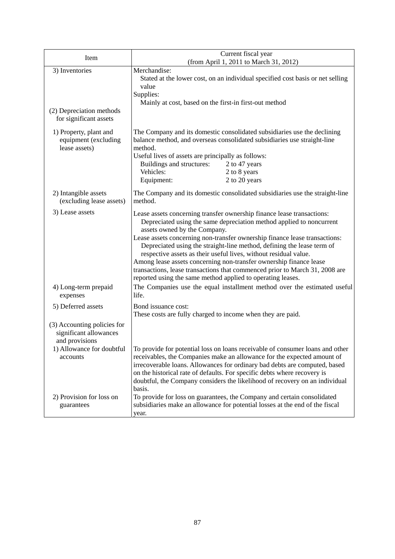| Item                                                                    | Current fiscal year                                                                                                                                                                                                                                                                                                                                                                                                                                                                                                                                                                                                            |  |
|-------------------------------------------------------------------------|--------------------------------------------------------------------------------------------------------------------------------------------------------------------------------------------------------------------------------------------------------------------------------------------------------------------------------------------------------------------------------------------------------------------------------------------------------------------------------------------------------------------------------------------------------------------------------------------------------------------------------|--|
|                                                                         | (from April 1, 2011 to March 31, 2012)                                                                                                                                                                                                                                                                                                                                                                                                                                                                                                                                                                                         |  |
| 3) Inventories<br>(2) Depreciation methods<br>for significant assets    | Merchandise:<br>Stated at the lower cost, on an individual specified cost basis or net selling<br>value<br>Supplies:<br>Mainly at cost, based on the first-in first-out method                                                                                                                                                                                                                                                                                                                                                                                                                                                 |  |
| 1) Property, plant and<br>equipment (excluding<br>lease assets)         | The Company and its domestic consolidated subsidiaries use the declining<br>balance method, and overseas consolidated subsidiaries use straight-line<br>method.<br>Useful lives of assets are principally as follows:<br>Buildings and structures:<br>2 to 47 years<br>Vehicles:<br>2 to 8 years<br>2 to 20 years<br>Equipment:                                                                                                                                                                                                                                                                                                |  |
| 2) Intangible assets<br>(excluding lease assets)                        | The Company and its domestic consolidated subsidiaries use the straight-line<br>method.                                                                                                                                                                                                                                                                                                                                                                                                                                                                                                                                        |  |
| 3) Lease assets                                                         | Lease assets concerning transfer ownership finance lease transactions:<br>Depreciated using the same depreciation method applied to noncurrent<br>assets owned by the Company.<br>Lease assets concerning non-transfer ownership finance lease transactions:<br>Depreciated using the straight-line method, defining the lease term of<br>respective assets as their useful lives, without residual value.<br>Among lease assets concerning non-transfer ownership finance lease<br>transactions, lease transactions that commenced prior to March 31, 2008 are<br>reported using the same method applied to operating leases. |  |
| 4) Long-term prepaid<br>expenses                                        | The Companies use the equal installment method over the estimated useful<br>life.                                                                                                                                                                                                                                                                                                                                                                                                                                                                                                                                              |  |
| 5) Deferred assets                                                      | Bond issuance cost:<br>These costs are fully charged to income when they are paid.                                                                                                                                                                                                                                                                                                                                                                                                                                                                                                                                             |  |
| (3) Accounting policies for<br>significant allowances<br>and provisions |                                                                                                                                                                                                                                                                                                                                                                                                                                                                                                                                                                                                                                |  |
| 1) Allowance for doubtful<br>accounts                                   | To provide for potential loss on loans receivable of consumer loans and other<br>receivables, the Companies make an allowance for the expected amount of<br>irrecoverable loans. Allowances for ordinary bad debts are computed, based<br>on the historical rate of defaults. For specific debts where recovery is<br>doubtful, the Company considers the likelihood of recovery on an individual<br>basis.                                                                                                                                                                                                                    |  |
| 2) Provision for loss on<br>guarantees                                  | To provide for loss on guarantees, the Company and certain consolidated<br>subsidiaries make an allowance for potential losses at the end of the fiscal<br>year.                                                                                                                                                                                                                                                                                                                                                                                                                                                               |  |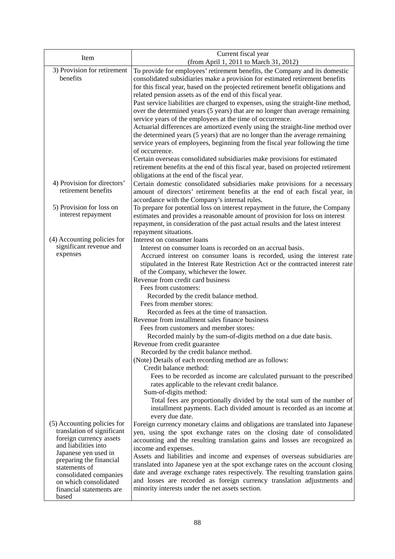| Item                                                      | Current fiscal year                                                                                                     |
|-----------------------------------------------------------|-------------------------------------------------------------------------------------------------------------------------|
|                                                           | (from April 1, 2011 to March 31, 2012)                                                                                  |
| 3) Provision for retirement                               | To provide for employees' retirement benefits, the Company and its domestic                                             |
| benefits                                                  | consolidated subsidiaries make a provision for estimated retirement benefits                                            |
|                                                           | for this fiscal year, based on the projected retirement benefit obligations and                                         |
|                                                           | related pension assets as of the end of this fiscal year.                                                               |
|                                                           | Past service liabilities are charged to expenses, using the straight-line method,                                       |
|                                                           | over the determined years (5 years) that are no longer than average remaining                                           |
|                                                           | service years of the employees at the time of occurrence.                                                               |
|                                                           | Actuarial differences are amortized evenly using the straight-line method over                                          |
|                                                           | the determined years (5 years) that are no longer than the average remaining                                            |
|                                                           | service years of employees, beginning from the fiscal year following the time                                           |
|                                                           | of occurrence.                                                                                                          |
|                                                           | Certain overseas consolidated subsidiaries make provisions for estimated                                                |
|                                                           | retirement benefits at the end of this fiscal year, based on projected retirement                                       |
|                                                           | obligations at the end of the fiscal year.                                                                              |
| 4) Provision for directors'                               | Certain domestic consolidated subsidiaries make provisions for a necessary                                              |
| retirement benefits                                       | amount of directors' retirement benefits at the end of each fiscal year, in                                             |
|                                                           | accordance with the Company's internal rules.                                                                           |
| 5) Provision for loss on                                  | To prepare for potential loss on interest repayment in the future, the Company                                          |
| interest repayment                                        | estimates and provides a reasonable amount of provision for loss on interest                                            |
|                                                           | repayment, in consideration of the past actual results and the latest interest                                          |
|                                                           | repayment situations.                                                                                                   |
| (4) Accounting policies for<br>significant revenue and    | Interest on consumer loans                                                                                              |
| expenses                                                  | Interest on consumer loans is recorded on an accrual basis.                                                             |
|                                                           | Accrued interest on consumer loans is recorded, using the interest rate                                                 |
|                                                           | stipulated in the Interest Rate Restriction Act or the contracted interest rate<br>of the Company, whichever the lower. |
|                                                           | Revenue from credit card business                                                                                       |
|                                                           | Fees from customers:                                                                                                    |
|                                                           | Recorded by the credit balance method.                                                                                  |
|                                                           | Fees from member stores:                                                                                                |
|                                                           | Recorded as fees at the time of transaction.                                                                            |
|                                                           | Revenue from installment sales finance business                                                                         |
|                                                           | Fees from customers and member stores:                                                                                  |
|                                                           | Recorded mainly by the sum-of-digits method on a due date basis.                                                        |
|                                                           | Revenue from credit guarantee                                                                                           |
|                                                           | Recorded by the credit balance method.                                                                                  |
|                                                           | (Note) Details of each recording method are as follows:                                                                 |
|                                                           | Credit balance method:                                                                                                  |
|                                                           | Fees to be recorded as income are calculated pursuant to the prescribed                                                 |
|                                                           | rates applicable to the relevant credit balance.                                                                        |
|                                                           | Sum-of-digits method:                                                                                                   |
|                                                           | Total fees are proportionally divided by the total sum of the number of                                                 |
|                                                           | installment payments. Each divided amount is recorded as an income at                                                   |
|                                                           | every due date.                                                                                                         |
| (5) Accounting policies for<br>translation of significant | Foreign currency monetary claims and obligations are translated into Japanese                                           |
| foreign currency assets                                   | yen, using the spot exchange rates on the closing date of consolidated                                                  |
| and liabilities into                                      | accounting and the resulting translation gains and losses are recognized as                                             |
| Japanese yen used in                                      | income and expenses.<br>Assets and liabilities and income and expenses of overseas subsidiaries are                     |
| preparing the financial                                   | translated into Japanese yen at the spot exchange rates on the account closing                                          |
| statements of                                             | date and average exchange rates respectively. The resulting translation gains                                           |
| consolidated companies                                    | and losses are recorded as foreign currency translation adjustments and                                                 |
| on which consolidated<br>financial statements are         | minority interests under the net assets section.                                                                        |
| based                                                     |                                                                                                                         |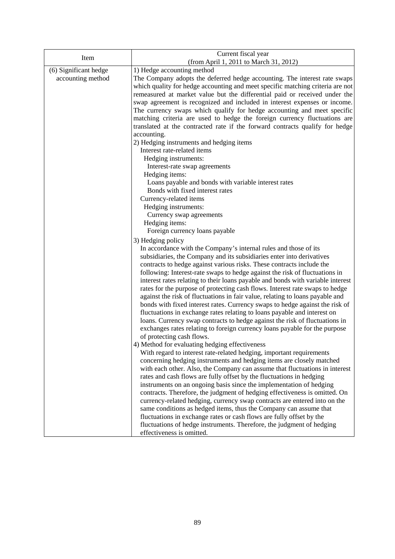|                       | Current fiscal year                                                             |
|-----------------------|---------------------------------------------------------------------------------|
| Item                  | (from April 1, 2011 to March 31, 2012)                                          |
| (6) Significant hedge | 1) Hedge accounting method                                                      |
| accounting method     | The Company adopts the deferred hedge accounting. The interest rate swaps       |
|                       | which quality for hedge accounting and meet specific matching criteria are not  |
|                       | remeasured at market value but the differential paid or received under the      |
|                       | swap agreement is recognized and included in interest expenses or income.       |
|                       | The currency swaps which qualify for hedge accounting and meet specific         |
|                       | matching criteria are used to hedge the foreign currency fluctuations are       |
|                       | translated at the contracted rate if the forward contracts qualify for hedge    |
|                       | accounting.                                                                     |
|                       | 2) Hedging instruments and hedging items                                        |
|                       | Interest rate-related items                                                     |
|                       | Hedging instruments:                                                            |
|                       | Interest-rate swap agreements                                                   |
|                       | Hedging items:                                                                  |
|                       | Loans payable and bonds with variable interest rates                            |
|                       | Bonds with fixed interest rates                                                 |
|                       | Currency-related items                                                          |
|                       | Hedging instruments:                                                            |
|                       | Currency swap agreements                                                        |
|                       | Hedging items:                                                                  |
|                       | Foreign currency loans payable                                                  |
|                       | 3) Hedging policy                                                               |
|                       | In accordance with the Company's internal rules and those of its                |
|                       | subsidiaries, the Company and its subsidiaries enter into derivatives           |
|                       | contracts to hedge against various risks. These contracts include the           |
|                       | following: Interest-rate swaps to hedge against the risk of fluctuations in     |
|                       | interest rates relating to their loans payable and bonds with variable interest |
|                       | rates for the purpose of protecting cash flows. Interest rate swaps to hedge    |
|                       | against the risk of fluctuations in fair value, relating to loans payable and   |
|                       | bonds with fixed interest rates. Currency swaps to hedge against the risk of    |
|                       | fluctuations in exchange rates relating to loans payable and interest on        |
|                       | loans. Currency swap contracts to hedge against the risk of fluctuations in     |
|                       | exchanges rates relating to foreign currency loans payable for the purpose      |
|                       | of protecting cash flows.                                                       |
|                       | 4) Method for evaluating hedging effectiveness                                  |
|                       | With regard to interest rate-related hedging, important requirements            |
|                       | concerning hedging instruments and hedging items are closely matched            |
|                       | with each other. Also, the Company can assume that fluctuations in interest     |
|                       | rates and cash flows are fully offset by the fluctuations in hedging            |
|                       | instruments on an ongoing basis since the implementation of hedging             |
|                       | contracts. Therefore, the judgment of hedging effectiveness is omitted. On      |
|                       | currency-related hedging, currency swap contracts are entered into on the       |
|                       | same conditions as hedged items, thus the Company can assume that               |
|                       | fluctuations in exchange rates or cash flows are fully offset by the            |
|                       | fluctuations of hedge instruments. Therefore, the judgment of hedging           |
|                       | effectiveness is omitted.                                                       |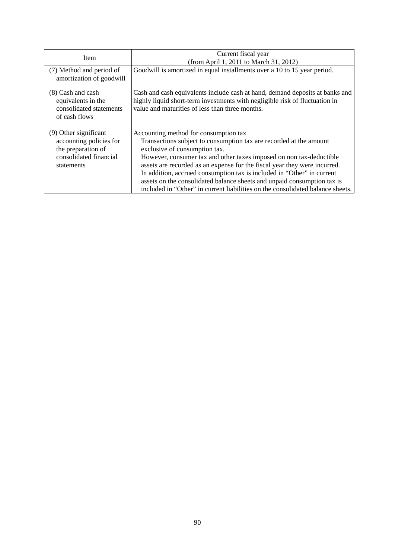| <b>Item</b>                                                                                                    | Current fiscal year<br>(from April 1, 2011 to March 31, 2012)                                                                                                                                                                                                                                                                                                                                                                                                                                                                           |
|----------------------------------------------------------------------------------------------------------------|-----------------------------------------------------------------------------------------------------------------------------------------------------------------------------------------------------------------------------------------------------------------------------------------------------------------------------------------------------------------------------------------------------------------------------------------------------------------------------------------------------------------------------------------|
| (7) Method and period of<br>amortization of goodwill                                                           | Goodwill is amortized in equal installments over a 10 to 15 year period.                                                                                                                                                                                                                                                                                                                                                                                                                                                                |
| (8) Cash and cash<br>equivalents in the<br>consolidated statements<br>of cash flows                            | Cash and cash equivalents include cash at hand, demand deposits at banks and<br>highly liquid short-term investments with negligible risk of fluctuation in<br>value and maturities of less than three months.                                                                                                                                                                                                                                                                                                                          |
| (9) Other significant<br>accounting policies for<br>the preparation of<br>consolidated financial<br>statements | Accounting method for consumption tax<br>Transactions subject to consumption tax are recorded at the amount<br>exclusive of consumption tax.<br>However, consumer tax and other taxes imposed on non tax-deductible<br>assets are recorded as an expense for the fiscal year they were incurred.<br>In addition, accrued consumption tax is included in "Other" in current<br>assets on the consolidated balance sheets and unpaid consumption tax is<br>included in "Other" in current liabilities on the consolidated balance sheets. |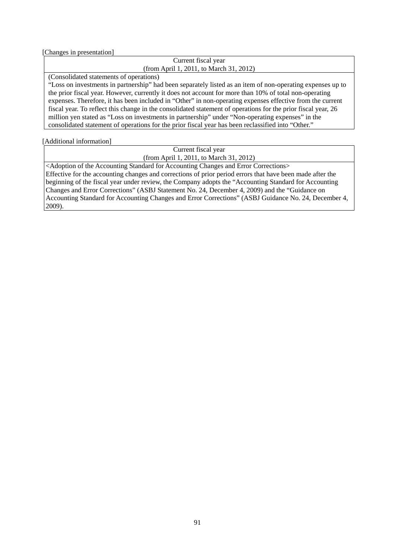[Changes in presentation]

| Current fiscal year                     |  |
|-----------------------------------------|--|
| (from April 1, 2011, to March 31, 2012) |  |

(Consolidated statements of operations)

"Loss on investments in partnership" had been separately listed as an item of non-operating expenses up to the prior fiscal year. However, currently it does not account for more than 10% of total non-operating expenses. Therefore, it has been included in "Other" in non-operating expenses effective from the current fiscal year. To reflect this change in the consolidated statement of operations for the prior fiscal year, 26 million yen stated as "Loss on investments in partnership" under "Non-operating expenses" in the consolidated statement of operations for the prior fiscal year has been reclassified into "Other."

## [Additional information]

Current fiscal year (from April 1, 2011, to March 31, 2012)

<Adoption of the Accounting Standard for Accounting Changes and Error Corrections> Effective for the accounting changes and corrections of prior period errors that have been made after the beginning of the fiscal year under review, the Company adopts the "Accounting Standard for Accounting Changes and Error Corrections" (ASBJ Statement No. 24, December 4, 2009) and the "Guidance on Accounting Standard for Accounting Changes and Error Corrections" (ASBJ Guidance No. 24, December 4, 2009).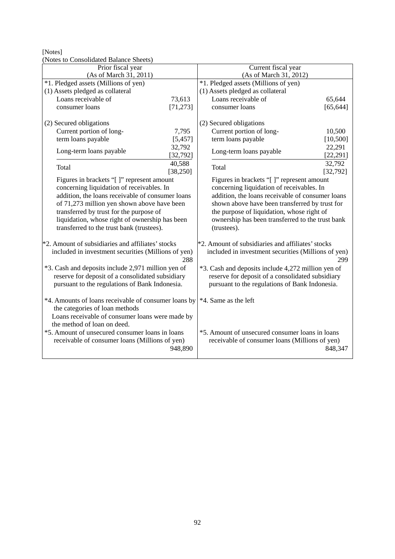[Notes]

(Notes to Consolidated Balance Sheets)

| (indies to Consondated Balance Sheets)                                   |           |                                                                |           |
|--------------------------------------------------------------------------|-----------|----------------------------------------------------------------|-----------|
| Prior fiscal year                                                        |           | Current fiscal year                                            |           |
| (As of March 31, 2011)                                                   |           | (As of March 31, 2012)<br>*1. Pledged assets (Millions of yen) |           |
| *1. Pledged assets (Millions of yen)<br>(1) Assets pledged as collateral |           | (1) Assets pledged as collateral                               |           |
| Loans receivable of                                                      | 73,613    | Loans receivable of                                            | 65,644    |
| consumer loans                                                           | [71, 273] | consumer loans                                                 | [65, 644] |
|                                                                          |           |                                                                |           |
| (2) Secured obligations                                                  |           | (2) Secured obligations                                        |           |
| Current portion of long-                                                 | 7,795     | Current portion of long-                                       | 10,500    |
| term loans payable                                                       | [5, 457]  | term loans payable                                             | [10, 500] |
|                                                                          | 32,792    |                                                                | 22,291    |
| Long-term loans payable                                                  | [32, 792] | Long-term loans payable                                        | [22, 291] |
|                                                                          | 40,588    |                                                                | 32,792    |
| Total                                                                    | [38, 250] | Total                                                          | [32, 792] |
| Figures in brackets "[]" represent amount                                |           | Figures in brackets "[]" represent amount                      |           |
| concerning liquidation of receivables. In                                |           | concerning liquidation of receivables. In                      |           |
| addition, the loans receivable of consumer loans                         |           | addition, the loans receivable of consumer loans               |           |
| of 71,273 million yen shown above have been                              |           | shown above have been transferred by trust for                 |           |
| transferred by trust for the purpose of                                  |           | the purpose of liquidation, whose right of                     |           |
| liquidation, whose right of ownership has been                           |           | ownership has been transferred to the trust bank               |           |
| transferred to the trust bank (trustees).                                |           | (trustees).                                                    |           |
|                                                                          |           |                                                                |           |
| *2. Amount of subsidiaries and affiliates' stocks                        |           | *2. Amount of subsidiaries and affiliates' stocks              |           |
| included in investment securities (Millions of yen)                      |           | included in investment securities (Millions of yen)            |           |
| 288                                                                      |           |                                                                | 299       |
| *3. Cash and deposits include 2,971 million yen of                       |           | *3. Cash and deposits include 4,272 million yen of             |           |
| reserve for deposit of a consolidated subsidiary                         |           | reserve for deposit of a consolidated subsidiary               |           |
| pursuant to the regulations of Bank Indonesia.                           |           | pursuant to the regulations of Bank Indonesia.                 |           |
|                                                                          |           |                                                                |           |
| *4. Amounts of loans receivable of consumer loans by                     |           | *4. Same as the left                                           |           |
| the categories of loan methods                                           |           |                                                                |           |
| Loans receivable of consumer loans were made by                          |           |                                                                |           |
| the method of loan on deed.                                              |           |                                                                |           |
| *5. Amount of unsecured consumer loans in loans                          |           | *5. Amount of unsecured consumer loans in loans                |           |
| receivable of consumer loans (Millions of yen)                           |           | receivable of consumer loans (Millions of yen)                 |           |
| 948,890                                                                  |           |                                                                | 848,347   |
|                                                                          |           |                                                                |           |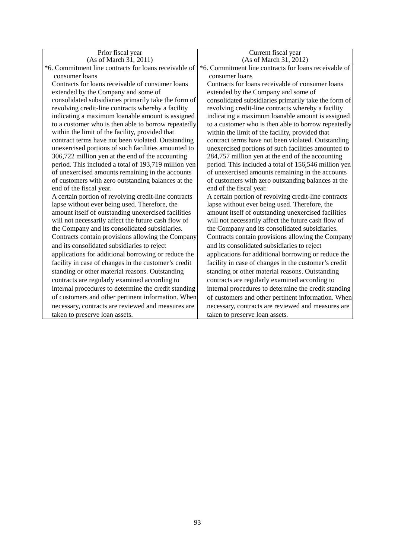| Prior fiscal year                                     | Current fiscal year                                   |
|-------------------------------------------------------|-------------------------------------------------------|
| (As of March 31, 2011)                                | (As of March 31, 2012)                                |
| *6. Commitment line contracts for loans receivable of | *6. Commitment line contracts for loans receivable of |
| consumer loans                                        | consumer loans                                        |
| Contracts for loans receivable of consumer loans      | Contracts for loans receivable of consumer loans      |
| extended by the Company and some of                   | extended by the Company and some of                   |
| consolidated subsidiaries primarily take the form of  | consolidated subsidiaries primarily take the form of  |
| revolving credit-line contracts whereby a facility    | revolving credit-line contracts whereby a facility    |
| indicating a maximum loanable amount is assigned      | indicating a maximum loanable amount is assigned      |
| to a customer who is then able to borrow repeatedly   | to a customer who is then able to borrow repeatedly   |
| within the limit of the facility, provided that       | within the limit of the facility, provided that       |
| contract terms have not been violated. Outstanding    | contract terms have not been violated. Outstanding    |
| unexercised portions of such facilities amounted to   | unexercised portions of such facilities amounted to   |
| 306,722 million yen at the end of the accounting      | 284,757 million yen at the end of the accounting      |
| period. This included a total of 193,719 million yen  | period. This included a total of 156,546 million yen  |
| of unexercised amounts remaining in the accounts      | of unexercised amounts remaining in the accounts      |
| of customers with zero outstanding balances at the    | of customers with zero outstanding balances at the    |
| end of the fiscal year.                               | end of the fiscal year.                               |
| A certain portion of revolving credit-line contracts  | A certain portion of revolving credit-line contracts  |
| lapse without ever being used. Therefore, the         | lapse without ever being used. Therefore, the         |
| amount itself of outstanding unexercised facilities   | amount itself of outstanding unexercised facilities   |
| will not necessarily affect the future cash flow of   | will not necessarily affect the future cash flow of   |
| the Company and its consolidated subsidiaries.        | the Company and its consolidated subsidiaries.        |
| Contracts contain provisions allowing the Company     | Contracts contain provisions allowing the Company     |
| and its consolidated subsidiaries to reject           | and its consolidated subsidiaries to reject           |
| applications for additional borrowing or reduce the   | applications for additional borrowing or reduce the   |
| facility in case of changes in the customer's credit  | facility in case of changes in the customer's credit  |
| standing or other material reasons. Outstanding       | standing or other material reasons. Outstanding       |
| contracts are regularly examined according to         | contracts are regularly examined according to         |
| internal procedures to determine the credit standing  | internal procedures to determine the credit standing  |
| of customers and other pertinent information. When    | of customers and other pertinent information. When    |
| necessary, contracts are reviewed and measures are    | necessary, contracts are reviewed and measures are    |
| taken to preserve loan assets.                        | taken to preserve loan assets.                        |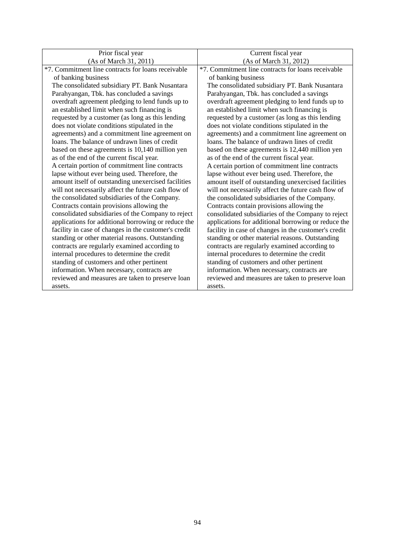| Prior fiscal year                                    | Current fiscal year                                  |
|------------------------------------------------------|------------------------------------------------------|
| (As of March 31, 2011)                               | (As of March 31, 2012)                               |
| *7. Commitment line contracts for loans receivable   | *7. Commitment line contracts for loans receivable   |
| of banking business                                  | of banking business                                  |
| The consolidated subsidiary PT. Bank Nusantara       | The consolidated subsidiary PT. Bank Nusantara       |
| Parahyangan, Tbk. has concluded a savings            | Parahyangan, Tbk. has concluded a savings            |
| overdraft agreement pledging to lend funds up to     | overdraft agreement pledging to lend funds up to     |
| an established limit when such financing is          | an established limit when such financing is          |
| requested by a customer (as long as this lending     | requested by a customer (as long as this lending     |
| does not violate conditions stipulated in the        | does not violate conditions stipulated in the        |
| agreements) and a commitment line agreement on       | agreements) and a commitment line agreement on       |
| loans. The balance of undrawn lines of credit        | loans. The balance of undrawn lines of credit        |
| based on these agreements is 10,140 million yen      | based on these agreements is 12,440 million yen      |
| as of the end of the current fiscal year.            | as of the end of the current fiscal year.            |
| A certain portion of commitment line contracts       | A certain portion of commitment line contracts       |
| lapse without ever being used. Therefore, the        | lapse without ever being used. Therefore, the        |
| amount itself of outstanding unexercised facilities  | amount itself of outstanding unexercised facilities  |
| will not necessarily affect the future cash flow of  | will not necessarily affect the future cash flow of  |
| the consolidated subsidiaries of the Company.        | the consolidated subsidiaries of the Company.        |
| Contracts contain provisions allowing the            | Contracts contain provisions allowing the            |
| consolidated subsidiaries of the Company to reject   | consolidated subsidiaries of the Company to reject   |
| applications for additional borrowing or reduce the  | applications for additional borrowing or reduce the  |
| facility in case of changes in the customer's credit | facility in case of changes in the customer's credit |
| standing or other material reasons. Outstanding      | standing or other material reasons. Outstanding      |
| contracts are regularly examined according to        | contracts are regularly examined according to        |
| internal procedures to determine the credit          | internal procedures to determine the credit          |
| standing of customers and other pertinent            | standing of customers and other pertinent            |
| information. When necessary, contracts are           | information. When necessary, contracts are           |
| reviewed and measures are taken to preserve loan     | reviewed and measures are taken to preserve loan     |
| assets.                                              | assets.                                              |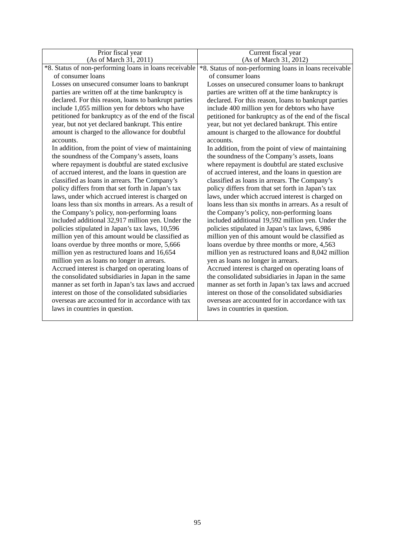| Prior fiscal year                                      | Current fiscal year                                    |
|--------------------------------------------------------|--------------------------------------------------------|
| (As of March 31, 2011)                                 | (As of March 31, 2012)                                 |
| *8. Status of non-performing loans in loans receivable | *8. Status of non-performing loans in loans receivable |
| of consumer loans                                      | of consumer loans                                      |
| Losses on unsecured consumer loans to bankrupt         | Losses on unsecured consumer loans to bankrupt         |
| parties are written off at the time bankruptcy is      | parties are written off at the time bankruptcy is      |
| declared. For this reason, loans to bankrupt parties   | declared. For this reason, loans to bankrupt parties   |
| include 1,055 million yen for debtors who have         | include 400 million yen for debtors who have           |
| petitioned for bankruptcy as of the end of the fiscal  | petitioned for bankruptcy as of the end of the fiscal  |
| year, but not yet declared bankrupt. This entire       | year, but not yet declared bankrupt. This entire       |
| amount is charged to the allowance for doubtful        | amount is charged to the allowance for doubtful        |
| accounts.                                              | accounts.                                              |
| In addition, from the point of view of maintaining     | In addition, from the point of view of maintaining     |
| the soundness of the Company's assets, loans           | the soundness of the Company's assets, loans           |
| where repayment is doubtful are stated exclusive       | where repayment is doubtful are stated exclusive       |
| of accrued interest, and the loans in question are     | of accrued interest, and the loans in question are     |
| classified as loans in arrears. The Company's          | classified as loans in arrears. The Company's          |
| policy differs from that set forth in Japan's tax      | policy differs from that set forth in Japan's tax      |
| laws, under which accrued interest is charged on       | laws, under which accrued interest is charged on       |
| loans less than six months in arrears. As a result of  | loans less than six months in arrears. As a result of  |
| the Company's policy, non-performing loans             | the Company's policy, non-performing loans             |
| included additional 32,917 million yen. Under the      | included additional 19,592 million yen. Under the      |
| policies stipulated in Japan's tax laws, 10,596        | policies stipulated in Japan's tax laws, 6,986         |
| million yen of this amount would be classified as      | million yen of this amount would be classified as      |
| loans overdue by three months or more, 5,666           | loans overdue by three months or more, 4,563           |
| million yen as restructured loans and 16,654           | million yen as restructured loans and 8,042 million    |
| million yen as loans no longer in arrears.             | yen as loans no longer in arrears.                     |
| Accrued interest is charged on operating loans of      | Accrued interest is charged on operating loans of      |
| the consolidated subsidiaries in Japan in the same     | the consolidated subsidiaries in Japan in the same     |
| manner as set forth in Japan's tax laws and accrued    | manner as set forth in Japan's tax laws and accrued    |
| interest on those of the consolidated subsidiaries     | interest on those of the consolidated subsidiaries     |
| overseas are accounted for in accordance with tax      | overseas are accounted for in accordance with tax      |
| laws in countries in question.                         | laws in countries in question.                         |
|                                                        |                                                        |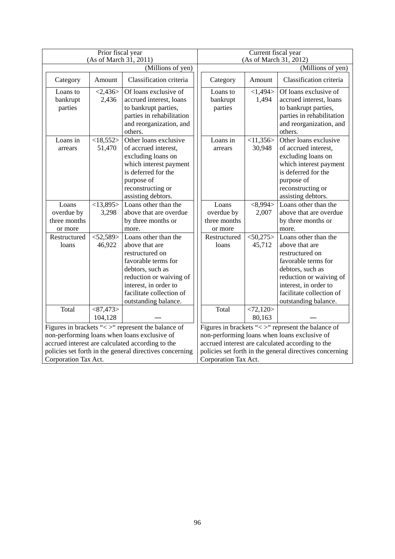| Prior fiscal year<br>(As of March 31, 2011)                                                                                                           |                                 |                                                                                                                                                                                                              | Current fiscal year<br>(As of March 31, 2012)                                                                                                               |                            |                                                                                                                                                                                                              |  |
|-------------------------------------------------------------------------------------------------------------------------------------------------------|---------------------------------|--------------------------------------------------------------------------------------------------------------------------------------------------------------------------------------------------------------|-------------------------------------------------------------------------------------------------------------------------------------------------------------|----------------------------|--------------------------------------------------------------------------------------------------------------------------------------------------------------------------------------------------------------|--|
|                                                                                                                                                       |                                 | (Millions of yen)                                                                                                                                                                                            |                                                                                                                                                             |                            | (Millions of yen)                                                                                                                                                                                            |  |
| Category                                                                                                                                              | Amount                          | Classification criteria                                                                                                                                                                                      | Category                                                                                                                                                    | Amount                     | Classification criteria                                                                                                                                                                                      |  |
| Loans to<br>bankrupt<br>parties                                                                                                                       | <2,436><br>2,436                | Of loans exclusive of<br>accrued interest, loans<br>to bankrupt parties,<br>parties in rehabilitation<br>and reorganization, and                                                                             | Loans to<br>bankrupt<br>parties                                                                                                                             | <1,494><br>1,494           | Of loans exclusive of<br>accrued interest, loans<br>to bankrupt parties,<br>parties in rehabilitation<br>and reorganization, and                                                                             |  |
| Loans in<br>arrears                                                                                                                                   | <18,552><br>51,470              | others.<br>Other loans exclusive<br>of accrued interest,<br>excluding loans on<br>which interest payment<br>is deferred for the<br>purpose of<br>reconstructing or<br>assisting debtors.                     | Loans in<br>arrears                                                                                                                                         | <11,356><br>30,948         | others.<br>Other loans exclusive<br>of accrued interest,<br>excluding loans on<br>which interest payment<br>is deferred for the<br>purpose of<br>reconstructing or<br>assisting debtors.                     |  |
| Loans<br>overdue by<br>three months<br>or more                                                                                                        | <13,895><br>3,298               | Loans other than the<br>above that are overdue<br>by three months or<br>more.                                                                                                                                | Loans<br>overdue by<br>three months<br>or more                                                                                                              | $<\!\!8,994\!\!>$<br>2,007 | Loans other than the<br>above that are overdue<br>by three months or<br>more.                                                                                                                                |  |
| Restructured<br>loans                                                                                                                                 | $<$ 52,589><br>46,922           | Loans other than the<br>above that are<br>restructured on<br>favorable terms for<br>debtors, such as<br>reduction or waiving of<br>interest, in order to<br>facilitate collection of<br>outstanding balance. | Restructured<br>loans                                                                                                                                       | $<$ 50,275><br>45,712      | Loans other than the<br>above that are<br>restructured on<br>favorable terms for<br>debtors, such as<br>reduction or waiving of<br>interest, in order to<br>facilitate collection of<br>outstanding balance. |  |
| Total                                                                                                                                                 | $<\!\!87,\!473\!\!>$<br>104,128 |                                                                                                                                                                                                              | Total                                                                                                                                                       | <72,120><br>80,163         |                                                                                                                                                                                                              |  |
| Figures in brackets "<>" represent the balance of<br>non-performing loans when loans exclusive of<br>accrued interest are calculated according to the |                                 |                                                                                                                                                                                                              | Figures in brackets " $\lt$ >" represent the balance of<br>non-performing loans when loans exclusive of<br>accrued interest are calculated according to the |                            |                                                                                                                                                                                                              |  |
| Corporation Tax Act.                                                                                                                                  |                                 | policies set forth in the general directives concerning                                                                                                                                                      | policies set forth in the general directives concerning<br>Corporation Tax Act.                                                                             |                            |                                                                                                                                                                                                              |  |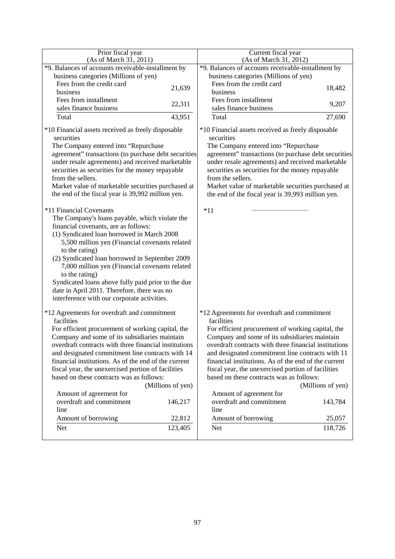| *9. Balances of accounts receivable-installment by<br>*9. Balances of accounts receivable-installment by<br>business categories (Millions of yen)<br>business categories (Millions of yen)<br>Fees from the credit card<br>Fees from the credit card<br>21,639<br>18,482<br>business<br>business<br>Fees from installment<br>Fees from installment<br>9,207<br>22,311<br>sales finance business<br>sales finance business<br>Total<br>43,951<br>Total<br>27,690<br>*10 Financial assets received as freely disposable<br>*10 Financial assets received as freely disposable<br>securities<br>securities<br>The Company entered into "Repurchase"<br>The Company entered into "Repurchase"<br>agreement" transactions (to purchase debt securities<br>under resale agreements) and received marketable<br>under resale agreements) and received marketable<br>securities as securities for the money repayable<br>securities as securities for the money repayable<br>from the sellers.<br>from the sellers.<br>Market value of marketable securities purchased at<br>Market value of marketable securities purchased at<br>the end of the fiscal year is 39,992 million yen.<br>the end of the fiscal year is 39,993 million yen.<br>*11 Financial Covenants<br>$*11$<br>The Company's loans payable, which violate the<br>financial covenants, are as follows:<br>(1) Syndicated loan borrowed in March 2008<br>5,500 million yen (Financial covenants related<br>to the rating)<br>(2) Syndicated loan borrowed in September 2009<br>7,000 million yen (Financial covenants related<br>to the rating)<br>Syndicated loans above fully paid prior to the due<br>date in April 2011. Therefore, there was no<br>interference with our corporate activities.<br>*12 Agreements for overdraft and commitment<br>*12 Agreements for overdraft and commitment<br>facilities<br>facilities<br>For efficient procurement of working capital, the<br>For efficient procurement of working capital, the<br>Company and some of its subsidiaries maintain<br>Company and some of its subsidiaries maintain<br>overdraft contracts with three financial institutions<br>overdraft contracts with three financial institutions<br>and designated commitment line contracts with 14<br>and designated commitment line contracts with 11<br>financial institutions. As of the end of the current<br>financial institutions. As of the end of the current<br>fiscal year, the unexercised portion of facilities<br>fiscal year, the unexercised portion of facilities<br>based on these contracts was as follows:<br>based on these contracts was as follows:<br>(Millions of yen)<br>(Millions of yen)<br>Amount of agreement for<br>Amount of agreement for<br>overdraft and commitment<br>overdraft and commitment<br>146,217<br>143,784<br>line<br>line<br>Amount of borrowing<br>22,812<br>Amount of borrowing<br>25,057<br>Net<br>123,405<br>Net<br>118,726 | Prior fiscal year      | Current fiscal year    |  |  |
|-----------------------------------------------------------------------------------------------------------------------------------------------------------------------------------------------------------------------------------------------------------------------------------------------------------------------------------------------------------------------------------------------------------------------------------------------------------------------------------------------------------------------------------------------------------------------------------------------------------------------------------------------------------------------------------------------------------------------------------------------------------------------------------------------------------------------------------------------------------------------------------------------------------------------------------------------------------------------------------------------------------------------------------------------------------------------------------------------------------------------------------------------------------------------------------------------------------------------------------------------------------------------------------------------------------------------------------------------------------------------------------------------------------------------------------------------------------------------------------------------------------------------------------------------------------------------------------------------------------------------------------------------------------------------------------------------------------------------------------------------------------------------------------------------------------------------------------------------------------------------------------------------------------------------------------------------------------------------------------------------------------------------------------------------------------------------------------------------------------------------------------------------------------------------------------------------------------------------------------------------------------------------------------------------------------------------------------------------------------------------------------------------------------------------------------------------------------------------------------------------------------------------------------------------------------------------------------------------------------------------------------------------------------------------------------------------------------------------------------------------------------------------------------------------------------------------------------------------------------------------------------------------------------------------------------------------------|------------------------|------------------------|--|--|
|                                                                                                                                                                                                                                                                                                                                                                                                                                                                                                                                                                                                                                                                                                                                                                                                                                                                                                                                                                                                                                                                                                                                                                                                                                                                                                                                                                                                                                                                                                                                                                                                                                                                                                                                                                                                                                                                                                                                                                                                                                                                                                                                                                                                                                                                                                                                                                                                                                                                                                                                                                                                                                                                                                                                                                                                                                                                                                                                                     | (As of March 31, 2011) | (As of March 31, 2012) |  |  |
|                                                                                                                                                                                                                                                                                                                                                                                                                                                                                                                                                                                                                                                                                                                                                                                                                                                                                                                                                                                                                                                                                                                                                                                                                                                                                                                                                                                                                                                                                                                                                                                                                                                                                                                                                                                                                                                                                                                                                                                                                                                                                                                                                                                                                                                                                                                                                                                                                                                                                                                                                                                                                                                                                                                                                                                                                                                                                                                                                     |                        |                        |  |  |
|                                                                                                                                                                                                                                                                                                                                                                                                                                                                                                                                                                                                                                                                                                                                                                                                                                                                                                                                                                                                                                                                                                                                                                                                                                                                                                                                                                                                                                                                                                                                                                                                                                                                                                                                                                                                                                                                                                                                                                                                                                                                                                                                                                                                                                                                                                                                                                                                                                                                                                                                                                                                                                                                                                                                                                                                                                                                                                                                                     |                        |                        |  |  |
|                                                                                                                                                                                                                                                                                                                                                                                                                                                                                                                                                                                                                                                                                                                                                                                                                                                                                                                                                                                                                                                                                                                                                                                                                                                                                                                                                                                                                                                                                                                                                                                                                                                                                                                                                                                                                                                                                                                                                                                                                                                                                                                                                                                                                                                                                                                                                                                                                                                                                                                                                                                                                                                                                                                                                                                                                                                                                                                                                     |                        |                        |  |  |
|                                                                                                                                                                                                                                                                                                                                                                                                                                                                                                                                                                                                                                                                                                                                                                                                                                                                                                                                                                                                                                                                                                                                                                                                                                                                                                                                                                                                                                                                                                                                                                                                                                                                                                                                                                                                                                                                                                                                                                                                                                                                                                                                                                                                                                                                                                                                                                                                                                                                                                                                                                                                                                                                                                                                                                                                                                                                                                                                                     |                        |                        |  |  |
|                                                                                                                                                                                                                                                                                                                                                                                                                                                                                                                                                                                                                                                                                                                                                                                                                                                                                                                                                                                                                                                                                                                                                                                                                                                                                                                                                                                                                                                                                                                                                                                                                                                                                                                                                                                                                                                                                                                                                                                                                                                                                                                                                                                                                                                                                                                                                                                                                                                                                                                                                                                                                                                                                                                                                                                                                                                                                                                                                     |                        |                        |  |  |
|                                                                                                                                                                                                                                                                                                                                                                                                                                                                                                                                                                                                                                                                                                                                                                                                                                                                                                                                                                                                                                                                                                                                                                                                                                                                                                                                                                                                                                                                                                                                                                                                                                                                                                                                                                                                                                                                                                                                                                                                                                                                                                                                                                                                                                                                                                                                                                                                                                                                                                                                                                                                                                                                                                                                                                                                                                                                                                                                                     |                        |                        |  |  |
|                                                                                                                                                                                                                                                                                                                                                                                                                                                                                                                                                                                                                                                                                                                                                                                                                                                                                                                                                                                                                                                                                                                                                                                                                                                                                                                                                                                                                                                                                                                                                                                                                                                                                                                                                                                                                                                                                                                                                                                                                                                                                                                                                                                                                                                                                                                                                                                                                                                                                                                                                                                                                                                                                                                                                                                                                                                                                                                                                     |                        |                        |  |  |
|                                                                                                                                                                                                                                                                                                                                                                                                                                                                                                                                                                                                                                                                                                                                                                                                                                                                                                                                                                                                                                                                                                                                                                                                                                                                                                                                                                                                                                                                                                                                                                                                                                                                                                                                                                                                                                                                                                                                                                                                                                                                                                                                                                                                                                                                                                                                                                                                                                                                                                                                                                                                                                                                                                                                                                                                                                                                                                                                                     |                        |                        |  |  |
|                                                                                                                                                                                                                                                                                                                                                                                                                                                                                                                                                                                                                                                                                                                                                                                                                                                                                                                                                                                                                                                                                                                                                                                                                                                                                                                                                                                                                                                                                                                                                                                                                                                                                                                                                                                                                                                                                                                                                                                                                                                                                                                                                                                                                                                                                                                                                                                                                                                                                                                                                                                                                                                                                                                                                                                                                                                                                                                                                     |                        |                        |  |  |
| agreement" transactions (to purchase debt securities                                                                                                                                                                                                                                                                                                                                                                                                                                                                                                                                                                                                                                                                                                                                                                                                                                                                                                                                                                                                                                                                                                                                                                                                                                                                                                                                                                                                                                                                                                                                                                                                                                                                                                                                                                                                                                                                                                                                                                                                                                                                                                                                                                                                                                                                                                                                                                                                                                                                                                                                                                                                                                                                                                                                                                                                                                                                                                |                        |                        |  |  |
|                                                                                                                                                                                                                                                                                                                                                                                                                                                                                                                                                                                                                                                                                                                                                                                                                                                                                                                                                                                                                                                                                                                                                                                                                                                                                                                                                                                                                                                                                                                                                                                                                                                                                                                                                                                                                                                                                                                                                                                                                                                                                                                                                                                                                                                                                                                                                                                                                                                                                                                                                                                                                                                                                                                                                                                                                                                                                                                                                     |                        |                        |  |  |
|                                                                                                                                                                                                                                                                                                                                                                                                                                                                                                                                                                                                                                                                                                                                                                                                                                                                                                                                                                                                                                                                                                                                                                                                                                                                                                                                                                                                                                                                                                                                                                                                                                                                                                                                                                                                                                                                                                                                                                                                                                                                                                                                                                                                                                                                                                                                                                                                                                                                                                                                                                                                                                                                                                                                                                                                                                                                                                                                                     |                        |                        |  |  |
|                                                                                                                                                                                                                                                                                                                                                                                                                                                                                                                                                                                                                                                                                                                                                                                                                                                                                                                                                                                                                                                                                                                                                                                                                                                                                                                                                                                                                                                                                                                                                                                                                                                                                                                                                                                                                                                                                                                                                                                                                                                                                                                                                                                                                                                                                                                                                                                                                                                                                                                                                                                                                                                                                                                                                                                                                                                                                                                                                     |                        |                        |  |  |
|                                                                                                                                                                                                                                                                                                                                                                                                                                                                                                                                                                                                                                                                                                                                                                                                                                                                                                                                                                                                                                                                                                                                                                                                                                                                                                                                                                                                                                                                                                                                                                                                                                                                                                                                                                                                                                                                                                                                                                                                                                                                                                                                                                                                                                                                                                                                                                                                                                                                                                                                                                                                                                                                                                                                                                                                                                                                                                                                                     |                        |                        |  |  |
|                                                                                                                                                                                                                                                                                                                                                                                                                                                                                                                                                                                                                                                                                                                                                                                                                                                                                                                                                                                                                                                                                                                                                                                                                                                                                                                                                                                                                                                                                                                                                                                                                                                                                                                                                                                                                                                                                                                                                                                                                                                                                                                                                                                                                                                                                                                                                                                                                                                                                                                                                                                                                                                                                                                                                                                                                                                                                                                                                     |                        |                        |  |  |
|                                                                                                                                                                                                                                                                                                                                                                                                                                                                                                                                                                                                                                                                                                                                                                                                                                                                                                                                                                                                                                                                                                                                                                                                                                                                                                                                                                                                                                                                                                                                                                                                                                                                                                                                                                                                                                                                                                                                                                                                                                                                                                                                                                                                                                                                                                                                                                                                                                                                                                                                                                                                                                                                                                                                                                                                                                                                                                                                                     |                        |                        |  |  |
|                                                                                                                                                                                                                                                                                                                                                                                                                                                                                                                                                                                                                                                                                                                                                                                                                                                                                                                                                                                                                                                                                                                                                                                                                                                                                                                                                                                                                                                                                                                                                                                                                                                                                                                                                                                                                                                                                                                                                                                                                                                                                                                                                                                                                                                                                                                                                                                                                                                                                                                                                                                                                                                                                                                                                                                                                                                                                                                                                     |                        |                        |  |  |
|                                                                                                                                                                                                                                                                                                                                                                                                                                                                                                                                                                                                                                                                                                                                                                                                                                                                                                                                                                                                                                                                                                                                                                                                                                                                                                                                                                                                                                                                                                                                                                                                                                                                                                                                                                                                                                                                                                                                                                                                                                                                                                                                                                                                                                                                                                                                                                                                                                                                                                                                                                                                                                                                                                                                                                                                                                                                                                                                                     |                        |                        |  |  |
|                                                                                                                                                                                                                                                                                                                                                                                                                                                                                                                                                                                                                                                                                                                                                                                                                                                                                                                                                                                                                                                                                                                                                                                                                                                                                                                                                                                                                                                                                                                                                                                                                                                                                                                                                                                                                                                                                                                                                                                                                                                                                                                                                                                                                                                                                                                                                                                                                                                                                                                                                                                                                                                                                                                                                                                                                                                                                                                                                     |                        |                        |  |  |
|                                                                                                                                                                                                                                                                                                                                                                                                                                                                                                                                                                                                                                                                                                                                                                                                                                                                                                                                                                                                                                                                                                                                                                                                                                                                                                                                                                                                                                                                                                                                                                                                                                                                                                                                                                                                                                                                                                                                                                                                                                                                                                                                                                                                                                                                                                                                                                                                                                                                                                                                                                                                                                                                                                                                                                                                                                                                                                                                                     |                        |                        |  |  |
|                                                                                                                                                                                                                                                                                                                                                                                                                                                                                                                                                                                                                                                                                                                                                                                                                                                                                                                                                                                                                                                                                                                                                                                                                                                                                                                                                                                                                                                                                                                                                                                                                                                                                                                                                                                                                                                                                                                                                                                                                                                                                                                                                                                                                                                                                                                                                                                                                                                                                                                                                                                                                                                                                                                                                                                                                                                                                                                                                     |                        |                        |  |  |
|                                                                                                                                                                                                                                                                                                                                                                                                                                                                                                                                                                                                                                                                                                                                                                                                                                                                                                                                                                                                                                                                                                                                                                                                                                                                                                                                                                                                                                                                                                                                                                                                                                                                                                                                                                                                                                                                                                                                                                                                                                                                                                                                                                                                                                                                                                                                                                                                                                                                                                                                                                                                                                                                                                                                                                                                                                                                                                                                                     |                        |                        |  |  |
|                                                                                                                                                                                                                                                                                                                                                                                                                                                                                                                                                                                                                                                                                                                                                                                                                                                                                                                                                                                                                                                                                                                                                                                                                                                                                                                                                                                                                                                                                                                                                                                                                                                                                                                                                                                                                                                                                                                                                                                                                                                                                                                                                                                                                                                                                                                                                                                                                                                                                                                                                                                                                                                                                                                                                                                                                                                                                                                                                     |                        |                        |  |  |
|                                                                                                                                                                                                                                                                                                                                                                                                                                                                                                                                                                                                                                                                                                                                                                                                                                                                                                                                                                                                                                                                                                                                                                                                                                                                                                                                                                                                                                                                                                                                                                                                                                                                                                                                                                                                                                                                                                                                                                                                                                                                                                                                                                                                                                                                                                                                                                                                                                                                                                                                                                                                                                                                                                                                                                                                                                                                                                                                                     |                        |                        |  |  |
|                                                                                                                                                                                                                                                                                                                                                                                                                                                                                                                                                                                                                                                                                                                                                                                                                                                                                                                                                                                                                                                                                                                                                                                                                                                                                                                                                                                                                                                                                                                                                                                                                                                                                                                                                                                                                                                                                                                                                                                                                                                                                                                                                                                                                                                                                                                                                                                                                                                                                                                                                                                                                                                                                                                                                                                                                                                                                                                                                     |                        |                        |  |  |
|                                                                                                                                                                                                                                                                                                                                                                                                                                                                                                                                                                                                                                                                                                                                                                                                                                                                                                                                                                                                                                                                                                                                                                                                                                                                                                                                                                                                                                                                                                                                                                                                                                                                                                                                                                                                                                                                                                                                                                                                                                                                                                                                                                                                                                                                                                                                                                                                                                                                                                                                                                                                                                                                                                                                                                                                                                                                                                                                                     |                        |                        |  |  |
|                                                                                                                                                                                                                                                                                                                                                                                                                                                                                                                                                                                                                                                                                                                                                                                                                                                                                                                                                                                                                                                                                                                                                                                                                                                                                                                                                                                                                                                                                                                                                                                                                                                                                                                                                                                                                                                                                                                                                                                                                                                                                                                                                                                                                                                                                                                                                                                                                                                                                                                                                                                                                                                                                                                                                                                                                                                                                                                                                     |                        |                        |  |  |
|                                                                                                                                                                                                                                                                                                                                                                                                                                                                                                                                                                                                                                                                                                                                                                                                                                                                                                                                                                                                                                                                                                                                                                                                                                                                                                                                                                                                                                                                                                                                                                                                                                                                                                                                                                                                                                                                                                                                                                                                                                                                                                                                                                                                                                                                                                                                                                                                                                                                                                                                                                                                                                                                                                                                                                                                                                                                                                                                                     |                        |                        |  |  |
|                                                                                                                                                                                                                                                                                                                                                                                                                                                                                                                                                                                                                                                                                                                                                                                                                                                                                                                                                                                                                                                                                                                                                                                                                                                                                                                                                                                                                                                                                                                                                                                                                                                                                                                                                                                                                                                                                                                                                                                                                                                                                                                                                                                                                                                                                                                                                                                                                                                                                                                                                                                                                                                                                                                                                                                                                                                                                                                                                     |                        |                        |  |  |
|                                                                                                                                                                                                                                                                                                                                                                                                                                                                                                                                                                                                                                                                                                                                                                                                                                                                                                                                                                                                                                                                                                                                                                                                                                                                                                                                                                                                                                                                                                                                                                                                                                                                                                                                                                                                                                                                                                                                                                                                                                                                                                                                                                                                                                                                                                                                                                                                                                                                                                                                                                                                                                                                                                                                                                                                                                                                                                                                                     |                        |                        |  |  |
|                                                                                                                                                                                                                                                                                                                                                                                                                                                                                                                                                                                                                                                                                                                                                                                                                                                                                                                                                                                                                                                                                                                                                                                                                                                                                                                                                                                                                                                                                                                                                                                                                                                                                                                                                                                                                                                                                                                                                                                                                                                                                                                                                                                                                                                                                                                                                                                                                                                                                                                                                                                                                                                                                                                                                                                                                                                                                                                                                     |                        |                        |  |  |
|                                                                                                                                                                                                                                                                                                                                                                                                                                                                                                                                                                                                                                                                                                                                                                                                                                                                                                                                                                                                                                                                                                                                                                                                                                                                                                                                                                                                                                                                                                                                                                                                                                                                                                                                                                                                                                                                                                                                                                                                                                                                                                                                                                                                                                                                                                                                                                                                                                                                                                                                                                                                                                                                                                                                                                                                                                                                                                                                                     |                        |                        |  |  |
|                                                                                                                                                                                                                                                                                                                                                                                                                                                                                                                                                                                                                                                                                                                                                                                                                                                                                                                                                                                                                                                                                                                                                                                                                                                                                                                                                                                                                                                                                                                                                                                                                                                                                                                                                                                                                                                                                                                                                                                                                                                                                                                                                                                                                                                                                                                                                                                                                                                                                                                                                                                                                                                                                                                                                                                                                                                                                                                                                     |                        |                        |  |  |
|                                                                                                                                                                                                                                                                                                                                                                                                                                                                                                                                                                                                                                                                                                                                                                                                                                                                                                                                                                                                                                                                                                                                                                                                                                                                                                                                                                                                                                                                                                                                                                                                                                                                                                                                                                                                                                                                                                                                                                                                                                                                                                                                                                                                                                                                                                                                                                                                                                                                                                                                                                                                                                                                                                                                                                                                                                                                                                                                                     |                        |                        |  |  |
|                                                                                                                                                                                                                                                                                                                                                                                                                                                                                                                                                                                                                                                                                                                                                                                                                                                                                                                                                                                                                                                                                                                                                                                                                                                                                                                                                                                                                                                                                                                                                                                                                                                                                                                                                                                                                                                                                                                                                                                                                                                                                                                                                                                                                                                                                                                                                                                                                                                                                                                                                                                                                                                                                                                                                                                                                                                                                                                                                     |                        |                        |  |  |
|                                                                                                                                                                                                                                                                                                                                                                                                                                                                                                                                                                                                                                                                                                                                                                                                                                                                                                                                                                                                                                                                                                                                                                                                                                                                                                                                                                                                                                                                                                                                                                                                                                                                                                                                                                                                                                                                                                                                                                                                                                                                                                                                                                                                                                                                                                                                                                                                                                                                                                                                                                                                                                                                                                                                                                                                                                                                                                                                                     |                        |                        |  |  |
|                                                                                                                                                                                                                                                                                                                                                                                                                                                                                                                                                                                                                                                                                                                                                                                                                                                                                                                                                                                                                                                                                                                                                                                                                                                                                                                                                                                                                                                                                                                                                                                                                                                                                                                                                                                                                                                                                                                                                                                                                                                                                                                                                                                                                                                                                                                                                                                                                                                                                                                                                                                                                                                                                                                                                                                                                                                                                                                                                     |                        |                        |  |  |
|                                                                                                                                                                                                                                                                                                                                                                                                                                                                                                                                                                                                                                                                                                                                                                                                                                                                                                                                                                                                                                                                                                                                                                                                                                                                                                                                                                                                                                                                                                                                                                                                                                                                                                                                                                                                                                                                                                                                                                                                                                                                                                                                                                                                                                                                                                                                                                                                                                                                                                                                                                                                                                                                                                                                                                                                                                                                                                                                                     |                        |                        |  |  |
|                                                                                                                                                                                                                                                                                                                                                                                                                                                                                                                                                                                                                                                                                                                                                                                                                                                                                                                                                                                                                                                                                                                                                                                                                                                                                                                                                                                                                                                                                                                                                                                                                                                                                                                                                                                                                                                                                                                                                                                                                                                                                                                                                                                                                                                                                                                                                                                                                                                                                                                                                                                                                                                                                                                                                                                                                                                                                                                                                     |                        |                        |  |  |
|                                                                                                                                                                                                                                                                                                                                                                                                                                                                                                                                                                                                                                                                                                                                                                                                                                                                                                                                                                                                                                                                                                                                                                                                                                                                                                                                                                                                                                                                                                                                                                                                                                                                                                                                                                                                                                                                                                                                                                                                                                                                                                                                                                                                                                                                                                                                                                                                                                                                                                                                                                                                                                                                                                                                                                                                                                                                                                                                                     |                        |                        |  |  |
|                                                                                                                                                                                                                                                                                                                                                                                                                                                                                                                                                                                                                                                                                                                                                                                                                                                                                                                                                                                                                                                                                                                                                                                                                                                                                                                                                                                                                                                                                                                                                                                                                                                                                                                                                                                                                                                                                                                                                                                                                                                                                                                                                                                                                                                                                                                                                                                                                                                                                                                                                                                                                                                                                                                                                                                                                                                                                                                                                     |                        |                        |  |  |
|                                                                                                                                                                                                                                                                                                                                                                                                                                                                                                                                                                                                                                                                                                                                                                                                                                                                                                                                                                                                                                                                                                                                                                                                                                                                                                                                                                                                                                                                                                                                                                                                                                                                                                                                                                                                                                                                                                                                                                                                                                                                                                                                                                                                                                                                                                                                                                                                                                                                                                                                                                                                                                                                                                                                                                                                                                                                                                                                                     |                        |                        |  |  |
|                                                                                                                                                                                                                                                                                                                                                                                                                                                                                                                                                                                                                                                                                                                                                                                                                                                                                                                                                                                                                                                                                                                                                                                                                                                                                                                                                                                                                                                                                                                                                                                                                                                                                                                                                                                                                                                                                                                                                                                                                                                                                                                                                                                                                                                                                                                                                                                                                                                                                                                                                                                                                                                                                                                                                                                                                                                                                                                                                     |                        |                        |  |  |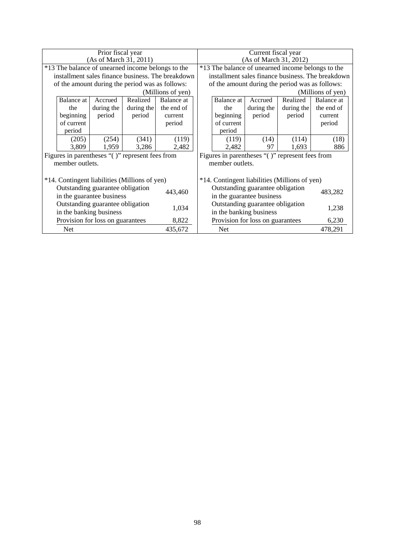| Prior fiscal year                               |                 |                                  |                                                   | Current fiscal year                               |                                                 |                                               |            |                                                   |                                                   |
|-------------------------------------------------|-----------------|----------------------------------|---------------------------------------------------|---------------------------------------------------|-------------------------------------------------|-----------------------------------------------|------------|---------------------------------------------------|---------------------------------------------------|
| (As of March 31, 2011)                          |                 |                                  |                                                   |                                                   | (As of March 31, 2012)                          |                                               |            |                                                   |                                                   |
|                                                 |                 |                                  | *13 The balance of unearned income belongs to the |                                                   |                                                 |                                               |            | *13 The balance of unearned income belongs to the |                                                   |
|                                                 |                 |                                  |                                                   | installment sales finance business. The breakdown |                                                 |                                               |            |                                                   | installment sales finance business. The breakdown |
|                                                 |                 |                                  | of the amount during the period was as follows:   |                                                   |                                                 |                                               |            | of the amount during the period was as follows:   |                                                   |
|                                                 |                 |                                  |                                                   | (Millions of yen)                                 |                                                 |                                               |            |                                                   | (Millions of yen)                                 |
|                                                 | Balance at      | Accrued                          | Realized                                          | Balance at                                        |                                                 | Balance at                                    | Accrued    | Realized                                          | Balance at                                        |
|                                                 | the             | during the                       | during the                                        | the end of                                        |                                                 | the                                           | during the | during the                                        | the end of                                        |
|                                                 | beginning       | period                           | period                                            | current                                           |                                                 | beginning                                     | period     | period                                            | current                                           |
|                                                 | of current      |                                  |                                                   | period                                            |                                                 | of current                                    |            |                                                   | period                                            |
|                                                 | period          |                                  |                                                   |                                                   |                                                 | period                                        |            |                                                   |                                                   |
|                                                 | (205)           | (254)                            | (341)                                             | (119)                                             |                                                 | (119)                                         | (14)       | (114)                                             | (18)                                              |
|                                                 | 3,809           | 1,959                            | 3,286                                             | 2,482                                             |                                                 | 2,482                                         | 97         | 1,693                                             | 886                                               |
| Figures in parentheses "()" represent fees from |                 |                                  |                                                   |                                                   | Figures in parentheses "()" represent fees from |                                               |            |                                                   |                                                   |
|                                                 | member outlets. |                                  |                                                   |                                                   |                                                 | member outlets.                               |            |                                                   |                                                   |
|                                                 |                 |                                  |                                                   |                                                   |                                                 |                                               |            |                                                   |                                                   |
|                                                 |                 |                                  | *14. Contingent liabilities (Millions of yen)     |                                                   |                                                 | *14. Contingent liabilities (Millions of yen) |            |                                                   |                                                   |
|                                                 |                 | Outstanding guarantee obligation |                                                   |                                                   |                                                 | Outstanding guarantee obligation              |            |                                                   |                                                   |
|                                                 |                 | in the guarantee business        |                                                   | 443,460                                           | 483,282<br>in the guarantee business            |                                               |            |                                                   |                                                   |
| Outstanding guarantee obligation                |                 |                                  | Outstanding guarantee obligation                  |                                                   |                                                 |                                               |            |                                                   |                                                   |
|                                                 |                 | in the banking business          |                                                   | 1,034                                             | 1,238<br>in the banking business                |                                               |            |                                                   |                                                   |
|                                                 |                 | Provision for loss on guarantees |                                                   | 8,822                                             | Provision for loss on guarantees                |                                               |            | 6,230                                             |                                                   |
|                                                 | <b>Net</b>      |                                  |                                                   | 435,672                                           |                                                 | <b>Net</b>                                    |            |                                                   | 478,291                                           |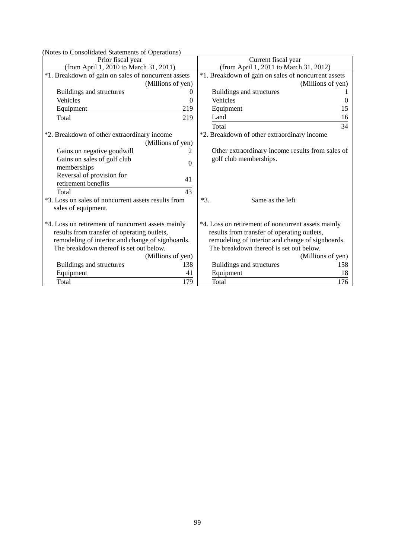| Troles to Consondated Blatements of Operations      |                |                                                     |    |  |
|-----------------------------------------------------|----------------|-----------------------------------------------------|----|--|
| Prior fiscal year                                   |                | Current fiscal year                                 |    |  |
| (from April 1, 2010 to March 31, 2011)              |                | (from April 1, 2011 to March 31, 2012)              |    |  |
| *1. Breakdown of gain on sales of noncurrent assets |                | *1. Breakdown of gain on sales of noncurrent assets |    |  |
| (Millions of yen)                                   |                | (Millions of yen)                                   |    |  |
| Buildings and structures                            | 0              | Buildings and structures                            |    |  |
| Vehicles                                            | 0              | Vehicles                                            |    |  |
| Equipment<br>219                                    |                | Equipment                                           | 15 |  |
| 219<br>Total                                        |                | Land                                                | 16 |  |
|                                                     |                | Total                                               | 34 |  |
| *2. Breakdown of other extraordinary income         |                | *2. Breakdown of other extraordinary income         |    |  |
| (Millions of yen)                                   |                |                                                     |    |  |
| Gains on negative goodwill                          |                | Other extraordinary income results from sales of    |    |  |
| Gains on sales of golf club                         | $\overline{0}$ | golf club memberships.                              |    |  |
| memberships                                         |                |                                                     |    |  |
| Reversal of provision for<br>41                     |                |                                                     |    |  |
| retirement benefits                                 |                |                                                     |    |  |
| 43<br>Total                                         |                |                                                     |    |  |
| *3. Loss on sales of noncurrent assets results from |                | $*3.$<br>Same as the left                           |    |  |
| sales of equipment.                                 |                |                                                     |    |  |
|                                                     |                |                                                     |    |  |
| *4. Loss on retirement of noncurrent assets mainly  |                | *4. Loss on retirement of noncurrent assets mainly  |    |  |
| results from transfer of operating outlets,         |                | results from transfer of operating outlets,         |    |  |
| remodeling of interior and change of signboards.    |                | remodeling of interior and change of signboards.    |    |  |
| The breakdown thereof is set out below.             |                | The breakdown thereof is set out below.             |    |  |
| (Millions of yen)                                   |                | (Millions of yen)                                   |    |  |
| Buildings and structures<br>138                     |                | Buildings and structures<br>158                     |    |  |
| Equipment<br>41                                     |                | Equipment                                           | 18 |  |
| Total<br>179                                        |                | Total<br>176                                        |    |  |

(Notes to Consolidated Statements of Operations)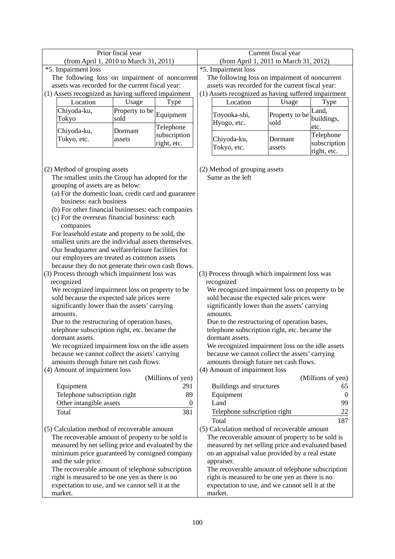| Prior fiscal year                                                                                         | Current fiscal year                                 |  |  |  |
|-----------------------------------------------------------------------------------------------------------|-----------------------------------------------------|--|--|--|
| (from April 1, 2010 to March 31, 2011)                                                                    | (from April 1, 2011 to March 31, 2012)              |  |  |  |
| *5. Impairment loss                                                                                       | *5. Impairment loss                                 |  |  |  |
| The following loss on impairment of noncurrent                                                            | The following loss on impairment of noncurrent      |  |  |  |
| assets was recorded for the current fiscal year:                                                          | assets was recorded for the current fiscal year:    |  |  |  |
| (1) Assets recognized as having suffered impairment                                                       | (1) Assets recognized as having suffered impairment |  |  |  |
| Location<br>Usage<br>Type                                                                                 | Location<br>Usage<br>Type                           |  |  |  |
| Chiyoda-ku,<br>Property to be<br>Equipment                                                                | Land,<br>Property to be<br>Toyooka-shi,             |  |  |  |
| Tokyo<br>sold                                                                                             | buildings,<br>Hyogo, etc.<br>sold                   |  |  |  |
| Telephone<br>Chiyoda-ku,<br>Dormant                                                                       | etc.                                                |  |  |  |
| subscription<br>Tokyo, etc.<br>assets                                                                     | Telephone<br>Chiyoda-ku,<br>Dormant                 |  |  |  |
| right, etc.                                                                                               | subscription<br>Tokyo, etc.<br>assets               |  |  |  |
|                                                                                                           | right, etc.                                         |  |  |  |
|                                                                                                           |                                                     |  |  |  |
| (2) Method of grouping assets                                                                             | (2) Method of grouping assets                       |  |  |  |
| The smallest units the Group has adopted for the                                                          | Same as the left                                    |  |  |  |
| grouping of assets are as below:                                                                          |                                                     |  |  |  |
| (a) For the domestic loan, credit card and guarantee                                                      |                                                     |  |  |  |
| business: each business                                                                                   |                                                     |  |  |  |
| (b) For other financial businesses: each companies                                                        |                                                     |  |  |  |
| (c) For the overseas financial business: each                                                             |                                                     |  |  |  |
| companies                                                                                                 |                                                     |  |  |  |
| For leasehold estate and property to be sold, the<br>smallest units are the individual assets themselves. |                                                     |  |  |  |
|                                                                                                           |                                                     |  |  |  |
| Our headquarter and welfare/leisure facilities for<br>our employees are treated as common assets          |                                                     |  |  |  |
| because they do not generate their own cash flows.                                                        |                                                     |  |  |  |
| (3) Process through which impairment loss was                                                             | (3) Process through which impairment loss was       |  |  |  |
| recognized                                                                                                | recognized                                          |  |  |  |
| We recognized impairment loss on property to be                                                           | We recognized impairment loss on property to be     |  |  |  |
| sold because the expected sale prices were                                                                | sold because the expected sale prices were          |  |  |  |
| significantly lower than the assets' carrying                                                             | significantly lower than the assets' carrying       |  |  |  |
| amounts.                                                                                                  | amounts.                                            |  |  |  |
| Due to the restructuring of operation bases,                                                              | Due to the restructuring of operation bases,        |  |  |  |
| telephone subscription right, etc. became the                                                             | telephone subscription right, etc. became the       |  |  |  |
| dormant assets.                                                                                           | dormant assets.                                     |  |  |  |
| We recognized impairment loss on the idle assets                                                          | We recognized impairment loss on the idle assets    |  |  |  |
| because we cannot collect the assets' carrying                                                            | because we cannot collect the assets' carrying      |  |  |  |
| amounts through future net cash flows.                                                                    | amounts through future net cash flows.              |  |  |  |
| (4) Amount of impairment loss                                                                             | (4) Amount of impairment loss                       |  |  |  |
| (Millions of yen)                                                                                         | (Millions of yen)                                   |  |  |  |
| Equipment<br>291                                                                                          | Buildings and structures<br>65                      |  |  |  |
| Telephone subscription right<br>89                                                                        | Equipment<br>$\boldsymbol{0}$                       |  |  |  |
| Other intangible assets<br>$\theta$                                                                       | Land<br>99                                          |  |  |  |
| 381<br>Total                                                                                              | 22<br>Telephone subscription right                  |  |  |  |
|                                                                                                           | 187<br>Total                                        |  |  |  |
| (5) Calculation method of recoverable amount                                                              | (5) Calculation method of recoverable amount        |  |  |  |
| The recoverable amount of property to be sold is                                                          | The recoverable amount of property to be sold is    |  |  |  |
| measured by net selling price and evaluated by the                                                        | measured by net selling price and evaluated based   |  |  |  |
| minimum price guaranteed by consigned company                                                             | on an appraisal value provided by a real estate     |  |  |  |
| and the sale price.                                                                                       | appraiser.                                          |  |  |  |
| The recoverable amount of telephone subscription                                                          | The recoverable amount of telephone subscription    |  |  |  |
| right is measured to be one yen as there is no                                                            | right is measured to be one yen as there is no      |  |  |  |
| expectation to use, and we cannot sell it at the                                                          | expectation to use, and we cannot sell it at the    |  |  |  |
| market.                                                                                                   | market.                                             |  |  |  |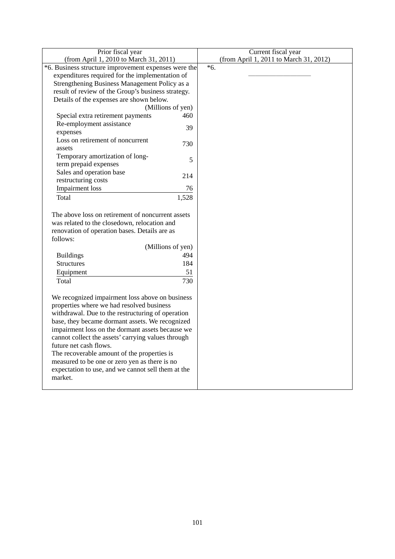| Prior fiscal year                                    |       | Current fiscal year                    |
|------------------------------------------------------|-------|----------------------------------------|
| (from April 1, 2010 to March 31, 2011)               |       | (from April 1, 2011 to March 31, 2012) |
| *6. Business structure improvement expenses were the |       | $*6.$                                  |
| expenditures required for the implementation of      |       |                                        |
| Strengthening Business Management Policy as a        |       |                                        |
| result of review of the Group's business strategy.   |       |                                        |
| Details of the expenses are shown below.             |       |                                        |
| (Millions of yen)                                    |       |                                        |
| Special extra retirement payments                    | 460   |                                        |
| Re-employment assistance                             |       |                                        |
| expenses                                             | 39    |                                        |
| Loss on retirement of noncurrent                     | 730   |                                        |
| assets                                               |       |                                        |
| Temporary amortization of long-                      |       |                                        |
| term prepaid expenses                                | 5     |                                        |
| Sales and operation base                             |       |                                        |
| restructuring costs                                  | 214   |                                        |
| <b>Impairment</b> loss                               | 76    |                                        |
| Total                                                | 1,528 |                                        |
|                                                      |       |                                        |
| The above loss on retirement of noncurrent assets    |       |                                        |
| was related to the closedown, relocation and         |       |                                        |
| renovation of operation bases. Details are as        |       |                                        |
| follows:                                             |       |                                        |
| (Millions of yen)                                    |       |                                        |
| <b>Buildings</b>                                     | 494   |                                        |
| <b>Structures</b>                                    | 184   |                                        |
|                                                      | 51    |                                        |
| Equipment                                            |       |                                        |
| Total                                                | 730   |                                        |
| We recognized impairment loss above on business      |       |                                        |
|                                                      |       |                                        |
| properties where we had resolved business            |       |                                        |
| withdrawal. Due to the restructuring of operation    |       |                                        |
| base, they became dormant assets. We recognized      |       |                                        |
| impairment loss on the dormant assets because we     |       |                                        |
| cannot collect the assets' carrying values through   |       |                                        |
| future net cash flows.                               |       |                                        |
| The recoverable amount of the properties is          |       |                                        |
| measured to be one or zero yen as there is no        |       |                                        |
| expectation to use, and we cannot sell them at the   |       |                                        |
| market.                                              |       |                                        |
|                                                      |       |                                        |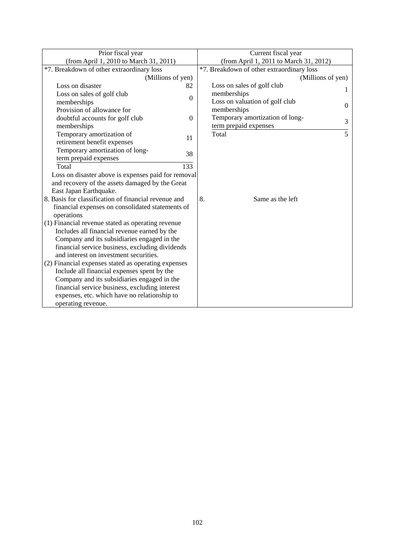| Prior fiscal year                                    | Current fiscal year                        |  |  |
|------------------------------------------------------|--------------------------------------------|--|--|
| (from April 1, 2010 to March 31, 2011)               | (from April 1, 2011 to March 31, 2012)     |  |  |
| *7. Breakdown of other extraordinary loss            | *7. Breakdown of other extraordinary loss  |  |  |
| (Millions of yen)                                    | (Millions of yen)                          |  |  |
| Loss on disaster<br>82                               | Loss on sales of golf club<br>1            |  |  |
| Loss on sales of golf club<br>$\Omega$               | memberships                                |  |  |
| memberships                                          | Loss on valuation of golf club<br>$\Omega$ |  |  |
| Provision of allowance for                           | memberships                                |  |  |
| doubtful accounts for golf club<br>$\Omega$          | Temporary amortization of long-<br>3       |  |  |
| memberships                                          | term prepaid expenses                      |  |  |
| Temporary amortization of<br>11                      | Total<br>5                                 |  |  |
| retirement benefit expenses                          |                                            |  |  |
| Temporary amortization of long-<br>38                |                                            |  |  |
| term prepaid expenses                                |                                            |  |  |
| 133<br>Total                                         |                                            |  |  |
| Loss on disaster above is expenses paid for removal  |                                            |  |  |
| and recovery of the assets damaged by the Great      |                                            |  |  |
| East Japan Earthquake.                               |                                            |  |  |
| 8. Basis for classification of financial revenue and | 8.<br>Same as the left                     |  |  |
| financial expenses on consolidated statements of     |                                            |  |  |
| operations                                           |                                            |  |  |
| (1) Financial revenue stated as operating revenue    |                                            |  |  |
| Includes all financial revenue earned by the         |                                            |  |  |
| Company and its subsidiaries engaged in the          |                                            |  |  |
| financial service business, excluding dividends      |                                            |  |  |
| and interest on investment securities.               |                                            |  |  |
| (2) Financial expenses stated as operating expenses  |                                            |  |  |
| Include all financial expenses spent by the          |                                            |  |  |
| Company and its subsidiaries engaged in the          |                                            |  |  |
| financial service business, excluding interest       |                                            |  |  |
| expenses, etc. which have no relationship to         |                                            |  |  |
| operating revenue.                                   |                                            |  |  |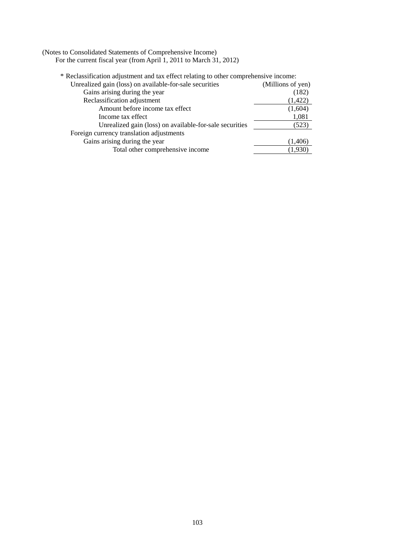(Notes to Consolidated Statements of Comprehensive Income)

For the current fiscal year (from April 1, 2011 to March 31, 2012)

| * Reclassification adjustment and tax effect relating to other comprehensive income: |                   |  |  |  |  |
|--------------------------------------------------------------------------------------|-------------------|--|--|--|--|
| Unrealized gain (loss) on available-for-sale securities                              | (Millions of yen) |  |  |  |  |
| Gains arising during the year                                                        | (182)             |  |  |  |  |
| Reclassification adjustment                                                          | (1,422)           |  |  |  |  |
| Amount before income tax effect                                                      | (1,604)           |  |  |  |  |
| Income tax effect                                                                    | 1,081             |  |  |  |  |
| Unrealized gain (loss) on available-for-sale securities                              | (523)             |  |  |  |  |
| Foreign currency translation adjustments                                             |                   |  |  |  |  |
| Gains arising during the year                                                        | (1,406)           |  |  |  |  |
| Total other comprehensive income                                                     | (1,930            |  |  |  |  |
|                                                                                      |                   |  |  |  |  |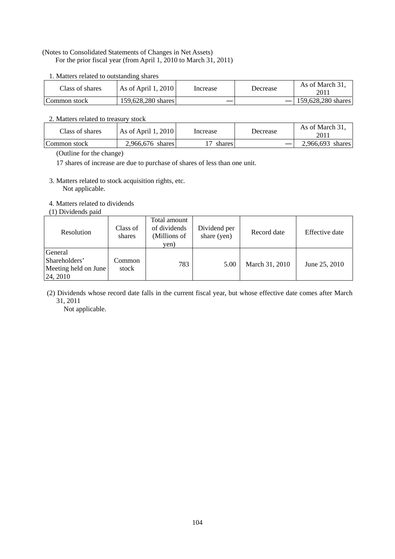# (Notes to Consolidated Statements of Changes in Net Assets) For the prior fiscal year (from April 1, 2010 to March 31, 2011)

# 1. Matters related to outstanding shares

| Class of shares | As of April 1, 2010 | Increase | Decrease | As of March 31.<br>2011 |
|-----------------|---------------------|----------|----------|-------------------------|
| Common stock    | 159,628,280 shares  |          |          | $-1159.628.280$ shares  |

## 2. Matters related to treasury stock

| Class of shares | As of April 1, 2010 | Increase | Decrease | As of March 31,<br>2011 |
|-----------------|---------------------|----------|----------|-------------------------|
| Common stock    | 2,966,676 shares    | shares   |          | 2,966,693 shares        |

(Outline for the change)

17 shares of increase are due to purchase of shares of less than one unit.

- 3. Matters related to stock acquisition rights, etc. Not applicable.
- 4. Matters related to dividends
- (1) Dividends paid

| Resolution                                                   | Class of<br>shares | Total amount<br>of dividends<br>(Millions of<br>yen) | Dividend per<br>share (yen) | Record date    | Effective date |
|--------------------------------------------------------------|--------------------|------------------------------------------------------|-----------------------------|----------------|----------------|
| General<br>Shareholders'<br>Meeting held on June<br>24, 2010 | Common<br>stock    | 783                                                  | 5.00                        | March 31, 2010 | June 25, 2010  |

(2) Dividends whose record date falls in the current fiscal year, but whose effective date comes after March 31, 2011

Not applicable.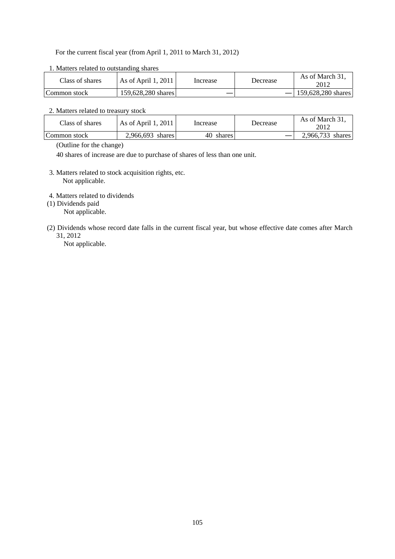For the current fiscal year (from April 1, 2011 to March 31, 2012)

1. Matters related to outstanding shares

| Class of shares | As of April 1, 2011 | Increase | Decrease | As of March 31,<br>2012 |
|-----------------|---------------------|----------|----------|-------------------------|
| Common stock    | 159,628,280 shares  |          |          | 159,628,280 shares      |

# 2. Matters related to treasury stock

| Class of shares | As of April 1, 2011 | Increase  | Decrease | As of March 31,<br>2012 |
|-----------------|---------------------|-----------|----------|-------------------------|
| Common stock    | $2.966,693$ shares  | 40 shares |          | 2,966,733 shares        |

(Outline for the change)

40 shares of increase are due to purchase of shares of less than one unit.

- 3. Matters related to stock acquisition rights, etc. Not applicable.
- 4. Matters related to dividends
- (1) Dividends paid

Not applicable.

(2) Dividends whose record date falls in the current fiscal year, but whose effective date comes after March 31, 2012

Not applicable.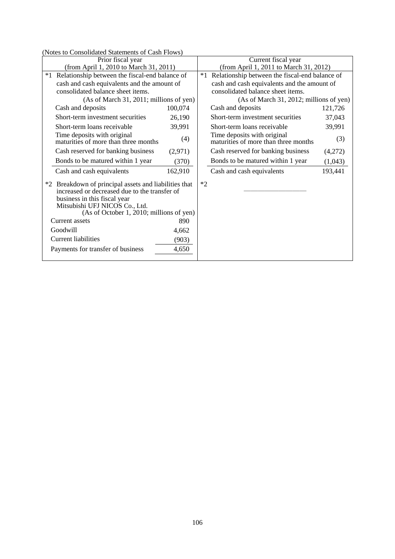| Prior fiscal year                                                                                                                                                                                                    |         | Current fiscal year                                                        |  |  |
|----------------------------------------------------------------------------------------------------------------------------------------------------------------------------------------------------------------------|---------|----------------------------------------------------------------------------|--|--|
| (from April 1, 2010 to March 31, 2011)                                                                                                                                                                               |         | (from April 1, 2011 to March 31, 2012)                                     |  |  |
| $*1$<br>Relationship between the fiscal-end balance of                                                                                                                                                               |         | Relationship between the fiscal-end balance of<br>$*1$                     |  |  |
| cash and cash equivalents and the amount of                                                                                                                                                                          |         | cash and cash equivalents and the amount of                                |  |  |
| consolidated balance sheet items.                                                                                                                                                                                    |         | consolidated balance sheet items.                                          |  |  |
| (As of March 31, 2011; millions of yen)                                                                                                                                                                              |         | (As of March 31, 2012; millions of yen)                                    |  |  |
| Cash and deposits                                                                                                                                                                                                    | 100,074 | Cash and deposits<br>121,726                                               |  |  |
| Short-term investment securities                                                                                                                                                                                     | 26,190  | Short-term investment securities<br>37,043                                 |  |  |
| Short-term loans receivable                                                                                                                                                                                          | 39,991  | 39,991<br>Short-term loans receivable                                      |  |  |
| Time deposits with original<br>maturities of more than three months                                                                                                                                                  | (4)     | Time deposits with original<br>(3)<br>maturities of more than three months |  |  |
| Cash reserved for banking business                                                                                                                                                                                   | (2,971) | Cash reserved for banking business<br>(4,272)                              |  |  |
| Bonds to be matured within 1 year                                                                                                                                                                                    | (370)   | Bonds to be matured within 1 year<br>(1,043)                               |  |  |
| Cash and cash equivalents                                                                                                                                                                                            | 162,910 | 193,441<br>Cash and cash equivalents                                       |  |  |
| *2 Breakdown of principal assets and liabilities that<br>increased or decreased due to the transfer of<br>business in this fiscal year<br>Mitsubishi UFJ NICOS Co., Ltd.<br>(As of October 1, 2010; millions of yen) |         | $*2$                                                                       |  |  |
| Current assets                                                                                                                                                                                                       | 890     |                                                                            |  |  |
| Goodwill                                                                                                                                                                                                             | 4,662   |                                                                            |  |  |
| <b>Current liabilities</b>                                                                                                                                                                                           | (903)   |                                                                            |  |  |
| Payments for transfer of business                                                                                                                                                                                    | 4,650   |                                                                            |  |  |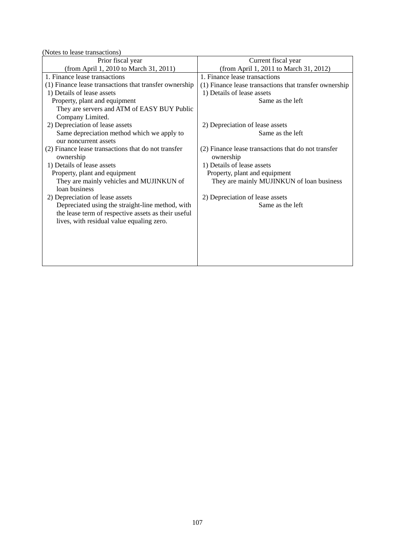|  | (Notes to lease transactions) |
|--|-------------------------------|
|  |                               |

| Prior fiscal year                                      | Current fiscal year                                    |
|--------------------------------------------------------|--------------------------------------------------------|
| (from April 1, 2010 to March 31, 2011)                 | (from April 1, 2011 to March 31, 2012)                 |
| 1. Finance lease transactions                          | 1. Finance lease transactions                          |
| (1) Finance lease transactions that transfer ownership | (1) Finance lease transactions that transfer ownership |
| 1) Details of lease assets                             | 1) Details of lease assets                             |
| Property, plant and equipment                          | Same as the left                                       |
| They are servers and ATM of EASY BUY Public            |                                                        |
| Company Limited.                                       |                                                        |
| 2) Depreciation of lease assets                        | 2) Depreciation of lease assets                        |
| Same depreciation method which we apply to             | Same as the left                                       |
| our noncurrent assets                                  |                                                        |
| (2) Finance lease transactions that do not transfer    | (2) Finance lease transactions that do not transfer    |
| ownership                                              | ownership                                              |
| 1) Details of lease assets                             | 1) Details of lease assets                             |
| Property, plant and equipment                          | Property, plant and equipment                          |
| They are mainly vehicles and MUJINKUN of               | They are mainly MUJINKUN of loan business              |
| loan business                                          |                                                        |
| 2) Depreciation of lease assets                        | 2) Depreciation of lease assets                        |
| Depreciated using the straight-line method, with       | Same as the left                                       |
| the lease term of respective assets as their useful    |                                                        |
| lives, with residual value equaling zero.              |                                                        |
|                                                        |                                                        |
|                                                        |                                                        |
|                                                        |                                                        |
|                                                        |                                                        |
|                                                        |                                                        |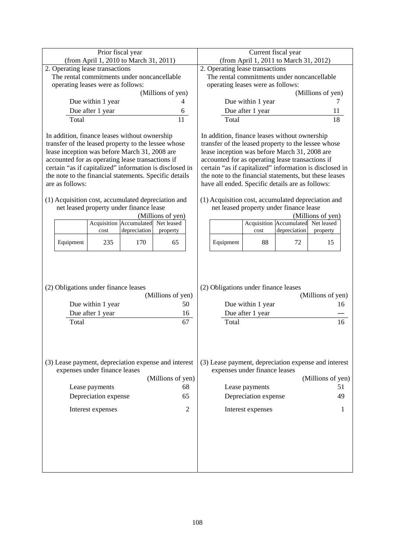| Prior fiscal year                                                                                                                                        | Current fiscal year                                                                                                                                                |  |  |  |
|----------------------------------------------------------------------------------------------------------------------------------------------------------|--------------------------------------------------------------------------------------------------------------------------------------------------------------------|--|--|--|
| (from April 1, 2010 to March 31, 2011)                                                                                                                   | (from April 1, 2011 to March 31, 2012)                                                                                                                             |  |  |  |
| 2. Operating lease transactions                                                                                                                          | 2. Operating lease transactions                                                                                                                                    |  |  |  |
| The rental commitments under noncancellable                                                                                                              | The rental commitments under noncancellable                                                                                                                        |  |  |  |
| operating leases were as follows:                                                                                                                        | operating leases were as follows:                                                                                                                                  |  |  |  |
| (Millions of yen)                                                                                                                                        | (Millions of yen)                                                                                                                                                  |  |  |  |
| Due within 1 year<br>4                                                                                                                                   | Due within 1 year                                                                                                                                                  |  |  |  |
| Due after 1 year                                                                                                                                         | Due after 1 year<br>11                                                                                                                                             |  |  |  |
| $\frac{6}{11}$                                                                                                                                           | $\overline{18}$                                                                                                                                                    |  |  |  |
| Total                                                                                                                                                    | Total                                                                                                                                                              |  |  |  |
| In addition, finance leases without ownership                                                                                                            | In addition, finance leases without ownership                                                                                                                      |  |  |  |
| transfer of the leased property to the lessee whose                                                                                                      | transfer of the leased property to the lessee whose                                                                                                                |  |  |  |
| lease inception was before March 31, 2008 are                                                                                                            | lease inception was before March 31, 2008 are                                                                                                                      |  |  |  |
| accounted for as operating lease transactions if                                                                                                         | accounted for as operating lease transactions if                                                                                                                   |  |  |  |
| certain "as if capitalized" information is disclosed in                                                                                                  | certain "as if capitalized" information is disclosed in                                                                                                            |  |  |  |
| the note to the financial statements. Specific details                                                                                                   | the note to the financial statements, but these leases                                                                                                             |  |  |  |
| are as follows:                                                                                                                                          | have all ended. Specific details are as follows:                                                                                                                   |  |  |  |
| (1) Acquisition cost, accumulated depreciation and<br>net leased property under finance lease<br>(Millions of yen)<br>Acquisition Accumulated Net leased | (1) Acquisition cost, accumulated depreciation and<br>net leased property under finance lease<br>(Millions of yen)<br><b>Acquisition</b> Accumulated<br>Net leased |  |  |  |
| cost                                                                                                                                                     | depreciation                                                                                                                                                       |  |  |  |
| depreciation                                                                                                                                             | cost                                                                                                                                                               |  |  |  |
| property                                                                                                                                                 | property                                                                                                                                                           |  |  |  |
| Equipment                                                                                                                                                | 88                                                                                                                                                                 |  |  |  |
| 235                                                                                                                                                      | Equipment                                                                                                                                                          |  |  |  |
| 170                                                                                                                                                      | 72                                                                                                                                                                 |  |  |  |
| 65                                                                                                                                                       | 15                                                                                                                                                                 |  |  |  |
| (2) Obligations under finance leases<br>(Millions of yen)<br>Due within 1 year<br>50<br>Due after 1 year<br>16<br>67<br>Total                            | (2) Obligations under finance leases<br>(Millions of yen)<br>Due within 1 year<br>16<br>Due after 1 year<br>16<br>Total                                            |  |  |  |
| (3) Lease payment, depreciation expense and interest                                                                                                     | (3) Lease payment, depreciation expense and interest                                                                                                               |  |  |  |
| expenses under finance leases                                                                                                                            | expenses under finance leases                                                                                                                                      |  |  |  |
| (Millions of yen)                                                                                                                                        | (Millions of yen)                                                                                                                                                  |  |  |  |
| 68                                                                                                                                                       | Lease payments                                                                                                                                                     |  |  |  |
| Lease payments                                                                                                                                           | 51                                                                                                                                                                 |  |  |  |
| Depreciation expense                                                                                                                                     | Depreciation expense                                                                                                                                               |  |  |  |
| 65                                                                                                                                                       | 49                                                                                                                                                                 |  |  |  |
| $\overline{2}$                                                                                                                                           | Interest expenses                                                                                                                                                  |  |  |  |
| Interest expenses                                                                                                                                        | 1                                                                                                                                                                  |  |  |  |
|                                                                                                                                                          |                                                                                                                                                                    |  |  |  |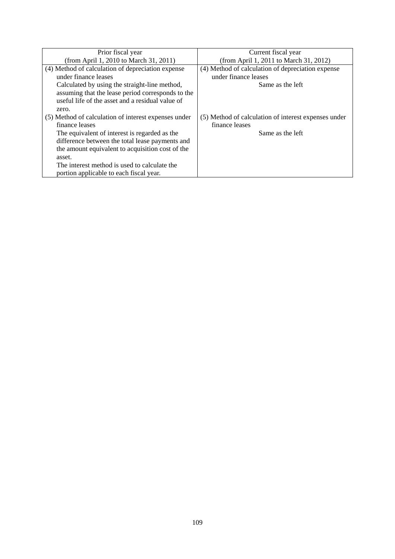| Prior fiscal year                                    | Current fiscal year                                  |
|------------------------------------------------------|------------------------------------------------------|
| (from April 1, 2010 to March 31, 2011)               | (from April 1, 2011 to March 31, 2012)               |
| (4) Method of calculation of depreciation expense    | (4) Method of calculation of depreciation expense    |
| under finance leases                                 | under finance leases                                 |
| Calculated by using the straight-line method,        | Same as the left                                     |
| assuming that the lease period corresponds to the    |                                                      |
| useful life of the asset and a residual value of     |                                                      |
| zero.                                                |                                                      |
| (5) Method of calculation of interest expenses under | (5) Method of calculation of interest expenses under |
| finance leases                                       | finance leases                                       |
| The equivalent of interest is regarded as the        | Same as the left                                     |
| difference between the total lease payments and      |                                                      |
| the amount equivalent to acquisition cost of the     |                                                      |
| asset.                                               |                                                      |
| The interest method is used to calculate the         |                                                      |
| portion applicable to each fiscal year.              |                                                      |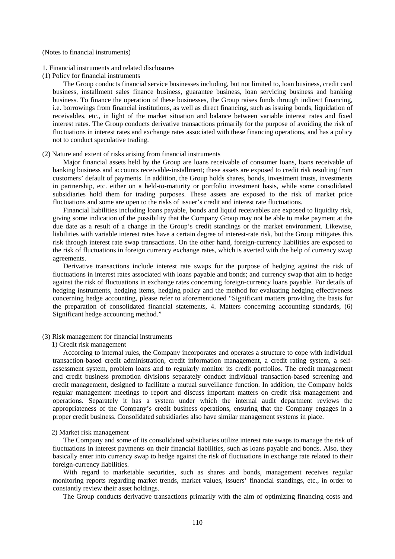#### (Notes to financial instruments)

- 1. Financial instruments and related disclosures
- (1) Policy for financial instruments

The Group conducts financial service businesses including, but not limited to, loan business, credit card business, installment sales finance business, guarantee business, loan servicing business and banking business. To finance the operation of these businesses, the Group raises funds through indirect financing, i.e. borrowings from financial institutions, as well as direct financing, such as issuing bonds, liquidation of receivables, etc., in light of the market situation and balance between variable interest rates and fixed interest rates. The Group conducts derivative transactions primarily for the purpose of avoiding the risk of fluctuations in interest rates and exchange rates associated with these financing operations, and has a policy not to conduct speculative trading.

#### (2) Nature and extent of risks arising from financial instruments

Major financial assets held by the Group are loans receivable of consumer loans, loans receivable of banking business and accounts receivable-installment; these assets are exposed to credit risk resulting from customers' default of payments. In addition, the Group holds shares, bonds, investment trusts, investments in partnership, etc. either on a held-to-maturity or portfolio investment basis, while some consolidated subsidiaries hold them for trading purposes. These assets are exposed to the risk of market price fluctuations and some are open to the risks of issuer's credit and interest rate fluctuations.

Financial liabilities including loans payable, bonds and liquid receivables are exposed to liquidity risk, giving some indication of the possibility that the Company Group may not be able to make payment at the due date as a result of a change in the Group's credit standings or the market environment. Likewise, liabilities with variable interest rates have a certain degree of interest-rate risk, but the Group mitigates this risk through interest rate swap transactions. On the other hand, foreign-currency liabilities are exposed to the risk of fluctuations in foreign currency exchange rates, which is averted with the help of currency swap agreements.

Derivative transactions include interest rate swaps for the purpose of hedging against the risk of fluctuations in interest rates associated with loans payable and bonds; and currency swap that aim to hedge against the risk of fluctuations in exchange rates concerning foreign-currency loans payable. For details of hedging instruments, hedging items, hedging policy and the method for evaluating hedging effectiveness concerning hedge accounting, please refer to aforementioned "Significant matters providing the basis for the preparation of consolidated financial statements, 4. Matters concerning accounting standards, (6) Significant hedge accounting method."

## (3) Risk management for financial instruments

## 1) Credit risk management

According to internal rules, the Company incorporates and operates a structure to cope with individual transaction-based credit administration, credit information management, a credit rating system, a selfassessment system, problem loans and to regularly monitor its credit portfolios. The credit management and credit business promotion divisions separately conduct individual transaction-based screening and credit management, designed to facilitate a mutual surveillance function. In addition, the Company holds regular management meetings to report and discuss important matters on credit risk management and operations. Separately it has a system under which the internal audit department reviews the appropriateness of the Company's credit business operations, ensuring that the Company engages in a proper credit business. Consolidated subsidiaries also have similar management systems in place.

## 2) Market risk management

The Company and some of its consolidated subsidiaries utilize interest rate swaps to manage the risk of fluctuations in interest payments on their financial liabilities, such as loans payable and bonds. Also, they basically enter into currency swap to hedge against the risk of fluctuations in exchange rate related to their foreign-currency liabilities.

With regard to marketable securities, such as shares and bonds, management receives regular monitoring reports regarding market trends, market values, issuers' financial standings, etc., in order to constantly review their asset holdings.

The Group conducts derivative transactions primarily with the aim of optimizing financing costs and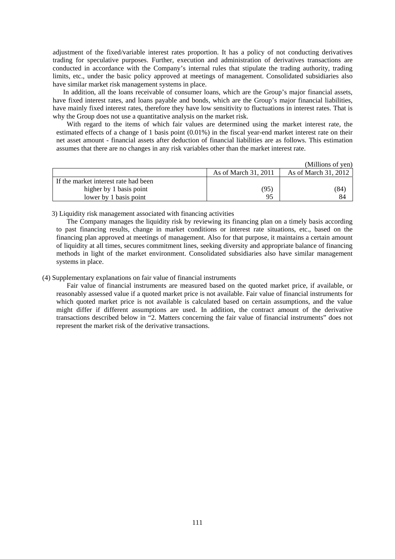adjustment of the fixed/variable interest rates proportion. It has a policy of not conducting derivatives trading for speculative purposes. Further, execution and administration of derivatives transactions are conducted in accordance with the Company's internal rules that stipulate the trading authority, trading limits, etc., under the basic policy approved at meetings of management. Consolidated subsidiaries also have similar market risk management systems in place.

In addition, all the loans receivable of consumer loans, which are the Group's major financial assets, have fixed interest rates, and loans payable and bonds, which are the Group's major financial liabilities, have mainly fixed interest rates, therefore they have low sensitivity to fluctuations in interest rates. That is why the Group does not use a quantitative analysis on the market risk.

With regard to the items of which fair values are determined using the market interest rate, the estimated effects of a change of 1 basis point (0.01%) in the fiscal year-end market interest rate on their net asset amount - financial assets after deduction of financial liabilities are as follows. This estimation assumes that there are no changes in any risk variables other than the market interest rate.

|                                      |                      | (Millions of yen)    |
|--------------------------------------|----------------------|----------------------|
|                                      | As of March 31, 2011 | As of March 31, 2012 |
| If the market interest rate had been |                      |                      |
| higher by 1 basis point              | (95,                 | ′84)                 |
| lower by 1 basis point               | 95                   | 84                   |

3) Liquidity risk management associated with financing activities

The Company manages the liquidity risk by reviewing its financing plan on a timely basis according to past financing results, change in market conditions or interest rate situations, etc., based on the financing plan approved at meetings of management. Also for that purpose, it maintains a certain amount of liquidity at all times, secures commitment lines, seeking diversity and appropriate balance of financing methods in light of the market environment. Consolidated subsidiaries also have similar management systems in place.

(4) Supplementary explanations on fair value of financial instruments

Fair value of financial instruments are measured based on the quoted market price, if available, or reasonably assessed value if a quoted market price is not available. Fair value of financial instruments for which quoted market price is not available is calculated based on certain assumptions, and the value might differ if different assumptions are used. In addition, the contract amount of the derivative transactions described below in "2. Matters concerning the fair value of financial instruments" does not represent the market risk of the derivative transactions.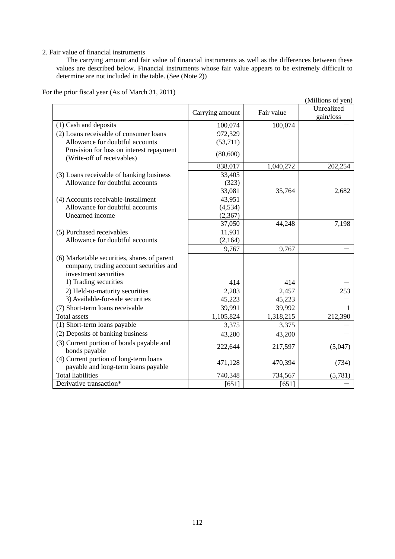# 2. Fair value of financial instruments

The carrying amount and fair value of financial instruments as well as the differences between these values are described below. Financial instruments whose fair value appears to be extremely difficult to determine are not included in the table. (See (Note 2))

| $\mu$ and $\mu$ and $\mu$ as of matter $\sigma$                                                                 |                 |            | (Millions of yen)       |
|-----------------------------------------------------------------------------------------------------------------|-----------------|------------|-------------------------|
|                                                                                                                 | Carrying amount | Fair value | Unrealized<br>gain/loss |
| (1) Cash and deposits                                                                                           | 100,074         | 100,074    |                         |
| (2) Loans receivable of consumer loans                                                                          | 972,329         |            |                         |
| Allowance for doubtful accounts                                                                                 | (53,711)        |            |                         |
| Provision for loss on interest repayment<br>(Write-off of receivables)                                          | (80,600)        |            |                         |
|                                                                                                                 | 838,017         | 1,040,272  | 202,254                 |
| (3) Loans receivable of banking business                                                                        | 33,405          |            |                         |
| Allowance for doubtful accounts                                                                                 | (323)           |            |                         |
|                                                                                                                 | 33,081          | 35,764     | 2,682                   |
| (4) Accounts receivable-installment                                                                             | 43,951          |            |                         |
| Allowance for doubtful accounts                                                                                 | (4, 534)        |            |                         |
| Unearned income                                                                                                 | (2, 367)        |            |                         |
|                                                                                                                 | 37,050          | 44,248     | 7,198                   |
| (5) Purchased receivables                                                                                       | 11,931          |            |                         |
| Allowance for doubtful accounts                                                                                 | (2,164)         |            |                         |
|                                                                                                                 | 9,767           | 9,767      |                         |
| (6) Marketable securities, shares of parent<br>company, trading account securities and<br>investment securities |                 |            |                         |
| 1) Trading securities                                                                                           | 414             | 414        |                         |
| 2) Held-to-maturity securities                                                                                  | 2,203           | 2,457      | 253                     |
| 3) Available-for-sale securities                                                                                | 45,223          | 45,223     |                         |
| (7) Short-term loans receivable                                                                                 | 39,991          | 39,992     |                         |
| <b>Total</b> assets                                                                                             | 1,105,824       | 1,318,215  | 212,390                 |
| (1) Short-term loans payable                                                                                    | 3,375           | 3,375      |                         |
| (2) Deposits of banking business                                                                                | 43,200          | 43,200     |                         |
| (3) Current portion of bonds payable and<br>bonds payable                                                       | 222,644         | 217,597    | (5,047)                 |
| (4) Current portion of long-term loans<br>payable and long-term loans payable                                   | 471,128         | 470,394    | (734)                   |
| <b>Total liabilities</b>                                                                                        | 740,348         | 734,567    | (5,781)                 |
| Derivative transaction*                                                                                         | [651]           | $[651]$    |                         |

For the prior fiscal year (As of March 31, 2011)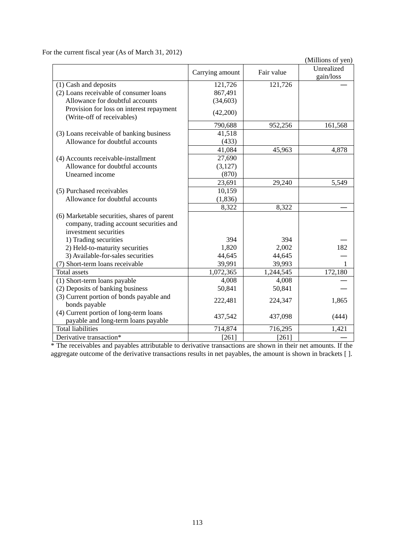For the current fiscal year (As of March 31, 2012)

|                                                                               |                 |            | (Millions of yen)       |
|-------------------------------------------------------------------------------|-----------------|------------|-------------------------|
|                                                                               | Carrying amount | Fair value | Unrealized<br>gain/loss |
| (1) Cash and deposits                                                         | 121,726         | 121,726    |                         |
| (2) Loans receivable of consumer loans                                        | 867,491         |            |                         |
| Allowance for doubtful accounts                                               | (34, 603)       |            |                         |
| Provision for loss on interest repayment<br>(Write-off of receivables)        | (42,200)        |            |                         |
|                                                                               | 790,688         | 952,256    | 161,568                 |
| (3) Loans receivable of banking business                                      | 41,518          |            |                         |
| Allowance for doubtful accounts                                               | (433)           |            |                         |
|                                                                               | 41,084          | 45,963     | 4,878                   |
| (4) Accounts receivable-installment                                           | 27,690          |            |                         |
| Allowance for doubtful accounts                                               | (3,127)         |            |                         |
| Unearned income                                                               | (870)           |            |                         |
|                                                                               | 23,691          | 29,240     | 5,549                   |
| (5) Purchased receivables                                                     | 10,159          |            |                         |
| Allowance for doubtful accounts                                               | (1, 836)        |            |                         |
|                                                                               | 8,322           | 8,322      |                         |
| (6) Marketable securities, shares of parent                                   |                 |            |                         |
| company, trading account securities and                                       |                 |            |                         |
| investment securities                                                         |                 |            |                         |
| 1) Trading securities                                                         | 394             | 394        |                         |
| 2) Held-to-maturity securities                                                | 1,820           | 2,002      | 182                     |
| 3) Available-for-sales securities                                             | 44,645          | 44,645     |                         |
| (7) Short-term loans receivable                                               | 39,991          | 39,993     |                         |
| <b>Total assets</b>                                                           | 1,072,365       | 1,244,545  | 172,180                 |
| (1) Short-term loans payable                                                  | 4,008           | 4,008      |                         |
| (2) Deposits of banking business                                              | 50,841          | 50,841     |                         |
| (3) Current portion of bonds payable and<br>bonds payable                     | 222,481         | 224,347    | 1,865                   |
| (4) Current portion of long-term loans<br>payable and long-term loans payable | 437,542         | 437,098    | (444)                   |
| <b>Total liabilities</b>                                                      | 714,874         | 716,295    | 1,421                   |
| Derivative transaction*                                                       | $[261]$         | $[261]$    |                         |

\* The receivables and payables attributable to derivative transactions are shown in their net amounts. If the aggregate outcome of the derivative transactions results in net payables, the amount is shown in brackets [].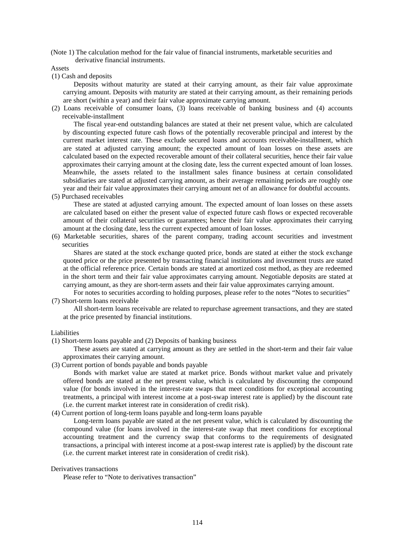(Note 1) The calculation method for the fair value of financial instruments, marketable securities and derivative financial instruments.

Assets

(1) Cash and deposits

Deposits without maturity are stated at their carrying amount, as their fair value approximate carrying amount. Deposits with maturity are stated at their carrying amount, as their remaining periods are short (within a year) and their fair value approximate carrying amount.

(2) Loans receivable of consumer loans, (3) loans receivable of banking business and (4) accounts receivable-installment

The fiscal year-end outstanding balances are stated at their net present value, which are calculated by discounting expected future cash flows of the potentially recoverable principal and interest by the current market interest rate. These exclude secured loans and accounts receivable-installment, which are stated at adjusted carrying amount; the expected amount of loan losses on these assets are calculated based on the expected recoverable amount of their collateral securities, hence their fair value approximates their carrying amount at the closing date, less the current expected amount of loan losses. Meanwhile, the assets related to the installment sales finance business at certain consolidated subsidiaries are stated at adjusted carrying amount, as their average remaining periods are roughly one year and their fair value approximates their carrying amount net of an allowance for doubtful accounts.

(5) Purchased receivables

These are stated at adjusted carrying amount. The expected amount of loan losses on these assets are calculated based on either the present value of expected future cash flows or expected recoverable amount of their collateral securities or guarantees; hence their fair value approximates their carrying amount at the closing date, less the current expected amount of loan losses.

(6) Marketable securities, shares of the parent company, trading account securities and investment securities

Shares are stated at the stock exchange quoted price, bonds are stated at either the stock exchange quoted price or the price presented by transacting financial institutions and investment trusts are stated at the official reference price. Certain bonds are stated at amortized cost method, as they are redeemed in the short term and their fair value approximates carrying amount. Negotiable deposits are stated at carrying amount, as they are short-term assets and their fair value approximates carrying amount.

For notes to securities according to holding purposes, please refer to the notes "Notes to securities" (7) Short-term loans receivable

All short-term loans receivable are related to repurchase agreement transactions, and they are stated at the price presented by financial institutions.

#### Liabilities

(1) Short-term loans payable and (2) Deposits of banking business

These assets are stated at carrying amount as they are settled in the short-term and their fair value approximates their carrying amount.

(3) Current portion of bonds payable and bonds payable

Bonds with market value are stated at market price. Bonds without market value and privately offered bonds are stated at the net present value, which is calculated by discounting the compound value (for bonds involved in the interest-rate swaps that meet conditions for exceptional accounting treatments, a principal with interest income at a post-swap interest rate is applied) by the discount rate (i.e. the current market interest rate in consideration of credit risk).

(4) Current portion of long-term loans payable and long-term loans payable

Long-term loans payable are stated at the net present value, which is calculated by discounting the compound value (for loans involved in the interest-rate swap that meet conditions for exceptional accounting treatment and the currency swap that conforms to the requirements of designated transactions, a principal with interest income at a post-swap interest rate is applied) by the discount rate (i.e. the current market interest rate in consideration of credit risk).

## Derivatives transactions

Please refer to "Note to derivatives transaction"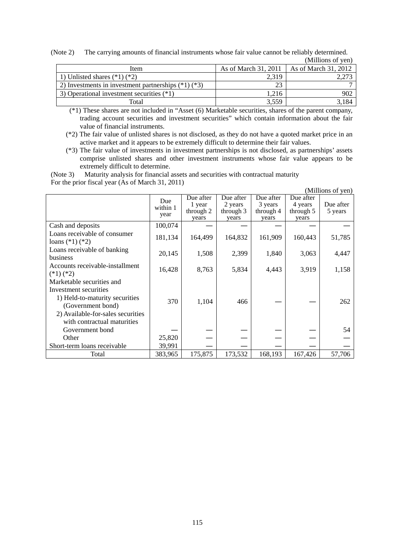| (Note 2) | The carrying amounts of financial instruments whose fair value cannot be reliably determined. |  |
|----------|-----------------------------------------------------------------------------------------------|--|
|          | (Millions of yen)                                                                             |  |

|                                                         |                      | пишпону от тент                  |
|---------------------------------------------------------|----------------------|----------------------------------|
| Item                                                    | As of March 31, 2011 | $\parallel$ As of March 31, 2012 |
| 1) Unlisted shares $(*1)$ $(*2)$                        | 2.319                |                                  |
| 2) Investments in investment partnerships $(*1)$ $(*3)$ | 23                   |                                  |
| 3) Operational investment securities (*1)               | 1.216                | 902                              |
| Total                                                   | 3,559                |                                  |

 (\*1) These shares are not included in "Asset (6) Marketable securities, shares of the parent company, trading account securities and investment securities" which contain information about the fair value of financial instruments.

- (\*2) The fair value of unlisted shares is not disclosed, as they do not have a quoted market price in an active market and it appears to be extremely difficult to determine their fair values.
- (\*3) The fair value of investments in investment partnerships is not disclosed, as partnerships' assets comprise unlisted shares and other investment instruments whose fair value appears to be extremely difficult to determine.

(Note 3) Maturity analysis for financial assets and securities with contractual maturity

For the prior fiscal year (As of March 31, 2011)

|                                                                                                                                                                               |                         |                                           |                                            |                                            |                                            | (Millions of yen)    |
|-------------------------------------------------------------------------------------------------------------------------------------------------------------------------------|-------------------------|-------------------------------------------|--------------------------------------------|--------------------------------------------|--------------------------------------------|----------------------|
|                                                                                                                                                                               | Due<br>within 1<br>year | Due after<br>1 year<br>through 2<br>years | Due after<br>2 years<br>through 3<br>years | Due after<br>3 years<br>through 4<br>years | Due after<br>4 years<br>through 5<br>years | Due after<br>5 years |
| Cash and deposits                                                                                                                                                             | 100,074                 |                                           |                                            |                                            |                                            |                      |
| Loans receivable of consumer<br>loans $(*1)$ $(*2)$                                                                                                                           | 181,134                 | 164,499                                   | 164,832                                    | 161,909                                    | 160,443                                    | 51,785               |
| Loans receivable of banking<br>business                                                                                                                                       | 20,145                  | 1,508                                     | 2,399                                      | 1,840                                      | 3,063                                      | 4,447                |
| Accounts receivable-installment<br>$(*1)$ $(*2)$                                                                                                                              | 16,428                  | 8,763                                     | 5,834                                      | 4,443                                      | 3,919                                      | 1,158                |
| Marketable securities and<br>Investment securities<br>1) Held-to-maturity securities<br>(Government bond)<br>2) Available-for-sales securities<br>with contractual maturities | 370                     | 1,104                                     | 466                                        |                                            |                                            | 262                  |
| Government bond                                                                                                                                                               |                         |                                           |                                            |                                            |                                            | 54                   |
| Other                                                                                                                                                                         | 25,820                  |                                           |                                            |                                            |                                            |                      |
| Short-term loans receivable                                                                                                                                                   | 39,991                  |                                           |                                            |                                            |                                            |                      |
| Total                                                                                                                                                                         | 383,965                 | 175,875                                   | 173,532                                    | 168,193                                    | 167,426                                    | 57,706               |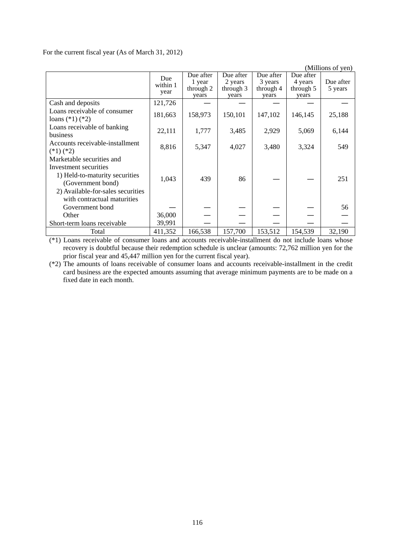For the current fiscal year (As of March 31, 2012)

|                                                                                                                                                                               |                         |                                           |                                            |                                            |                                            | (Millions of yen)    |
|-------------------------------------------------------------------------------------------------------------------------------------------------------------------------------|-------------------------|-------------------------------------------|--------------------------------------------|--------------------------------------------|--------------------------------------------|----------------------|
|                                                                                                                                                                               | Due<br>within 1<br>year | Due after<br>1 year<br>through 2<br>years | Due after<br>2 years<br>through 3<br>years | Due after<br>3 years<br>through 4<br>years | Due after<br>4 years<br>through 5<br>years | Due after<br>5 years |
| Cash and deposits                                                                                                                                                             | 121,726                 |                                           |                                            |                                            |                                            |                      |
| Loans receivable of consumer<br>loans $(*1)$ $(*2)$                                                                                                                           | 181,663                 | 158,973                                   | 150,101                                    | 147,102                                    | 146,145                                    | 25,188               |
| Loans receivable of banking<br><b>business</b>                                                                                                                                | 22,111                  | 1,777                                     | 3,485                                      | 2,929                                      | 5,069                                      | 6,144                |
| Accounts receivable-installment<br>$(*1)$ $(*2)$                                                                                                                              | 8,816                   | 5,347                                     | 4,027                                      | 3,480                                      | 3,324                                      | 549                  |
| Marketable securities and<br>Investment securities<br>1) Held-to-maturity securities<br>(Government bond)<br>2) Available-for-sales securities<br>with contractual maturities | 1,043                   | 439                                       | 86                                         |                                            |                                            | 251                  |
| Government bond                                                                                                                                                               |                         |                                           |                                            |                                            |                                            | 56                   |
| Other                                                                                                                                                                         | 36,000                  |                                           |                                            |                                            |                                            |                      |
| Short-term loans receivable                                                                                                                                                   | 39,991                  |                                           |                                            |                                            |                                            |                      |
| Total                                                                                                                                                                         | 411,352                 | 166,538                                   | 157,700                                    | 153,512                                    | 154,539                                    | 32,190               |

(\*1) Loans receivable of consumer loans and accounts receivable-installment do not include loans whose recovery is doubtful because their redemption schedule is unclear (amounts: 72,762 million yen for the prior fiscal year and 45,447 million yen for the current fiscal year).

(\*2) The amounts of loans receivable of consumer loans and accounts receivable-installment in the credit card business are the expected amounts assuming that average minimum payments are to be made on a fixed date in each month.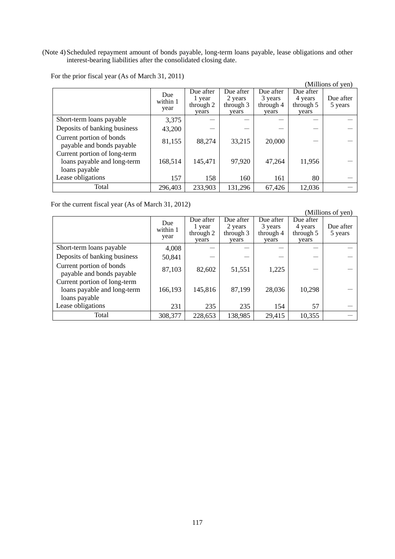(Note 4) Scheduled repayment amount of bonds payable, long-term loans payable, lease obligations and other interest-bearing liabilities after the consolidated closing date.

For the prior fiscal year (As of March 31, 2011)

|                                                                              |                         |                                           |                                            |                                            |                                            | (Millions of yen)    |
|------------------------------------------------------------------------------|-------------------------|-------------------------------------------|--------------------------------------------|--------------------------------------------|--------------------------------------------|----------------------|
|                                                                              | Due<br>within 1<br>year | Due after<br>1 year<br>through 2<br>years | Due after<br>2 years<br>through 3<br>years | Due after<br>3 years<br>through 4<br>years | Due after<br>4 years<br>through 5<br>years | Due after<br>5 years |
| Short-term loans payable                                                     | 3,375                   |                                           |                                            |                                            |                                            |                      |
| Deposits of banking business                                                 | 43,200                  |                                           |                                            |                                            |                                            |                      |
| Current portion of bonds<br>payable and bonds payable                        | 81,155                  | 88,274                                    | 33,215                                     | 20,000                                     |                                            |                      |
| Current portion of long-term<br>loans payable and long-term<br>loans payable | 168,514                 | 145,471                                   | 97,920                                     | 47,264                                     | 11,956                                     |                      |
| Lease obligations                                                            | 157                     | 158                                       | 160                                        | 161                                        | 80                                         |                      |
| Total                                                                        | 296,403                 | 233,903                                   | 131,296                                    | 67,426                                     | 12,036                                     |                      |

For the current fiscal year (As of March 31, 2012)

|                                                                              |                         |                                           |                                            |                                            |                                            | (Millions of yen)    |
|------------------------------------------------------------------------------|-------------------------|-------------------------------------------|--------------------------------------------|--------------------------------------------|--------------------------------------------|----------------------|
|                                                                              | Due<br>within 1<br>year | Due after<br>1 year<br>through 2<br>years | Due after<br>2 years<br>through 3<br>years | Due after<br>3 years<br>through 4<br>years | Due after<br>4 years<br>through 5<br>years | Due after<br>5 years |
| Short-term loans payable                                                     | 4,008                   |                                           |                                            |                                            |                                            |                      |
| Deposits of banking business                                                 | 50,841                  |                                           |                                            |                                            |                                            |                      |
| Current portion of bonds<br>payable and bonds payable                        | 87,103                  | 82,602                                    | 51,551                                     | 1,225                                      |                                            |                      |
| Current portion of long-term<br>loans payable and long-term<br>loans payable | 166,193                 | 145,816                                   | 87,199                                     | 28,036                                     | 10,298                                     |                      |
| Lease obligations                                                            | 231                     | 235                                       | 235                                        | 154                                        | 57                                         |                      |
| Total                                                                        | 308,377                 | 228,653                                   | 138,985                                    | 29,415                                     | 10,355                                     |                      |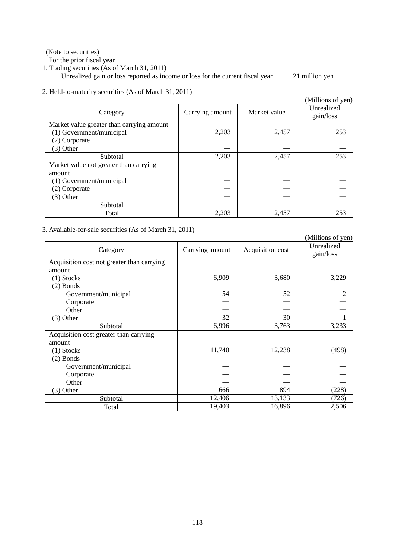(Note to securities)

For the prior fiscal year

1. Trading securities (As of March 31, 2011)

Unrealized gain or loss reported as income or loss for the current fiscal year 21 million yen

2. Held-to-maturity securities (As of March 31, 2011)

| $\mathcal{L}$ . Here to maturity securities (Tes of interest $\mathcal{I}$ ), $\mathcal{L}$ 011) |                 |              | (Millions of yen)       |
|--------------------------------------------------------------------------------------------------|-----------------|--------------|-------------------------|
| Category                                                                                         | Carrying amount | Market value | Unrealized<br>gain/loss |
| Market value greater than carrying amount                                                        |                 |              |                         |
| (1) Government/municipal                                                                         | 2,203           | 2,457        | 253                     |
| (2) Corporate                                                                                    |                 |              |                         |
| $(3)$ Other                                                                                      |                 |              |                         |
| Subtotal                                                                                         | 2,203           | 2,457        | 253                     |
| Market value not greater than carrying                                                           |                 |              |                         |
| amount                                                                                           |                 |              |                         |
| (1) Government/municipal                                                                         |                 |              |                         |
| (2) Corporate                                                                                    |                 |              |                         |
| $(3)$ Other                                                                                      |                 |              |                         |
| Subtotal                                                                                         |                 |              |                         |
| Total                                                                                            | 2,203           | 2,457        | 253                     |

# 3. Available-for-sale securities (As of March 31, 2011)

| $101$ barre becoming to the order of $\sigma$ |                 |                  | (Millions of yen)       |
|-----------------------------------------------|-----------------|------------------|-------------------------|
| Category                                      | Carrying amount | Acquisition cost | Unrealized<br>gain/loss |
| Acquisition cost not greater than carrying    |                 |                  |                         |
| amount                                        |                 |                  |                         |
| $(1)$ Stocks                                  | 6,909           | 3,680            | 3,229                   |
| $(2)$ Bonds                                   |                 |                  |                         |
| Government/municipal                          | 54              | 52               |                         |
| Corporate                                     |                 |                  |                         |
| Other                                         |                 |                  |                         |
| $(3)$ Other                                   | 32              | 30               |                         |
| Subtotal                                      | 6,996           | 3,763            | 3,233                   |
| Acquisition cost greater than carrying        |                 |                  |                         |
| amount                                        |                 |                  |                         |
| $(1)$ Stocks                                  | 11,740          | 12,238           | (498)                   |
| $(2)$ Bonds                                   |                 |                  |                         |
| Government/municipal                          |                 |                  |                         |
| Corporate                                     |                 |                  |                         |
| Other                                         |                 |                  |                         |
| $(3)$ Other                                   | 666             | 894              | (228)                   |
| Subtotal                                      | 12,406          | 13,133           | (726)                   |
| Total                                         | 19,403          | 16,896           | 2,506                   |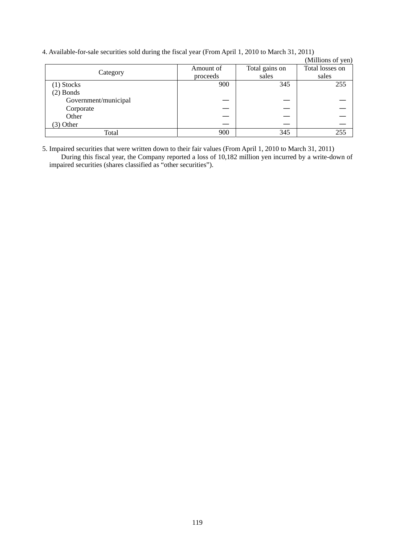4. Available-for-sale securities sold during the fiscal year (From April 1, 2010 to March 31, 2011)

|                      |           |                | (Millions of yen) |
|----------------------|-----------|----------------|-------------------|
|                      | Amount of | Total gains on | Total losses on   |
| Category             | proceeds  | sales          | sales             |
| (1) Stocks           | 900       | 345            | 255               |
| $(2)$ Bonds          |           |                |                   |
| Government/municipal |           |                |                   |
| Corporate            |           |                |                   |
| Other                |           |                |                   |
| $(3)$ Other          |           |                |                   |
| Total                | 900       | 345            | 255               |

5. Impaired securities that were written down to their fair values (From April 1, 2010 to March 31, 2011) During this fiscal year, the Company reported a loss of 10,182 million yen incurred by a write-down of impaired securities (shares classified as "other securities").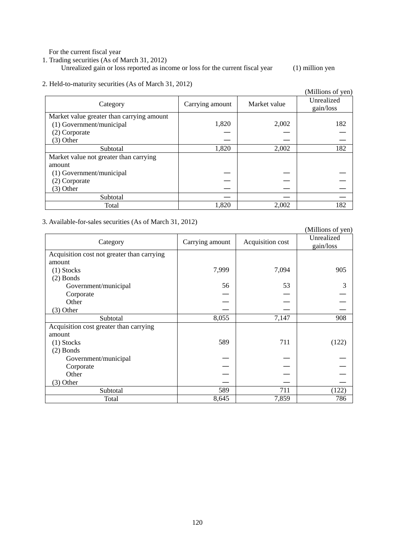For the current fiscal year

1. Trading securities (As of March 31, 2012)

Unrealized gain or loss reported as income or loss for the current fiscal year (1) million yen

2. Held-to-maturity securities (As of March 31, 2012)

| $\ldots$ refer to maturity becurrings (T to or maturity $\ldots$ ) |                 |              | (Millions of yen)       |
|--------------------------------------------------------------------|-----------------|--------------|-------------------------|
| Category                                                           | Carrying amount | Market value | Unrealized<br>gain/loss |
| Market value greater than carrying amount                          |                 |              |                         |
| (1) Government/municipal                                           | 1,820           | 2,002        | 182                     |
| (2) Corporate                                                      |                 |              |                         |
| $(3)$ Other                                                        |                 |              |                         |
| Subtotal                                                           | 1,820           | 2,002        | 182                     |
| Market value not greater than carrying                             |                 |              |                         |
| amount                                                             |                 |              |                         |
| (1) Government/municipal                                           |                 |              |                         |
| (2) Corporate                                                      |                 |              |                         |
| $(3)$ Other                                                        |                 |              |                         |
| Subtotal                                                           |                 |              |                         |
| Total                                                              | 1,820           | 2,002        | 182                     |

# 3. Available-for-sales securities (As of March 31, 2012)

|                                            |                 |                  | (Millions of yen)       |
|--------------------------------------------|-----------------|------------------|-------------------------|
| Category                                   | Carrying amount | Acquisition cost | Unrealized<br>gain/loss |
| Acquisition cost not greater than carrying |                 |                  |                         |
| amount                                     |                 |                  |                         |
| (1) Stocks                                 | 7,999           | 7,094            | 905                     |
| $(2)$ Bonds                                |                 |                  |                         |
| Government/municipal                       | 56              | 53               | 3                       |
| Corporate                                  |                 |                  |                         |
| Other                                      |                 |                  |                         |
| $(3)$ Other                                |                 |                  |                         |
| Subtotal                                   | 8,055           | 7,147            | $\overline{908}$        |
| Acquisition cost greater than carrying     |                 |                  |                         |
| amount                                     |                 |                  |                         |
| $(1)$ Stocks                               | 589             | 711              | (122)                   |
| $(2)$ Bonds                                |                 |                  |                         |
| Government/municipal                       |                 |                  |                         |
| Corporate                                  |                 |                  |                         |
| Other                                      |                 |                  |                         |
| $(3)$ Other                                |                 |                  |                         |
| Subtotal                                   | 589             | 711              | (122)                   |
| Total                                      | 8,645           | 7,859            | 786                     |

 $(M<sub>ii</sub>)$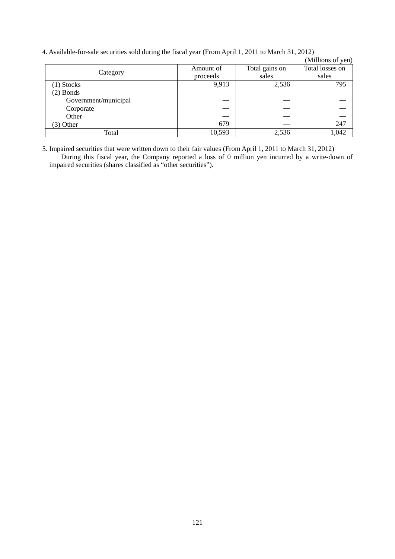4. Available-for-sale securities sold during the fiscal year (From April 1, 2011 to March 31, 2012)

|                      |           |                | (Millions of yen) |
|----------------------|-----------|----------------|-------------------|
|                      | Amount of | Total gains on | Total losses on   |
| Category             | proceeds  | sales          | sales             |
| $(1)$ Stocks         | 9,913     | 2,536          | 795               |
| $(2)$ Bonds          |           |                |                   |
| Government/municipal |           |                |                   |
| Corporate            |           |                |                   |
| Other                |           |                |                   |
| $(3)$ Other          | 679       |                | 247               |
| Total                | 10,593    | 2,536          | 1,042             |

5. Impaired securities that were written down to their fair values (From April 1, 2011 to March 31, 2012) During this fiscal year, the Company reported a loss of 0 million yen incurred by a write-down of impaired securities (shares classified as "other securities").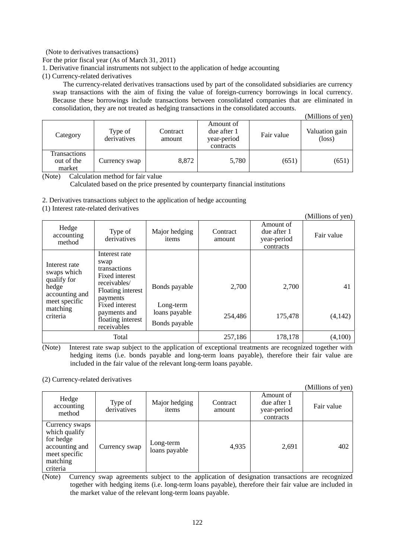# (Note to derivatives transactions)

For the prior fiscal year (As of March 31, 2011)

1. Derivative financial instruments not subject to the application of hedge accounting

(1) Currency-related derivatives

The currency-related derivatives transactions used by part of the consolidated subsidiaries are currency swap transactions with the aim of fixing the value of foreign-currency borrowings in local currency. Because these borrowings include transactions between consolidated companies that are eliminated in consolidation, they are not treated as hedging transactions in the consolidated accounts.

| (Millions of yen) |
|-------------------|
|-------------------|

|                                      |                        |                    |                                                      |            | TAITIIOII9 OL ACII)               |
|--------------------------------------|------------------------|--------------------|------------------------------------------------------|------------|-----------------------------------|
| Category                             | Type of<br>derivatives | Contract<br>amount | Amount of<br>due after 1<br>year-period<br>contracts | Fair value | Valuation gain<br>$(\text{loss})$ |
| Transactions<br>out of the<br>market | Currency swap          | 8,872              | 5,780                                                | (651)      | (651)                             |

(Note) Calculation method for fair value

Calculated based on the price presented by counterparty financial institutions

2. Derivatives transactions subject to the application of hedge accounting

(1) Interest rate-related derivatives

|                                                                                                                 |                                                                                                                                                                                |                                                              |                    |                                                      | (Millions of yen) |
|-----------------------------------------------------------------------------------------------------------------|--------------------------------------------------------------------------------------------------------------------------------------------------------------------------------|--------------------------------------------------------------|--------------------|------------------------------------------------------|-------------------|
| Hedge<br>accounting<br>method                                                                                   | Type of<br>derivatives                                                                                                                                                         | Major hedging<br>items                                       | Contract<br>amount | Amount of<br>due after 1<br>year-period<br>contracts | Fair value        |
| Interest rate<br>swaps which<br>qualify for<br>hedge<br>accounting and<br>meet specific<br>matching<br>criteria | Interest rate<br>swap<br>transactions<br>Fixed interest<br>receivables/<br>Floating interest<br>payments<br>Fixed interest<br>payments and<br>floating interest<br>receivables | Bonds payable<br>Long-term<br>loans payable<br>Bonds payable | 2,700<br>254,486   | 2,700<br>175,478                                     | 41<br>(4,142)     |
|                                                                                                                 | Total                                                                                                                                                                          |                                                              | 257,186            | 178,178                                              | (4,100)           |

(Note) Interest rate swap subject to the application of exceptional treatments are recognized together with hedging items (i.e. bonds payable and long-term loans payable), therefore their fair value are included in the fair value of the relevant long-term loans payable.

(2) Currency-related derivatives

(Millions of yen)

| Hedge<br>accounting<br>method                                                                           | Type of<br>derivatives | Major hedging<br>items     | Contract<br>amount | Amount of<br>due after 1<br>year-period<br>contracts | Fair value |
|---------------------------------------------------------------------------------------------------------|------------------------|----------------------------|--------------------|------------------------------------------------------|------------|
| Currency swaps<br>which qualify<br>for hedge<br>accounting and<br>meet specific<br>matching<br>criteria | Currency swap          | Long-term<br>loans payable | 4,935              | 2,691                                                | 402        |

(Note) Currency swap agreements subject to the application of designation transactions are recognized together with hedging items (i.e. long-term loans payable), therefore their fair value are included in the market value of the relevant long-term loans payable.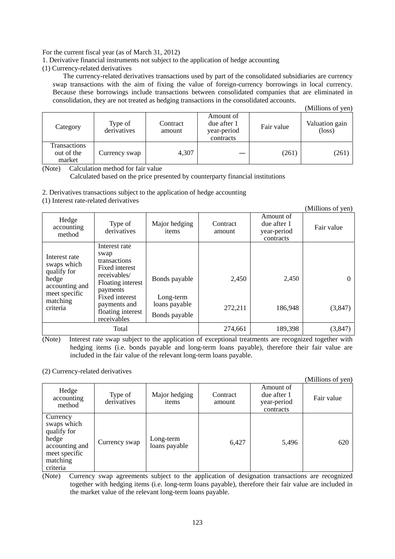For the current fiscal year (as of March 31, 2012)

1. Derivative financial instruments not subject to the application of hedge accounting

(1) Currency-related derivatives

The currency-related derivatives transactions used by part of the consolidated subsidiaries are currency swap transactions with the aim of fixing the value of foreign-currency borrowings in local currency. Because these borrowings include transactions between consolidated companies that are eliminated in consolidation, they are not treated as hedging transactions in the consolidated accounts.

|                                      |                        |                    |                                                      |            | (Millions of yen)                 |
|--------------------------------------|------------------------|--------------------|------------------------------------------------------|------------|-----------------------------------|
| Category                             | Type of<br>derivatives | Contract<br>amount | Amount of<br>due after 1<br>year-period<br>contracts | Fair value | Valuation gain<br>$(\text{loss})$ |
| Transactions<br>out of the<br>market | Currency swap          | 4,307              |                                                      | (261)      | (261)                             |

(Note) Calculation method for fair value

Calculated based on the price presented by counterparty financial institutions

2. Derivatives transactions subject to the application of hedge accounting

(1) Interest rate-related derivatives

|                                                                                                                 |                                                                                                                                                                                       |                                                              |                    |                                                      | (Millions of yen) |
|-----------------------------------------------------------------------------------------------------------------|---------------------------------------------------------------------------------------------------------------------------------------------------------------------------------------|--------------------------------------------------------------|--------------------|------------------------------------------------------|-------------------|
| Hedge<br>accounting<br>method                                                                                   | Type of<br>derivatives                                                                                                                                                                | Major hedging<br>items                                       | Contract<br>amount | Amount of<br>due after 1<br>year-period<br>contracts | Fair value        |
| Interest rate<br>swaps which<br>qualify for<br>hedge<br>accounting and<br>meet specific<br>matching<br>criteria | Interest rate<br>swap<br>transactions<br><b>Fixed interest</b><br>receivables/<br>Floating interest<br>payments<br>Fixed interest<br>payments and<br>floating interest<br>receivables | Bonds payable<br>Long-term<br>loans payable<br>Bonds payable | 2,450<br>272,211   | 2,450<br>186,948                                     | (3, 847)          |
|                                                                                                                 | Total                                                                                                                                                                                 |                                                              | 274,661            | 189,398                                              | (3, 847)          |

(Note) Interest rate swap subject to the application of exceptional treatments are recognized together with hedging items (i.e. bonds payable and long-term loans payable), therefore their fair value are included in the fair value of the relevant long-term loans payable.

(2) Currency-related derivatives

|                                                                                                            |                        |                            |                    |                                                      | (Millions of yen) |
|------------------------------------------------------------------------------------------------------------|------------------------|----------------------------|--------------------|------------------------------------------------------|-------------------|
| Hedge<br>accounting<br>method                                                                              | Type of<br>derivatives | Major hedging<br>items     | Contract<br>amount | Amount of<br>due after 1<br>year-period<br>contracts | Fair value        |
| Currency<br>swaps which<br>qualify for<br>hedge<br>accounting and<br>meet specific<br>matching<br>criteria | Currency swap          | Long-term<br>loans payable | 6,427              | 5,496                                                | 620               |

(Note) Currency swap agreements subject to the application of designation transactions are recognized together with hedging items (i.e. long-term loans payable), therefore their fair value are included in the market value of the relevant long-term loans payable.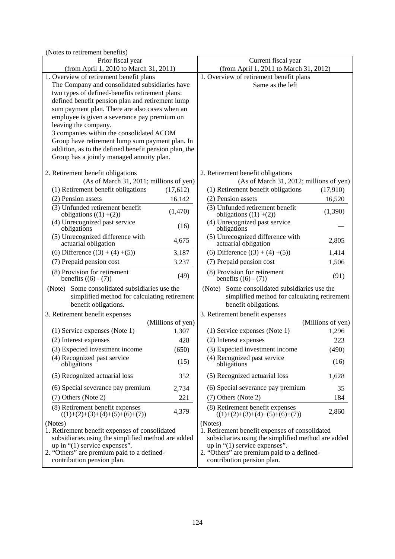| (Notes to retirement benefits)                                                                                                                                                                                     |                   |                                                                                                                                                                                                                    |                   |
|--------------------------------------------------------------------------------------------------------------------------------------------------------------------------------------------------------------------|-------------------|--------------------------------------------------------------------------------------------------------------------------------------------------------------------------------------------------------------------|-------------------|
| Prior fiscal year                                                                                                                                                                                                  |                   | Current fiscal year                                                                                                                                                                                                |                   |
| (from April 1, 2010 to March 31, 2011)                                                                                                                                                                             |                   | (from April 1, 2011 to March 31, 2012)                                                                                                                                                                             |                   |
| 1. Overview of retirement benefit plans                                                                                                                                                                            |                   | 1. Overview of retirement benefit plans                                                                                                                                                                            |                   |
| The Company and consolidated subsidiaries have                                                                                                                                                                     |                   | Same as the left                                                                                                                                                                                                   |                   |
| two types of defined-benefits retirement plans:                                                                                                                                                                    |                   |                                                                                                                                                                                                                    |                   |
| defined benefit pension plan and retirement lump<br>sum payment plan. There are also cases when an                                                                                                                 |                   |                                                                                                                                                                                                                    |                   |
| employee is given a severance pay premium on                                                                                                                                                                       |                   |                                                                                                                                                                                                                    |                   |
| leaving the company.                                                                                                                                                                                               |                   |                                                                                                                                                                                                                    |                   |
| 3 companies within the consolidated ACOM                                                                                                                                                                           |                   |                                                                                                                                                                                                                    |                   |
| Group have retirement lump sum payment plan. In                                                                                                                                                                    |                   |                                                                                                                                                                                                                    |                   |
| addition, as to the defined benefit pension plan, the                                                                                                                                                              |                   |                                                                                                                                                                                                                    |                   |
| Group has a jointly managed annuity plan.                                                                                                                                                                          |                   |                                                                                                                                                                                                                    |                   |
| 2. Retirement benefit obligations                                                                                                                                                                                  |                   | 2. Retirement benefit obligations                                                                                                                                                                                  |                   |
| (As of March 31, 2011; millions of yen)                                                                                                                                                                            |                   | (As of March 31, 2012; millions of yen)                                                                                                                                                                            |                   |
| (1) Retirement benefit obligations                                                                                                                                                                                 | (17,612)          | (1) Retirement benefit obligations                                                                                                                                                                                 | (17,910)          |
| (2) Pension assets                                                                                                                                                                                                 | 16,142            | (2) Pension assets                                                                                                                                                                                                 | 16,520            |
| $(3)$ Unfunded retirement benefit<br>obligations $((1) + (2))$                                                                                                                                                     | (1,470)           | (3) Unfunded retirement benefit<br>obligations $((1) + (2))$                                                                                                                                                       | (1,390)           |
| (4) Unrecognized past service<br>obligations                                                                                                                                                                       | (16)              | (4) Unrecognized past service<br>obligations                                                                                                                                                                       |                   |
| (5) Unrecognized difference with<br>actuarial obligation                                                                                                                                                           | 4,675             | (5) Unrecognized difference with<br>actuarial obligation                                                                                                                                                           | 2,805             |
| (6) Difference $((3) + (4) + (5))$                                                                                                                                                                                 | 3,187             | (6) Difference $((3) + (4) + (5))$                                                                                                                                                                                 | 1,414             |
| (7) Prepaid pension cost                                                                                                                                                                                           | 3,237             | (7) Prepaid pension cost                                                                                                                                                                                           | 1,506             |
| (8) Provision for retirement<br>benefits $((6) - (7))$                                                                                                                                                             | (49)              | (8) Provision for retirement<br>benefits $((6) - (7))$                                                                                                                                                             | (91)              |
| Some consolidated subsidiaries use the<br>(Note)                                                                                                                                                                   |                   | (Note) Some consolidated subsidiaries use the                                                                                                                                                                      |                   |
| simplified method for calculating retirement<br>benefit obligations.                                                                                                                                               |                   | simplified method for calculating retirement<br>benefit obligations.                                                                                                                                               |                   |
| 3. Retirement benefit expenses                                                                                                                                                                                     |                   | 3. Retirement benefit expenses                                                                                                                                                                                     |                   |
|                                                                                                                                                                                                                    | (Millions of yen) |                                                                                                                                                                                                                    | (Millions of yen) |
| (1) Service expenses (Note 1)                                                                                                                                                                                      | 1,307             | (1) Service expenses (Note 1)                                                                                                                                                                                      | 1,296             |
| (2) Interest expenses                                                                                                                                                                                              | 428               | (2) Interest expenses                                                                                                                                                                                              | 223               |
| (3) Expected investment income                                                                                                                                                                                     | (650)             | (3) Expected investment income                                                                                                                                                                                     | (490)             |
| (4) Recognized past service<br>obligations                                                                                                                                                                         | (15)              | (4) Recognized past service<br>obligations                                                                                                                                                                         | (16)              |
| (5) Recognized actuarial loss                                                                                                                                                                                      | 352               | (5) Recognized actuarial loss                                                                                                                                                                                      | 1,628             |
| (6) Special severance pay premium                                                                                                                                                                                  | 2,734             | (6) Special severance pay premium                                                                                                                                                                                  | 35                |
| (7) Others (Note 2)                                                                                                                                                                                                | 221               | (7) Others (Note 2)                                                                                                                                                                                                | 184               |
| (8) Retirement benefit expenses<br>$((1)+(2)+(3)+(4)+(5)+(6)+(7))$                                                                                                                                                 | 4,379             | (8) Retirement benefit expenses<br>$((1)+(2)+(3)+(4)+(5)+(6)+(7))$                                                                                                                                                 | 2,860             |
| (Notes)                                                                                                                                                                                                            |                   | (Notes)                                                                                                                                                                                                            |                   |
| 1. Retirement benefit expenses of consolidated<br>subsidiaries using the simplified method are added<br>up in $(1)$ service expenses".<br>2. "Others" are premium paid to a defined-<br>contribution pension plan. |                   | 1. Retirement benefit expenses of consolidated<br>subsidiaries using the simplified method are added<br>up in $(1)$ service expenses".<br>2. "Others" are premium paid to a defined-<br>contribution pension plan. |                   |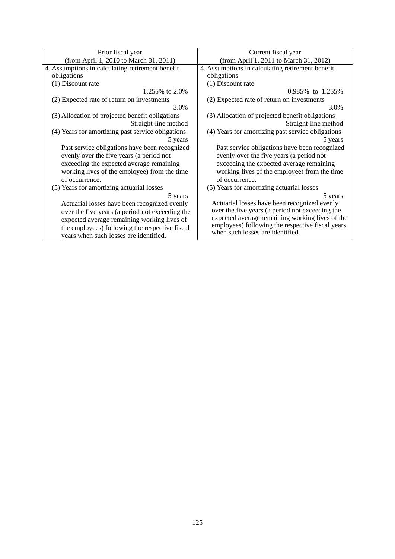| Prior fiscal year                                 | Current fiscal year                               |
|---------------------------------------------------|---------------------------------------------------|
| (from April 1, 2010 to March 31, 2011)            | (from April 1, 2011 to March 31, 2012)            |
| 4. Assumptions in calculating retirement benefit  | 4. Assumptions in calculating retirement benefit  |
| obligations                                       | obligations                                       |
| (1) Discount rate                                 | (1) Discount rate                                 |
| 1.255\% to 2.0\%                                  | 0.985% to 1.255%                                  |
| (2) Expected rate of return on investments        | (2) Expected rate of return on investments        |
| 3.0%                                              | 3.0%                                              |
| (3) Allocation of projected benefit obligations   | (3) Allocation of projected benefit obligations   |
| Straight-line method                              | Straight-line method                              |
| (4) Years for amortizing past service obligations | (4) Years for amortizing past service obligations |
| 5 years                                           | 5 years                                           |
| Past service obligations have been recognized     | Past service obligations have been recognized     |
| evenly over the five years (a period not          | evenly over the five years (a period not          |
| exceeding the expected average remaining          | exceeding the expected average remaining          |
| working lives of the employee) from the time      | working lives of the employee) from the time      |
| of occurrence.                                    | of occurrence.                                    |
| (5) Years for amortizing actuarial losses         | (5) Years for amortizing actuarial losses         |
| 5 years                                           | 5 years                                           |
| Actuarial losses have been recognized evenly      | Actuarial losses have been recognized evenly      |
| over the five years (a period not exceeding the   | over the five years (a period not exceeding the   |
| expected average remaining working lives of       | expected average remaining working lives of the   |
| the employees) following the respective fiscal    | employees) following the respective fiscal years  |
| years when such losses are identified.            | when such losses are identified.                  |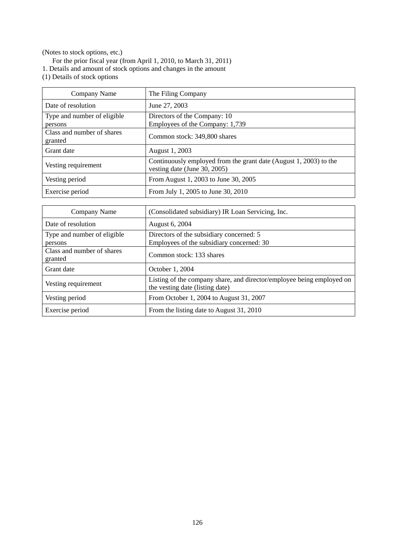(Notes to stock options, etc.)

For the prior fiscal year (from April 1, 2010, to March 31, 2011) 1. Details and amount of stock options and changes in the amount

(1) Details of stock options

| Company Name                           | The Filing Company                                                                                |
|----------------------------------------|---------------------------------------------------------------------------------------------------|
| Date of resolution                     | June 27, 2003                                                                                     |
| Type and number of eligible<br>persons | Directors of the Company: 10<br>Employees of the Company: 1,739                                   |
| Class and number of shares<br>granted  | Common stock: 349,800 shares                                                                      |
| Grant date                             | August 1, 2003                                                                                    |
| Vesting requirement                    | Continuously employed from the grant date (August 1, 2003) to the<br>vesting date (June 30, 2005) |
| Vesting period                         | From August 1, 2003 to June 30, 2005                                                              |
| Exercise period                        | From July 1, 2005 to June 30, 2010                                                                |

| <b>Company Name</b>                    | (Consolidated subsidiary) IR Loan Servicing, Inc.                                                        |
|----------------------------------------|----------------------------------------------------------------------------------------------------------|
| Date of resolution                     | August 6, 2004                                                                                           |
| Type and number of eligible<br>persons | Directors of the subsidiary concerned: 5<br>Employees of the subsidiary concerned: 30                    |
| Class and number of shares<br>granted  | Common stock: 133 shares                                                                                 |
| Grant date                             | October 1, 2004                                                                                          |
| Vesting requirement                    | Listing of the company share, and director/employee being employed on<br>the vesting date (listing date) |
| Vesting period                         | From October 1, 2004 to August 31, 2007                                                                  |
| Exercise period                        | From the listing date to August 31, 2010                                                                 |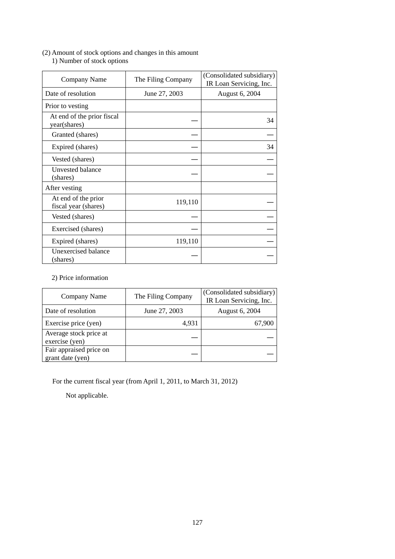# (2) Amount of stock options and changes in this amount

1) Number of stock options

| Company Name                                | The Filing Company | (Consolidated subsidiary)<br>IR Loan Servicing, Inc. |
|---------------------------------------------|--------------------|------------------------------------------------------|
| Date of resolution                          | June 27, 2003      | August 6, 2004                                       |
| Prior to vesting                            |                    |                                                      |
| At end of the prior fiscal<br>year(shares)  |                    | 34                                                   |
| Granted (shares)                            |                    |                                                      |
| Expired (shares)                            |                    | 34                                                   |
| Vested (shares)                             |                    |                                                      |
| Unvested balance<br>(shares)                |                    |                                                      |
| After vesting                               |                    |                                                      |
| At end of the prior<br>fiscal year (shares) | 119,110            |                                                      |
| Vested (shares)                             |                    |                                                      |
| Exercised (shares)                          |                    |                                                      |
| Expired (shares)                            | 119,110            |                                                      |
| Unexercised balance<br>(shares)             |                    |                                                      |

2) Price information

| Company Name                                | The Filing Company | (Consolidated subsidiary)<br>IR Loan Servicing, Inc. |
|---------------------------------------------|--------------------|------------------------------------------------------|
| Date of resolution                          | June 27, 2003      | August 6, 2004                                       |
| Exercise price (yen)                        | 4,931              | 67,900                                               |
| Average stock price at<br>exercise (yen)    |                    |                                                      |
| Fair appraised price on<br>grant date (yen) |                    |                                                      |

For the current fiscal year (from April 1, 2011, to March 31, 2012)

Not applicable.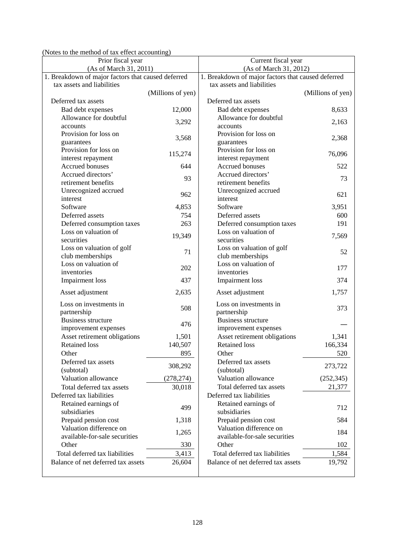(Notes to the method of tax effect accounting)

| Prior fiscal year                                  |                   | Current fiscal year                                |                   |
|----------------------------------------------------|-------------------|----------------------------------------------------|-------------------|
| (As of March 31, 2011)                             |                   | (As of March 31, 2012)                             |                   |
| 1. Breakdown of major factors that caused deferred |                   | 1. Breakdown of major factors that caused deferred |                   |
| tax assets and liabilities                         |                   | tax assets and liabilities                         |                   |
|                                                    | (Millions of yen) |                                                    | (Millions of yen) |
| Deferred tax assets                                |                   | Deferred tax assets                                |                   |
| Bad debt expenses                                  | 12,000            | Bad debt expenses                                  | 8,633             |
| Allowance for doubtful                             | 3,292             | Allowance for doubtful                             | 2,163             |
| accounts                                           |                   | accounts                                           |                   |
| Provision for loss on                              | 3,568             | Provision for loss on                              | 2,368             |
| guarantees                                         |                   | guarantees                                         |                   |
| Provision for loss on                              | 115,274           | Provision for loss on                              | 76,096            |
| interest repayment                                 |                   | interest repayment                                 |                   |
| Accrued bonuses                                    | 644               | Accrued bonuses                                    | 522               |
| Accrued directors'                                 | 93                | Accrued directors'                                 | 73                |
| retirement benefits<br>Unrecognized accrued        |                   | retirement benefits<br>Unrecognized accrued        |                   |
| interest                                           | 962               | interest                                           | 621               |
| Software                                           | 4,853             | Software                                           | 3,951             |
| Deferred assets                                    | 754               | Deferred assets                                    | 600               |
| Deferred consumption taxes                         | 263               | Deferred consumption taxes                         | 191               |
| Loss on valuation of                               |                   | Loss on valuation of                               |                   |
| securities                                         | 19,349            | securities                                         | 7,569             |
| Loss on valuation of golf                          |                   | Loss on valuation of golf                          |                   |
| club memberships                                   | 71                | club memberships                                   | 52                |
| Loss on valuation of                               |                   | Loss on valuation of                               |                   |
| inventories                                        | 202               | inventories                                        | 177               |
| <b>Impairment</b> loss                             | 437               | <b>Impairment</b> loss                             | 374               |
| Asset adjustment                                   | 2,635             | Asset adjustment                                   | 1,757             |
| Loss on investments in                             |                   | Loss on investments in                             |                   |
| partnership                                        | 508               | partnership                                        | 373               |
| <b>Business structure</b>                          | 476               | <b>Business structure</b>                          |                   |
| improvement expenses                               |                   | improvement expenses                               |                   |
| Asset retirement obligations                       | 1,501             | Asset retirement obligations                       | 1,341             |
| <b>Retained loss</b>                               | 140,507           | <b>Retained loss</b>                               | 166,334           |
| Other                                              | 895               | Other                                              | 520               |
| Deferred tax assets<br>(subtotal)                  | 308,292           | Deferred tax assets<br>(subtotal)                  | 273,722           |
| Valuation allowance                                | (278, 274)        | Valuation allowance                                | (252, 345)        |
| Total deferred tax assets                          | 30,018            | Total deferred tax assets                          | 21,377            |
| Deferred tax liabilities                           |                   | Deferred tax liabilities                           |                   |
| Retained earnings of                               |                   | Retained earnings of                               |                   |
| subsidiaries                                       | 499               | subsidiaries                                       | 712               |
| Prepaid pension cost                               | 1,318             | Prepaid pension cost                               | 584               |
| Valuation difference on                            |                   | Valuation difference on                            |                   |
| available-for-sale securities                      | 1,265             | available-for-sale securities                      | 184               |
| Other                                              | 330               | Other                                              | 102               |
| Total deferred tax liabilities                     | 3,413             | Total deferred tax liabilities                     | 1,584             |
| Balance of net deferred tax assets                 | 26,604            | Balance of net deferred tax assets                 | 19,792            |
|                                                    |                   |                                                    |                   |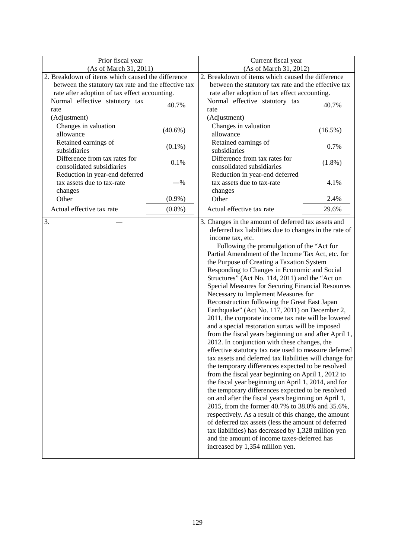| Prior fiscal year                                    | Current fiscal year                                      |  |  |
|------------------------------------------------------|----------------------------------------------------------|--|--|
| (As of March 31, 2011)                               | (As of March 31, 2012)                                   |  |  |
| 2. Breakdown of items which caused the difference    | 2. Breakdown of items which caused the difference        |  |  |
| between the statutory tax rate and the effective tax | between the statutory tax rate and the effective tax     |  |  |
| rate after adoption of tax effect accounting.        | rate after adoption of tax effect accounting.            |  |  |
| Normal effective statutory tax<br>40.7%              | Normal effective statutory tax<br>40.7%                  |  |  |
| rate                                                 | rate                                                     |  |  |
| (Adjustment)                                         | (Adjustment)                                             |  |  |
| Changes in valuation<br>$(40.6\%)$                   | Changes in valuation<br>$(16.5\%)$                       |  |  |
| allowance                                            | allowance                                                |  |  |
| Retained earnings of<br>$(0.1\%)$                    | Retained earnings of<br>0.7%                             |  |  |
| subsidiaries                                         | subsidiaries                                             |  |  |
| Difference from tax rates for<br>0.1%                | Difference from tax rates for<br>$(1.8\%)$               |  |  |
| consolidated subsidiaries                            | consolidated subsidiaries                                |  |  |
| Reduction in year-end deferred                       | Reduction in year-end deferred                           |  |  |
| tax assets due to tax-rate<br>$-$ %                  | tax assets due to tax-rate<br>4.1%                       |  |  |
| changes                                              | changes                                                  |  |  |
| Other<br>$(0.9\%)$                                   | Other<br>2.4%                                            |  |  |
| Actual effective tax rate<br>$(0.8\%)$               | Actual effective tax rate<br>29.6%                       |  |  |
| 3.                                                   | 3. Changes in the amount of deferred tax assets and      |  |  |
|                                                      | deferred tax liabilities due to changes in the rate of   |  |  |
|                                                      | income tax, etc.                                         |  |  |
|                                                      | Following the promulgation of the "Act for               |  |  |
|                                                      | Partial Amendment of the Income Tax Act, etc. for        |  |  |
|                                                      | the Purpose of Creating a Taxation System                |  |  |
|                                                      | Responding to Changes in Economic and Social             |  |  |
|                                                      | Structures" (Act No. 114, 2011) and the "Act on          |  |  |
|                                                      | <b>Special Measures for Securing Financial Resources</b> |  |  |
|                                                      | Necessary to Implement Measures for                      |  |  |
|                                                      | Reconstruction following the Great East Japan            |  |  |
|                                                      | Earthquake" (Act No. 117, 2011) on December 2,           |  |  |
|                                                      | 2011, the corporate income tax rate will be lowered      |  |  |
|                                                      | and a special restoration surtax will be imposed         |  |  |
|                                                      | from the fiscal years beginning on and after April 1,    |  |  |
|                                                      | 2012. In conjunction with these changes, the             |  |  |
|                                                      | effective statutory tax rate used to measure deferred    |  |  |
|                                                      | tax assets and deferred tax liabilities will change for  |  |  |
|                                                      | the temporary differences expected to be resolved        |  |  |
|                                                      | from the fiscal year beginning on April 1, 2012 to       |  |  |
|                                                      | the fiscal year beginning on April 1, 2014, and for      |  |  |
|                                                      | the temporary differences expected to be resolved        |  |  |
|                                                      | on and after the fiscal years beginning on April 1,      |  |  |
|                                                      | 2015, from the former 40.7% to 38.0% and 35.6%,          |  |  |
|                                                      | respectively. As a result of this change, the amount     |  |  |
|                                                      | of deferred tax assets (less the amount of deferred      |  |  |
|                                                      | tax liabilities) has decreased by 1,328 million yen      |  |  |
|                                                      | and the amount of income taxes-deferred has              |  |  |
|                                                      | increased by 1,354 million yen.                          |  |  |
|                                                      |                                                          |  |  |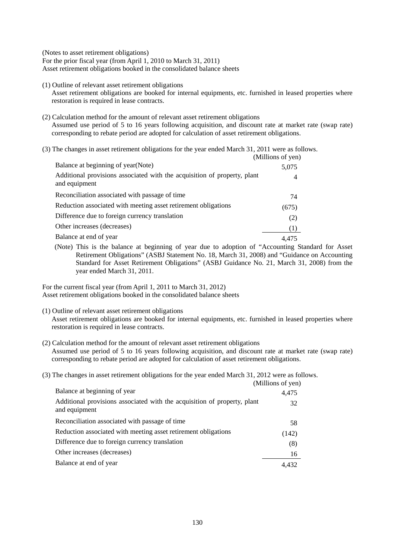(Notes to asset retirement obligations)

For the prior fiscal year (from April 1, 2010 to March 31, 2011) Asset retirement obligations booked in the consolidated balance sheets

(1) Outline of relevant asset retirement obligations

Asset retirement obligations are booked for internal equipments, etc. furnished in leased properties where restoration is required in lease contracts.

(2) Calculation method for the amount of relevant asset retirement obligations Assumed use period of 5 to 16 years following acquisition, and discount rate at market rate (swap rate) corresponding to rebate period are adopted for calculation of asset retirement obligations.

(3) The changes in asset retirement obligations for the year ended March 31, 2011 were as follows.

|                                                                                           | (Millions of yen) |
|-------------------------------------------------------------------------------------------|-------------------|
| Balance at beginning of year(Note)                                                        | 5,075             |
| Additional provisions associated with the acquisition of property, plant<br>and equipment | 4                 |
| Reconciliation associated with passage of time                                            | 74                |
| Reduction associated with meeting asset retirement obligations                            | (675)             |
| Difference due to foreign currency translation                                            | (2)               |
| Other increases (decreases)                                                               | (1)               |
| Balance at end of year                                                                    | 4.475             |

(Note) This is the balance at beginning of year due to adoption of "Accounting Standard for Asset Retirement Obligations" (ASBJ Statement No. 18, March 31, 2008) and "Guidance on Accounting Standard for Asset Retirement Obligations" (ASBJ Guidance No. 21, March 31, 2008) from the year ended March 31, 2011.

For the current fiscal year (from April 1, 2011 to March 31, 2012) Asset retirement obligations booked in the consolidated balance sheets

(1) Outline of relevant asset retirement obligations

Asset retirement obligations are booked for internal equipments, etc. furnished in leased properties where restoration is required in lease contracts.

(2) Calculation method for the amount of relevant asset retirement obligations Assumed use period of 5 to 16 years following acquisition, and discount rate at market rate (swap rate) corresponding to rebate period are adopted for calculation of asset retirement obligations.

(3) The changes in asset retirement obligations for the year ended March 31, 2012 were as follows.

|                                                                                           | (Millions of yen) |
|-------------------------------------------------------------------------------------------|-------------------|
| Balance at beginning of year                                                              | 4,475             |
| Additional provisions associated with the acquisition of property, plant<br>and equipment | 32                |
| Reconciliation associated with passage of time                                            | 58                |
| Reduction associated with meeting asset retirement obligations                            | (142)             |
| Difference due to foreign currency translation                                            | (8)               |
| Other increases (decreases)                                                               | 16                |
| Balance at end of year                                                                    | 4.432             |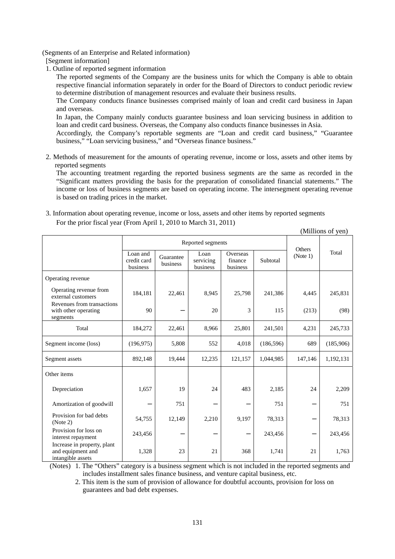(Segments of an Enterprise and Related information)

[Segment information]

1. Outline of reported segment information

The reported segments of the Company are the business units for which the Company is able to obtain respective financial information separately in order for the Board of Directors to conduct periodic review to determine distribution of management resources and evaluate their business results.

The Company conducts finance businesses comprised mainly of loan and credit card business in Japan and overseas.

In Japan, the Company mainly conducts guarantee business and loan servicing business in addition to loan and credit card business. Overseas, the Company also conducts finance businesses in Asia.

Accordingly, the Company's reportable segments are "Loan and credit card business," "Guarantee business," "Loan servicing business," and "Overseas finance business."

2. Methods of measurement for the amounts of operating revenue, income or loss, assets and other items by reported segments

The accounting treatment regarding the reported business segments are the same as recorded in the "Significant matters providing the basis for the preparation of consolidated financial statements." The income or loss of business segments are based on operating income. The intersegment operating revenue is based on trading prices in the market.

|                                                                       |                                     |                       |                               |                                 |            |               | ( <i>INITHIOHS OF YEH</i> ) |
|-----------------------------------------------------------------------|-------------------------------------|-----------------------|-------------------------------|---------------------------------|------------|---------------|-----------------------------|
|                                                                       |                                     |                       | Reported segments             |                                 |            | <b>Others</b> | Total                       |
|                                                                       | Loan and<br>credit card<br>business | Guarantee<br>business | Loan<br>servicing<br>business | Overseas<br>finance<br>business | Subtotal   | (Note 1)      |                             |
| Operating revenue                                                     |                                     |                       |                               |                                 |            |               |                             |
| Operating revenue from<br>external customers                          | 184,181                             | 22,461                | 8,945                         | 25,798                          | 241,386    | 4,445         | 245,831                     |
| Revenues from transactions<br>with other operating<br>segments        | 90                                  |                       | 20                            | 3                               | 115        | (213)         | (98)                        |
| Total                                                                 | 184,272                             | 22,461                | 8,966                         | 25,801                          | 241,501    | 4,231         | 245,733                     |
| Segment income (loss)                                                 | (196, 975)                          | 5,808                 | 552                           | 4,018                           | (186, 596) | 689           | (185,906)                   |
| Segment assets                                                        | 892,148                             | 19,444                | 12,235                        | 121,157                         | 1,044,985  | 147,146       | 1,192,131                   |
| Other items                                                           |                                     |                       |                               |                                 |            |               |                             |
| Depreciation                                                          | 1,657                               | 19                    | 24                            | 483                             | 2,185      | 24            | 2,209                       |
| Amortization of goodwill                                              |                                     | 751                   |                               |                                 | 751        |               | 751                         |
| Provision for bad debts<br>(Note 2)                                   | 54,755                              | 12,149                | 2,210                         | 9,197                           | 78,313     |               | 78,313                      |
| Provision for loss on<br>interest repayment                           | 243,456                             |                       |                               |                                 | 243,456    |               | 243,456                     |
| Increase in property, plant<br>and equipment and<br>intangible assets | 1,328                               | 23                    | 21                            | 368                             | 1,741      | 21            | 1,763                       |

3. Information about operating revenue, income or loss, assets and other items by reported segments For the prior fiscal year (From April 1, 2010 to March 31, 2011)

 $(M)$ llions of  $($ 

(Notes) 1. The "Others" category is a business segment which is not included in the reported segments and includes installment sales finance business, and venture capital business, etc.

 2. This item is the sum of provision of allowance for doubtful accounts, provision for loss on guarantees and bad debt expenses.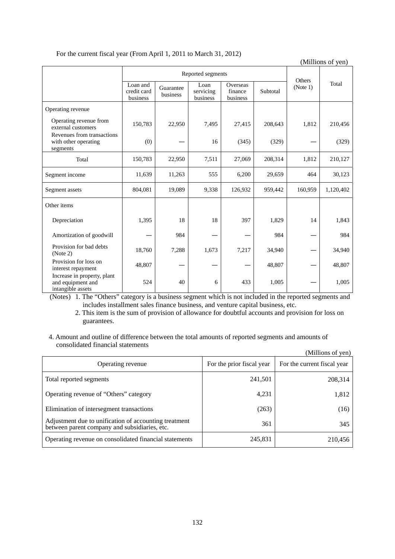|                                                                       |                                     |                       |                               |                                 |          |                    | (Millions of yen) |
|-----------------------------------------------------------------------|-------------------------------------|-----------------------|-------------------------------|---------------------------------|----------|--------------------|-------------------|
|                                                                       |                                     | Reported segments     |                               |                                 |          |                    |                   |
|                                                                       | Loan and<br>credit card<br>business | Guarantee<br>business | Loan<br>servicing<br>business | Overseas<br>finance<br>business | Subtotal | Others<br>(Note 1) | Total             |
| Operating revenue                                                     |                                     |                       |                               |                                 |          |                    |                   |
| Operating revenue from<br>external customers                          | 150,783                             | 22,950                | 7,495                         | 27,415                          | 208,643  | 1,812              | 210,456           |
| Revenues from transactions<br>with other operating<br>segments        | (0)                                 |                       | 16                            | (345)                           | (329)    |                    | (329)             |
| Total                                                                 | 150,783                             | 22,950                | 7,511                         | 27,069                          | 208,314  | 1,812              | 210,127           |
| Segment income                                                        | 11,639                              | 11,263                | 555                           | 6,200                           | 29,659   | 464                | 30,123            |
| Segment assets                                                        | 804,081                             | 19,089                | 9,338                         | 126,932                         | 959,442  | 160,959            | 1,120,402         |
| Other items                                                           |                                     |                       |                               |                                 |          |                    |                   |
| Depreciation                                                          | 1,395                               | 18                    | 18                            | 397                             | 1,829    | 14                 | 1,843             |
| Amortization of goodwill                                              |                                     | 984                   |                               |                                 | 984      |                    | 984               |
| Provision for bad debts<br>(Note 2)                                   | 18,760                              | 7,288                 | 1,673                         | 7,217                           | 34,940   |                    | 34,940            |
| Provision for loss on<br>interest repayment                           | 48,807                              |                       |                               |                                 | 48,807   |                    | 48,807            |
| Increase in property, plant<br>and equipment and<br>intangible assets | 524                                 | 40                    | 6                             | 433                             | 1,005    |                    | 1,005             |

# For the current fiscal year (From April 1, 2011 to March 31, 2012)

 $(11)$   $(21)$ 

(Notes) 1. The "Others" category is a business segment which is not included in the reported segments and includes installment sales finance business, and venture capital business, etc.

 2. This item is the sum of provision of allowance for doubtful accounts and provision for loss on guarantees.

4. Amount and outline of difference between the total amounts of reported segments and amounts of consolidated financial statements (Millions of yen)

| Operating revenue                                                                                      | For the prior fiscal year | (IVIIIIIOIIS OI VEII)<br>For the current fiscal year |
|--------------------------------------------------------------------------------------------------------|---------------------------|------------------------------------------------------|
| Total reported segments                                                                                | 241,501                   | 208,314                                              |
| Operating revenue of "Others" category                                                                 | 4,231                     | 1,812                                                |
| Elimination of intersegment transactions                                                               | (263)                     | (16)                                                 |
| Adjustment due to unification of accounting treatment<br>between parent company and subsidiaries, etc. | 361                       | 345                                                  |
| Operating revenue on consolidated financial statements                                                 | 245,831                   | 210,456                                              |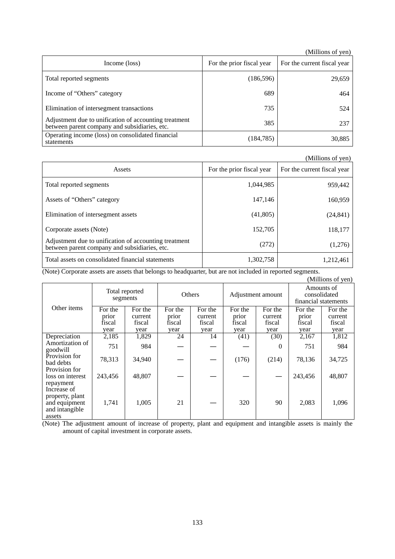|                                                                                                        |                           | (Millions of yen)           |
|--------------------------------------------------------------------------------------------------------|---------------------------|-----------------------------|
| Income (loss)                                                                                          | For the prior fiscal year | For the current fiscal year |
| Total reported segments                                                                                | (186, 596)                | 29,659                      |
| Income of "Others" category                                                                            | 689                       | 464                         |
| Elimination of intersegment transactions                                                               | 735                       | 524                         |
| Adjustment due to unification of accounting treatment<br>between parent company and subsidiaries, etc. | 385                       | 237                         |
| Operating income (loss) on consolidated financial<br>statements                                        | (184, 785)                | 30,885                      |

|                                                                                                        |                           | (Millions of yen)           |
|--------------------------------------------------------------------------------------------------------|---------------------------|-----------------------------|
| Assets                                                                                                 | For the prior fiscal year | For the current fiscal year |
| Total reported segments                                                                                | 1,044,985                 | 959,442                     |
| Assets of "Others" category                                                                            | 147,146                   | 160,959                     |
| Elimination of intersegment assets                                                                     | (41,805)                  | (24, 841)                   |
| Corporate assets (Note)                                                                                | 152,705                   | 118,177                     |
| Adjustment due to unification of accounting treatment<br>between parent company and subsidiaries, etc. | (272)                     | (1,276)                     |
| Total assets on consolidated financial statements                                                      | 1,302,758                 | 1,212,461                   |

(Note) Corporate assets are assets that belongs to headquarter, but are not included in reported segments.

|                                                                             |         |         |               |         |                   |         |                                                    | (Millions of yen) |
|-----------------------------------------------------------------------------|---------|---------|---------------|---------|-------------------|---------|----------------------------------------------------|-------------------|
| Total reported<br>segments                                                  |         |         | <b>Others</b> |         | Adjustment amount |         | Amounts of<br>consolidated<br>financial statements |                   |
| Other items                                                                 | For the | For the | For the       | For the | For the           | For the | For the                                            | For the           |
|                                                                             | prior   | current | prior         | current | prior             | current | prior                                              | current           |
|                                                                             | fiscal  | fiscal  | fiscal        | fiscal  | fiscal            | fiscal  | fiscal                                             | fiscal            |
|                                                                             | year    | year    | year          | year    | year              | year    | year                                               | year              |
| Depreciation                                                                | 2,185   | 1,829   | 24            | 14      | (41)              | (30)    | 2,167                                              | 1,812             |
| Amortization of<br>goodwill                                                 | 751     | 984     |               |         |                   | 0       | 751                                                | 984               |
| Provision for<br>bad debts                                                  | 78,313  | 34,940  |               |         | (176)             | (214)   | 78,136                                             | 34,725            |
| Provision for<br>loss on interest<br>repayment                              | 243,456 | 48,807  |               |         |                   |         | 243,456                                            | 48,807            |
| Increase of<br>property, plant<br>and equipment<br>and intangible<br>assets | 1,741   | 1,005   | 21            |         | 320               | 90      | 2,083                                              | 1,096             |

(Note) The adjustment amount of increase of property, plant and equipment and intangible assets is mainly the amount of capital investment in corporate assets.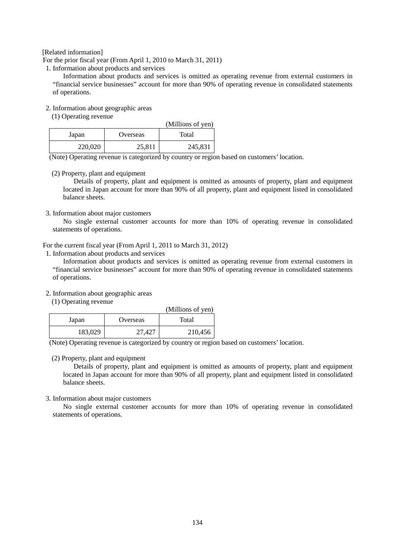[Related information]

For the prior fiscal year (From April 1, 2010 to March 31, 2011)

1. Information about products and services

Information about products and services is omitted as operating revenue from external customers in "financial service businesses" account for more than 90% of operating revenue in consolidated statements of operations.

# 2. Information about geographic areas

(1) Operating revenue

|         | (Millions of yen) |         |
|---------|-------------------|---------|
| Japan   | Overseas          | Total   |
| 220,020 | 25,811            | 245,831 |

(Note) Operating revenue is categorized by country or region based on customers' location.

## (2) Property, plant and equipment

Details of property, plant and equipment is omitted as amounts of property, plant and equipment located in Japan account for more than 90% of all property, plant and equipment listed in consolidated balance sheets.

## 3. Information about major customers

No single external customer accounts for more than 10% of operating revenue in consolidated statements of operations.

For the current fiscal year (From April 1, 2011 to March 31, 2012)

1. Information about products and services

Information about products and services is omitted as operating revenue from external customers in "financial service businesses" account for more than 90% of operating revenue in consolidated statements of operations.

# 2. Information about geographic areas

(1) Operating revenue

|         | (Millions of yen) |         |
|---------|-------------------|---------|
| Japan   | Overseas          | Total   |
| 183,029 | 27.427            | 210,456 |

(Note) Operating revenue is categorized by country or region based on customers' location.

# (2) Property, plant and equipment

Details of property, plant and equipment is omitted as amounts of property, plant and equipment located in Japan account for more than 90% of all property, plant and equipment listed in consolidated balance sheets.

# 3. Information about major customers

No single external customer accounts for more than 10% of operating revenue in consolidated statements of operations.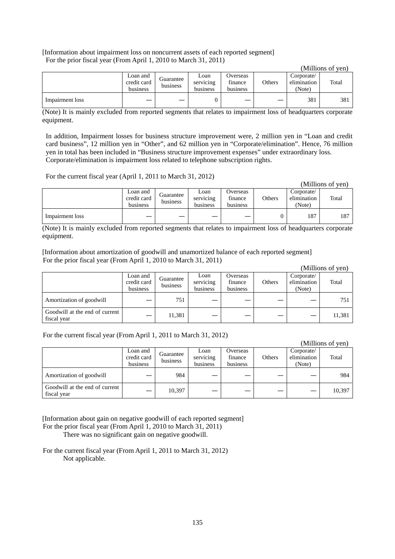# [Information about impairment loss on noncurrent assets of each reported segment] For the prior fiscal year (From April 1, 2010 to March 31, 2011)

|                 |                                     |                       |                               |                                 |        |                                     | (Millions of yen) |
|-----------------|-------------------------------------|-----------------------|-------------------------------|---------------------------------|--------|-------------------------------------|-------------------|
|                 | Loan and<br>credit card<br>business | Guarantee<br>business | Loan<br>servicing<br>business | Overseas<br>finance<br>business | Others | Corporate/<br>elimination<br>(Note) | Total             |
| Impairment loss |                                     |                       |                               |                                 |        | 381                                 | 381               |

(Note) It is mainly excluded from reported segments that relates to impairment loss of headquarters corporate equipment.

In addition, Impairment losses for business structure improvement were, 2 million yen in "Loan and credit card business", 12 million yen in "Other", and 62 million yen in "Corporate/elimination". Hence, 76 million yen in total has been included in "Business structure improvement expenses" under extraordinary loss. Corporate/elimination is impairment loss related to telephone subscription rights.

For the current fiscal year (April 1, 2011 to March 31, 2012)

|                 |                                     |                       |                               |                                 |        |                                     | типпону от ден д |
|-----------------|-------------------------------------|-----------------------|-------------------------------|---------------------------------|--------|-------------------------------------|------------------|
|                 | Loan and<br>credit card<br>business | Guarantee<br>business | Loan<br>servicing<br>business | Overseas<br>finance<br>business | Others | Corporate/<br>elimination<br>(Note) | Total            |
| Impairment loss |                                     |                       |                               |                                 |        | 187                                 | 187              |

 $(Milline of yon)$ 

 $(ML11)$ 

(Note) It is mainly excluded from reported segments that relates to impairment loss of headquarters corporate equipment.

[Information about amortization of goodwill and unamortized balance of each reported segment] For the prior fiscal year (From April 1, 2010 to March 31, 2011)  $\alpha$  millions of  $\alpha$ 

|                                               |                                     |                       |                               |                                 |        |                                     | (Millions of yen) |
|-----------------------------------------------|-------------------------------------|-----------------------|-------------------------------|---------------------------------|--------|-------------------------------------|-------------------|
|                                               | Loan and<br>credit card<br>business | Guarantee<br>business | Loan<br>servicing<br>business | Overseas<br>finance<br>business | Others | Corporate/<br>elimination<br>(Note) | Total             |
| Amortization of goodwill                      |                                     | 751                   |                               |                                 |        |                                     | 751               |
| Goodwill at the end of current<br>fiscal year |                                     | 11,381                |                               |                                 |        |                                     | 11,381            |

For the current fiscal year (From April 1, 2011 to March 31, 2012)

| (IVIIIIIOIIS OI VEII <i>)</i>                 |                                     |                       |                               |                                 |        |                                     |        |
|-----------------------------------------------|-------------------------------------|-----------------------|-------------------------------|---------------------------------|--------|-------------------------------------|--------|
|                                               | Loan and<br>credit card<br>business | Guarantee<br>business | Loan<br>servicing<br>business | Overseas<br>finance<br>business | Others | Corporate/<br>elimination<br>(Note) | Total  |
| Amortization of goodwill                      |                                     | 984                   |                               |                                 |        |                                     | 984    |
| Goodwill at the end of current<br>fiscal year |                                     | 10,397                |                               |                                 |        |                                     | 10,397 |

[Information about gain on negative goodwill of each reported segment] For the prior fiscal year (From April 1, 2010 to March 31, 2011)

There was no significant gain on negative goodwill.

For the current fiscal year (From April 1, 2011 to March 31, 2012) Not applicable.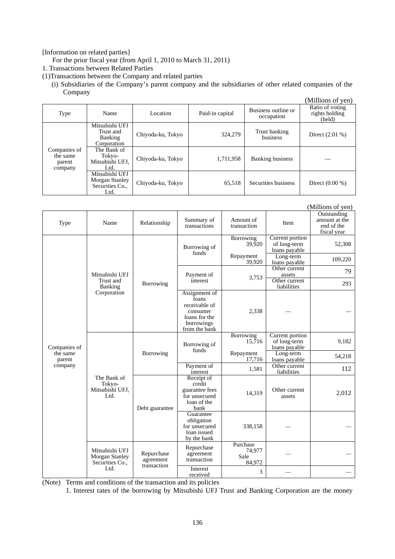[Information on related parties]

For the prior fiscal year (from April 1, 2010 to March 31, 2011)

1. Transactions between Related Parties

(1)Transactions between the Company and related parties

(i) Subsidiaries of the Company's parent company and the subsidiaries of other related companies of the Company  $(M)$ lions of  $(9)$ 

|                                                                                                                       |                                                     |                   |                 |                                   | (Millions of yen)                           |
|-----------------------------------------------------------------------------------------------------------------------|-----------------------------------------------------|-------------------|-----------------|-----------------------------------|---------------------------------------------|
| Type                                                                                                                  | Name                                                | Location          | Paid-in capital | Business outline or<br>occupation | Ratio of voting<br>rights holding<br>(held) |
| Trust and<br><b>Banking</b><br>Corporation<br>Companies of<br>the same<br>Tokyo-<br>parent<br>Ltd.<br>company<br>Ltd. | Mitsubishi UFJ                                      | Chiyoda-ku, Tokyo | 324,279         | Trust banking<br>business         | Direct $(2.01\%)$                           |
|                                                                                                                       | The Bank of<br>Mitsubishi UFJ,                      | Chiyoda-ku, Tokyo | 1,711,958       | <b>Banking business</b>           |                                             |
|                                                                                                                       | Mitsubishi UFJ<br>Morgan Stanley<br>Securities Co., | Chiyoda-ku, Tokyo | 65,518          | Securities business               | Direct $(0.00\%)$                           |

|                    |                                                     |                                        |                                                                                                     |                                      |                                                  | (Millions of yen)                                         |
|--------------------|-----------------------------------------------------|----------------------------------------|-----------------------------------------------------------------------------------------------------|--------------------------------------|--------------------------------------------------|-----------------------------------------------------------|
| Type               | Name                                                | Relationship                           | Summary of<br>transactions                                                                          | Amount of<br>transaction             | Item                                             | Outstanding<br>amount at the<br>end of the<br>fiscal year |
|                    |                                                     |                                        | Borrowing of<br>funds                                                                               | Borrowing<br>39,920                  | Current portion<br>of long-term<br>loans payable | 52,308                                                    |
|                    |                                                     |                                        |                                                                                                     | Repayment<br>39,920                  | Long-term<br>loans payable                       | 109,220                                                   |
|                    | Mitsubishi UFJ                                      |                                        | Payment of                                                                                          | 3,753                                | Other current<br>assets                          | 79                                                        |
|                    | Trust and<br><b>Banking</b>                         | Borrowing                              | interest                                                                                            |                                      | Other current<br>liabilities                     | 293                                                       |
|                    | Corporation                                         |                                        | Assignment of<br>loans<br>receivable of<br>consumer<br>loans for the<br>borrowings<br>from the bank | 2,338                                |                                                  |                                                           |
|                    | The Bank of<br>Tokyo-<br>Mitsubishi UFJ,<br>Ltd.    | Borrowing<br>Debt guarantee            |                                                                                                     | <b>Borrowing</b><br>15,716           | Current portion<br>of long-term                  | 9,182                                                     |
| Companies of       |                                                     |                                        | Borrowing of<br>funds                                                                               |                                      | loans payable                                    |                                                           |
| the same<br>parent |                                                     |                                        |                                                                                                     | Repayment<br>17,716                  | Long-term<br>loans payable                       | 54,218                                                    |
| company            |                                                     |                                        | Payment of<br>interest                                                                              | 1,581                                | Other current<br>liabilities                     | 112                                                       |
|                    |                                                     |                                        | Receipt of<br>credit<br>guarantee fees<br>for unsecured<br>loan of the<br>bank                      | 14,319                               | Other current<br>assets                          | 2,012                                                     |
|                    |                                                     |                                        | Guarantee<br>obligation<br>for unsecured<br>loan issued<br>by the bank                              | 338,158                              |                                                  |                                                           |
|                    | Mitsubishi UFJ<br>Morgan Stanley<br>Securities Co., | Repurchase<br>agreement<br>transaction | Repurchase<br>agreement<br>transaction                                                              | Purchase<br>74,977<br>Sale<br>84,972 |                                                  |                                                           |
|                    | Ltd.                                                |                                        | Interest<br>received                                                                                | 3                                    |                                                  |                                                           |

(Note) Terms and conditions of the transaction and its policies

1. Interest rates of the borrowing by Mitsubishi UFJ Trust and Banking Corporation are the money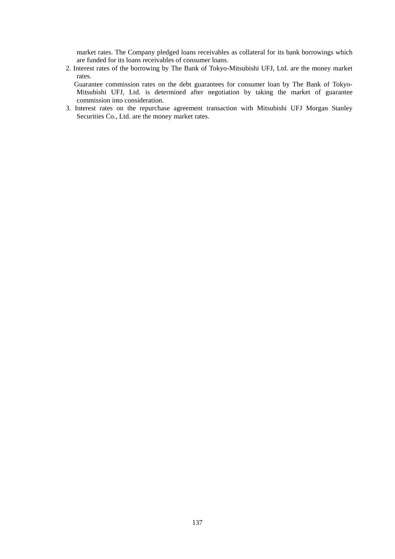market rates. The Company pledged loans receivables as collateral for its bank borrowings which are funded for its loans receivables of consumer loans.

 2. Interest rates of the borrowing by The Bank of Tokyo-Mitsubishi UFJ, Ltd. are the money market rates.

 Guarantee commission rates on the debt guarantees for consumer loan by The Bank of Tokyo-Mitsubishi UFJ, Ltd. is determined after negotiation by taking the market of guarantee commission into consideration.

 3. Interest rates on the repurchase agreement transaction with Mitsubishi UFJ Morgan Stanley Securities Co., Ltd. are the money market rates.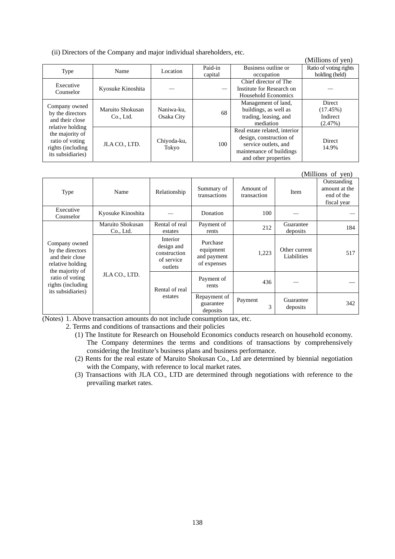(ii) Directors of the Company and major individual shareholders, etc.

|                                   |                               |                          |         |                               | (Millions of yen)      |
|-----------------------------------|-------------------------------|--------------------------|---------|-------------------------------|------------------------|
| Type                              | Name                          | Location                 | Paid-in | Business outline or           | Ratio of voting rights |
|                                   |                               |                          | capital | occupation                    | holding (held)         |
| Executive                         |                               |                          |         | Chief director of The         |                        |
|                                   | Kyosuke Kinoshita             |                          |         | Institute for Research on     |                        |
| Counselor                         |                               |                          |         | Household Economics           |                        |
|                                   |                               |                          |         | Management of land,           | Direct                 |
| Company owned<br>by the directors | Maruito Shokusan<br>Co., Ltd. | Naniwa-ku,<br>Osaka City | 68      | buildings, as well as         | (17.45%)               |
| and their close                   |                               |                          |         | trading, leasing, and         | Indirect               |
| relative holding                  |                               |                          |         | mediation                     | (2.47%)                |
| the majority of                   |                               |                          |         | Real estate related, interior |                        |
| ratio of voting                   |                               | Chiyoda-ku,              |         | design, construction of       | Direct                 |
| rights (including)                | JLA CO., LTD.                 |                          | 100     | service outlets, and          | 14.9%                  |
| its subsidiaries)                 |                               | Tokyo                    |         | maintenance of buildings      |                        |
|                                   |                               |                          |         | and other properties          |                        |

|                                                                                                                                                          |                               |                                                                 |                                                     |                          |                              | (Millions of yen)                                         |
|----------------------------------------------------------------------------------------------------------------------------------------------------------|-------------------------------|-----------------------------------------------------------------|-----------------------------------------------------|--------------------------|------------------------------|-----------------------------------------------------------|
| <b>Type</b>                                                                                                                                              | Name                          | Relationship                                                    | Summary of<br>transactions                          | Amount of<br>transaction | Item                         | Outstanding<br>amount at the<br>end of the<br>fiscal year |
| Executive<br>Counselor                                                                                                                                   | Kyosuke Kinoshita             |                                                                 | Donation                                            | 100                      |                              |                                                           |
|                                                                                                                                                          | Maruito Shokusan<br>Co., Ltd. | Rental of real<br>estates                                       | Payment of<br>rents                                 | 212                      | Guarantee<br>deposits        | 184                                                       |
| Company owned<br>by the directors<br>and their close<br>relative holding<br>the majority of<br>ratio of voting<br>rights (including<br>its subsidiaries) | JLA CO., LTD.                 | Interior<br>design and<br>construction<br>of service<br>outlets | Purchase<br>equipment<br>and payment<br>of expenses | 1,223                    | Other current<br>Liabilities | 517                                                       |
|                                                                                                                                                          |                               | Rental of real                                                  | Payment of<br>rents                                 | 436                      |                              |                                                           |
|                                                                                                                                                          |                               | estates                                                         | Repayment of<br>guarantee<br>deposits               | Payment<br>3             | Guarantee<br>deposits        | 342                                                       |

(Notes) 1. Above transaction amounts do not include consumption tax, etc.

2. Terms and conditions of transactions and their policies

(1) The Institute for Research on Household Economics conducts research on household economy. The Company determines the terms and conditions of transactions by comprehensively considering the Institute's business plans and business performance.

- (2) Rents for the real estate of Maruito Shokusan Co., Ltd are determined by biennial negotiation with the Company, with reference to local market rates.
- (3) Transactions with JLA CO., LTD are determined through negotiations with reference to the prevailing market rates.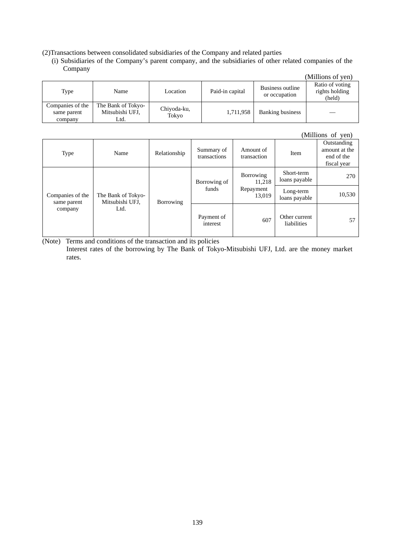# (2)Transactions between consolidated subsidiaries of the Company and related parties

(i) Subsidiaries of the Company's parent company, and the subsidiaries of other related companies of the Company

|                                            |                                               |                      |                 |                                   | (Millions of yen)                           |
|--------------------------------------------|-----------------------------------------------|----------------------|-----------------|-----------------------------------|---------------------------------------------|
| Type                                       | Name                                          | Location             | Paid-in capital | Business outline<br>or occupation | Ratio of voting<br>rights holding<br>(held) |
| Companies of the<br>same parent<br>company | The Bank of Tokyo-<br>Mitsubishi UFJ,<br>Ltd. | Chiyoda-ku,<br>Tokyo | 1,711,958       | <b>Banking business</b>           | $\overline{\phantom{a}}$                    |

|                                            | (Millions of yen)                     |              |                                     |                             |                              |                                                           |  |  |  |
|--------------------------------------------|---------------------------------------|--------------|-------------------------------------|-----------------------------|------------------------------|-----------------------------------------------------------|--|--|--|
| Type                                       | Name                                  | Relationship | Summary of<br>transactions          | Amount of<br>transaction    | Item                         | Outstanding<br>amount at the<br>end of the<br>fiscal year |  |  |  |
| Companies of the<br>same parent<br>company |                                       | Borrowing    | Borrowing<br>Borrowing of<br>11,218 | Short-term<br>loans payable | 270                          |                                                           |  |  |  |
|                                            | The Bank of Tokyo-<br>Mitsubishi UFJ, |              | funds                               | Repayment<br>13,019         | Long-term<br>loans payable   | 10,530                                                    |  |  |  |
|                                            | Ltd.                                  |              | Payment of<br>interest              | 607                         | Other current<br>liabilities | 57                                                        |  |  |  |

(Note) Terms and conditions of the transaction and its policies Interest rates of the borrowing by The Bank of Tokyo-Mitsubishi UFJ, Ltd. are the money market rates.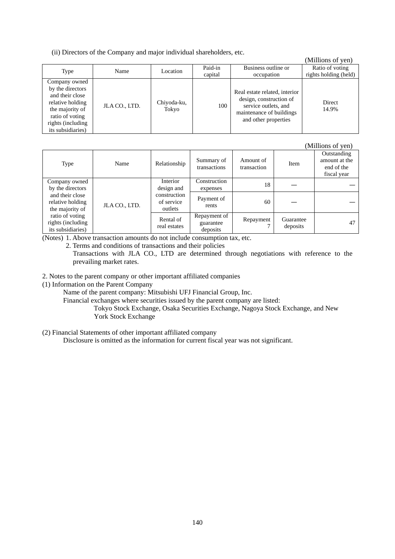(ii) Directors of the Company and major individual shareholders, etc.

|                                                                                                                                                          |              |                      |                    |                                                                                                                                      | (Millions of yen)                        |
|----------------------------------------------------------------------------------------------------------------------------------------------------------|--------------|----------------------|--------------------|--------------------------------------------------------------------------------------------------------------------------------------|------------------------------------------|
| Type                                                                                                                                                     | Name         | Location             | Paid-in<br>capital | Business outline or<br>occupation                                                                                                    | Ratio of voting<br>rights holding (held) |
| Company owned<br>by the directors<br>and their close<br>relative holding<br>the majority of<br>ratio of voting<br>rights (including<br>its subsidiaries) | JLACO., LTD. | Chiyoda-ku,<br>Tokyo | 100                | Real estate related, interior<br>design, construction of<br>service outlets, and<br>maintenance of buildings<br>and other properties | Direct<br>14.9%                          |

|                                                           |              |                                       |                                       |                          |                       | (Millions of yen)                                         |
|-----------------------------------------------------------|--------------|---------------------------------------|---------------------------------------|--------------------------|-----------------------|-----------------------------------------------------------|
| Type                                                      | Name         | Relationship                          | Summary of<br>transactions            | Amount of<br>transaction | Item                  | Outstanding<br>amount at the<br>end of the<br>fiscal year |
| Company owned<br>by the directors                         |              | Interior<br>design and                | Construction<br>expenses              | 18                       |                       |                                                           |
| and their close<br>relative holding<br>the majority of    | JLACO., LTD. | construction<br>of service<br>outlets | Payment of<br>rents                   | 60                       |                       |                                                           |
| ratio of voting<br>rights (including<br>its subsidiaries) |              | Rental of<br>real estates             | Repayment of<br>guarantee<br>deposits | Repayment                | Guarantee<br>deposits | 47                                                        |

(Notes) 1. Above transaction amounts do not include consumption tax, etc.

2. Terms and conditions of transactions and their policies

 Transactions with JLA CO., LTD are determined through negotiations with reference to the prevailing market rates.

2. Notes to the parent company or other important affiliated companies

(1) Information on the Parent Company

Name of the parent company: Mitsubishi UFJ Financial Group, Inc.

Financial exchanges where securities issued by the parent company are listed:

Tokyo Stock Exchange, Osaka Securities Exchange, Nagoya Stock Exchange, and New York Stock Exchange

(2) Financial Statements of other important affiliated company

Disclosure is omitted as the information for current fiscal year was not significant.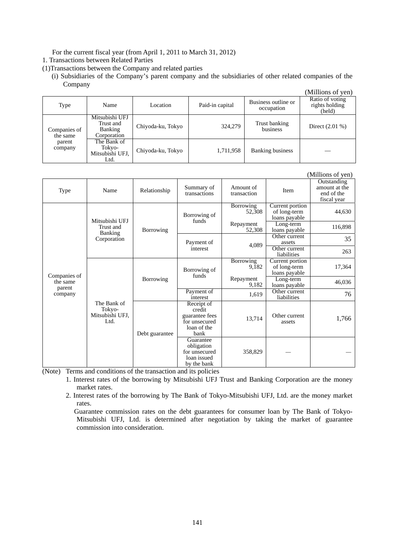For the current fiscal year (from April 1, 2011 to March 31, 2012)

- 1. Transactions between Related Parties
- (1)Transactions between the Company and related parties
	- (i) Subsidiaries of the Company's parent company and the subsidiaries of other related companies of the Company

|                          |                                                       |                   |                 |                                   | (Millions of yen)                           |
|--------------------------|-------------------------------------------------------|-------------------|-----------------|-----------------------------------|---------------------------------------------|
| Type                     | Name                                                  | Location          | Paid-in capital | Business outline or<br>occupation | Ratio of voting<br>rights holding<br>(held) |
| Companies of<br>the same | Mitsubishi UFJ<br>Trust and<br>Banking<br>Corporation | Chiyoda-ku, Tokyo | 324,279         | Trust banking<br>business         | Direct $(2.01\%)$                           |
| parent<br>company        | The Bank of<br>Tokyo-<br>Mitsubishi UFJ,<br>Ltd.      | Chiyoda-ku, Tokyo | 1,711,958       | <b>Banking business</b>           |                                             |

|                                                       |                                                  |                |                                                                                |                            |                                                  | (Millions of yen)                                         |
|-------------------------------------------------------|--------------------------------------------------|----------------|--------------------------------------------------------------------------------|----------------------------|--------------------------------------------------|-----------------------------------------------------------|
| <b>Type</b>                                           | Name                                             | Relationship   | Summary of<br>transactions                                                     | Amount of<br>transaction   | Item                                             | Outstanding<br>amount at the<br>end of the<br>fiscal year |
| Mitsubishi UFJ<br>Trust and<br>Banking<br>Corporation |                                                  |                | Borrowing of<br>funds                                                          | Borrowing<br>52,308        | Current portion<br>of long-term<br>loans payable | 44,630                                                    |
|                                                       | Borrowing                                        |                | Repayment<br>52,308                                                            | Long-term<br>loans payable | 116,898                                          |                                                           |
|                                                       |                                                  | Payment of     | 4,089                                                                          | Other current<br>assets    | 35                                               |                                                           |
|                                                       |                                                  |                | interest                                                                       |                            | Other current<br>liabilities                     | 263                                                       |
|                                                       |                                                  |                | Borrowing of<br>funds                                                          | Borrowing<br>9,182         | Current portion<br>of long-term<br>loans payable | 17,364                                                    |
| Companies of<br>the same<br>parent                    |                                                  | Borrowing      |                                                                                | Repayment<br>9,182         | Long-term<br>loans payable                       | 46,036                                                    |
| company                                               |                                                  |                | Payment of<br>interest                                                         | 1,619                      | Other current<br>liabilities                     | 76                                                        |
|                                                       | The Bank of<br>Tokyo-<br>Mitsubishi UFJ,<br>Ltd. | Debt guarantee | Receipt of<br>credit<br>guarantee fees<br>for unsecured<br>loan of the<br>bank | 13,714                     | Other current<br>assets                          | 1,766                                                     |
|                                                       |                                                  |                | Guarantee<br>obligation<br>for unsecured<br>loan issued<br>by the bank         | 358,829                    |                                                  |                                                           |

(Note) Terms and conditions of the transaction and its policies

 1. Interest rates of the borrowing by Mitsubishi UFJ Trust and Banking Corporation are the money market rates.

 2. Interest rates of the borrowing by The Bank of Tokyo-Mitsubishi UFJ, Ltd. are the money market rates.

 Guarantee commission rates on the debt guarantees for consumer loan by The Bank of Tokyo-Mitsubishi UFJ, Ltd. is determined after negotiation by taking the market of guarantee commission into consideration.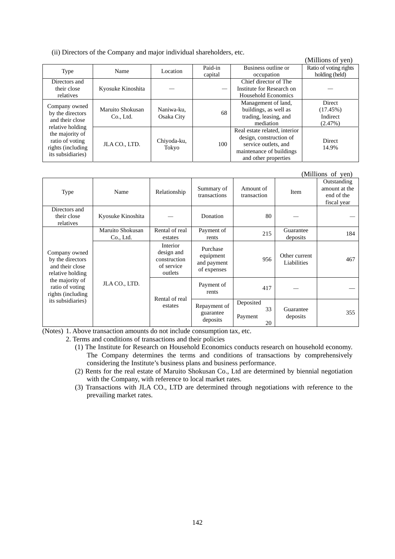(ii) Directors of the Company and major individual shareholders, etc.

|                                     |                               |                          |         |                               | (Millions of yen)      |
|-------------------------------------|-------------------------------|--------------------------|---------|-------------------------------|------------------------|
| Type                                | Name                          | Location                 | Paid-in | Business outline or           | Ratio of voting rights |
|                                     |                               |                          | capital | occupation                    | holding (held)         |
| Directors and                       |                               |                          |         | Chief director of The         |                        |
| their close                         | Kyosuke Kinoshita             |                          |         | Institute for Research on     |                        |
| relatives                           |                               |                          |         | Household Economics           |                        |
|                                     |                               |                          |         | Management of land,           | Direct                 |
| Company owned                       | Maruito Shokusan<br>Co., Ltd. | Naniwa-ku,<br>Osaka City | 68      | buildings, as well as         | (17.45%)               |
| by the directors<br>and their close |                               |                          |         | trading, leasing, and         | Indirect               |
| relative holding                    |                               |                          |         | mediation                     | (2.47%)                |
| the majority of                     |                               |                          |         | Real estate related, interior |                        |
| ratio of voting                     |                               | Chiyoda-ku,              |         | design, construction of       | <b>Direct</b>          |
| rights (including                   | JLACO., LTD.                  | Tokyo                    | 100     | service outlets, and          | 14.9%                  |
| its subsidiaries)                   |                               |                          |         | maintenance of buildings      |                        |
|                                     |                               |                          |         | and other properties          |                        |

|                                                                                                                                      |                               |                                                                 |                                                     |                                  |                              | (Millions of yen)                                         |
|--------------------------------------------------------------------------------------------------------------------------------------|-------------------------------|-----------------------------------------------------------------|-----------------------------------------------------|----------------------------------|------------------------------|-----------------------------------------------------------|
| <b>Type</b>                                                                                                                          | Name                          | Relationship                                                    | Summary of<br>transactions                          | Amount of<br>transaction         | Item                         | Outstanding<br>amount at the<br>end of the<br>fiscal year |
| Directors and<br>their close<br>relatives                                                                                            | Kyosuke Kinoshita             |                                                                 | Donation                                            | 80                               |                              |                                                           |
|                                                                                                                                      | Maruito Shokusan<br>Co., Ltd. | Rental of real<br>estates                                       | Payment of<br>rents                                 | 215                              | Guarantee<br>deposits        | 184                                                       |
| Company owned<br>by the directors<br>and their close<br>relative holding<br>the majority of<br>ratio of voting<br>rights (including) | JLA CO., LTD.                 | Interior<br>design and<br>construction<br>of service<br>outlets | Purchase<br>equipment<br>and payment<br>of expenses | 956                              | Other current<br>Liabilities | 467                                                       |
|                                                                                                                                      |                               | Rental of real                                                  | Payment of<br>rents                                 | 417                              |                              |                                                           |
| its subsidiaries)                                                                                                                    |                               | estates                                                         | Repayment of<br>guarantee<br>deposits               | Deposited<br>33<br>Payment<br>20 | Guarantee<br>deposits        | 355                                                       |

(Notes) 1. Above transaction amounts do not include consumption tax, etc.

2. Terms and conditions of transactions and their policies

- (1) The Institute for Research on Household Economics conducts research on household economy. The Company determines the terms and conditions of transactions by comprehensively considering the Institute's business plans and business performance.
- (2) Rents for the real estate of Maruito Shokusan Co., Ltd are determined by biennial negotiation with the Company, with reference to local market rates.
- (3) Transactions with JLA CO., LTD are determined through negotiations with reference to the prevailing market rates.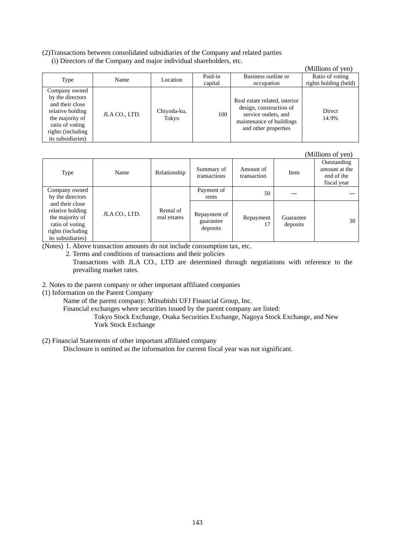(2)Transactions between consolidated subsidiaries of the Company and related parties (i) Directors of the Company and major individual shareholders, etc.

|                                                                                                                                                          |              |                      |         |                                                                                                                                      | (Millions of yen)     |
|----------------------------------------------------------------------------------------------------------------------------------------------------------|--------------|----------------------|---------|--------------------------------------------------------------------------------------------------------------------------------------|-----------------------|
|                                                                                                                                                          |              | Location             | Paid-in | Business outline or                                                                                                                  | Ratio of voting       |
|                                                                                                                                                          | Name<br>Type |                      | capital | occupation                                                                                                                           | rights holding (held) |
| Company owned<br>by the directors<br>and their close<br>relative holding<br>the majority of<br>ratio of voting<br>rights (including<br>its subsidiaries) | JLACO., LTD. | Chiyoda-ku,<br>Tokyo | 100     | Real estate related, interior<br>design, construction of<br>service outlets, and<br>maintenance of buildings<br>and other properties | Direct<br>14.9%       |

|                                                                                                                      |              |                           |                                       |                          |                       | (Millions of yen)                                         |
|----------------------------------------------------------------------------------------------------------------------|--------------|---------------------------|---------------------------------------|--------------------------|-----------------------|-----------------------------------------------------------|
| Type                                                                                                                 | Name         | Relationship              | Summary of<br>transactions            | Amount of<br>transaction | Item                  | Outstanding<br>amount at the<br>end of the<br>fiscal year |
| Company owned<br>by the directors                                                                                    |              |                           | Payment of<br>rents                   | 50                       |                       |                                                           |
| and their close<br>relative holding<br>the majority of<br>ratio of voting<br>rights (including)<br>its subsidiaries) | JLACO., LTD. | Rental of<br>real estates | Repayment of<br>guarantee<br>deposits | Repayment<br>17          | Guarantee<br>deposits | 30                                                        |

(Notes) 1. Above transaction amounts do not include consumption tax, etc.

 2. Terms and conditions of transactions and their policies Transactions with JLA CO., LTD are determined through negotiations with reference to the prevailing market rates.

2. Notes to the parent company or other important affiliated companies

(1) Information on the Parent Company

Name of the parent company: Mitsubishi UFJ Financial Group, Inc.

Financial exchanges where securities issued by the parent company are listed:

Tokyo Stock Exchange, Osaka Securities Exchange, Nagoya Stock Exchange, and New York Stock Exchange

(2) Financial Statements of other important affiliated company

Disclosure is omitted as the information for current fiscal year was not significant.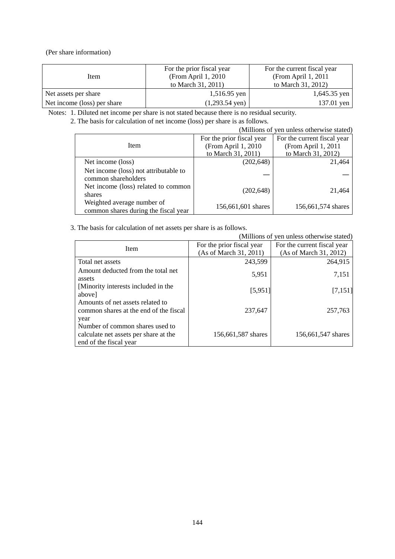#### (Per share information)

| Item                        | For the prior fiscal year<br>(From April 1, 2010)<br>to March 31, 2011) | For the current fiscal year<br>(From April 1, 2011)<br>to March 31, 2012) |
|-----------------------------|-------------------------------------------------------------------------|---------------------------------------------------------------------------|
| Net assets per share        | $1,516.95$ yen                                                          | 1,645.35 yen                                                              |
| Net income (loss) per share | $(1,293.54 \text{ yen})$                                                | $137.01$ yen                                                              |

Notes: 1. Diluted net income per share is not stated because there is no residual security.

2. The basis for calculation of net income (loss) per share is as follows.

(Millions of yen unless otherwise stated) Item For the prior fiscal year (From April 1, 2010 to March 31, 2011) For the current fiscal year (From April 1, 2011 to March 31, 2012) Net income (loss) (202,648) 21,464 Net income (loss) not attributable to common shareholders Net income (loss) related to common shares  $(202,648)$  21,464 Weighted average number of common shares during the fiscal year 156,661,601 shares 156,661,574 shares

3. The basis for calculation of net assets per share is as follows.

(Millions of yen unless otherwise stated)

| <b>I</b> tem                                                                                       | For the prior fiscal year | For the current fiscal year |
|----------------------------------------------------------------------------------------------------|---------------------------|-----------------------------|
|                                                                                                    | (As of March 31, 2011)    | (As of March 31, 2012)      |
| Total net assets                                                                                   | 243,599                   | 264,915                     |
| Amount deducted from the total net<br>assets                                                       | 5,951                     | 7,151                       |
| [Minority interests included in the<br>abovel                                                      | [5, 951]                  | [7, 151]                    |
| Amounts of net assets related to<br>common shares at the end of the fiscal<br>year                 | 237,647                   | 257,763                     |
| Number of common shares used to<br>calculate net assets per share at the<br>end of the fiscal year | 156,661,587 shares        | 156,661,547 shares          |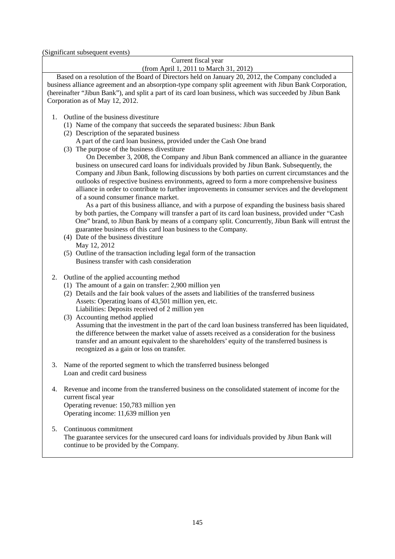(Significant subsequent events)

| Current fiscal year                                                                                                                                                                                                                                                                                                                                                                                                                                                                                                                                                                                                                                                                                                                                                                                                                                                                                                                                                                                                                                                                                                                                                                                                                                                                                                                                                                    |
|----------------------------------------------------------------------------------------------------------------------------------------------------------------------------------------------------------------------------------------------------------------------------------------------------------------------------------------------------------------------------------------------------------------------------------------------------------------------------------------------------------------------------------------------------------------------------------------------------------------------------------------------------------------------------------------------------------------------------------------------------------------------------------------------------------------------------------------------------------------------------------------------------------------------------------------------------------------------------------------------------------------------------------------------------------------------------------------------------------------------------------------------------------------------------------------------------------------------------------------------------------------------------------------------------------------------------------------------------------------------------------------|
| (from April 1, 2011 to March 31, 2012)                                                                                                                                                                                                                                                                                                                                                                                                                                                                                                                                                                                                                                                                                                                                                                                                                                                                                                                                                                                                                                                                                                                                                                                                                                                                                                                                                 |
| Based on a resolution of the Board of Directors held on January 20, 2012, the Company concluded a<br>business alliance agreement and an absorption-type company split agreement with Jibun Bank Corporation,<br>(hereinafter "Jibun Bank"), and split a part of its card loan business, which was succeeded by Jibun Bank<br>Corporation as of May 12, 2012.                                                                                                                                                                                                                                                                                                                                                                                                                                                                                                                                                                                                                                                                                                                                                                                                                                                                                                                                                                                                                           |
| 1.<br>Outline of the business divestiture<br>(1) Name of the company that succeeds the separated business: Jibun Bank<br>(2) Description of the separated business<br>A part of the card loan business, provided under the Cash One brand<br>(3) The purpose of the business divestiture<br>On December 3, 2008, the Company and Jibun Bank commenced an alliance in the guarantee<br>business on unsecured card loans for individuals provided by Jibun Bank. Subsequently, the<br>Company and Jibun Bank, following discussions by both parties on current circumstances and the<br>outlooks of respective business environments, agreed to form a more comprehensive business<br>alliance in order to contribute to further improvements in consumer services and the development<br>of a sound consumer finance market.<br>As a part of this business alliance, and with a purpose of expanding the business basis shared<br>by both parties, the Company will transfer a part of its card loan business, provided under "Cash<br>One" brand, to Jibun Bank by means of a company split. Concurrently, Jibun Bank will entrust the<br>guarantee business of this card loan business to the Company.<br>(4) Date of the business divestiture<br>May 12, 2012<br>(5) Outline of the transaction including legal form of the transaction<br>Business transfer with cash consideration |
| Outline of the applied accounting method<br>2.<br>(1) The amount of a gain on transfer: 2,900 million yen<br>(2) Details and the fair book values of the assets and liabilities of the transferred business<br>Assets: Operating loans of 43,501 million yen, etc.<br>Liabilities: Deposits received of 2 million yen<br>(3) Accounting method applied<br>Assuming that the investment in the part of the card loan business transferred has been liquidated,<br>the difference between the market value of assets received as a consideration for the business<br>transfer and an amount equivalent to the shareholders' equity of the transferred business is<br>recognized as a gain or loss on transfer.                                                                                                                                                                                                                                                                                                                                                                                                                                                                                                                                                                                                                                                                           |
| Name of the reported segment to which the transferred business belonged<br>3.<br>Loan and credit card business                                                                                                                                                                                                                                                                                                                                                                                                                                                                                                                                                                                                                                                                                                                                                                                                                                                                                                                                                                                                                                                                                                                                                                                                                                                                         |
| Revenue and income from the transferred business on the consolidated statement of income for the<br>4.<br>current fiscal year<br>Operating revenue: 150,783 million yen<br>Operating income: 11,639 million yen                                                                                                                                                                                                                                                                                                                                                                                                                                                                                                                                                                                                                                                                                                                                                                                                                                                                                                                                                                                                                                                                                                                                                                        |
| Continuous commitment<br>5.<br>The guarantee services for the unsecured card loans for individuals provided by Jibun Bank will                                                                                                                                                                                                                                                                                                                                                                                                                                                                                                                                                                                                                                                                                                                                                                                                                                                                                                                                                                                                                                                                                                                                                                                                                                                         |

continue to be provided by the Company.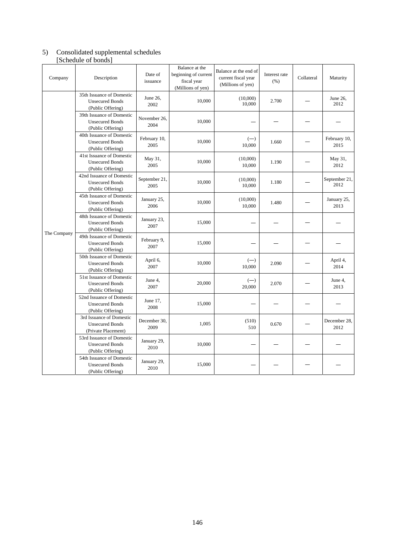### 5) Consolidated supplemental schedules [Schedule of bonds]

| Company     | Description                                                               | Date of<br>issuance   | Balance at the<br>beginning of current<br>fiscal year<br>(Millions of yen) | Balance at the end of<br>current fiscal year<br>(Millions of yen) | Interest rate<br>(% ) | Collateral | Maturity              |
|-------------|---------------------------------------------------------------------------|-----------------------|----------------------------------------------------------------------------|-------------------------------------------------------------------|-----------------------|------------|-----------------------|
|             | 35th Issuance of Domestic<br><b>Unsecured Bonds</b><br>(Public Offering)  | June 26,<br>2002      | 10,000                                                                     | (10,000)<br>10,000                                                | 2.700                 |            | June 26,<br>2012      |
|             | 39th Issuance of Domestic<br><b>Unsecured Bonds</b><br>(Public Offering)  | November 26,<br>2004  | 10,000                                                                     |                                                                   |                       |            |                       |
|             | 40th Issuance of Domestic<br><b>Unsecured Bonds</b><br>(Public Offering)  | February 10,<br>2005  | 10,000                                                                     | $(-)$<br>10,000                                                   | 1.660                 |            | February 10,<br>2015  |
|             | 41st Issuance of Domestic<br><b>Unsecured Bonds</b><br>(Public Offering)  | May 31,<br>2005       | 10,000                                                                     | (10,000)<br>10,000                                                | 1.190                 |            | May 31,<br>2012       |
|             | 42nd Issuance of Domestic<br><b>Unsecured Bonds</b><br>(Public Offering)  | September 21,<br>2005 | 10,000                                                                     | (10,000)<br>10,000                                                | 1.180                 |            | September 21,<br>2012 |
|             | 45th Issuance of Domestic<br><b>Unsecured Bonds</b><br>(Public Offering)  | January 25,<br>2006   | 10,000                                                                     | (10,000)<br>10,000                                                | 1.480                 |            | January 25,<br>2013   |
| The Company | 48th Issuance of Domestic<br><b>Unsecured Bonds</b><br>(Public Offering)  | January 23,<br>2007   | 15,000                                                                     |                                                                   |                       |            |                       |
|             | 49th Issuance of Domestic<br><b>Unsecured Bonds</b><br>(Public Offering)  | February 9,<br>2007   | 15,000                                                                     |                                                                   |                       |            |                       |
|             | 50th Issuance of Domestic<br><b>Unsecured Bonds</b><br>(Public Offering)  | April 6,<br>2007      | 10,000                                                                     | $(-)$<br>10,000                                                   | 2.090                 |            | April 4,<br>2014      |
|             | 51st Issuance of Domestic<br><b>Unsecured Bonds</b><br>(Public Offering)  | June 4,<br>2007       | 20,000                                                                     | $(-)$<br>20,000                                                   | 2.070                 |            | June 4,<br>2013       |
|             | 52nd Issuance of Domestic<br><b>Unsecured Bonds</b><br>(Public Offering)  | June 17,<br>2008      | 15,000                                                                     |                                                                   |                       |            |                       |
|             | 3rd Issuance of Domestic<br><b>Unsecured Bonds</b><br>(Private Placement) | December 30.<br>2009  | 1,005                                                                      | (510)<br>510                                                      | 0.670                 |            | December 28,<br>2012  |
|             | 53rd Issuance of Domestic<br><b>Unsecured Bonds</b><br>(Public Offering)  | January 29,<br>2010   | 10,000                                                                     |                                                                   |                       |            |                       |
|             | 54th Issuance of Domestic<br><b>Unsecured Bonds</b><br>(Public Offering)  | January 29,<br>2010   | 15,000                                                                     |                                                                   |                       |            |                       |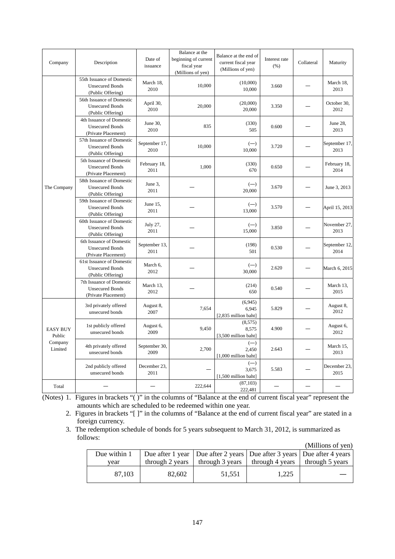| Company                                         | Description                                                               | Date of<br>issuance   | Balance at the<br>beginning of current<br>fiscal year<br>(Millions of yen) | Balance at the end of<br>current fiscal year<br>(Millions of yen) | Interest rate<br>(% ) | Collateral | Maturity              |
|-------------------------------------------------|---------------------------------------------------------------------------|-----------------------|----------------------------------------------------------------------------|-------------------------------------------------------------------|-----------------------|------------|-----------------------|
|                                                 | 55th Issuance of Domestic<br><b>Unsecured Bonds</b><br>(Public Offering)  | March 18,<br>2010     | 10,000                                                                     | (10,000)<br>10,000                                                | 3.660                 |            | March 18,<br>2013     |
|                                                 | 56th Issuance of Domestic<br><b>Unsecured Bonds</b><br>(Public Offering)  | April 30,<br>2010     | 20,000                                                                     | (20,000)<br>20,000                                                | 3.350                 |            | October 30,<br>2012   |
|                                                 | 4th Issuance of Domestic<br><b>Unsecured Bonds</b><br>(Private Placement) | June 30,<br>2010      | 835                                                                        | (330)<br>505                                                      | 0.600                 |            | June 28,<br>2013      |
|                                                 | 57th Issuance of Domestic<br><b>Unsecured Bonds</b><br>(Public Offering)  | September 17,<br>2010 | 10,000                                                                     | $(-)$<br>10,000                                                   | 3.720                 |            | September 17,<br>2013 |
|                                                 | 5th Issuance of Domestic<br><b>Unsecured Bonds</b><br>(Private Placement) | February 18,<br>2011  | 1,000                                                                      | (330)<br>670                                                      | 0.650                 |            | February 18,<br>2014  |
| The Company                                     | 58th Issuance of Domestic<br><b>Unsecured Bonds</b><br>(Public Offering)  | June 3,<br>2011       |                                                                            | $(-)$<br>20,000                                                   | 3.670                 |            | June 3, 2013          |
|                                                 | 59th Issuance of Domestic<br><b>Unsecured Bonds</b><br>(Public Offering)  | June 15,<br>2011      |                                                                            | $(-)$<br>13,000                                                   | 3.570                 |            | April 15, 2013        |
|                                                 | 60th Issuance of Domestic<br><b>Unsecured Bonds</b><br>(Public Offering)  | July 27,<br>2011      |                                                                            | $(-)$<br>15,000                                                   | 3.850                 |            | November 27,<br>2013  |
|                                                 | 6th Issuance of Domestic<br><b>Unsecured Bonds</b><br>(Private Placement) | September 13,<br>2011 |                                                                            | (198)<br>501                                                      | 0.530                 |            | September 12,<br>2014 |
|                                                 | 61st Issuance of Domestic<br><b>Unsecured Bonds</b><br>(Public Offering)  | March 6,<br>2012      |                                                                            | $(-)$<br>30,000                                                   | 2.620                 |            | March 6, 2015         |
|                                                 | 7th Issuance of Domestic<br><b>Unsecured Bonds</b><br>(Private Placement) | March 13,<br>2012     |                                                                            | (214)<br>650                                                      | 0.540                 |            | March 13,<br>2015     |
|                                                 | 3rd privately offered<br>unsecured bonds                                  | August 8,<br>2007     | 7.654                                                                      | (6, 945)<br>6,945<br>[2,835 million baht]                         | 5.829                 |            | August 8,<br>2012     |
| <b>EASY BUY</b><br>Public<br>Company<br>Limited | 1st publicly offered<br>unsecured bonds                                   | August 6,<br>2009     | 9,450                                                                      | (8, 575)<br>8,575<br>[3,500 million baht]                         | 4.900                 |            | August 6,<br>2012     |
|                                                 | 4th privately offered<br>unsecured bonds                                  | September 30,<br>2009 | 2,700                                                                      | $(-)$<br>2,450<br>[1,000 million baht]                            | 2.643                 |            | March 15,<br>2013     |
|                                                 | 2nd publicly offered<br>unsecured bonds                                   | December 23,<br>2011  |                                                                            | $(-)$<br>3,675<br>[1,500 million baht]                            | 5.583                 |            | December 23,<br>2015  |
| Total                                           |                                                                           |                       | 222,644                                                                    | (87, 103)<br>222,481                                              |                       |            |                       |

(Notes) 1. Figures in brackets "( )" in the columns of "Balance at the end of current fiscal year" represent the amounts which are scheduled to be redeemed within one year.

 2. Figures in brackets "[ ]" in the columns of "Balance at the end of current fiscal year" are stated in a foreign currency.

 3. The redemption schedule of bonds for 5 years subsequent to March 31, 2012, is summarized as follows:

(Millions of yen)

| Due within 1 |                 | Due after 1 year   Due after 2 years   Due after 3 years   Due after 4 years |                                                                         |  |
|--------------|-----------------|------------------------------------------------------------------------------|-------------------------------------------------------------------------|--|
| vear         | through 2 years |                                                                              | through 3 years $\parallel$ through 4 years $\parallel$ through 5 years |  |
| 87.103       | 82.602          | 51.551                                                                       | 1.225                                                                   |  |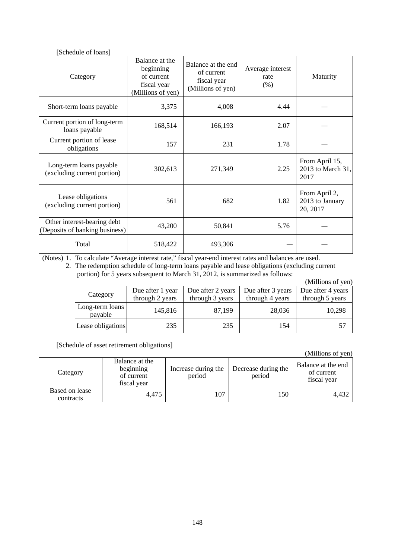### [Schedule of loans]

| Category                                                      | Balance at the<br>beginning<br>of current<br>fiscal year<br>(Millions of yen) | Balance at the end<br>of current<br>fiscal year<br>(Millions of yen) | Average interest<br>rate<br>(% ) | Maturity                                     |
|---------------------------------------------------------------|-------------------------------------------------------------------------------|----------------------------------------------------------------------|----------------------------------|----------------------------------------------|
| Short-term loans payable                                      | 3,375                                                                         | 4,008                                                                | 4.44                             |                                              |
| Current portion of long-term<br>loans payable                 | 168,514                                                                       | 166,193                                                              | 2.07                             |                                              |
| Current portion of lease<br>obligations                       | 157                                                                           | 231                                                                  | 1.78                             |                                              |
| Long-term loans payable<br>(excluding current portion)        | 302,613                                                                       | 271,349                                                              | 2.25                             | From April 15,<br>2013 to March 31,<br>2017  |
| Lease obligations<br>(excluding current portion)              | 561                                                                           | 682                                                                  | 1.82                             | From April 2,<br>2013 to January<br>20, 2017 |
| Other interest-bearing debt<br>(Deposits of banking business) | 43,200                                                                        | 50,841                                                               | 5.76                             |                                              |
| Total                                                         | 518,422                                                                       | 493,306                                                              |                                  |                                              |

(Notes) 1. To calculate "Average interest rate," fiscal year-end interest rates and balances are used. 2. The redemption schedule of long-term loans payable and lease obligations (excluding current portion) for 5 years subsequent to March 31, 2012, is summarized as follows:

|                            |                                     |                                      |                                      | (Millions of yen)                    |
|----------------------------|-------------------------------------|--------------------------------------|--------------------------------------|--------------------------------------|
| Category                   | Due after 1 year<br>through 2 years | Due after 2 years<br>through 3 years | Due after 3 years<br>through 4 years | Due after 4 years<br>through 5 years |
| Long-term loans<br>payable | 145,816                             | 87,199                               | 28,036                               | 10,298                               |
| Lease obligations          | 235                                 | 235                                  | 154                                  | 57                                   |

[Schedule of asset retirement obligations]

|                             |                                                          |                               |                               | (Millions of yen)                               |
|-----------------------------|----------------------------------------------------------|-------------------------------|-------------------------------|-------------------------------------------------|
| Category                    | Balance at the<br>beginning<br>of current<br>fiscal year | Increase during the<br>period | Decrease during the<br>period | Balance at the end<br>of current<br>fiscal year |
| Based on lease<br>contracts | 4,475                                                    | 107                           | 150                           | 4.432                                           |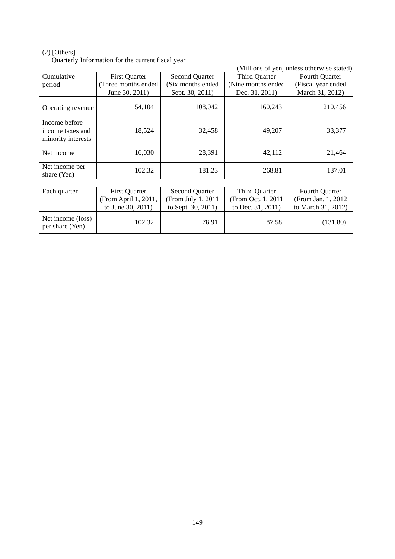### (2) [Others]

Quarterly Information for the current fiscal year

| (Millions of yen, unless otherwise stated) |                      |                       |                     |                       |  |
|--------------------------------------------|----------------------|-----------------------|---------------------|-----------------------|--|
| Cumulative                                 | <b>First Quarter</b> | <b>Second Quarter</b> | Third Quarter       | Fourth Quarter        |  |
| period                                     | (Three months ended  | (Six months ended     | (Nine months ended) | (Fiscal year ended    |  |
|                                            | June 30, 2011)       | Sept. 30, 2011)       | Dec. 31, 2011)      | March 31, 2012)       |  |
| Operating revenue                          | 54,104               | 108,042               | 160,243             | 210,456               |  |
| Income before                              |                      |                       |                     |                       |  |
| income taxes and                           | 18,524               | 32,458                | 49,207              | 33,377                |  |
| minority interests                         |                      |                       |                     |                       |  |
| Net income                                 | 16,030               | 28,391                | 42,112              | 21,464                |  |
| Net income per<br>share (Yen)              | 102.32               | 181.23                | 268.81              | 137.01                |  |
|                                            |                      |                       |                     |                       |  |
| Each quarter                               | <b>First Quarter</b> | <b>Second Quarter</b> | Third Quarter       | <b>Fourth Quarter</b> |  |
|                                            | (From April 1, 2011, | (From July 1, 2011    | (From Oct. 1, 2011) | (From Jan. 1, 2012)   |  |
|                                            | to June 30, 2011)    | to Sept. 30, 2011)    | to Dec. 31, 2011)   | to March 31, 2012)    |  |
| Net income (loss)<br>per share (Yen)       | 102.32               | 78.91                 | 87.58               | (131.80)              |  |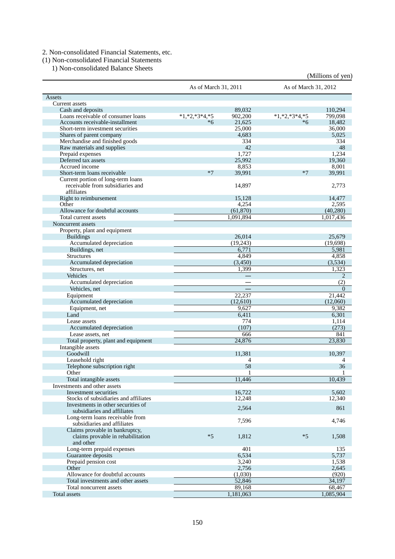## 2. Non-consolidated Financial Statements, etc.

(1) Non-consolidated Financial Statements

1) Non-consolidated Balance Sheets

|                                                                                  |                      |           |                      | (Millions of yen) |
|----------------------------------------------------------------------------------|----------------------|-----------|----------------------|-------------------|
|                                                                                  | As of March 31, 2011 |           | As of March 31, 2012 |                   |
| Assets                                                                           |                      |           |                      |                   |
| Current assets                                                                   |                      |           |                      |                   |
| Cash and deposits                                                                |                      | 89,032    |                      | 110,294           |
| Loans receivable of consumer loans                                               | $*1,*2,*3*4,*5$      | 902,200   | $*1,*2,*3*4,*5$      | 799,098           |
| Accounts receivable-installment                                                  | $*6$                 | 21,625    | $*6$                 | 18,482            |
| Short-term investment securities                                                 |                      | 25,000    |                      | 36,000            |
| Shares of parent company                                                         |                      | 4,683     |                      | 5,025             |
| Merchandise and finished goods                                                   |                      | 334       |                      | 334               |
| Raw materials and supplies                                                       |                      | 42        |                      | 48                |
| Prepaid expenses                                                                 |                      | 1.727     |                      | 1.234             |
| Deferred tax assets                                                              |                      | 25,992    |                      | 19,360            |
| Accrued income                                                                   |                      | 8.853     |                      | 8.001             |
| Short-term loans receivable                                                      | $*7$                 | 39,991    | $*7$                 | 39,991            |
| Current portion of long-term loans                                               |                      |           |                      |                   |
| receivable from subsidiaries and                                                 |                      | 14,897    |                      | 2,773             |
| affiliates                                                                       |                      |           |                      |                   |
| Right to reimbursement                                                           |                      | 15,128    |                      | 14,477            |
| Other                                                                            |                      | 4,254     |                      | 2,595             |
| Allowance for doubtful accounts                                                  |                      | (61, 870) |                      | (40, 280)         |
| Total current assets                                                             |                      | 1,091,894 |                      | 1,017,436         |
| Noncurrent assets                                                                |                      |           |                      |                   |
| Property, plant and equipment                                                    |                      |           |                      |                   |
| <b>Buildings</b>                                                                 |                      | 26.014    |                      | 25,679            |
| Accumulated depreciation                                                         |                      | (19,243)  |                      | (19,698)          |
| Buildings, net                                                                   |                      | 6.771     |                      | 5,981             |
| <b>Structures</b>                                                                |                      | 4,849     |                      | 4,858             |
| Accumulated depreciation                                                         |                      | (3,450)   |                      | (3,534)           |
| Structures, net                                                                  |                      | 1,399     |                      | 1,323             |
|                                                                                  |                      |           |                      | $\overline{2}$    |
| Vehicles                                                                         |                      |           |                      |                   |
| Accumulated depreciation                                                         |                      |           |                      | (2)               |
| Vehicles, net                                                                    |                      |           |                      | $\Omega$          |
| Equipment                                                                        |                      | 22,237    |                      | 21,442            |
| Accumulated depreciation                                                         |                      | (12,610)  |                      | (12,060)          |
| Equipment, net                                                                   |                      | 9,627     |                      | 9,382             |
| Land                                                                             |                      | 6,411     |                      | 6,301             |
| Lease assets                                                                     |                      | 774       |                      | 1,114             |
| Accumulated depreciation                                                         |                      | (107)     |                      | (273)             |
| Lease assets, net                                                                |                      | 666       |                      | 841               |
| Total property, plant and equipment                                              |                      | 24,876    |                      | 23.830            |
| Intangible assets                                                                |                      |           |                      |                   |
| Goodwill                                                                         |                      | 11,381    |                      | 10.397            |
| Leasehold right                                                                  |                      | 4         |                      | 4                 |
| Telephone subscription right                                                     |                      | 58        |                      | 36                |
| Other                                                                            |                      |           |                      |                   |
| Total intangible assets                                                          |                      | 11,446    |                      | 10,439            |
| Investments and other assets                                                     |                      |           |                      |                   |
| Investment securities                                                            |                      | 16,722    |                      | 5,602             |
| Stocks of subsidiaries and affiliates                                            |                      | 12,248    |                      | 12,340            |
| Investments in other securities of<br>subsidiaries and affiliates                |                      | 2,564     |                      | 861               |
| Long-term loans receivable from<br>subsidiaries and affiliates                   |                      | 7,596     |                      | 4,746             |
| Claims provable in bankruptcy,<br>claims provable in rehabilitation<br>and other | $*5$                 | 1,812     | $*5$                 | 1,508             |
| Long-term prepaid expenses                                                       |                      | 401       |                      | 135               |
| Guarantee deposits                                                               |                      | 6,534     |                      | 5,737             |
| Prepaid pension cost                                                             |                      | 3,240     |                      | 1,538             |
| Other                                                                            |                      | 2,756     |                      | 2,645             |
| Allowance for doubtful accounts                                                  |                      | (1,030)   |                      | (920)             |
| Total investments and other assets                                               |                      | 52,846    |                      | 34,197            |
| Total noncurrent assets                                                          |                      | 89,168    |                      | 68,467            |
| Total assets                                                                     |                      | 1,181,063 |                      | 1,085,904         |
|                                                                                  |                      |           |                      |                   |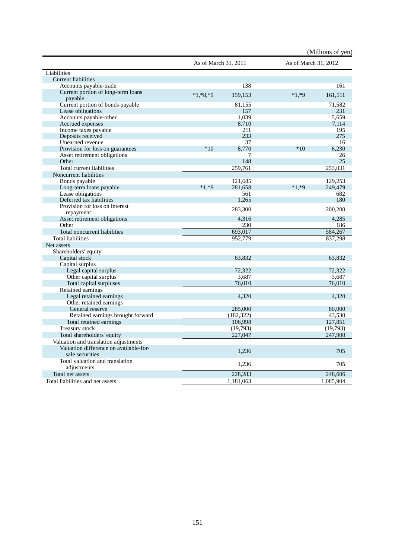|                                                           | As of March 31, 2011 |         | As of March 31, 2012 |
|-----------------------------------------------------------|----------------------|---------|----------------------|
| Liabilities                                               |                      |         |                      |
| <b>Current liabilities</b>                                |                      |         |                      |
| Accounts payable-trade                                    | 138                  |         | 161                  |
| Current portion of long-term loans                        | $*1,*8,*9$           | $*1.*9$ |                      |
| payable                                                   | 159,153              |         | 161,511              |
| Current portion of bonds payable                          | 81,155               |         | 71,582               |
| Lease obligations                                         | 157                  |         | 231                  |
| Accounts payable-other                                    | 1,039                |         | 5,659                |
| Accrued expenses                                          | 8,710                |         | 7,114                |
| Income taxes payable                                      | 211                  |         | 195                  |
| Deposits received                                         | 233                  |         | 275                  |
| Unearned revenue                                          | 37                   |         | 16                   |
| Provision for loss on guarantees                          | 8,770<br>$*10$       | $*10$   | 6.230                |
| Asset retirement obligations                              |                      | 7       | 26                   |
| Other                                                     | 148                  |         | 25                   |
| Total current liabilities                                 | 259,761              |         | 253,031              |
| Noncurrent liabilities                                    |                      |         |                      |
| Bonds payable                                             | 121,685              |         | 129,253              |
| Long-term loans payable                                   | $*1.*9$<br>281,658   | $*1*9$  | 249,479              |
| Lease obligations                                         | 561                  |         | 682                  |
| Deferred tax liabilities                                  | 1,265                |         | 180                  |
| Provision for loss on interest                            | 283,300              |         | 200,200              |
| repayment                                                 |                      |         |                      |
| Asset retirement obligations                              | 4,316                |         | 4,285                |
| Other                                                     | 230                  |         | 186                  |
| Total noncurrent liabilities                              | 693,017              |         | 584,267              |
| <b>Total liabilities</b>                                  | 952,779              |         | 837,298              |
| Net assets                                                |                      |         |                      |
| Shareholders' equity                                      |                      |         |                      |
| Capital stock                                             | 63,832               |         | 63,832               |
| Capital surplus                                           |                      |         |                      |
| Legal capital surplus                                     | 72,322               |         | 72,322               |
| Other capital surplus                                     | 3,687                |         | 3,687                |
| Total capital surpluses                                   | 76,010               |         | 76,010               |
| Retained earnings                                         |                      |         |                      |
| Legal retained earnings                                   | 4,320                |         | 4,320                |
| Other retained earnings<br>General reserve                | 285,000              |         | 80,000               |
| Retained earnings brought forward                         | (182, 322)           |         | 43,530               |
| Total retained earnings                                   | 106,998              |         | 127,851              |
|                                                           | (19,793)             |         | (19,793)             |
| Treasury stock                                            | 227,047              |         | 247,900              |
| Total shareholders' equity                                |                      |         |                      |
| Valuation and translation adjustments                     |                      |         |                      |
| Valuation difference on available-for-<br>sale securities | 1,236                |         | 705                  |
|                                                           |                      |         |                      |
| Total valuation and translation<br>adjustments            | 1,236                |         | 705                  |
| Total net assets                                          | 228,283              |         | 248,606              |
| Total liabilities and net assets                          | 1,181,063            |         | 1,085,904            |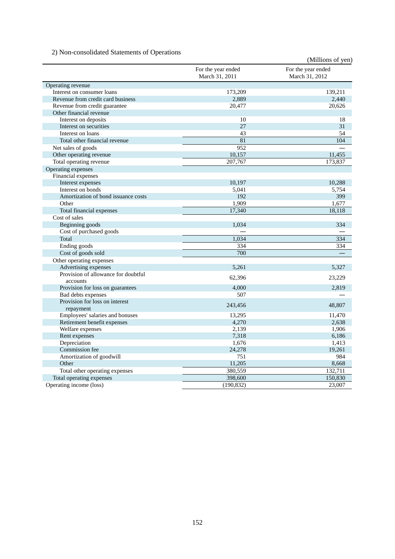## 2) Non-consolidated Statements of Operations

|                                     |                                      | (Millions of yen)                    |
|-------------------------------------|--------------------------------------|--------------------------------------|
|                                     | For the year ended<br>March 31, 2011 | For the year ended<br>March 31, 2012 |
| Operating revenue                   |                                      |                                      |
| Interest on consumer loans          | 173,209                              | 139,211                              |
| Revenue from credit card business   | 2,889                                | 2,440                                |
| Revenue from credit guarantee       | 20,477                               | 20,626                               |
| Other financial revenue             |                                      |                                      |
| Interest on deposits                | 10                                   | 18                                   |
| Interest on securities              | 27                                   | 31                                   |
| Interest on loans                   | 43                                   | 54                                   |
| Total other financial revenue       | 81                                   | 104                                  |
| Net sales of goods                  | 952                                  |                                      |
| Other operating revenue             | 10,157                               | 11,455                               |
| Total operating revenue             | 207,767                              | 173,837                              |
| Operating expenses                  |                                      |                                      |
| Financial expenses                  |                                      |                                      |
| Interest expenses                   | 10,197                               | 10,288                               |
| Interest on bonds                   | 5,041                                | 5,754                                |
| Amortization of bond issuance costs | 192                                  | 399                                  |
| Other                               | 1,909                                | 1,677                                |
| Total financial expenses            | 17,340                               | 18,118                               |
| Cost of sales                       |                                      |                                      |
| Beginning goods                     | 1,034                                | 334                                  |
| Cost of purchased goods             |                                      |                                      |
| Total                               | 1,034                                | 334                                  |
| Ending goods                        | 334                                  | 334                                  |
| Cost of goods sold                  | 700                                  |                                      |
| Other operating expenses            |                                      |                                      |
| Advertising expenses                | 5,261                                | 5,327                                |
| Provision of allowance for doubtful |                                      |                                      |
| accounts                            | 62,396                               | 23,229                               |
| Provision for loss on guarantees    | 4,000                                | 2,819                                |
| Bad debts expenses                  | 507                                  |                                      |
| Provision for loss on interest      |                                      |                                      |
| repayment                           | 243,456                              | 48,807                               |
| Employees' salaries and bonuses     | 13,295                               | 11,470                               |
| Retirement benefit expenses         | 4,270                                | 2,638                                |
| Welfare expenses                    | 2,139                                | 1,906                                |
| Rent expenses                       | 7,318                                | 6,186                                |
| Depreciation                        | 1,676                                | 1,413                                |
| Commission fee                      | 24,278                               | 19,261                               |
| Amortization of goodwill            | 751                                  | 984                                  |
| Other                               | 11,205                               | 8,668                                |
| Total other operating expenses      | 380,559                              | 132,711                              |
| Total operating expenses            | 398,600                              | 150,830                              |
| Operating income (loss)             | (190, 832)                           | 23,007                               |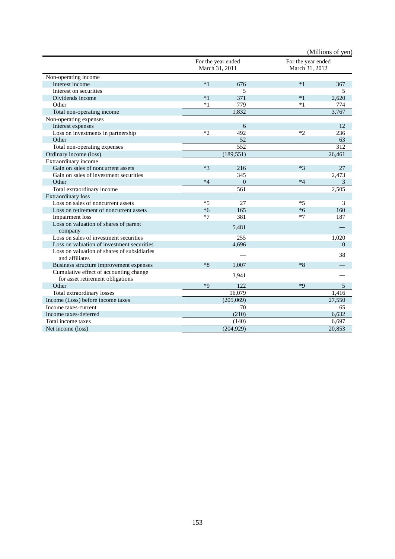| For the year ended<br>For the year ended<br>March 31, 2011<br>March 31, 2012<br>Non-operating income<br>Interest income<br>$*1$<br>676<br>$*1$<br>367<br>Interest on securities<br>5<br>5<br>$*1$<br>$*1$<br>Dividends income<br>371<br>2,620<br>Other<br>$*1$<br>779<br>$*1$<br>774<br>1,832<br>3,767<br>Total non-operating income<br>Non-operating expenses<br>Interest expenses<br>12<br>6<br>$*2$<br>Loss on investments in partnership<br>492<br>$*2$<br>236<br>52<br>63<br>Other<br>552<br>312<br>Total non-operating expenses<br>(189, 551)<br>Ordinary income (loss)<br>26,461 |
|-----------------------------------------------------------------------------------------------------------------------------------------------------------------------------------------------------------------------------------------------------------------------------------------------------------------------------------------------------------------------------------------------------------------------------------------------------------------------------------------------------------------------------------------------------------------------------------------|
|                                                                                                                                                                                                                                                                                                                                                                                                                                                                                                                                                                                         |
|                                                                                                                                                                                                                                                                                                                                                                                                                                                                                                                                                                                         |
|                                                                                                                                                                                                                                                                                                                                                                                                                                                                                                                                                                                         |
|                                                                                                                                                                                                                                                                                                                                                                                                                                                                                                                                                                                         |
|                                                                                                                                                                                                                                                                                                                                                                                                                                                                                                                                                                                         |
|                                                                                                                                                                                                                                                                                                                                                                                                                                                                                                                                                                                         |
|                                                                                                                                                                                                                                                                                                                                                                                                                                                                                                                                                                                         |
|                                                                                                                                                                                                                                                                                                                                                                                                                                                                                                                                                                                         |
|                                                                                                                                                                                                                                                                                                                                                                                                                                                                                                                                                                                         |
|                                                                                                                                                                                                                                                                                                                                                                                                                                                                                                                                                                                         |
|                                                                                                                                                                                                                                                                                                                                                                                                                                                                                                                                                                                         |
|                                                                                                                                                                                                                                                                                                                                                                                                                                                                                                                                                                                         |
|                                                                                                                                                                                                                                                                                                                                                                                                                                                                                                                                                                                         |
| Extraordinary income                                                                                                                                                                                                                                                                                                                                                                                                                                                                                                                                                                    |
| $*3$<br>$*3$<br>Gain on sales of noncurrent assets<br>216<br>27                                                                                                                                                                                                                                                                                                                                                                                                                                                                                                                         |
| Gain on sales of investment securities<br>345<br>2,473                                                                                                                                                                                                                                                                                                                                                                                                                                                                                                                                  |
| $*4$<br>$*4$<br>Other<br>$\overline{0}$<br>3                                                                                                                                                                                                                                                                                                                                                                                                                                                                                                                                            |
| 561<br>2,505<br>Total extraordinary income                                                                                                                                                                                                                                                                                                                                                                                                                                                                                                                                              |
| Extraordinary loss                                                                                                                                                                                                                                                                                                                                                                                                                                                                                                                                                                      |
| $*5$<br>Loss on sales of noncurrent assets<br>27<br>$*5$<br>3                                                                                                                                                                                                                                                                                                                                                                                                                                                                                                                           |
| $*6$<br>165<br>$*6$<br>160<br>Loss on retirement of noncurrent assets                                                                                                                                                                                                                                                                                                                                                                                                                                                                                                                   |
| $*7$<br>381<br>$*7$<br>187<br>Impairment loss                                                                                                                                                                                                                                                                                                                                                                                                                                                                                                                                           |
| Loss on valuation of shares of parent<br>5,481<br>company                                                                                                                                                                                                                                                                                                                                                                                                                                                                                                                               |
| Loss on sales of investment securities<br>255<br>1,020                                                                                                                                                                                                                                                                                                                                                                                                                                                                                                                                  |
| Loss on valuation of investment securities<br>4,696<br>$\Omega$                                                                                                                                                                                                                                                                                                                                                                                                                                                                                                                         |
| Loss on valuation of shares of subsidiaries<br>38<br>and affiliates                                                                                                                                                                                                                                                                                                                                                                                                                                                                                                                     |
| $*8$<br>$*8$<br>1,007<br>Business structure improvement expenses                                                                                                                                                                                                                                                                                                                                                                                                                                                                                                                        |
| Cumulative effect of accounting change<br>3,941<br>for asset retirement obligations                                                                                                                                                                                                                                                                                                                                                                                                                                                                                                     |
| $*9$<br>Other<br>122<br>*9<br>5                                                                                                                                                                                                                                                                                                                                                                                                                                                                                                                                                         |
| 16,079<br>Total extraordinary losses<br>1,416                                                                                                                                                                                                                                                                                                                                                                                                                                                                                                                                           |
| Income (Loss) before income taxes<br>(205,069)<br>27,550                                                                                                                                                                                                                                                                                                                                                                                                                                                                                                                                |
| 70<br>65<br>Income taxes-current                                                                                                                                                                                                                                                                                                                                                                                                                                                                                                                                                        |
| (210)<br>6,632<br>Income taxes-deferred                                                                                                                                                                                                                                                                                                                                                                                                                                                                                                                                                 |
| (140)<br>Total income taxes<br>6,697                                                                                                                                                                                                                                                                                                                                                                                                                                                                                                                                                    |
| (204, 929)<br>20,853<br>Net income (loss)                                                                                                                                                                                                                                                                                                                                                                                                                                                                                                                                               |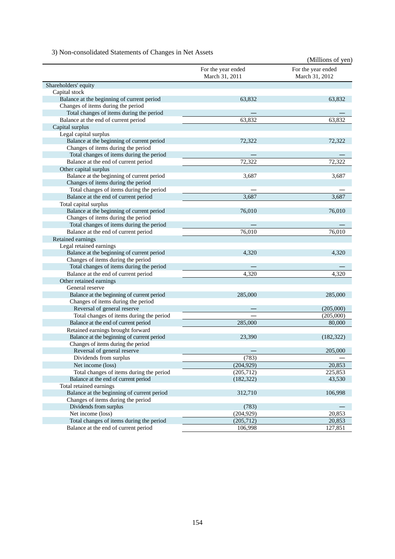## 3) Non-consolidated Statements of Changes in Net Assets

|                                                                                  |                                      | (Millions of yen)                    |
|----------------------------------------------------------------------------------|--------------------------------------|--------------------------------------|
|                                                                                  | For the year ended<br>March 31, 2011 | For the year ended<br>March 31, 2012 |
| Shareholders' equity                                                             |                                      |                                      |
| Capital stock                                                                    |                                      |                                      |
| Balance at the beginning of current period                                       | 63,832                               | 63,832                               |
| Changes of items during the period                                               |                                      |                                      |
| Total changes of items during the period                                         |                                      |                                      |
| Balance at the end of current period                                             | 63,832                               | 63,832                               |
| Capital surplus                                                                  |                                      |                                      |
| Legal capital surplus                                                            |                                      |                                      |
| Balance at the beginning of current period                                       | 72,322                               | 72,322                               |
| Changes of items during the period                                               |                                      |                                      |
| Total changes of items during the period                                         |                                      |                                      |
| Balance at the end of current period                                             | 72,322                               | 72,322                               |
| Other capital surplus                                                            |                                      |                                      |
| Balance at the beginning of current period                                       | 3,687                                | 3,687                                |
| Changes of items during the period                                               |                                      |                                      |
| Total changes of items during the period                                         |                                      |                                      |
| Balance at the end of current period                                             | 3,687                                | 3,687                                |
| Total capital surplus                                                            |                                      |                                      |
| Balance at the beginning of current period                                       | 76,010                               | 76,010                               |
| Changes of items during the period                                               |                                      |                                      |
| Total changes of items during the period                                         |                                      |                                      |
| Balance at the end of current period                                             | 76,010                               | 76,010                               |
| Retained earnings                                                                |                                      |                                      |
| Legal retained earnings                                                          |                                      |                                      |
|                                                                                  | 4,320                                | 4,320                                |
| Balance at the beginning of current period<br>Changes of items during the period |                                      |                                      |
| Total changes of items during the period                                         |                                      |                                      |
|                                                                                  | 4,320                                |                                      |
| Balance at the end of current period                                             |                                      | 4,320                                |
| Other retained earnings                                                          |                                      |                                      |
| General reserve                                                                  |                                      |                                      |
| Balance at the beginning of current period                                       | 285,000                              | 285,000                              |
| Changes of items during the period                                               |                                      |                                      |
| Reversal of general reserve                                                      |                                      | (205,000)                            |
| Total changes of items during the period                                         |                                      | (205,000)                            |
| Balance at the end of current period                                             | 285,000                              | 80,000                               |
| Retained earnings brought forward                                                |                                      |                                      |
| Balance at the beginning of current period                                       | 23,390                               | (182, 322)                           |
| Changes of items during the period                                               |                                      |                                      |
| Reversal of general reserve                                                      |                                      | 205,000                              |
| Dividends from surplus                                                           | (783)                                |                                      |
| Net income (loss)                                                                | (204, 929)                           | 20,853                               |
| Total changes of items during the period                                         | (205, 712)                           | 225,853                              |
| Balance at the end of current period                                             | (182, 322)                           | 43,530                               |
| Total retained earnings                                                          |                                      |                                      |
| Balance at the beginning of current period                                       | 312,710                              | 106,998                              |
| Changes of items during the period                                               |                                      |                                      |
| Dividends from surplus                                                           | (783)                                |                                      |
| Net income (loss)                                                                | (204, 929)                           | 20,853                               |
| Total changes of items during the period                                         | (205, 712)                           | 20,853                               |
| Balance at the end of current period                                             | 106,998                              | 127,851                              |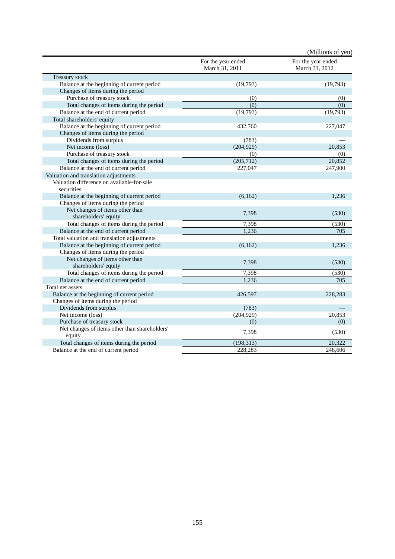|                                                         |                                      | (Millions of yen)                    |
|---------------------------------------------------------|--------------------------------------|--------------------------------------|
|                                                         | For the year ended<br>March 31, 2011 | For the year ended<br>March 31, 2012 |
| Treasury stock                                          |                                      |                                      |
| Balance at the beginning of current period              | (19,793)                             | (19,793)                             |
| Changes of items during the period                      |                                      |                                      |
| Purchase of treasury stock                              | (0)                                  | (0)                                  |
| Total changes of items during the period                | (0)                                  | (0)                                  |
| Balance at the end of current period                    | (19,793)                             | (19,793)                             |
| Total shareholders' equity                              |                                      |                                      |
| Balance at the beginning of current period              | 432,760                              | 227,047                              |
| Changes of items during the period                      |                                      |                                      |
| Dividends from surplus                                  | (783)                                |                                      |
| Net income (loss)                                       | (204, 929)                           | 20.853                               |
| Purchase of treasury stock                              | (0)                                  | (0)                                  |
| Total changes of items during the period                | (205, 712)                           | 20,852                               |
| Balance at the end of current period                    | 227,047                              | 247,900                              |
| Valuation and translation adjustments                   |                                      |                                      |
| Valuation difference on available-for-sale              |                                      |                                      |
| securities                                              |                                      |                                      |
| Balance at the beginning of current period              | (6,162)                              | 1,236                                |
| Changes of items during the period                      |                                      |                                      |
| Net changes of items other than                         | 7,398                                | (530)                                |
| shareholders' equity                                    |                                      |                                      |
| Total changes of items during the period                | 7,398                                | (530)                                |
| Balance at the end of current period                    | 1,236                                | 705                                  |
| Total valuation and translation adjustments             |                                      |                                      |
| Balance at the beginning of current period              | (6,162)                              | 1,236                                |
| Changes of items during the period                      |                                      |                                      |
| Net changes of items other than                         | 7,398                                | (530)                                |
| shareholders' equity                                    |                                      |                                      |
| Total changes of items during the period                | 7,398                                | (530)                                |
| Balance at the end of current period                    | 1,236                                | 705                                  |
| Total net assets                                        |                                      |                                      |
| Balance at the beginning of current period              | 426,597                              | 228,283                              |
| Changes of items during the period                      |                                      |                                      |
| Dividends from surplus                                  | (783)                                |                                      |
| Net income (loss)                                       | (204, 929)                           | 20,853                               |
| Purchase of treasury stock                              | (0)                                  | (0)                                  |
| Net changes of items other than shareholders'<br>equity | 7,398                                | (530)                                |
| Total changes of items during the period                | (198, 313)                           | 20,322                               |
| Balance at the end of current period                    | 228,283                              | 248,606                              |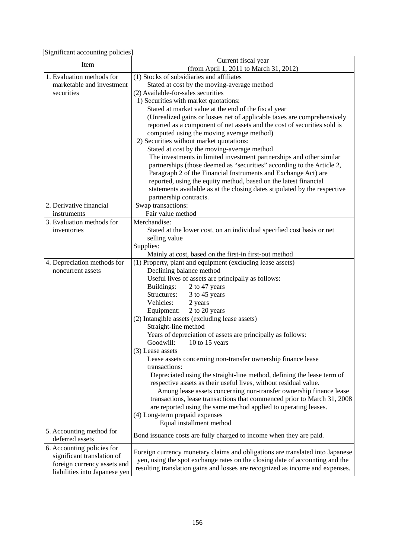[Significant accounting policies]

| Item                          | Current fiscal year                                                           |  |
|-------------------------------|-------------------------------------------------------------------------------|--|
|                               | (from April 1, 2011 to March 31, 2012)                                        |  |
| 1. Evaluation methods for     | (1) Stocks of subsidiaries and affiliates                                     |  |
| marketable and investment     | Stated at cost by the moving-average method                                   |  |
| securities                    | (2) Available-for-sales securities                                            |  |
|                               | 1) Securities with market quotations:                                         |  |
|                               | Stated at market value at the end of the fiscal year                          |  |
|                               | (Unrealized gains or losses net of applicable taxes are comprehensively       |  |
|                               | reported as a component of net assets and the cost of securities sold is      |  |
|                               | computed using the moving average method)                                     |  |
|                               | 2) Securities without market quotations:                                      |  |
|                               | Stated at cost by the moving-average method                                   |  |
|                               | The investments in limited investment partnerships and other similar          |  |
|                               | partnerships (those deemed as "securities" according to the Article 2,        |  |
|                               | Paragraph 2 of the Financial Instruments and Exchange Act) are                |  |
|                               | reported, using the equity method, based on the latest financial              |  |
|                               | statements available as at the closing dates stipulated by the respective     |  |
|                               | partnership contracts.                                                        |  |
| 2. Derivative financial       | Swap transactions:                                                            |  |
| instruments                   | Fair value method                                                             |  |
| 3. Evaluation methods for     | Merchandise:                                                                  |  |
| inventories                   | Stated at the lower cost, on an individual specified cost basis or net        |  |
|                               | selling value                                                                 |  |
|                               | Supplies:                                                                     |  |
|                               | Mainly at cost, based on the first-in first-out method                        |  |
| 4. Depreciation methods for   | (1) Property, plant and equipment (excluding lease assets)                    |  |
| noncurrent assets             | Declining balance method                                                      |  |
|                               | Useful lives of assets are principally as follows:                            |  |
|                               | Buildings:<br>2 to 47 years                                                   |  |
|                               | Structures:<br>3 to 45 years                                                  |  |
|                               | Vehicles:<br>2 years                                                          |  |
|                               | 2 to 20 years<br>Equipment:                                                   |  |
|                               | (2) Intangible assets (excluding lease assets)                                |  |
|                               | Straight-line method                                                          |  |
|                               | Years of depreciation of assets are principally as follows:                   |  |
|                               | Goodwill:<br>10 to 15 years                                                   |  |
|                               | (3) Lease assets                                                              |  |
|                               | Lease assets concerning non-transfer ownership finance lease                  |  |
|                               | transactions:                                                                 |  |
|                               | Depreciated using the straight-line method, defining the lease term of        |  |
|                               | respective assets as their useful lives, without residual value.              |  |
|                               | Among lease assets concerning non-transfer ownership finance lease            |  |
|                               | transactions, lease transactions that commenced prior to March 31, 2008       |  |
|                               | are reported using the same method applied to operating leases.               |  |
|                               | (4) Long-term prepaid expenses                                                |  |
|                               | Equal installment method                                                      |  |
| 5. Accounting method for      | Bond issuance costs are fully charged to income when they are paid.           |  |
| deferred assets               |                                                                               |  |
| 6. Accounting policies for    | Foreign currency monetary claims and obligations are translated into Japanese |  |
| significant translation of    | yen, using the spot exchange rates on the closing date of accounting and the  |  |
| foreign currency assets and   | resulting translation gains and losses are recognized as income and expenses. |  |
| liabilities into Japanese yen |                                                                               |  |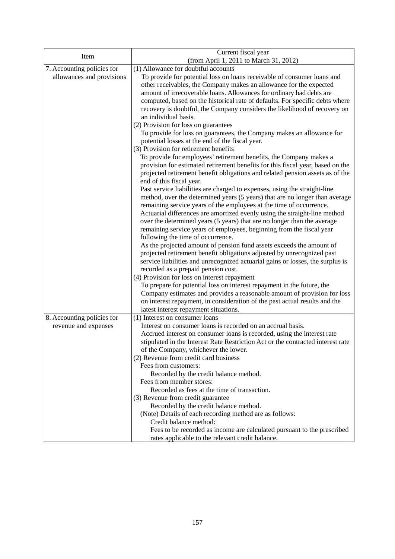| Current fiscal year                                                               |
|-----------------------------------------------------------------------------------|
| (from April 1, 2011 to March 31, 2012)                                            |
| (1) Allowance for doubtful accounts                                               |
| To provide for potential loss on loans receivable of consumer loans and           |
| other receivables, the Company makes an allowance for the expected                |
| amount of irrecoverable loans. Allowances for ordinary bad debts are              |
| computed, based on the historical rate of defaults. For specific debts where      |
| recovery is doubtful, the Company considers the likelihood of recovery on         |
| an individual basis.                                                              |
| (2) Provision for loss on guarantees                                              |
| To provide for loss on guarantees, the Company makes an allowance for             |
| potential losses at the end of the fiscal year.                                   |
| (3) Provision for retirement benefits                                             |
| To provide for employees' retirement benefits, the Company makes a                |
| provision for estimated retirement benefits for this fiscal year, based on the    |
| projected retirement benefit obligations and related pension assets as of the     |
| end of this fiscal year.                                                          |
| Past service liabilities are charged to expenses, using the straight-line         |
| method, over the determined years (5 years) that are no longer than average       |
| remaining service years of the employees at the time of occurrence.               |
| Actuarial differences are amortized evenly using the straight-line method         |
| over the determined years (5 years) that are no longer than the average           |
| remaining service years of employees, beginning from the fiscal year              |
| following the time of occurrence.                                                 |
| As the projected amount of pension fund assets exceeds the amount of              |
| projected retirement benefit obligations adjusted by unrecognized past            |
| service liabilities and unrecognized actuarial gains or losses, the surplus is    |
| recorded as a prepaid pension cost.                                               |
| (4) Provision for loss on interest repayment                                      |
| To prepare for potential loss on interest repayment in the future, the            |
| Company estimates and provides a reasonable amount of provision for loss          |
| on interest repayment, in consideration of the past actual results and the        |
| latest interest repayment situations.                                             |
| (1) Interest on consumer loans                                                    |
| Interest on consumer loans is recorded on an accrual basis.                       |
| Accrued interest on consumer loans is recorded, using the interest rate           |
| stipulated in the Interest Rate Restriction Act or the contracted interest rate   |
| of the Company, whichever the lower.                                              |
| (2) Revenue from credit card business                                             |
| Fees from customers:                                                              |
| Recorded by the credit balance method.                                            |
| Fees from member stores:                                                          |
| Recorded as fees at the time of transaction.                                      |
| (3) Revenue from credit guarantee                                                 |
| Recorded by the credit balance method.                                            |
| (Note) Details of each recording method are as follows:<br>Credit balance method: |
| Fees to be recorded as income are calculated pursuant to the prescribed           |
|                                                                                   |
|                                                                                   |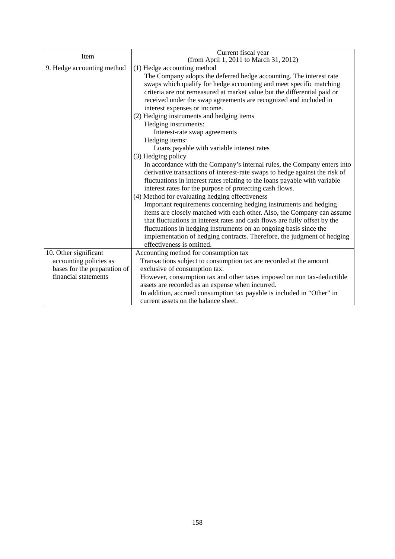| Item                         | Current fiscal year                                                         |
|------------------------------|-----------------------------------------------------------------------------|
|                              | (from April 1, 2011 to March 31, 2012)                                      |
| 9. Hedge accounting method   | (1) Hedge accounting method                                                 |
|                              | The Company adopts the deferred hedge accounting. The interest rate         |
|                              | swaps which qualify for hedge accounting and meet specific matching         |
|                              | criteria are not remeasured at market value but the differential paid or    |
|                              | received under the swap agreements are recognized and included in           |
|                              | interest expenses or income.                                                |
|                              | (2) Hedging instruments and hedging items                                   |
|                              | Hedging instruments:                                                        |
|                              | Interest-rate swap agreements                                               |
|                              | Hedging items:                                                              |
|                              | Loans payable with variable interest rates                                  |
|                              | (3) Hedging policy                                                          |
|                              | In accordance with the Company's internal rules, the Company enters into    |
|                              | derivative transactions of interest-rate swaps to hedge against the risk of |
|                              | fluctuations in interest rates relating to the loans payable with variable  |
|                              | interest rates for the purpose of protecting cash flows.                    |
|                              | (4) Method for evaluating hedging effectiveness                             |
|                              | Important requirements concerning hedging instruments and hedging           |
|                              | items are closely matched with each other. Also, the Company can assume     |
|                              | that fluctuations in interest rates and cash flows are fully offset by the  |
|                              | fluctuations in hedging instruments on an ongoing basis since the           |
|                              | implementation of hedging contracts. Therefore, the judgment of hedging     |
|                              | effectiveness is omitted.                                                   |
| 10. Other significant        | Accounting method for consumption tax                                       |
| accounting policies as       | Transactions subject to consumption tax are recorded at the amount          |
| bases for the preparation of | exclusive of consumption tax.                                               |
| financial statements         | However, consumption tax and other taxes imposed on non tax-deductible      |
|                              | assets are recorded as an expense when incurred.                            |
|                              | In addition, accrued consumption tax payable is included in "Other" in      |
|                              | current assets on the balance sheet.                                        |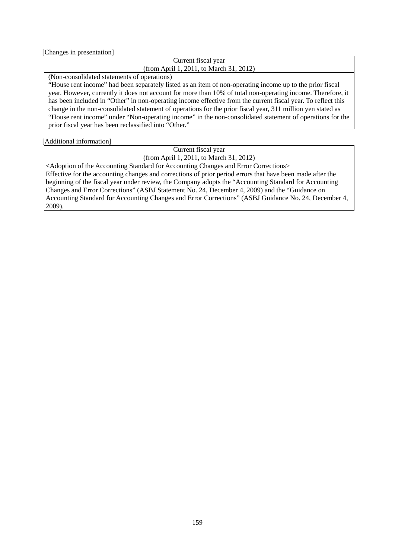[Changes in presentation]

| Current fiscal year                     |  |
|-----------------------------------------|--|
| (from April 1, 2011, to March 31, 2012) |  |
|                                         |  |

(Non-consolidated statements of operations)

"House rent income" had been separately listed as an item of non-operating income up to the prior fiscal year. However, currently it does not account for more than 10% of total non-operating income. Therefore, it has been included in "Other" in non-operating income effective from the current fiscal year. To reflect this change in the non-consolidated statement of operations for the prior fiscal year, 311 million yen stated as "House rent income" under "Non-operating income" in the non-consolidated statement of operations for the prior fiscal year has been reclassified into "Other."

#### [Additional information]

Current fiscal year (from April 1, 2011, to March 31, 2012)

<Adoption of the Accounting Standard for Accounting Changes and Error Corrections> Effective for the accounting changes and corrections of prior period errors that have been made after the beginning of the fiscal year under review, the Company adopts the "Accounting Standard for Accounting Changes and Error Corrections" (ASBJ Statement No. 24, December 4, 2009) and the "Guidance on Accounting Standard for Accounting Changes and Error Corrections" (ASBJ Guidance No. 24, December 4, 2009).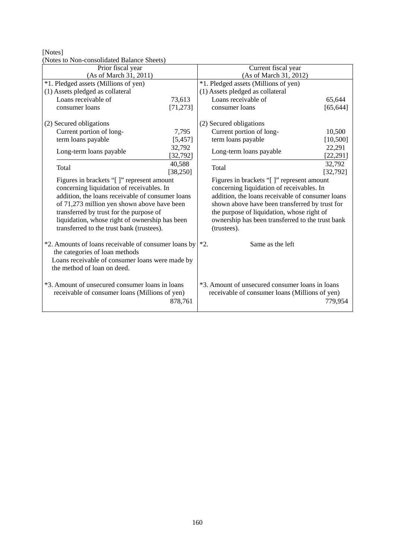[Notes]

(Notes to Non-consolidated Balance Sheets)

| $(1)$ ones to typi-consolidated Dalance Sheets)                                                                                                                                                                                                                                                                                                                                             |                     |                                                                                                                                                                                                                                                                                                                                            |                     |
|---------------------------------------------------------------------------------------------------------------------------------------------------------------------------------------------------------------------------------------------------------------------------------------------------------------------------------------------------------------------------------------------|---------------------|--------------------------------------------------------------------------------------------------------------------------------------------------------------------------------------------------------------------------------------------------------------------------------------------------------------------------------------------|---------------------|
| Prior fiscal year                                                                                                                                                                                                                                                                                                                                                                           |                     | Current fiscal year                                                                                                                                                                                                                                                                                                                        |                     |
| (As of March 31, 2011)                                                                                                                                                                                                                                                                                                                                                                      |                     | (As of March 31, 2012)                                                                                                                                                                                                                                                                                                                     |                     |
| *1. Pledged assets (Millions of yen)                                                                                                                                                                                                                                                                                                                                                        |                     | *1. Pledged assets (Millions of yen)                                                                                                                                                                                                                                                                                                       |                     |
| (1) Assets pledged as collateral                                                                                                                                                                                                                                                                                                                                                            |                     | (1) Assets pledged as collateral                                                                                                                                                                                                                                                                                                           |                     |
| Loans receivable of                                                                                                                                                                                                                                                                                                                                                                         | 73,613              | Loans receivable of                                                                                                                                                                                                                                                                                                                        | 65,644              |
| consumer loans                                                                                                                                                                                                                                                                                                                                                                              | [71, 273]           | consumer loans                                                                                                                                                                                                                                                                                                                             | [65, 644]           |
| (2) Secured obligations<br>Current portion of long-                                                                                                                                                                                                                                                                                                                                         | 7,795               | (2) Secured obligations<br>Current portion of long-                                                                                                                                                                                                                                                                                        | 10,500              |
| term loans payable                                                                                                                                                                                                                                                                                                                                                                          | [5,457]             | term loans payable                                                                                                                                                                                                                                                                                                                         | [10, 500]           |
| Long-term loans payable                                                                                                                                                                                                                                                                                                                                                                     | 32,792<br>[32, 792] | Long-term loans payable                                                                                                                                                                                                                                                                                                                    | 22,291<br>[22, 291] |
| Total                                                                                                                                                                                                                                                                                                                                                                                       | 40,588<br>[38, 250] | Total                                                                                                                                                                                                                                                                                                                                      | 32,792<br>[32, 792] |
| Figures in brackets "[]" represent amount<br>concerning liquidation of receivables. In<br>addition, the loans receivable of consumer loans<br>of 71,273 million yen shown above have been<br>transferred by trust for the purpose of<br>liquidation, whose right of ownership has been<br>transferred to the trust bank (trustees).<br>*2. Amounts of loans receivable of consumer loans by |                     | Figures in brackets "[]" represent amount<br>concerning liquidation of receivables. In<br>addition, the loans receivable of consumer loans<br>shown above have been transferred by trust for<br>the purpose of liquidation, whose right of<br>ownership has been transferred to the trust bank<br>(trustees).<br>Same as the left<br>$*2.$ |                     |
| the categories of loan methods<br>Loans receivable of consumer loans were made by<br>the method of loan on deed.                                                                                                                                                                                                                                                                            |                     |                                                                                                                                                                                                                                                                                                                                            |                     |
| *3. Amount of unsecured consumer loans in loans<br>receivable of consumer loans (Millions of yen)<br>878,761                                                                                                                                                                                                                                                                                |                     | *3. Amount of unsecured consumer loans in loans<br>receivable of consumer loans (Millions of yen)                                                                                                                                                                                                                                          | 779,954             |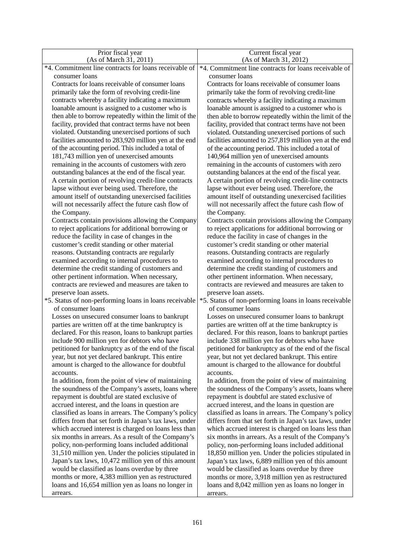| Prior fiscal year                                                                              | Current fiscal year                                                                            |
|------------------------------------------------------------------------------------------------|------------------------------------------------------------------------------------------------|
| (As of March 31, 2011)                                                                         | (As of March 31, 2012)                                                                         |
| *4. Commitment line contracts for loans receivable of                                          | *4. Commitment line contracts for loans receivable of                                          |
| consumer loans                                                                                 | consumer loans                                                                                 |
| Contracts for loans receivable of consumer loans                                               | Contracts for loans receivable of consumer loans                                               |
| primarily take the form of revolving credit-line                                               | primarily take the form of revolving credit-line                                               |
| contracts whereby a facility indicating a maximum                                              | contracts whereby a facility indicating a maximum                                              |
| loanable amount is assigned to a customer who is                                               | loanable amount is assigned to a customer who is                                               |
| then able to borrow repeatedly within the limit of the                                         | then able to borrow repeatedly within the limit of the                                         |
| facility, provided that contract terms have not been                                           | facility, provided that contract terms have not been                                           |
| violated. Outstanding unexercised portions of such                                             | violated. Outstanding unexercised portions of such                                             |
| facilities amounted to 283,920 million yen at the end                                          | facilities amounted to 257,819 million yen at the end                                          |
| of the accounting period. This included a total of                                             | of the accounting period. This included a total of                                             |
| 181,743 million yen of unexercised amounts                                                     | 140,964 million yen of unexercised amounts                                                     |
| remaining in the accounts of customers with zero                                               | remaining in the accounts of customers with zero                                               |
| outstanding balances at the end of the fiscal year.                                            | outstanding balances at the end of the fiscal year.                                            |
| A certain portion of revolving credit-line contracts                                           | A certain portion of revolving credit-line contracts                                           |
| lapse without ever being used. Therefore, the                                                  | lapse without ever being used. Therefore, the                                                  |
| amount itself of outstanding unexercised facilities                                            | amount itself of outstanding unexercised facilities                                            |
| will not necessarily affect the future cash flow of                                            | will not necessarily affect the future cash flow of                                            |
| the Company.                                                                                   | the Company.                                                                                   |
| Contracts contain provisions allowing the Company                                              | Contracts contain provisions allowing the Company                                              |
| to reject applications for additional borrowing or                                             | to reject applications for additional borrowing or                                             |
| reduce the facility in case of changes in the                                                  | reduce the facility in case of changes in the                                                  |
| customer's credit standing or other material                                                   | customer's credit standing or other material                                                   |
| reasons. Outstanding contracts are regularly                                                   | reasons. Outstanding contracts are regularly                                                   |
| examined according to internal procedures to<br>determine the credit standing of customers and | examined according to internal procedures to                                                   |
| other pertinent information. When necessary,                                                   | determine the credit standing of customers and<br>other pertinent information. When necessary, |
| contracts are reviewed and measures are taken to                                               | contracts are reviewed and measures are taken to                                               |
| preserve loan assets.                                                                          | preserve loan assets.                                                                          |
| *5. Status of non-performing loans in loans receivable                                         | *5. Status of non-performing loans in loans receivable                                         |
| of consumer loans                                                                              | of consumer loans                                                                              |
| Losses on unsecured consumer loans to bankrupt                                                 | Losses on unsecured consumer loans to bankrupt                                                 |
| parties are written off at the time bankruptcy is                                              | parties are written off at the time bankruptcy is                                              |
| declared. For this reason, loans to bankrupt parties                                           | declared. For this reason, loans to bankrupt parties                                           |
| include 900 million yen for debtors who have                                                   | include 338 million yen for debtors who have                                                   |
| petitioned for bankruptcy as of the end of the fiscal                                          | petitioned for bankruptcy as of the end of the fiscal                                          |
| year, but not yet declared bankrupt. This entire                                               | year, but not yet declared bankrupt. This entire                                               |
| amount is charged to the allowance for doubtful                                                | amount is charged to the allowance for doubtful                                                |
| accounts.                                                                                      | accounts.                                                                                      |
| In addition, from the point of view of maintaining                                             | In addition, from the point of view of maintaining                                             |
| the soundness of the Company's assets, loans where                                             | the soundness of the Company's assets, loans where                                             |
| repayment is doubtful are stated exclusive of                                                  | repayment is doubtful are stated exclusive of                                                  |
| accrued interest, and the loans in question are                                                | accrued interest, and the loans in question are                                                |
| classified as loans in arrears. The Company's policy                                           | classified as loans in arrears. The Company's policy                                           |
| differs from that set forth in Japan's tax laws, under                                         | differs from that set forth in Japan's tax laws, under                                         |
| which accrued interest is charged on loans less than                                           | which accrued interest is charged on loans less than                                           |
| six months in arrears. As a result of the Company's                                            | six months in arrears. As a result of the Company's                                            |
| policy, non-performing loans included additional                                               | policy, non-performing loans included additional                                               |
| 31,510 million yen. Under the policies stipulated in                                           | 18,850 million yen. Under the policies stipulated in                                           |
| Japan's tax laws, 10,472 million yen of this amount                                            | Japan's tax laws, 6,889 million yen of this amount                                             |
| would be classified as loans overdue by three                                                  | would be classified as loans overdue by three                                                  |
| months or more, 4,383 million yen as restructured                                              | months or more, 3,918 million yen as restructured                                              |
| loans and 16,654 million yen as loans no longer in                                             | loans and 8,042 million yen as loans no longer in                                              |
| arrears.                                                                                       | arrears.                                                                                       |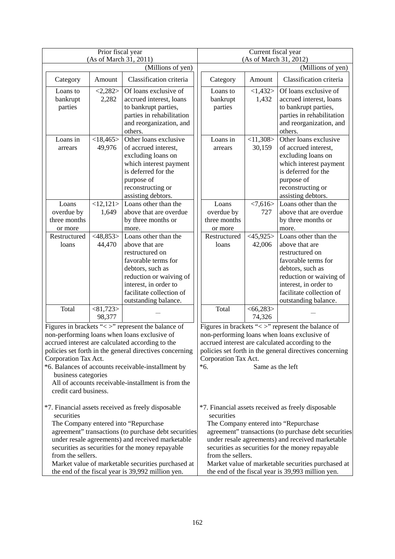| Prior fiscal year<br>(As of March 31, 2011)                                                                                                                                                                                                                                                                                                                                                              |                                                                                                                                                                                                              | Current fiscal year<br>(As of March 31, 2012)  |                       |                                                                                                                                                                                                                                                                                                                                                                       |
|----------------------------------------------------------------------------------------------------------------------------------------------------------------------------------------------------------------------------------------------------------------------------------------------------------------------------------------------------------------------------------------------------------|--------------------------------------------------------------------------------------------------------------------------------------------------------------------------------------------------------------|------------------------------------------------|-----------------------|-----------------------------------------------------------------------------------------------------------------------------------------------------------------------------------------------------------------------------------------------------------------------------------------------------------------------------------------------------------------------|
|                                                                                                                                                                                                                                                                                                                                                                                                          | (Millions of yen)                                                                                                                                                                                            | (Millions of yen)                              |                       |                                                                                                                                                                                                                                                                                                                                                                       |
| Category<br>Amount                                                                                                                                                                                                                                                                                                                                                                                       | Classification criteria                                                                                                                                                                                      | Category                                       | Amount                | Classification criteria                                                                                                                                                                                                                                                                                                                                               |
| <2,282><br>Loans to<br>2,282<br>bankrupt<br>parties                                                                                                                                                                                                                                                                                                                                                      | Of loans exclusive of<br>accrued interest, loans<br>to bankrupt parties,<br>parties in rehabilitation<br>and reorganization, and<br>others.                                                                  | Loans to<br>bankrupt<br>parties                | <1,432><br>1,432      | Of loans exclusive of<br>accrued interest, loans<br>to bankrupt parties,<br>parties in rehabilitation<br>and reorganization, and<br>others.                                                                                                                                                                                                                           |
| <18,465><br>Loans in<br>49,976<br>arrears                                                                                                                                                                                                                                                                                                                                                                | Other loans exclusive<br>of accrued interest,<br>excluding loans on<br>which interest payment<br>is deferred for the<br>purpose of<br>reconstructing or<br>assisting debtors.                                | Loans in<br>arrears                            | <11,308<br>30,159     | Other loans exclusive<br>of accrued interest,<br>excluding loans on<br>which interest payment<br>is deferred for the<br>purpose of<br>reconstructing or<br>assisting debtors.                                                                                                                                                                                         |
| <12,121><br>Loans<br>overdue by<br>1,649<br>three months<br>or more                                                                                                                                                                                                                                                                                                                                      | Loans other than the<br>above that are overdue<br>by three months or<br>more.                                                                                                                                | Loans<br>overdue by<br>three months<br>or more | <7,616><br>727        | Loans other than the<br>above that are overdue<br>by three months or<br>more.                                                                                                                                                                                                                                                                                         |
| $<$ 48,853><br>Restructured<br>44,470<br>loans                                                                                                                                                                                                                                                                                                                                                           | Loans other than the<br>above that are<br>restructured on<br>favorable terms for<br>debtors, such as<br>reduction or waiving of<br>interest, in order to<br>facilitate collection of<br>outstanding balance. | Restructured<br>loans                          | $<$ 45,925><br>42,006 | Loans other than the<br>above that are<br>restructured on<br>favorable terms for<br>debtors, such as<br>reduction or waiving of<br>interest, in order to<br>facilitate collection of<br>outstanding balance.                                                                                                                                                          |
| < 81,723<br>Total<br>98,377                                                                                                                                                                                                                                                                                                                                                                              |                                                                                                                                                                                                              | Total                                          | < 66,283><br>74,326   |                                                                                                                                                                                                                                                                                                                                                                       |
| Figures in brackets "<>" represent the balance of<br>non-performing loans when loans exclusive of<br>accrued interest are calculated according to the<br>policies set forth in the general directives concerning<br>Corporation Tax Act.<br>*6. Balances of accounts receivable-installment by<br>business categories<br>All of accounts receivable-installment is from the<br>credit card business.     |                                                                                                                                                                                                              | Corporation Tax Act.<br>$*6.$                  | Same as the left      | Figures in brackets "<>" represent the balance of<br>non-performing loans when loans exclusive of<br>accrued interest are calculated according to the<br>policies set forth in the general directives concerning                                                                                                                                                      |
| *7. Financial assets received as freely disposable<br>securities<br>The Company entered into "Repurchase<br>agreement" transactions (to purchase debt securities<br>under resale agreements) and received marketable<br>securities as securities for the money repayable<br>from the sellers.<br>Market value of marketable securities purchased at<br>the end of the fiscal year is 39,992 million yen. |                                                                                                                                                                                                              | securities<br>from the sellers.                |                       | *7. Financial assets received as freely disposable<br>The Company entered into "Repurchase<br>agreement" transactions (to purchase debt securities<br>under resale agreements) and received marketable<br>securities as securities for the money repayable<br>Market value of marketable securities purchased at<br>the end of the fiscal year is 39,993 million yen. |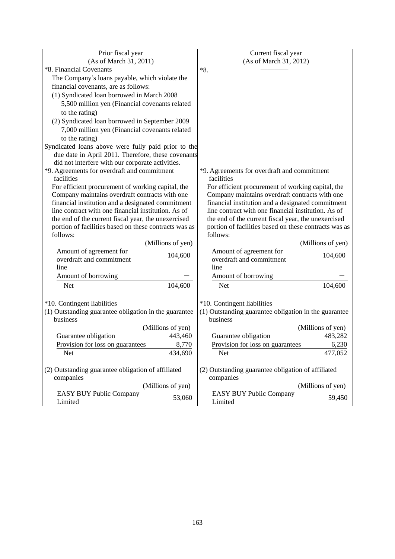| Prior fiscal year                                                 | Current fiscal year                                               |
|-------------------------------------------------------------------|-------------------------------------------------------------------|
| (As of March 31, 2011)                                            | (As of March 31, 2012)                                            |
| *8. Financial Covenants                                           | $*8.$                                                             |
| The Company's loans payable, which violate the                    |                                                                   |
| financial covenants, are as follows:                              |                                                                   |
| (1) Syndicated loan borrowed in March 2008                        |                                                                   |
| 5,500 million yen (Financial covenants related                    |                                                                   |
| to the rating)                                                    |                                                                   |
| (2) Syndicated loan borrowed in September 2009                    |                                                                   |
| 7,000 million yen (Financial covenants related                    |                                                                   |
| to the rating)                                                    |                                                                   |
| Syndicated loans above were fully paid prior to the               |                                                                   |
| due date in April 2011. Therefore, these covenants                |                                                                   |
| did not interfere with our corporate activities.                  |                                                                   |
| *9. Agreements for overdraft and commitment                       | *9. Agreements for overdraft and commitment                       |
| facilities                                                        | facilities                                                        |
| For efficient procurement of working capital, the                 | For efficient procurement of working capital, the                 |
| Company maintains overdraft contracts with one                    | Company maintains overdraft contracts with one                    |
| financial institution and a designated commitment                 | financial institution and a designated commitment                 |
| line contract with one financial institution. As of               | line contract with one financial institution. As of               |
| the end of the current fiscal year, the unexercised               | the end of the current fiscal year, the unexercised               |
| portion of facilities based on these contracts was as<br>follows: | portion of facilities based on these contracts was as<br>follows: |
|                                                                   |                                                                   |
| (Millions of yen)<br>Amount of agreement for                      | (Millions of yen)<br>Amount of agreement for                      |
| 104,600<br>overdraft and commitment                               | 104,600<br>overdraft and commitment                               |
| line                                                              | line                                                              |
| Amount of borrowing                                               | Amount of borrowing                                               |
| <b>Net</b><br>104,600                                             | <b>Net</b><br>104,600                                             |
|                                                                   |                                                                   |
| *10. Contingent liabilities                                       | *10. Contingent liabilities                                       |
| (1) Outstanding guarantee obligation in the guarantee             | (1) Outstanding guarantee obligation in the guarantee             |
| business                                                          | business                                                          |
| (Millions of yen)                                                 | (Millions of yen)                                                 |
| Guarantee obligation<br>443,460                                   | 483,282<br>Guarantee obligation                                   |
| Provision for loss on guarantees<br>8,770                         | Provision for loss on guarantees<br>6,230                         |
| 434,690<br><b>Net</b>                                             | 477,052<br>Net                                                    |
|                                                                   |                                                                   |
| (2) Outstanding guarantee obligation of affiliated                | (2) Outstanding guarantee obligation of affiliated                |
| companies                                                         | companies                                                         |
| (Millions of yen)                                                 | (Millions of yen)                                                 |
| <b>EASY BUY Public Company</b><br>53,060                          | <b>EASY BUY Public Company</b><br>59,450                          |
| Limited                                                           | Limited                                                           |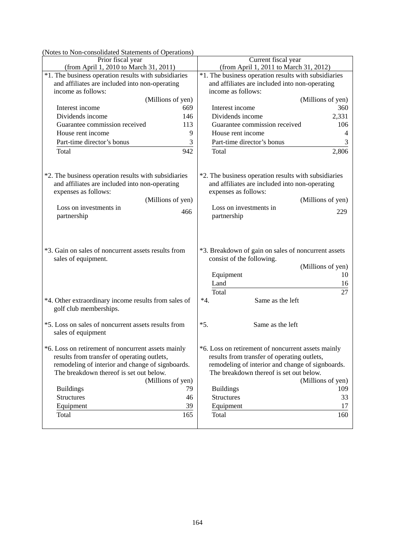| Current fiscal year<br>(from April 1, 2011 to March 31, 2012)                                                                                                                                                                                                                                                  |  |  |
|----------------------------------------------------------------------------------------------------------------------------------------------------------------------------------------------------------------------------------------------------------------------------------------------------------------|--|--|
| *1. The business operation results with subsidiaries                                                                                                                                                                                                                                                           |  |  |
| and affiliates are included into non-operating                                                                                                                                                                                                                                                                 |  |  |
| income as follows:                                                                                                                                                                                                                                                                                             |  |  |
| (Millions of yen)                                                                                                                                                                                                                                                                                              |  |  |
| Interest income<br>360                                                                                                                                                                                                                                                                                         |  |  |
| Dividends income<br>2,331                                                                                                                                                                                                                                                                                      |  |  |
| Guarantee commission received<br>106                                                                                                                                                                                                                                                                           |  |  |
| House rent income<br>$\overline{4}$                                                                                                                                                                                                                                                                            |  |  |
| Part-time director's bonus<br>3                                                                                                                                                                                                                                                                                |  |  |
| 2,806<br>Total                                                                                                                                                                                                                                                                                                 |  |  |
|                                                                                                                                                                                                                                                                                                                |  |  |
| *2. The business operation results with subsidiaries<br>and affiliates are included into non-operating<br>expenses as follows:<br>(Millions of yen)<br>Loss on investments in<br>229<br>partnership                                                                                                            |  |  |
| *3. Breakdown of gain on sales of noncurrent assets<br>consist of the following.<br>(Millions of yen)<br>Equipment<br>10<br>Land<br>16<br>27<br>Total                                                                                                                                                          |  |  |
| $*4.$<br>Same as the left                                                                                                                                                                                                                                                                                      |  |  |
|                                                                                                                                                                                                                                                                                                                |  |  |
| $*5.$<br>Same as the left                                                                                                                                                                                                                                                                                      |  |  |
| *6. Loss on retirement of noncurrent assets mainly<br>results from transfer of operating outlets,<br>remodeling of interior and change of signboards.<br>The breakdown thereof is set out below.<br>(Millions of yen)<br>109<br><b>Buildings</b><br><b>Structures</b><br>33<br>Equipment<br>17<br>160<br>Total |  |  |
|                                                                                                                                                                                                                                                                                                                |  |  |

(Notes to Non-consolidated Statements of Operations)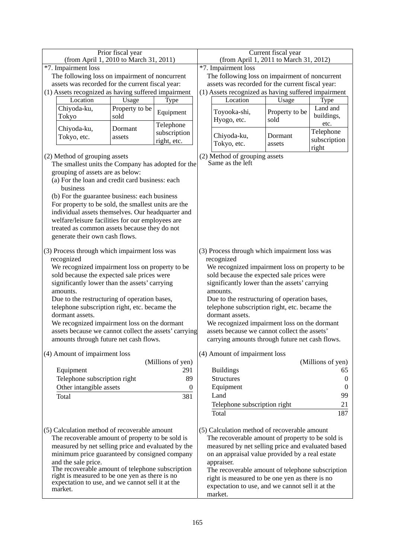| Prior fiscal year<br>(from April 1, 2010 to March 31, 2011)      |                                                  |                   | Current fiscal year<br>(from April 1, 2011 to March 31, 2012)                                      |                                                                                              |                |                   |
|------------------------------------------------------------------|--------------------------------------------------|-------------------|----------------------------------------------------------------------------------------------------|----------------------------------------------------------------------------------------------|----------------|-------------------|
| *7. Impairment loss                                              |                                                  |                   |                                                                                                    | *7. Impairment loss                                                                          |                |                   |
| The following loss on impairment of noncurrent                   |                                                  |                   | The following loss on impairment of noncurrent                                                     |                                                                                              |                |                   |
| assets was recorded for the current fiscal year:                 |                                                  |                   | assets was recorded for the current fiscal year:                                                   |                                                                                              |                |                   |
| (1) Assets recognized as having suffered impairment              |                                                  |                   |                                                                                                    | (1) Assets recognized as having suffered impairment                                          |                |                   |
| Location                                                         | Usage                                            | Type              |                                                                                                    | Location                                                                                     | Usage          | Type              |
| Chiyoda-ku,                                                      | Property to be                                   |                   |                                                                                                    |                                                                                              | Property to be | Land and          |
| Tokyo                                                            | sold                                             | Equipment         |                                                                                                    | Toyooka-shi,<br>Hyogo, etc.                                                                  | sold           | buildings,        |
|                                                                  |                                                  | Telephone         |                                                                                                    |                                                                                              |                | etc.              |
| Chiyoda-ku,<br>Tokyo, etc.                                       | Dormant<br>assets                                | subscription      |                                                                                                    | Chiyoda-ku,                                                                                  | Dormant        | Telephone         |
|                                                                  |                                                  | right, etc.       |                                                                                                    | Tokyo, etc.                                                                                  | assets         | subscription      |
|                                                                  |                                                  |                   |                                                                                                    |                                                                                              |                | right             |
| (2) Method of grouping assets                                    |                                                  |                   |                                                                                                    | (2) Method of grouping assets<br>Same as the left                                            |                |                   |
| The smallest units the Company has adopted for the               |                                                  |                   |                                                                                                    |                                                                                              |                |                   |
| grouping of assets are as below:                                 |                                                  |                   |                                                                                                    |                                                                                              |                |                   |
| (a) For the loan and credit card business: each                  |                                                  |                   |                                                                                                    |                                                                                              |                |                   |
| business<br>(b) For the guarantee business: each business        |                                                  |                   |                                                                                                    |                                                                                              |                |                   |
| For property to be sold, the smallest units are the              |                                                  |                   |                                                                                                    |                                                                                              |                |                   |
| individual assets themselves. Our headquarter and                |                                                  |                   |                                                                                                    |                                                                                              |                |                   |
| welfare/leisure facilities for our employees are                 |                                                  |                   |                                                                                                    |                                                                                              |                |                   |
| treated as common assets because they do not                     |                                                  |                   |                                                                                                    |                                                                                              |                |                   |
| generate their own cash flows.                                   |                                                  |                   |                                                                                                    |                                                                                              |                |                   |
|                                                                  |                                                  |                   |                                                                                                    |                                                                                              |                |                   |
| (3) Process through which impairment loss was                    |                                                  |                   | (3) Process through which impairment loss was                                                      |                                                                                              |                |                   |
| recognized                                                       |                                                  |                   | recognized                                                                                         |                                                                                              |                |                   |
| We recognized impairment loss on property to be                  |                                                  |                   |                                                                                                    | We recognized impairment loss on property to be                                              |                |                   |
| sold because the expected sale prices were                       |                                                  |                   |                                                                                                    | sold because the expected sale prices were                                                   |                |                   |
| significantly lower than the assets' carrying                    |                                                  |                   |                                                                                                    | significantly lower than the assets' carrying                                                |                |                   |
| amounts.                                                         |                                                  |                   |                                                                                                    | amounts.                                                                                     |                |                   |
| Due to the restructuring of operation bases,                     |                                                  |                   |                                                                                                    | Due to the restructuring of operation bases,                                                 |                |                   |
| telephone subscription right, etc. became the<br>dormant assets. |                                                  |                   |                                                                                                    | telephone subscription right, etc. became the                                                |                |                   |
| We recognized impairment loss on the dormant                     |                                                  |                   |                                                                                                    | dormant assets.                                                                              |                |                   |
| assets because we cannot collect the assets' carrying            |                                                  |                   |                                                                                                    | We recognized impairment loss on the dormant<br>assets because we cannot collect the assets' |                |                   |
| amounts through future net cash flows.                           |                                                  |                   |                                                                                                    | carrying amounts through future net cash flows.                                              |                |                   |
|                                                                  |                                                  |                   |                                                                                                    |                                                                                              |                |                   |
| (4) Amount of impairment loss                                    |                                                  |                   |                                                                                                    | (4) Amount of impairment loss                                                                |                |                   |
|                                                                  |                                                  | (Millions of yen) |                                                                                                    |                                                                                              |                | (Millions of yen) |
| Equipment                                                        |                                                  | 291               |                                                                                                    | <b>Buildings</b>                                                                             |                | 65                |
| Telephone subscription right                                     |                                                  | 89                |                                                                                                    | <b>Structures</b>                                                                            |                | $\theta$          |
| Other intangible assets                                          |                                                  | $\theta$          |                                                                                                    | Equipment                                                                                    |                | $\theta$          |
| Total                                                            |                                                  | 381               |                                                                                                    | Land                                                                                         |                | 99                |
|                                                                  |                                                  |                   |                                                                                                    | Telephone subscription right                                                                 |                | 21                |
|                                                                  |                                                  |                   |                                                                                                    | Total                                                                                        |                | 187               |
|                                                                  |                                                  |                   |                                                                                                    |                                                                                              |                |                   |
| (5) Calculation method of recoverable amount                     |                                                  |                   |                                                                                                    | (5) Calculation method of recoverable amount                                                 |                |                   |
| The recoverable amount of property to be sold is                 |                                                  |                   |                                                                                                    | The recoverable amount of property to be sold is                                             |                |                   |
| measured by net selling price and evaluated by the               |                                                  |                   |                                                                                                    | measured by net selling price and evaluated based                                            |                |                   |
| minimum price guaranteed by consigned company                    |                                                  |                   |                                                                                                    | on an appraisal value provided by a real estate                                              |                |                   |
| and the sale price.                                              | The recoverable amount of telephone subscription |                   |                                                                                                    | appraiser.                                                                                   |                |                   |
| right is measured to be one yen as there is no                   |                                                  |                   | The recoverable amount of telephone subscription                                                   |                                                                                              |                |                   |
| expectation to use, and we cannot sell it at the                 |                                                  |                   | right is measured to be one yen as there is no<br>expectation to use, and we cannot sell it at the |                                                                                              |                |                   |
| market.                                                          |                                                  |                   |                                                                                                    |                                                                                              |                |                   |
|                                                                  |                                                  |                   |                                                                                                    | market.                                                                                      |                |                   |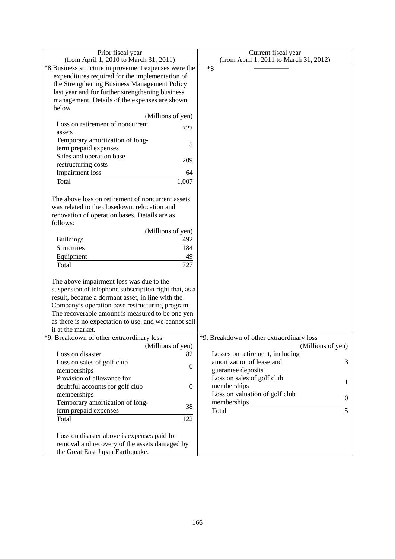| Prior fiscal year<br>(from April 1, 2010 to March 31, 2011) | Current fiscal year<br>(from April 1, 2011 to March 31, 2012) |
|-------------------------------------------------------------|---------------------------------------------------------------|
| *8. Business structure improvement expenses were the        | $*8$                                                          |
| expenditures required for the implementation of             |                                                               |
| the Strengthening Business Management Policy                |                                                               |
| last year and for further strengthening business            |                                                               |
| management. Details of the expenses are shown               |                                                               |
| below.                                                      |                                                               |
| (Millions of yen)                                           |                                                               |
| Loss on retirement of noncurrent                            |                                                               |
| 727<br>assets                                               |                                                               |
| Temporary amortization of long-                             |                                                               |
| 5<br>term prepaid expenses                                  |                                                               |
| Sales and operation base                                    |                                                               |
| 209<br>restructuring costs                                  |                                                               |
| <b>Impairment</b> loss<br>64                                |                                                               |
| Total<br>1,007                                              |                                                               |
|                                                             |                                                               |
| The above loss on retirement of noncurrent assets           |                                                               |
| was related to the closedown, relocation and                |                                                               |
| renovation of operation bases. Details are as               |                                                               |
| follows:                                                    |                                                               |
| (Millions of yen)                                           |                                                               |
| 492<br><b>Buildings</b>                                     |                                                               |
| 184<br><b>Structures</b>                                    |                                                               |
| 49<br>Equipment                                             |                                                               |
| 727<br>Total                                                |                                                               |
|                                                             |                                                               |
| The above impairment loss was due to the                    |                                                               |
| suspension of telephone subscription right that, as a       |                                                               |
| result, became a dormant asset, in line with the            |                                                               |
| Company's operation base restructuring program.             |                                                               |
| The recoverable amount is measured to be one yen            |                                                               |
| as there is no expectation to use, and we cannot sell       |                                                               |
| it at the market.                                           |                                                               |
| *9. Breakdown of other extraordinary loss                   | *9. Breakdown of other extraordinary loss                     |
| (Millions of yen)                                           | (Millions of yen)                                             |
| Loss on disaster<br>82                                      | Losses on retirement, including                               |
| Loss on sales of golf club<br>$\boldsymbol{0}$              | amortization of lease and<br>3                                |
| memberships                                                 | guarantee deposits                                            |
| Provision of allowance for                                  | Loss on sales of golf club<br>1                               |
| doubtful accounts for golf club<br>$\boldsymbol{0}$         | memberships                                                   |
| memberships                                                 | Loss on valuation of golf club<br>$\theta$                    |
| Temporary amortization of long-<br>38                       | memberships                                                   |
| term prepaid expenses                                       | Total<br>5                                                    |
| Total<br>122                                                |                                                               |
|                                                             |                                                               |
| Loss on disaster above is expenses paid for                 |                                                               |
| removal and recovery of the assets damaged by               |                                                               |
| the Great East Japan Earthquake.                            |                                                               |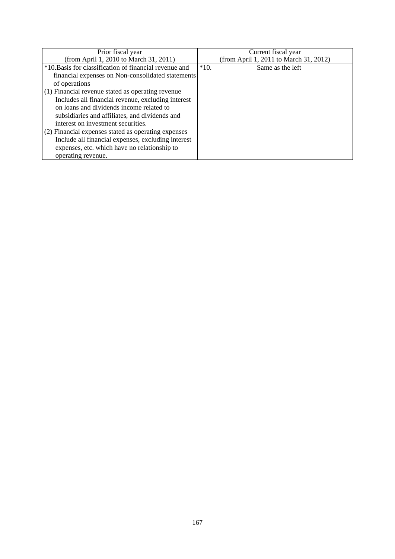| Prior fiscal year                                      | Current fiscal year                    |
|--------------------------------------------------------|----------------------------------------|
| (from April 1, 2010 to March 31, 2011)                 | (from April 1, 2011 to March 31, 2012) |
| *10. Basis for classification of financial revenue and | $*10.$<br>Same as the left             |
| financial expenses on Non-consolidated statements      |                                        |
| of operations                                          |                                        |
| (1) Financial revenue stated as operating revenue      |                                        |
| Includes all financial revenue, excluding interest     |                                        |
| on loans and dividends income related to               |                                        |
| subsidiaries and affiliates, and dividends and         |                                        |
| interest on investment securities.                     |                                        |
| (2) Financial expenses stated as operating expenses    |                                        |
| Include all financial expenses, excluding interest     |                                        |
| expenses, etc. which have no relationship to           |                                        |
| operating revenue.                                     |                                        |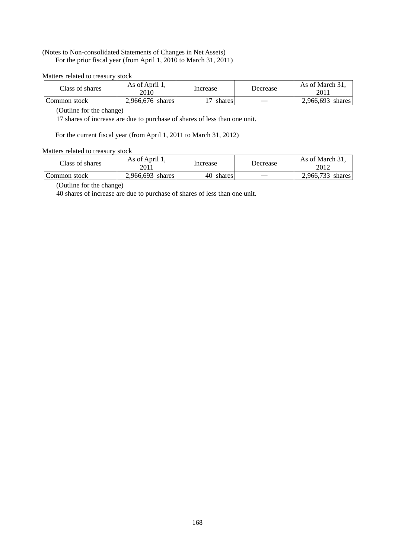### (Notes to Non-consolidated Statements of Changes in Net Assets) For the prior fiscal year (from April 1, 2010 to March 31, 2011)

#### Matters related to treasury stock

| Class of shares | As of April 1,<br>2010 | Increase | Decrease | As of March 31.<br>2011 |
|-----------------|------------------------|----------|----------|-------------------------|
| Common stock    | 2.966.676 shares       | shares.  |          | $2,966,693$ shares      |

(Outline for the change)

17 shares of increase are due to purchase of shares of less than one unit.

For the current fiscal year (from April 1, 2011 to March 31, 2012)

#### Matters related to treasury stock

| Class of shares | As of April 1,<br>2011 | Increase     | Decrease | As of March 31,<br>2012 |
|-----------------|------------------------|--------------|----------|-------------------------|
| Common stock    | 2.966.693 shares       | 40<br>shares |          | 2.966.733<br>shares     |

(Outline for the change)

40 shares of increase are due to purchase of shares of less than one unit.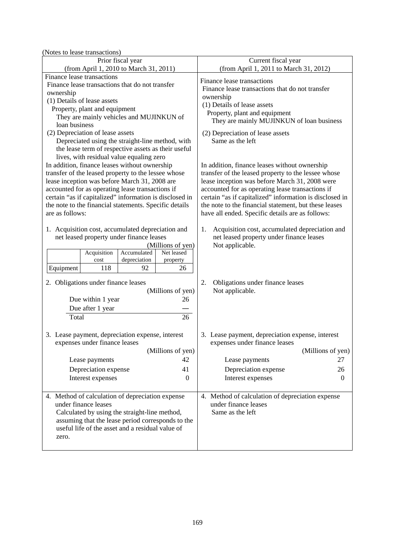(Notes to lease transactions)

| (TWICS to ICASC transactions)                                                                                                                                                                                                                                                                                                                                                                        |                                                                                                                                                                                                                          |  |  |
|------------------------------------------------------------------------------------------------------------------------------------------------------------------------------------------------------------------------------------------------------------------------------------------------------------------------------------------------------------------------------------------------------|--------------------------------------------------------------------------------------------------------------------------------------------------------------------------------------------------------------------------|--|--|
| Prior fiscal year                                                                                                                                                                                                                                                                                                                                                                                    | Current fiscal year<br>(from April 1, 2011 to March 31, 2012)                                                                                                                                                            |  |  |
| (from April 1, 2010 to March 31, 2011)<br>Finance lease transactions                                                                                                                                                                                                                                                                                                                                 |                                                                                                                                                                                                                          |  |  |
| Finance lease transactions that do not transfer<br>ownership<br>(1) Details of lease assets<br>Property, plant and equipment<br>They are mainly vehicles and MUJINKUN of<br>loan business                                                                                                                                                                                                            | Finance lease transactions<br>Finance lease transactions that do not transfer<br>ownership<br>(1) Details of lease assets<br>Property, plant and equipment<br>They are mainly MUJINKUN of loan business                  |  |  |
| (2) Depreciation of lease assets<br>Depreciated using the straight-line method, with<br>the lease term of respective assets as their useful<br>lives, with residual value equaling zero<br>In addition, finance leases without ownership<br>transfer of the leased property to the lessee whose<br>lease inception was before March 31, 2008 are<br>accounted for as operating lease transactions if | (2) Depreciation of lease assets<br>Same as the left<br>In addition, finance leases without ownership<br>transfer of the leased property to the lessee whose<br>lease inception was before March 31, 2008 were           |  |  |
| certain "as if capitalized" information is disclosed in<br>the note to the financial statements. Specific details<br>are as follows:                                                                                                                                                                                                                                                                 | accounted for as operating lease transactions if<br>certain "as if capitalized" information is disclosed in<br>the note to the financial statement, but these leases<br>have all ended. Specific details are as follows: |  |  |
| 1. Acquisition cost, accumulated depreciation and<br>net leased property under finance leases<br>(Millions of yen)<br>Accumulated<br>Acquisition<br>Net leased<br>depreciation<br>cost<br>property<br>Equipment<br>118<br>92<br>26                                                                                                                                                                   | Acquisition cost, accumulated depreciation and<br>1.<br>net leased property under finance leases<br>Not applicable.                                                                                                      |  |  |
| 2. Obligations under finance leases<br>(Millions of yen)<br>Due within 1 year<br>26<br>Due after 1 year<br>26<br>Total                                                                                                                                                                                                                                                                               | 2.<br>Obligations under finance leases<br>Not applicable.                                                                                                                                                                |  |  |
| 3. Lease payment, depreciation expense, interest<br>expenses under finance leases<br>(Millions of yen)<br>42<br>Lease payments<br>Depreciation expense<br>41<br>Interest expenses<br>$\boldsymbol{0}$                                                                                                                                                                                                | 3. Lease payment, depreciation expense, interest<br>expenses under finance leases<br>(Millions of yen)<br>27<br>Lease payments<br>Depreciation expense<br>26<br>Interest expenses<br>$\theta$                            |  |  |
| 4. Method of calculation of depreciation expense<br>under finance leases<br>Calculated by using the straight-line method,<br>assuming that the lease period corresponds to the<br>useful life of the asset and a residual value of<br>zero.                                                                                                                                                          | 4. Method of calculation of depreciation expense<br>under finance leases<br>Same as the left                                                                                                                             |  |  |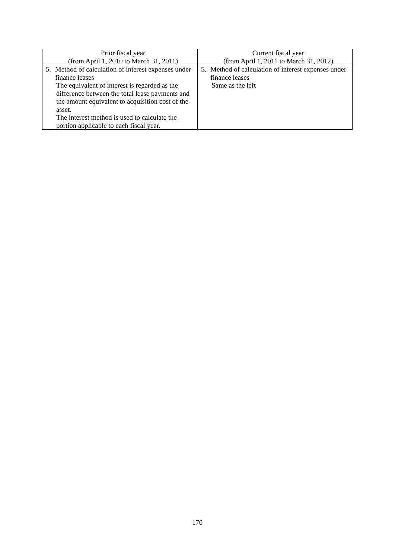| Prior fiscal year                                   | Current fiscal year                                 |
|-----------------------------------------------------|-----------------------------------------------------|
| (from April 1, 2010 to March 31, 2011)              | (from April 1, 2011 to March 31, 2012)              |
| 5. Method of calculation of interest expenses under | 5. Method of calculation of interest expenses under |
| finance leases                                      | finance leases                                      |
| The equivalent of interest is regarded as the       | Same as the left                                    |
| difference between the total lease payments and     |                                                     |
| the amount equivalent to acquisition cost of the    |                                                     |
| asset.                                              |                                                     |
| The interest method is used to calculate the        |                                                     |
| portion applicable to each fiscal year.             |                                                     |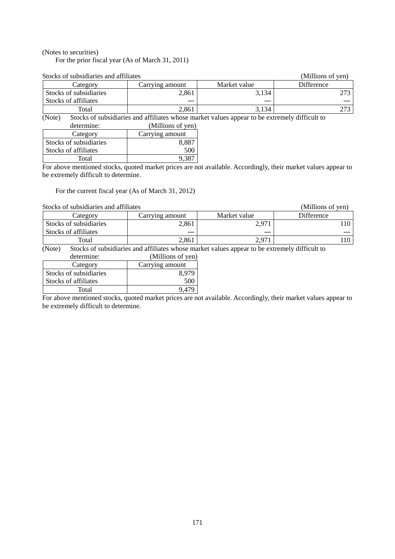### (Notes to securities)

For the prior fiscal year (As of March 31, 2011)

| Stocks of subsidiaries and affiliates                                                                                           |                 |              | (Millions of yen) |  |
|---------------------------------------------------------------------------------------------------------------------------------|-----------------|--------------|-------------------|--|
| Category                                                                                                                        | Carrying amount | Market value | Difference        |  |
| Stocks of subsidiaries                                                                                                          | 2,861           | 3.134        |                   |  |
| Stocks of affiliates                                                                                                            |                 |              |                   |  |
| Total                                                                                                                           | 2,861           | 3.134        |                   |  |
| Stoolse of exhaigliarias and efficies whose merket values ennear to be extremely difficult to<br>$(\mathbf{N}_{\alpha+\alpha})$ |                 |              |                   |  |

(Note) Stocks of subsidiaries and affiliates whose market values appear to be extremely difficult to determine: (Millions of yen)<br>Category | Carrying amount Carrying amount Stocks of subsidiaries 8,887<br>Stocks of affiliates 500 Stocks of affiliates

For above mentioned stocks, quoted market prices are not available. Accordingly, their market values appear to be extremely difficult to determine.

For the current fiscal year (As of March 31, 2012)

Total 9,387

Stocks of subsidiaries and affiliates (Millions of yen)

| Stocks of subsidiaries and all mates | (TVITHIOIIS UI VUIT) |              |            |
|--------------------------------------|----------------------|--------------|------------|
| Category                             | Carrving amount      | Market value | Difference |
| Stocks of subsidiaries               | 2.861                | 2. Q71       | 110        |
| Stocks of affiliates                 |                      |              |            |
| Total                                | 2.861                | 2 Q.Z        |            |
|                                      |                      |              |            |

(Note) Stocks of subsidiaries and affiliates whose market values appear to be extremely difficult to determine: (Millions of yen)

| Category               | Carrying amount |
|------------------------|-----------------|
| Stocks of subsidiaries | 8979            |
| Stocks of affiliates   | 70 N            |
| Total                  |                 |

For above mentioned stocks, quoted market prices are not available. Accordingly, their market values appear to be extremely difficult to determine.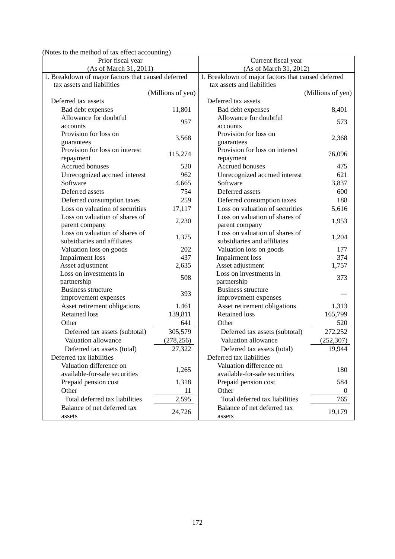(Notes to the method of tax effect accounting)

| Prior fiscal year                                  |                   | Current fiscal year                                |                   |
|----------------------------------------------------|-------------------|----------------------------------------------------|-------------------|
| (As of March 31, 2011)                             |                   | (As of March 31, 2012)                             |                   |
| 1. Breakdown of major factors that caused deferred |                   | 1. Breakdown of major factors that caused deferred |                   |
| tax assets and liabilities                         |                   | tax assets and liabilities                         |                   |
|                                                    | (Millions of yen) |                                                    | (Millions of yen) |
| Deferred tax assets                                |                   | Deferred tax assets                                |                   |
| Bad debt expenses                                  | 11,801            | Bad debt expenses                                  | 8,401             |
| Allowance for doubtful                             |                   | Allowance for doubtful                             | 573               |
| accounts                                           | 957               | accounts                                           |                   |
| Provision for loss on                              | 3,568             | Provision for loss on                              | 2,368             |
| guarantees                                         |                   | guarantees                                         |                   |
| Provision for loss on interest                     | 115,274           | Provision for loss on interest                     | 76,096            |
| repayment                                          |                   | repayment                                          |                   |
| <b>Accrued bonuses</b>                             | 520               | Accrued bonuses                                    | 475               |
| Unrecognized accrued interest                      | 962               | Unrecognized accrued interest                      | 621               |
| Software                                           | 4,665             | Software                                           | 3,837             |
| Deferred assets                                    | 754               | Deferred assets                                    | 600               |
| Deferred consumption taxes                         | 259               | Deferred consumption taxes                         | 188               |
| Loss on valuation of securities                    | 17,117            | Loss on valuation of securities                    | 5,616             |
| Loss on valuation of shares of                     | 2,230             | Loss on valuation of shares of                     | 1,953             |
| parent company                                     |                   | parent company                                     |                   |
| Loss on valuation of shares of                     | 1,375             | Loss on valuation of shares of                     | 1,204             |
| subsidiaries and affiliates                        |                   | subsidiaries and affiliates                        |                   |
| Valuation loss on goods                            | 202               | Valuation loss on goods                            | 177               |
| <b>Impairment</b> loss                             | 437               | <b>Impairment</b> loss                             | 374               |
| Asset adjustment                                   | 2,635             | Asset adjustment                                   | 1,757             |
| Loss on investments in                             | 508               | Loss on investments in                             | 373               |
| partnership                                        |                   | partnership                                        |                   |
| <b>Business structure</b>                          | 393               | <b>Business structure</b>                          |                   |
| improvement expenses                               |                   | improvement expenses                               |                   |
| Asset retirement obligations                       | 1,461             | Asset retirement obligations                       | 1,313             |
| <b>Retained loss</b>                               | 139,811           | <b>Retained loss</b>                               | 165,799           |
| Other                                              | 641               | Other                                              | 520               |
| Deferred tax assets (subtotal)                     | 305,579           | Deferred tax assets (subtotal)                     | 272,252           |
| Valuation allowance                                | (278, 256)        | Valuation allowance                                | (252, 307)        |
| Deferred tax assets (total)                        | 27,322            | Deferred tax assets (total)                        | 19,944            |
| Deferred tax liabilities                           |                   | Deferred tax liabilities                           |                   |
| Valuation difference on                            | 1,265             | Valuation difference on                            | 180               |
| available-for-sale securities                      |                   | available-for-sale securities                      |                   |
| Prepaid pension cost                               | 1,318             | Prepaid pension cost                               | 584               |
| Other                                              | 11                | Other                                              | $\boldsymbol{0}$  |
| Total deferred tax liabilities                     | 2,595             | Total deferred tax liabilities                     | 765               |
| Balance of net deferred tax                        | 24,726            | Balance of net deferred tax                        | 19,179            |
| assets                                             |                   | assets                                             |                   |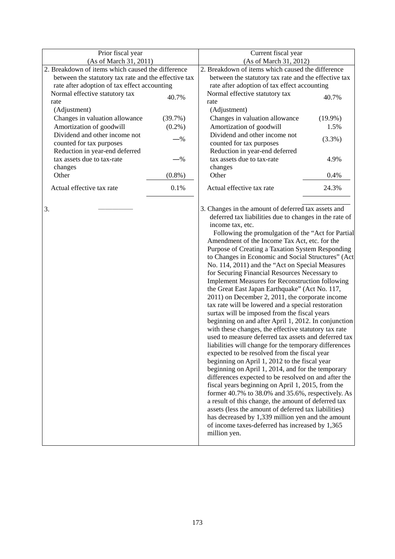| Prior fiscal year                                    |           | Current fiscal year                                                                                                                                                                                                                                                                                                                                                                                                                                                                                                                                                                                                                                                                                                                                                                                                                                                                                                                                                                                                                                                                                                                                                                                                                                                                                                                                                                                                                                                                                                         |            |
|------------------------------------------------------|-----------|-----------------------------------------------------------------------------------------------------------------------------------------------------------------------------------------------------------------------------------------------------------------------------------------------------------------------------------------------------------------------------------------------------------------------------------------------------------------------------------------------------------------------------------------------------------------------------------------------------------------------------------------------------------------------------------------------------------------------------------------------------------------------------------------------------------------------------------------------------------------------------------------------------------------------------------------------------------------------------------------------------------------------------------------------------------------------------------------------------------------------------------------------------------------------------------------------------------------------------------------------------------------------------------------------------------------------------------------------------------------------------------------------------------------------------------------------------------------------------------------------------------------------------|------------|
| (As of March 31, 2011)                               |           | (As of March 31, 2012)                                                                                                                                                                                                                                                                                                                                                                                                                                                                                                                                                                                                                                                                                                                                                                                                                                                                                                                                                                                                                                                                                                                                                                                                                                                                                                                                                                                                                                                                                                      |            |
| 2. Breakdown of items which caused the difference    |           | 2. Breakdown of items which caused the difference                                                                                                                                                                                                                                                                                                                                                                                                                                                                                                                                                                                                                                                                                                                                                                                                                                                                                                                                                                                                                                                                                                                                                                                                                                                                                                                                                                                                                                                                           |            |
| between the statutory tax rate and the effective tax |           | between the statutory tax rate and the effective tax                                                                                                                                                                                                                                                                                                                                                                                                                                                                                                                                                                                                                                                                                                                                                                                                                                                                                                                                                                                                                                                                                                                                                                                                                                                                                                                                                                                                                                                                        |            |
| rate after adoption of tax effect accounting         |           | rate after adoption of tax effect accounting                                                                                                                                                                                                                                                                                                                                                                                                                                                                                                                                                                                                                                                                                                                                                                                                                                                                                                                                                                                                                                                                                                                                                                                                                                                                                                                                                                                                                                                                                |            |
| Normal effective statutory tax                       | 40.7%     | Normal effective statutory tax                                                                                                                                                                                                                                                                                                                                                                                                                                                                                                                                                                                                                                                                                                                                                                                                                                                                                                                                                                                                                                                                                                                                                                                                                                                                                                                                                                                                                                                                                              | 40.7%      |
| rate                                                 |           | rate                                                                                                                                                                                                                                                                                                                                                                                                                                                                                                                                                                                                                                                                                                                                                                                                                                                                                                                                                                                                                                                                                                                                                                                                                                                                                                                                                                                                                                                                                                                        |            |
| (Adjustment)                                         |           | (Adjustment)                                                                                                                                                                                                                                                                                                                                                                                                                                                                                                                                                                                                                                                                                                                                                                                                                                                                                                                                                                                                                                                                                                                                                                                                                                                                                                                                                                                                                                                                                                                |            |
| Changes in valuation allowance                       | (39.7%)   | Changes in valuation allowance                                                                                                                                                                                                                                                                                                                                                                                                                                                                                                                                                                                                                                                                                                                                                                                                                                                                                                                                                                                                                                                                                                                                                                                                                                                                                                                                                                                                                                                                                              | $(19.9\%)$ |
| Amortization of goodwill                             | $(0.2\%)$ | Amortization of goodwill                                                                                                                                                                                                                                                                                                                                                                                                                                                                                                                                                                                                                                                                                                                                                                                                                                                                                                                                                                                                                                                                                                                                                                                                                                                                                                                                                                                                                                                                                                    | 1.5%       |
| Dividend and other income not                        | $-$ %     | Dividend and other income not                                                                                                                                                                                                                                                                                                                                                                                                                                                                                                                                                                                                                                                                                                                                                                                                                                                                                                                                                                                                                                                                                                                                                                                                                                                                                                                                                                                                                                                                                               | $(3.3\%)$  |
| counted for tax purposes                             |           | counted for tax purposes                                                                                                                                                                                                                                                                                                                                                                                                                                                                                                                                                                                                                                                                                                                                                                                                                                                                                                                                                                                                                                                                                                                                                                                                                                                                                                                                                                                                                                                                                                    |            |
| Reduction in year-end deferred                       |           | Reduction in year-end deferred                                                                                                                                                                                                                                                                                                                                                                                                                                                                                                                                                                                                                                                                                                                                                                                                                                                                                                                                                                                                                                                                                                                                                                                                                                                                                                                                                                                                                                                                                              |            |
| tax assets due to tax-rate                           | $-$ %     | tax assets due to tax-rate                                                                                                                                                                                                                                                                                                                                                                                                                                                                                                                                                                                                                                                                                                                                                                                                                                                                                                                                                                                                                                                                                                                                                                                                                                                                                                                                                                                                                                                                                                  | 4.9%       |
| changes                                              |           | changes                                                                                                                                                                                                                                                                                                                                                                                                                                                                                                                                                                                                                                                                                                                                                                                                                                                                                                                                                                                                                                                                                                                                                                                                                                                                                                                                                                                                                                                                                                                     |            |
| Other                                                | $(0.8\%)$ | Other                                                                                                                                                                                                                                                                                                                                                                                                                                                                                                                                                                                                                                                                                                                                                                                                                                                                                                                                                                                                                                                                                                                                                                                                                                                                                                                                                                                                                                                                                                                       | 0.4%       |
| Actual effective tax rate                            | 0.1%      | Actual effective tax rate                                                                                                                                                                                                                                                                                                                                                                                                                                                                                                                                                                                                                                                                                                                                                                                                                                                                                                                                                                                                                                                                                                                                                                                                                                                                                                                                                                                                                                                                                                   | 24.3%      |
| 3.                                                   |           | 3. Changes in the amount of deferred tax assets and<br>deferred tax liabilities due to changes in the rate of<br>income tax, etc.<br>Following the promulgation of the "Act for Partial<br>Amendment of the Income Tax Act, etc. for the<br>Purpose of Creating a Taxation System Responding<br>to Changes in Economic and Social Structures" (Act<br>No. 114, 2011) and the "Act on Special Measures<br>for Securing Financial Resources Necessary to<br><b>Implement Measures for Reconstruction following</b><br>the Great East Japan Earthquake" (Act No. 117,<br>2011) on December 2, 2011, the corporate income<br>tax rate will be lowered and a special restoration<br>surtax will be imposed from the fiscal years<br>beginning on and after April 1, 2012. In conjunction<br>with these changes, the effective statutory tax rate<br>used to measure deferred tax assets and deferred tax<br>liabilities will change for the temporary differences<br>expected to be resolved from the fiscal year<br>beginning on April 1, 2012 to the fiscal year<br>beginning on April 1, 2014, and for the temporary<br>differences expected to be resolved on and after the<br>fiscal years beginning on April 1, 2015, from the<br>former 40.7% to 38.0% and 35.6%, respectively. As<br>a result of this change, the amount of deferred tax<br>assets (less the amount of deferred tax liabilities)<br>has decreased by 1,339 million yen and the amount<br>of income taxes-deferred has increased by 1,365<br>million yen. |            |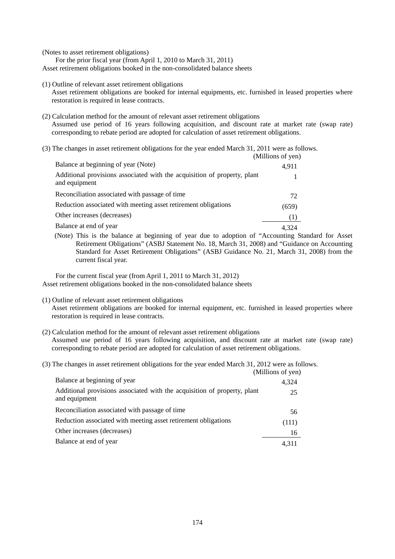(Notes to asset retirement obligations)

For the prior fiscal year (from April 1, 2010 to March 31, 2011) Asset retirement obligations booked in the non-consolidated balance sheets

(1) Outline of relevant asset retirement obligations

Asset retirement obligations are booked for internal equipments, etc. furnished in leased properties where restoration is required in lease contracts.

(2) Calculation method for the amount of relevant asset retirement obligations Assumed use period of 16 years following acquisition, and discount rate at market rate (swap rate) corresponding to rebate period are adopted for calculation of asset retirement obligations.

(3) The changes in asset retirement obligations for the year ended March 31, 2011 were as follows.

| (Millions of yen) |
|-------------------|
| 4.911             |
|                   |
| 72                |
| (659)             |
| (1)               |
| 4 324             |
|                   |

(Note) This is the balance at beginning of year due to adoption of "Accounting Standard for Asset Retirement Obligations" (ASBJ Statement No. 18, March 31, 2008) and "Guidance on Accounting Standard for Asset Retirement Obligations" (ASBJ Guidance No. 21, March 31, 2008) from the current fiscal year.

For the current fiscal year (from April 1, 2011 to March 31, 2012) Asset retirement obligations booked in the non-consolidated balance sheets

(1) Outline of relevant asset retirement obligations

Asset retirement obligations are booked for internal equipment, etc. furnished in leased properties where restoration is required in lease contracts.

- (2) Calculation method for the amount of relevant asset retirement obligations Assumed use period of 16 years following acquisition, and discount rate at market rate (swap rate) corresponding to rebate period are adopted for calculation of asset retirement obligations.
- (3) The changes in asset retirement obligations for the year ended March 31, 2012 were as follows.

|                                                                                           | (Millions of yen) |
|-------------------------------------------------------------------------------------------|-------------------|
| Balance at beginning of year                                                              | 4,324             |
| Additional provisions associated with the acquisition of property, plant<br>and equipment | 25                |
| Reconciliation associated with passage of time                                            | 56                |
| Reduction associated with meeting asset retirement obligations                            | (111)             |
| Other increases (decreases)                                                               | 16                |
| Balance at end of year                                                                    | 4.311             |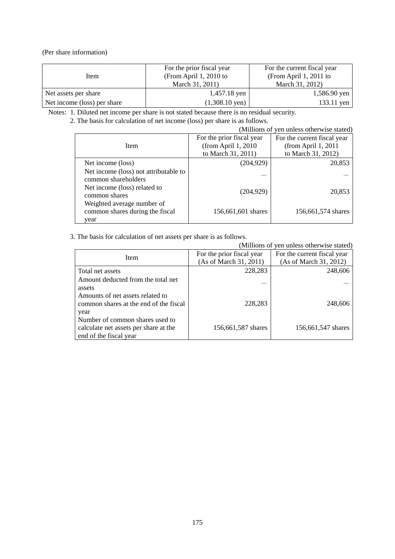(Per share information)

| Item                        | For the prior fiscal year<br>(From April 1, 2010 to<br>March 31, 2011) | For the current fiscal year<br>(From April 1, 2011 to<br>March 31, 2012) |
|-----------------------------|------------------------------------------------------------------------|--------------------------------------------------------------------------|
| Net assets per share        | 1,457.18 yen                                                           | 1,586.90 yen                                                             |
| Net income (loss) per share | $(1,308.10 \text{ yen})$                                               | $133.11$ yen                                                             |

Notes: 1. Diluted net income per share is not stated because there is no residual security.

2. The basis for calculation of net income (loss) per share is as follows.

| (Millions of yen unless otherwise stated) |                           |                             |  |
|-------------------------------------------|---------------------------|-----------------------------|--|
|                                           | For the prior fiscal year | For the current fiscal year |  |
| Item                                      | (from April $1,2010$      | (from April 1, 2011)        |  |
|                                           | to March 31, 2011)        | to March 31, 2012)          |  |
| Net income (loss)                         | (204, 929)                | 20,853                      |  |
| Net income (loss) not attributable to     |                           |                             |  |
| common shareholders                       |                           |                             |  |
| Net income (loss) related to              | (204, 929)                | 20,853                      |  |
| common shares                             |                           |                             |  |
| Weighted average number of                |                           |                             |  |
| common shares during the fiscal           | 156,661,601 shares        | 156,661,574 shares          |  |
| vear                                      |                           |                             |  |

3. The basis for calculation of net assets per share is as follows.

| (Millions of yen unless otherwise stated) |                           |                             |  |
|-------------------------------------------|---------------------------|-----------------------------|--|
| <b>Item</b>                               | For the prior fiscal year | For the current fiscal year |  |
|                                           | (As of March 31, 2011)    | (As of March 31, 2012)      |  |
| Total net assets                          | 228,283                   | 248,606                     |  |
| Amount deducted from the total net        |                           |                             |  |
| assets                                    |                           |                             |  |
| Amounts of net assets related to          |                           |                             |  |
| common shares at the end of the fiscal    | 228,283                   | 248,606                     |  |
| year                                      |                           |                             |  |
| Number of common shares used to           |                           |                             |  |
| calculate net assets per share at the     | 156,661,587 shares        | 156,661,547 shares          |  |
| end of the fiscal year                    |                           |                             |  |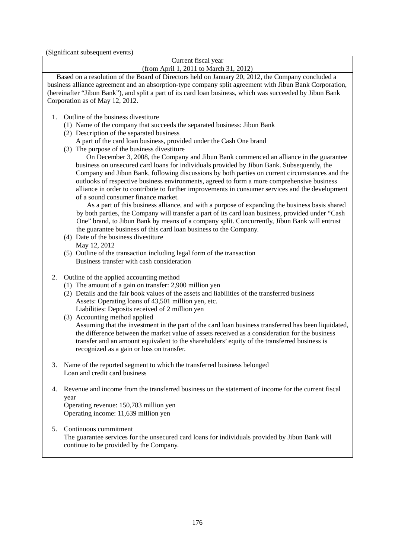(Significant subsequent events)

| Current fiscal year                                                                                                                                                                                                                                                                                                                                                                                                                                                                                                             |
|---------------------------------------------------------------------------------------------------------------------------------------------------------------------------------------------------------------------------------------------------------------------------------------------------------------------------------------------------------------------------------------------------------------------------------------------------------------------------------------------------------------------------------|
| (from April 1, 2011 to March 31, 2012)                                                                                                                                                                                                                                                                                                                                                                                                                                                                                          |
| Based on a resolution of the Board of Directors held on January 20, 2012, the Company concluded a<br>business alliance agreement and an absorption-type company split agreement with Jibun Bank Corporation,<br>(hereinafter "Jibun Bank"), and split a part of its card loan business, which was succeeded by Jibun Bank<br>Corporation as of May 12, 2012.                                                                                                                                                                    |
| Outline of the business divestiture<br>1.                                                                                                                                                                                                                                                                                                                                                                                                                                                                                       |
| (1) Name of the company that succeeds the separated business: Jibun Bank<br>(2) Description of the separated business                                                                                                                                                                                                                                                                                                                                                                                                           |
| A part of the card loan business, provided under the Cash One brand<br>(3) The purpose of the business divestiture                                                                                                                                                                                                                                                                                                                                                                                                              |
| On December 3, 2008, the Company and Jibun Bank commenced an alliance in the guarantee<br>business on unsecured card loans for individuals provided by Jibun Bank. Subsequently, the<br>Company and Jibun Bank, following discussions by both parties on current circumstances and the<br>outlooks of respective business environments, agreed to form a more comprehensive business<br>alliance in order to contribute to further improvements in consumer services and the development<br>of a sound consumer finance market. |
| As a part of this business alliance, and with a purpose of expanding the business basis shared<br>by both parties, the Company will transfer a part of its card loan business, provided under "Cash<br>One" brand, to Jibun Bank by means of a company split. Concurrently, Jibun Bank will entrust<br>the guarantee business of this card loan business to the Company.<br>(4) Date of the business divestiture                                                                                                                |
| May 12, 2012<br>(5) Outline of the transaction including legal form of the transaction<br>Business transfer with cash consideration                                                                                                                                                                                                                                                                                                                                                                                             |
| Outline of the applied accounting method<br>2.<br>(1) The amount of a gain on transfer: 2,900 million yen<br>(2) Details and the fair book values of the assets and liabilities of the transferred business<br>Assets: Operating loans of 43,501 million yen, etc.<br>Liabilities: Deposits received of 2 million yen<br>(3) Accounting method applied                                                                                                                                                                          |
| Assuming that the investment in the part of the card loan business transferred has been liquidated,<br>the difference between the market value of assets received as a consideration for the business<br>transfer and an amount equivalent to the shareholders' equity of the transferred business is<br>recognized as a gain or loss on transfer.                                                                                                                                                                              |
| Name of the reported segment to which the transferred business belonged<br>3.<br>Loan and credit card business                                                                                                                                                                                                                                                                                                                                                                                                                  |
| Revenue and income from the transferred business on the statement of income for the current fiscal<br>4.<br>year<br>Operating revenue: 150,783 million yen<br>Operating income: 11,639 million yen                                                                                                                                                                                                                                                                                                                              |
| Continuous commitment<br>5.<br>The guarantee services for the unsecured card loans for individuals provided by Jibun Bank will                                                                                                                                                                                                                                                                                                                                                                                                  |

continue to be provided by the Company.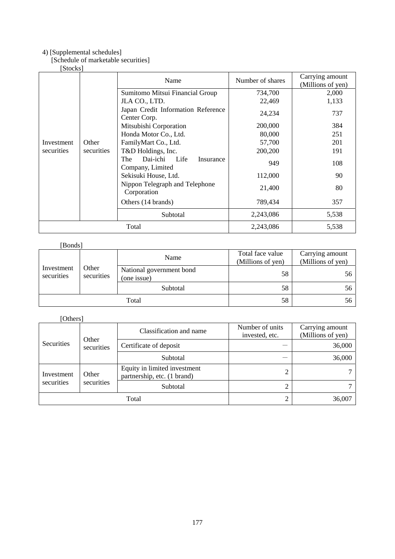## 4) [Supplemental schedules]

## [Schedule of marketable securities]

## [Stocks]

| La 1                     |                                               | Name                                                     | Number of shares | Carrying amount<br>(Millions of yen) |
|--------------------------|-----------------------------------------------|----------------------------------------------------------|------------------|--------------------------------------|
|                          |                                               | Sumitomo Mitsui Financial Group                          | 734,700          | 2,000                                |
|                          |                                               | JLA CO., LTD.                                            | 22,469           | 1,133                                |
|                          |                                               | Japan Credit Information Reference<br>Center Corp.       | 24,234           | 737                                  |
|                          |                                               | Mitsubishi Corporation                                   | 200,000          | 384                                  |
|                          |                                               | Honda Motor Co., Ltd.                                    | 80,000           | 251                                  |
| Investment               | Other                                         | FamilyMart Co., Ltd.                                     | 57,700           | 201                                  |
| securities<br>securities | T&D Holdings, Inc.                            | 200,200                                                  | 191              |                                      |
|                          |                                               | Dai-ichi<br>The<br>Life<br>Insurance<br>Company, Limited | 949              | 108                                  |
|                          |                                               | Sekisuki House, Ltd.                                     | 112,000          | 90                                   |
|                          | Nippon Telegraph and Telephone<br>Corporation | 21,400                                                   | 80               |                                      |
|                          | Others (14 brands)                            | 789,434                                                  | 357              |                                      |
|                          |                                               | Subtotal                                                 | 2,243,086        | 5,538                                |
|                          |                                               | Total                                                    | 2,243,086        | 5,538                                |

# [Bonds]

|                          | Name                | Total face value<br>(Millions of yen)   | Carrying amount<br>(Millions of yen) |    |
|--------------------------|---------------------|-----------------------------------------|--------------------------------------|----|
| Investment<br>securities | Other<br>securities | National government bond<br>(one issue) | 58                                   | 56 |
|                          |                     | Subtotal                                | 58                                   | 56 |
| Total                    |                     | 58                                      | 56                                   |    |

## [Others]

| Other<br>Securities      |            | Classification and name                                     | Number of units<br>invested, etc. | Carrying amount<br>(Millions of yen) |
|--------------------------|------------|-------------------------------------------------------------|-----------------------------------|--------------------------------------|
|                          | securities | Certificate of deposit                                      |                                   | 36,000                               |
|                          |            | Subtotal                                                    |                                   | 36,000                               |
| Investment<br>securities | Other      | Equity in limited investment<br>partnership, etc. (1 brand) | 2                                 |                                      |
|                          | securities | Subtotal                                                    | ◠                                 |                                      |
| Total                    |            | C                                                           | 36,007                            |                                      |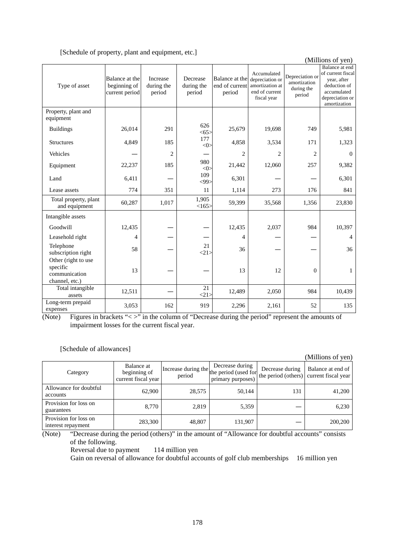|  | [Schedule of property, plant and equipment, etc.] |  |
|--|---------------------------------------------------|--|
|  |                                                   |  |

|                                                                    | (Millions of yen)                                |                                  |                                  |                                            |                                                                                    |                                                         |                                                                                                                      |
|--------------------------------------------------------------------|--------------------------------------------------|----------------------------------|----------------------------------|--------------------------------------------|------------------------------------------------------------------------------------|---------------------------------------------------------|----------------------------------------------------------------------------------------------------------------------|
| Type of asset                                                      | Balance at the<br>beginning of<br>current period | Increase<br>during the<br>period | Decrease<br>during the<br>period | Balance at the<br>end of current<br>period | Accumulated<br>depreciation or<br>amortization at<br>end of current<br>fiscal year | Depreciation or<br>amortization<br>during the<br>period | Balance at end<br>of current fiscal<br>year, after<br>deduction of<br>accumulated<br>depreciation or<br>amortization |
| Property, plant and<br>equipment                                   |                                                  |                                  |                                  |                                            |                                                                                    |                                                         |                                                                                                                      |
| <b>Buildings</b>                                                   | 26,014                                           | 291                              | 626<br>$<$ 65 $>$                | 25,679                                     | 19,698                                                                             | 749                                                     | 5,981                                                                                                                |
| <b>Structures</b>                                                  | 4,849                                            | 185                              | 177<br>$<$ 0>                    | 4,858                                      | 3,534                                                                              | 171                                                     | 1,323                                                                                                                |
| Vehicles                                                           |                                                  | $\overline{c}$                   |                                  | $\overline{2}$                             | $\overline{2}$                                                                     | $\overline{2}$                                          | $\Omega$                                                                                                             |
| Equipment                                                          | 22,237                                           | 185                              | 980<br>$<$ 0 $>$                 | 21,442                                     | 12,060                                                                             | 257                                                     | 9,382                                                                                                                |
| Land                                                               | 6,411                                            |                                  | 109<br>$<$ 99>                   | 6,301                                      |                                                                                    |                                                         | 6,301                                                                                                                |
| Lease assets                                                       | 774                                              | 351                              | 11                               | 1,114                                      | 273                                                                                | 176                                                     | 841                                                                                                                  |
| Total property, plant<br>and equipment                             | 60,287                                           | 1,017                            | 1,905<br><165>                   | 59,399                                     | 35,568                                                                             | 1,356                                                   | 23,830                                                                                                               |
| Intangible assets                                                  |                                                  |                                  |                                  |                                            |                                                                                    |                                                         |                                                                                                                      |
| Goodwill                                                           | 12,435                                           |                                  |                                  | 12,435                                     | 2,037                                                                              | 984                                                     | 10,397                                                                                                               |
| Leasehold right                                                    | 4                                                |                                  |                                  | 4                                          |                                                                                    |                                                         | $\overline{4}$                                                                                                       |
| Telephone<br>subscription right                                    | 58                                               |                                  | 21<br><21>                       | 36                                         |                                                                                    |                                                         | 36                                                                                                                   |
| Other (right to use<br>specific<br>communication<br>channel, etc.) | 13                                               |                                  |                                  | 13                                         | 12                                                                                 | $\overline{0}$                                          | 1                                                                                                                    |
| Total intangible<br>assets                                         | 12,511                                           |                                  | 21<br><21                        | 12,489                                     | 2,050                                                                              | 984                                                     | 10,439                                                                                                               |
| Long-term prepaid<br>expenses                                      | 3,053                                            | 162                              | 919                              | 2,296                                      | 2,161                                                                              | 52                                                      | 135                                                                                                                  |

(Note) Figures in brackets "< >" in the column of "Decrease during the period" represent the amounts of impairment losses for the current fiscal year.

[Schedule of allowances]

(Millions of yen)

| Category                                    | Balance at<br>beginning of<br>current fiscal year | Increase during the<br>period | Decrease during<br>the period (used for<br>primary purposes) | Decrease during<br>the period (others) current fiscal year | Balance at end of |
|---------------------------------------------|---------------------------------------------------|-------------------------------|--------------------------------------------------------------|------------------------------------------------------------|-------------------|
| Allowance for doubtful<br>accounts          | 62,900                                            | 28,575                        | 50.144                                                       | 131                                                        | 41,200            |
| Provision for loss on<br>guarantees         | 8,770                                             | 2,819                         | 5,359                                                        |                                                            | 6,230             |
| Provision for loss on<br>interest repayment | 283,300                                           | 48,807                        | 131,907                                                      |                                                            | 200,200           |

(Note) "Decrease during the period (others)" in the amount of "Allowance for doubtful accounts" consists of the following.

Reversal due to payment 114 million yen

Gain on reversal of allowance for doubtful accounts of golf club memberships 16 million yen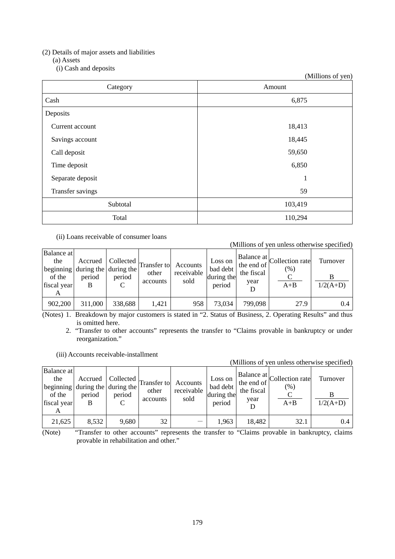### (2) Details of major assets and liabilities

(a) Assets

(i) Cash and deposits

|                  | (Millions of yen) |
|------------------|-------------------|
| Category         | Amount            |
| Cash             | 6,875             |
| Deposits         |                   |
| Current account  | 18,413            |
| Savings account  | 18,445            |
| Call deposit     | 59,650            |
| Time deposit     | 6,850             |
| Separate deposit | 1                 |
| Transfer savings | 59                |
| Subtotal         | 103,419           |
| Total            | 110,294           |

#### (ii) Loans receivable of consumer loans

(Millions of yen unless otherwise specified)

| Balance at<br>the<br>of the<br>fiscal year | Accrued<br>beginning during the during the<br>period | period  | $\cdot$   Collected $\vert$ Transfer to $\vert$ '<br>other<br>accounts | Accounts<br>receivable<br>sold | Loss on<br>bad debt<br>during the<br>period | the fiscal<br>year | $\begin{array}{ l }\n\hline\n\text{Balance at} \\ \text{the end of} \\ \hline\n\begin{array}{c}\n\text{Collection rate} \\ \hline\n\begin{array}{c}\n\text{rate}\n\end{array}\n\end{array}\n\end{array}$<br>(%)<br>$A + B$ | Turnover<br>$1/2(A+D)$ |
|--------------------------------------------|------------------------------------------------------|---------|------------------------------------------------------------------------|--------------------------------|---------------------------------------------|--------------------|----------------------------------------------------------------------------------------------------------------------------------------------------------------------------------------------------------------------------|------------------------|
| 902,200                                    | 311,000                                              | 338,688 | 1,421                                                                  | 958                            | 73,034                                      | 799,098            | 27.9                                                                                                                                                                                                                       | 0.4                    |

(Notes) 1. Breakdown by major customers is stated in "2. Status of Business, 2. Operating Results" and thus is omitted here.

 2. "Transfer to other accounts" represents the transfer to "Claims provable in bankruptcy or under reorganization."

(iii) Accounts receivable-installment

|                                                 |                        |                                                        |                                  |                                |                                             |                    | (Millions of yen unless otherwise specified)                          |                        |
|-------------------------------------------------|------------------------|--------------------------------------------------------|----------------------------------|--------------------------------|---------------------------------------------|--------------------|-----------------------------------------------------------------------|------------------------|
| Balance at<br>the<br>of the<br>fiscal year<br>A | Accrued<br>period<br>B | Collected<br>beginning during the during the<br>period | Transfer to<br>other<br>accounts | Accounts<br>receivable<br>sold | Loss on<br>bad debt<br>during the<br>period | the fiscal<br>year | Balance at $\left[\text{Collection rate}\right]$<br>$(\%)$<br>$A + B$ | Turnover<br>$1/2(A+D)$ |
| 21,625                                          | 8,532                  | 9,680                                                  | 32                               |                                | 1,963                                       | 18,482             | 32.1                                                                  | 0.4                    |

(Note) "Transfer to other accounts" represents the transfer to "Claims provable in bankruptcy, claims provable in rehabilitation and other."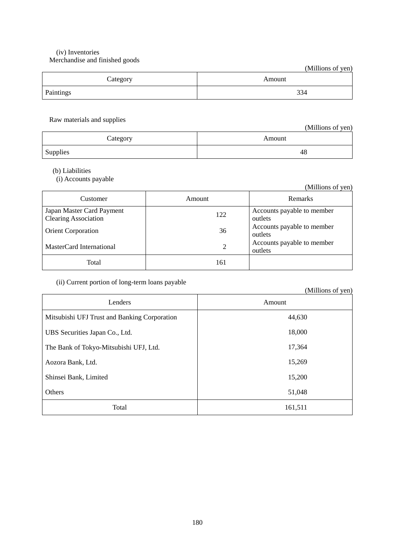#### (iv) Inventories Merchandise and finished goods

|           | (Millions of yen) |
|-----------|-------------------|
| Category  | Amount            |
| Paintings | 334               |

Raw materials and supplies

|          | (Millions of yen) |
|----------|-------------------|
| Category | Amount            |
| Supplies | 48                |

(b) Liabilities

(i) Accounts payable

| (Millions of yen) |  |
|-------------------|--|
|                   |  |

| Customer                                                 | Amount | <b>Remarks</b>                        |
|----------------------------------------------------------|--------|---------------------------------------|
| Japan Master Card Payment<br><b>Clearing Association</b> | 122    | Accounts payable to member<br>outlets |
| <b>Orient Corporation</b>                                | 36     | Accounts payable to member<br>outlets |
| MasterCard International                                 | 2      | Accounts payable to member<br>outlets |
| Total                                                    | 161    |                                       |

## (ii) Current portion of long-term loans payable

|                                              | (Millions of yen) |
|----------------------------------------------|-------------------|
| Lenders                                      | Amount            |
| Mitsubishi UFJ Trust and Banking Corporation | 44,630            |
| UBS Securities Japan Co., Ltd.               | 18,000            |
| The Bank of Tokyo-Mitsubishi UFJ, Ltd.       | 17,364            |
| Aozora Bank, Ltd.                            | 15,269            |
| Shinsei Bank, Limited                        | 15,200            |
| Others                                       | 51,048            |
| Total                                        | 161,511           |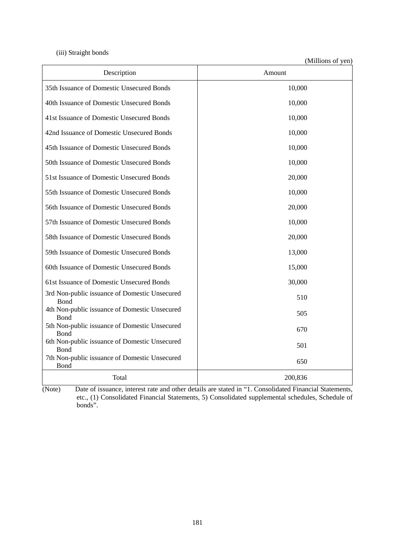#### (iii) Straight bonds

(Millions of yen)

| Description                                                   | Amount  |
|---------------------------------------------------------------|---------|
| 35th Issuance of Domestic Unsecured Bonds                     | 10,000  |
| 40th Issuance of Domestic Unsecured Bonds                     | 10,000  |
| 41st Issuance of Domestic Unsecured Bonds                     | 10,000  |
| 42nd Issuance of Domestic Unsecured Bonds                     | 10,000  |
| 45th Issuance of Domestic Unsecured Bonds                     | 10,000  |
| 50th Issuance of Domestic Unsecured Bonds                     | 10,000  |
| 51st Issuance of Domestic Unsecured Bonds                     | 20,000  |
| 55th Issuance of Domestic Unsecured Bonds                     | 10,000  |
| 56th Issuance of Domestic Unsecured Bonds                     | 20,000  |
| 57th Issuance of Domestic Unsecured Bonds                     | 10,000  |
| 58th Issuance of Domestic Unsecured Bonds                     | 20,000  |
| 59th Issuance of Domestic Unsecured Bonds                     | 13,000  |
| 60th Issuance of Domestic Unsecured Bonds                     | 15,000  |
| 61st Issuance of Domestic Unsecured Bonds                     | 30,000  |
| 3rd Non-public issuance of Domestic Unsecured                 | 510     |
| <b>B</b> ond<br>4th Non-public issuance of Domestic Unsecured | 505     |
| Bond<br>5th Non-public issuance of Domestic Unsecured         | 670     |
| Bond<br>6th Non-public issuance of Domestic Unsecured         |         |
| Bond<br>7th Non-public issuance of Domestic Unsecured         | 501     |
| Bond                                                          | 650     |
| Total                                                         | 200,836 |

(Note) Date of issuance, interest rate and other details are stated in "1. Consolidated Financial Statements, etc., (1) Consolidated Financial Statements, 5) Consolidated supplemental schedules, Schedule of bonds".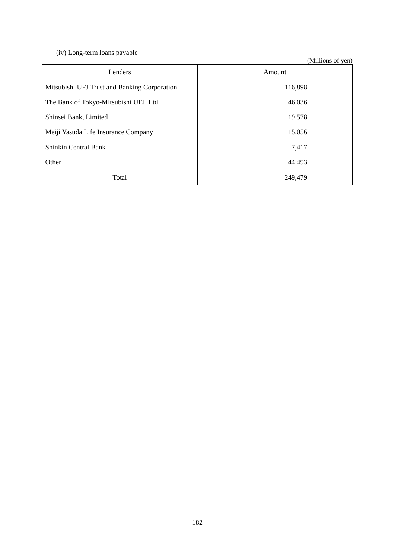## (iv) Long-term loans payable

(Millions of yen)

| Lenders                                      | Amount  |  |  |
|----------------------------------------------|---------|--|--|
| Mitsubishi UFJ Trust and Banking Corporation | 116,898 |  |  |
| The Bank of Tokyo-Mitsubishi UFJ, Ltd.       | 46,036  |  |  |
| Shinsei Bank, Limited                        | 19,578  |  |  |
| Meiji Yasuda Life Insurance Company          | 15,056  |  |  |
| <b>Shinkin Central Bank</b>                  | 7,417   |  |  |
| Other                                        | 44,493  |  |  |
| Total                                        | 249,479 |  |  |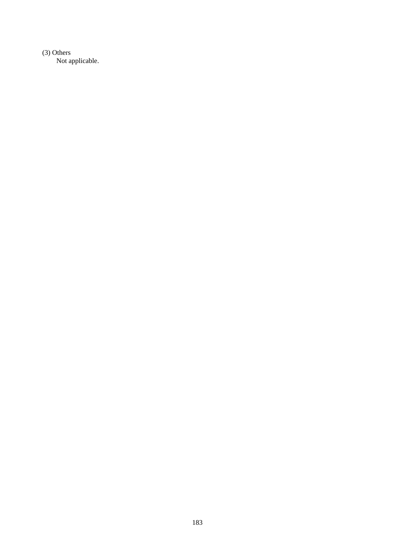(3) Others Not applicable.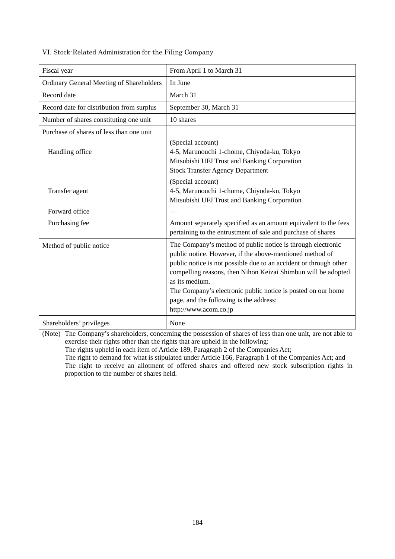#### VI. Stock-Related Administration for the Filing Company

| Fiscal year                                     | From April 1 to March 31                                                                                                                                                                                                                                                                                                                                                                                            |
|-------------------------------------------------|---------------------------------------------------------------------------------------------------------------------------------------------------------------------------------------------------------------------------------------------------------------------------------------------------------------------------------------------------------------------------------------------------------------------|
| <b>Ordinary General Meeting of Shareholders</b> | In June                                                                                                                                                                                                                                                                                                                                                                                                             |
| Record date                                     | March 31                                                                                                                                                                                                                                                                                                                                                                                                            |
| Record date for distribution from surplus       | September 30, March 31                                                                                                                                                                                                                                                                                                                                                                                              |
| Number of shares constituting one unit          | 10 shares                                                                                                                                                                                                                                                                                                                                                                                                           |
| Purchase of shares of less than one unit        |                                                                                                                                                                                                                                                                                                                                                                                                                     |
| Handling office                                 | (Special account)<br>4-5, Marunouchi 1-chome, Chiyoda-ku, Tokyo<br>Mitsubishi UFJ Trust and Banking Corporation<br><b>Stock Transfer Agency Department</b>                                                                                                                                                                                                                                                          |
| Transfer agent                                  | (Special account)<br>4-5, Marunouchi 1-chome, Chiyoda-ku, Tokyo<br>Mitsubishi UFJ Trust and Banking Corporation                                                                                                                                                                                                                                                                                                     |
| Forward office                                  |                                                                                                                                                                                                                                                                                                                                                                                                                     |
| Purchasing fee                                  | Amount separately specified as an amount equivalent to the fees<br>pertaining to the entrustment of sale and purchase of shares                                                                                                                                                                                                                                                                                     |
| Method of public notice                         | The Company's method of public notice is through electronic<br>public notice. However, if the above-mentioned method of<br>public notice is not possible due to an accident or through other<br>compelling reasons, then Nihon Keizai Shimbun will be adopted<br>as its medium.<br>The Company's electronic public notice is posted on our home<br>page, and the following is the address:<br>http://www.acom.co.jp |
| Shareholders' privileges                        | None                                                                                                                                                                                                                                                                                                                                                                                                                |

(Note) The Company's shareholders, concerning the possession of shares of less than one unit, are not able to exercise their rights other than the rights that are upheld in the following:

The rights upheld in each item of Article 189, Paragraph 2 of the Companies Act;

The right to demand for what is stipulated under Article 166, Paragraph 1 of the Companies Act; and The right to receive an allotment of offered shares and offered new stock subscription rights in proportion to the number of shares held.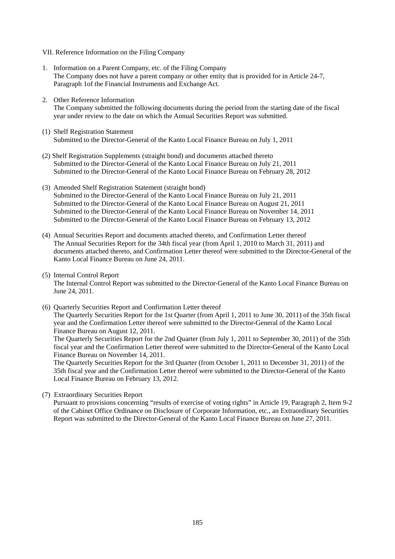VII. Reference Information on the Filing Company

- 1. Information on a Parent Company, etc. of the Filing Company The Company does not have a parent company or other entity that is provided for in Article 24-7, Paragraph 1of the Financial Instruments and Exchange Act.
- 2. Other Reference Information

The Company submitted the following documents during the period from the starting date of the fiscal year under review to the date on which the Annual Securities Report was submitted.

- (1) Shelf Registration Statement Submitted to the Director-General of the Kanto Local Finance Bureau on July 1, 2011
- (2) Shelf Registration Supplements (straight bond) and documents attached thereto Submitted to the Director-General of the Kanto Local Finance Bureau on July 21, 2011 Submitted to the Director-General of the Kanto Local Finance Bureau on February 28, 2012
- (3) Amended Shelf Registration Statement (straight bond) Submitted to the Director-General of the Kanto Local Finance Bureau on July 21, 2011 Submitted to the Director-General of the Kanto Local Finance Bureau on August 21, 2011 Submitted to the Director-General of the Kanto Local Finance Bureau on November 14, 2011 Submitted to the Director-General of the Kanto Local Finance Bureau on February 13, 2012
- (4) Annual Securities Report and documents attached thereto, and Confirmation Letter thereof The Annual Securities Report for the 34th fiscal year (from April 1, 2010 to March 31, 2011) and documents attached thereto, and Confirmation Letter thereof were submitted to the Director-General of the Kanto Local Finance Bureau on June 24, 2011.
- (5) Internal Control Report The Internal Control Report was submitted to the Director-General of the Kanto Local Finance Bureau on June 24, 2011.
- (6) Quarterly Securities Report and Confirmation Letter thereof The Quarterly Securities Report for the 1st Quarter (from April 1, 2011 to June 30, 2011) of the 35th fiscal year and the Confirmation Letter thereof were submitted to the Director-General of the Kanto Local Finance Bureau on August 12, 2011.

The Quarterly Securities Report for the 2nd Quarter (from July 1, 2011 to September 30, 2011) of the 35th fiscal year and the Confirmation Letter thereof were submitted to the Director-General of the Kanto Local Finance Bureau on November 14, 2011.

The Quarterly Securities Report for the 3rd Quarter (from October 1, 2011 to December 31, 2011) of the 35th fiscal year and the Confirmation Letter thereof were submitted to the Director-General of the Kanto Local Finance Bureau on February 13, 2012.

(7) Extraordinary Securities Report

Pursuant to provisions concerning "results of exercise of voting rights" in Article 19, Paragraph 2, Item 9-2 of the Cabinet Office Ordinance on Disclosure of Corporate Information, etc., an Extraordinary Securities Report was submitted to the Director-General of the Kanto Local Finance Bureau on June 27, 2011.